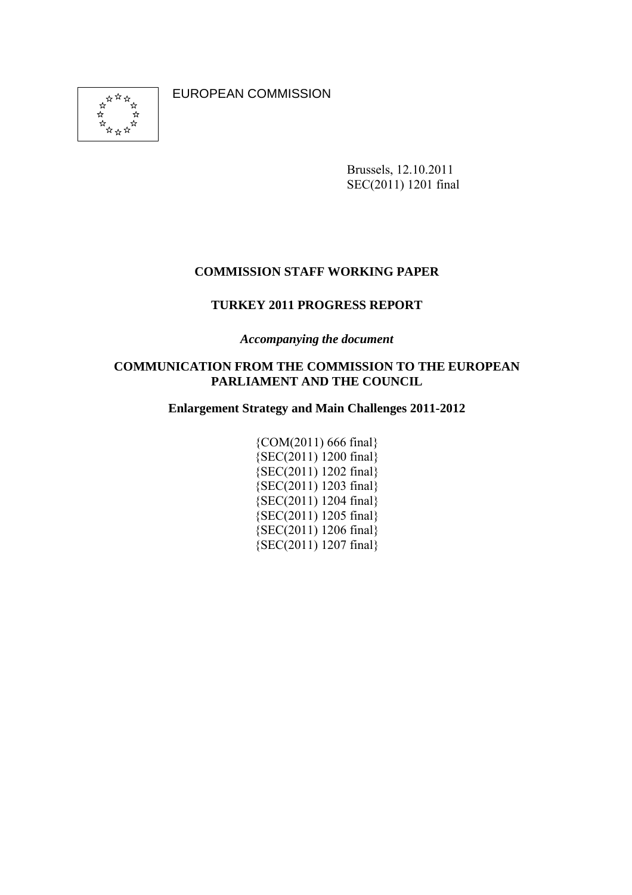EUROPEAN COMMISSION



Brussels, 12.10.2011 SEC(2011) 1201 final

# **COMMISSION STAFF WORKING PAPER**

#### **TURKEY 2011 PROGRESS REPORT**

#### *Accompanying the document*

#### **COMMUNICATION FROM THE COMMISSION TO THE EUROPEAN PARLIAMENT AND THE COUNCIL**

**Enlargement Strategy and Main Challenges 2011-2012** 

{COM(2011) 666 final} {SEC(2011) 1200 final} {SEC(2011) 1202 final}  ${SEC(2011) 1203 final}$ {SEC(2011) 1204 final}  ${SEC(2011)}$  1205 final {SEC(2011) 1206 final} {SEC(2011) 1207 final}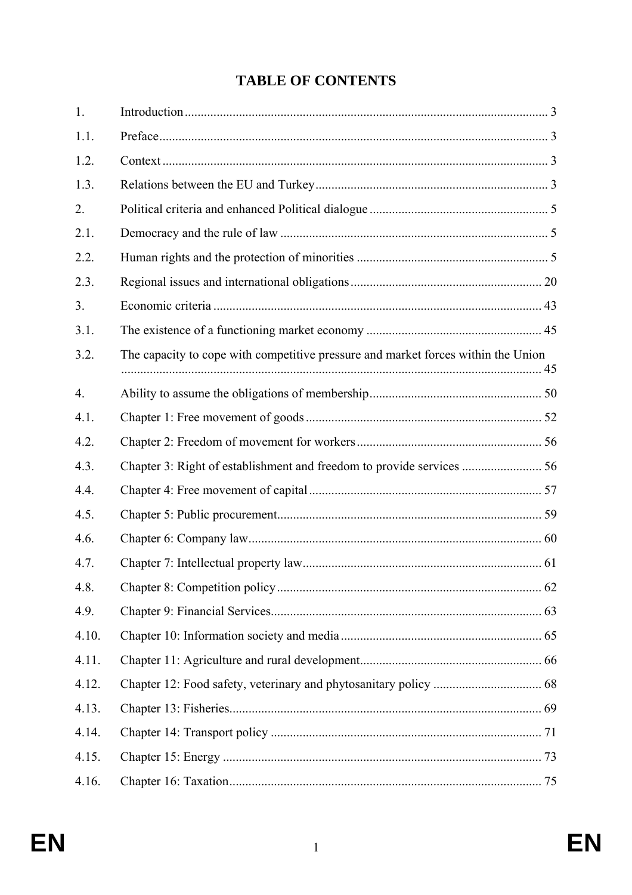# **TABLE OF CONTENTS**

| 1.               |                                                                                   |  |
|------------------|-----------------------------------------------------------------------------------|--|
| 1.1.             |                                                                                   |  |
| 1.2.             |                                                                                   |  |
| 1.3.             |                                                                                   |  |
| 2.               |                                                                                   |  |
| 2.1.             |                                                                                   |  |
| 2.2.             |                                                                                   |  |
| 2.3.             |                                                                                   |  |
| 3.               |                                                                                   |  |
| 3.1.             |                                                                                   |  |
| 3.2.             | The capacity to cope with competitive pressure and market forces within the Union |  |
| $\overline{4}$ . |                                                                                   |  |
| 4.1.             |                                                                                   |  |
| 4.2.             |                                                                                   |  |
| 4.3.             |                                                                                   |  |
| 4.4.             |                                                                                   |  |
| 4.5.             |                                                                                   |  |
| 4.6.             |                                                                                   |  |
| 4.7.             |                                                                                   |  |
| 4.8.             |                                                                                   |  |
| 4.9.             |                                                                                   |  |
| 4.10.            |                                                                                   |  |
| 4.11.            |                                                                                   |  |
| 4.12.            |                                                                                   |  |
| 4.13.            |                                                                                   |  |
| 4.14.            |                                                                                   |  |
| 4.15.            |                                                                                   |  |
| 4.16.            |                                                                                   |  |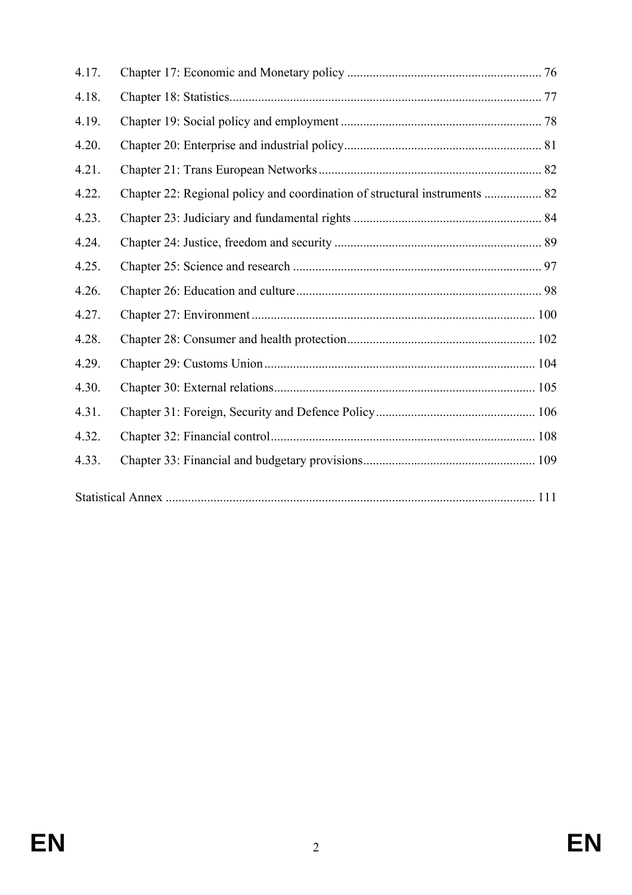| 4.17. |                                                                            |  |
|-------|----------------------------------------------------------------------------|--|
| 4.18. |                                                                            |  |
| 4.19. |                                                                            |  |
| 4.20. |                                                                            |  |
| 4.21. |                                                                            |  |
| 4.22. | Chapter 22: Regional policy and coordination of structural instruments  82 |  |
| 4.23. |                                                                            |  |
| 4.24. |                                                                            |  |
| 4.25. |                                                                            |  |
| 4.26. |                                                                            |  |
| 4.27. |                                                                            |  |
| 4.28. |                                                                            |  |
| 4.29. |                                                                            |  |
| 4.30. |                                                                            |  |
| 4.31. |                                                                            |  |
| 4.32. |                                                                            |  |
| 4.33. |                                                                            |  |
|       |                                                                            |  |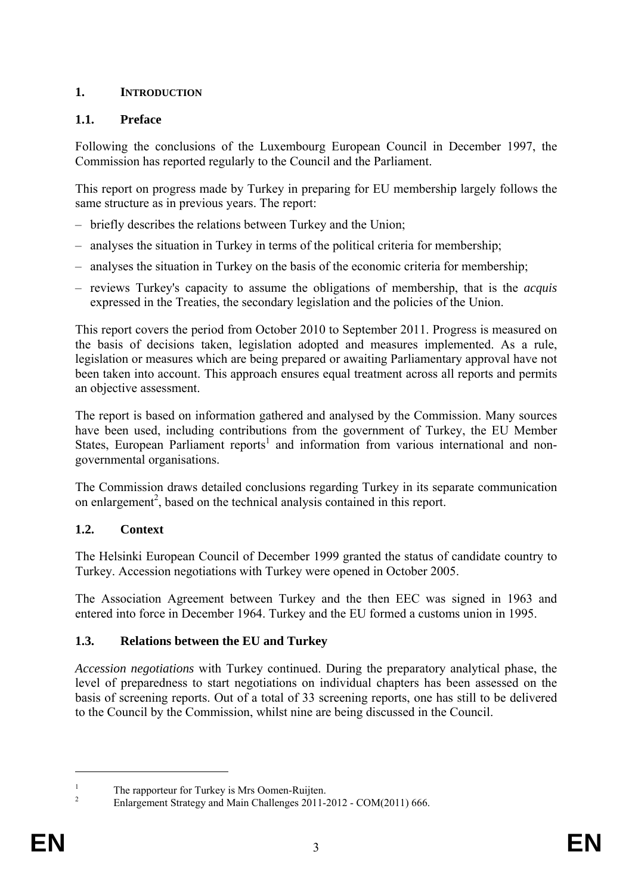# <span id="page-3-0"></span>**1. INTRODUCTION**

# <span id="page-3-1"></span>**1.1. Preface**

Following the conclusions of the Luxembourg European Council in December 1997, the Commission has reported regularly to the Council and the Parliament.

This report on progress made by Turkey in preparing for EU membership largely follows the same structure as in previous years. The report:

- briefly describes the relations between Turkey and the Union;
- analyses the situation in Turkey in terms of the political criteria for membership;
- analyses the situation in Turkey on the basis of the economic criteria for membership;
- reviews Turkey's capacity to assume the obligations of membership, that is the *acquis*  expressed in the Treaties, the secondary legislation and the policies of the Union.

This report covers the period from October 2010 to September 2011. Progress is measured on the basis of decisions taken, legislation adopted and measures implemented. As a rule, legislation or measures which are being prepared or awaiting Parliamentary approval have not been taken into account. This approach ensures equal treatment across all reports and permits an objective assessment.

The report is based on information gathered and analysed by the Commission. Many sources have been used, including contributions from the government of Turkey, the EU Member States, European Parliament reports<sup>1</sup> and information from various international and nongovernmental organisations.

The Commission draws detailed conclusions regarding Turkey in its separate communication on enlargement<sup>2</sup>, based on the technical analysis contained in this report.

# <span id="page-3-2"></span>**1.2. Context**

The Helsinki European Council of December 1999 granted the status of candidate country to Turkey. Accession negotiations with Turkey were opened in October 2005.

The Association Agreement between Turkey and the then EEC was signed in 1963 and entered into force in December 1964. Turkey and the EU formed a customs union in 1995.

# <span id="page-3-3"></span>**1.3. Relations between the EU and Turkey**

*Accession negotiations* with Turkey continued. During the preparatory analytical phase, the level of preparedness to start negotiations on individual chapters has been assessed on the basis of screening reports. Out of a total of 33 screening reports, one has still to be delivered to the Council by the Commission, whilst nine are being discussed in the Council.

<sup>1</sup> The rapporteur for Turkey is Mrs Oomen-Ruijten.

<sup>2</sup> Enlargement Strategy and Main Challenges 2011-2012 - COM(2011) 666.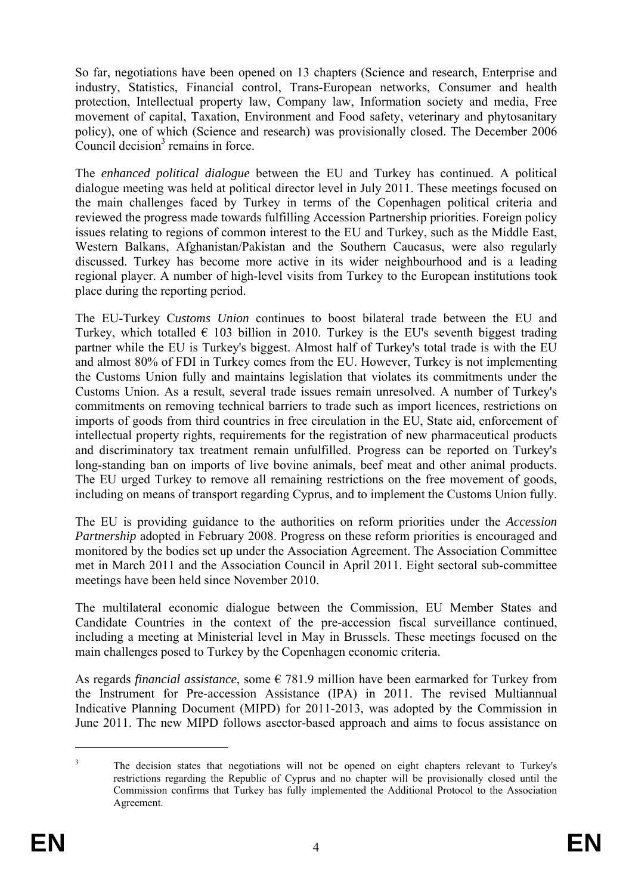So far, negotiations have been opened on 13 chapters (Science and research, Enterprise and industry, Statistics, Financial control, Trans-European networks, Consumer and health protection, Intellectual property law, Company law, Information society and media, Free movement of capital, Taxation, Environment and Food safety, veterinary and phytosanitary policy), one of which (Science and research) was provisionally closed. The December 2006 Council decision $3$  remains in force.

The *enhanced political dialogue* between the EU and Turkey has continued. A political dialogue meeting was held at political director level in July 2011. These meetings focused on the main challenges faced by Turkey in terms of the Copenhagen political criteria and reviewed the progress made towards fulfilling Accession Partnership priorities. Foreign policy issues relating to regions of common interest to the EU and Turkey, such as the Middle East, Western Balkans, Afghanistan/Pakistan and the Southern Caucasus, were also regularly discussed. Turkey has become more active in its wider neighbourhood and is a leading regional player. A number of high-level visits from Turkey to the European institutions took place during the reporting period.

The EU-Turkey C*ustoms Union* continues to boost bilateral trade between the EU and Turkey, which totalled  $\epsilon$  103 billion in 2010. Turkey is the EU's seventh biggest trading partner while the EU is Turkey's biggest. Almost half of Turkey's total trade is with the EU and almost 80% of FDI in Turkey comes from the EU. However, Turkey is not implementing the Customs Union fully and maintains legislation that violates its commitments under the Customs Union. As a result, several trade issues remain unresolved. A number of Turkey's commitments on removing technical barriers to trade such as import licences, restrictions on imports of goods from third countries in free circulation in the EU, State aid, enforcement of intellectual property rights, requirements for the registration of new pharmaceutical products and discriminatory tax treatment remain unfulfilled. Progress can be reported on Turkey's long-standing ban on imports of live bovine animals, beef meat and other animal products. The EU urged Turkey to remove all remaining restrictions on the free movement of goods, including on means of transport regarding Cyprus, and to implement the Customs Union fully.

The EU is providing guidance to the authorities on reform priorities under the *Accession Partnership* adopted in February 2008. Progress on these reform priorities is encouraged and monitored by the bodies set up under the Association Agreement. The Association Committee met in March 2011 and the Association Council in April 2011. Eight sectoral sub-committee meetings have been held since November 2010.

The multilateral economic dialogue between the Commission, EU Member States and Candidate Countries in the context of the pre-accession fiscal surveillance continued, including a meeting at Ministerial level in May in Brussels. These meetings focused on the main challenges posed to Turkey by the Copenhagen economic criteria.

As regards *financial assistance*, some  $\epsilon$  781.9 million have been earmarked for Turkey from the Instrument for Pre-accession Assistance (IPA) in 2011. The revised Multiannual Indicative Planning Document (MIPD) for 2011-2013, was adopted by the Commission in June 2011. The new MIPD follows asector-based approach and aims to focus assistance on

<sup>3</sup> The decision states that negotiations will not be opened on eight chapters relevant to Turkey's restrictions regarding the Republic of Cyprus and no chapter will be provisionally closed until the Commission confirms that Turkey has fully implemented the Additional Protocol to the Association Agreement.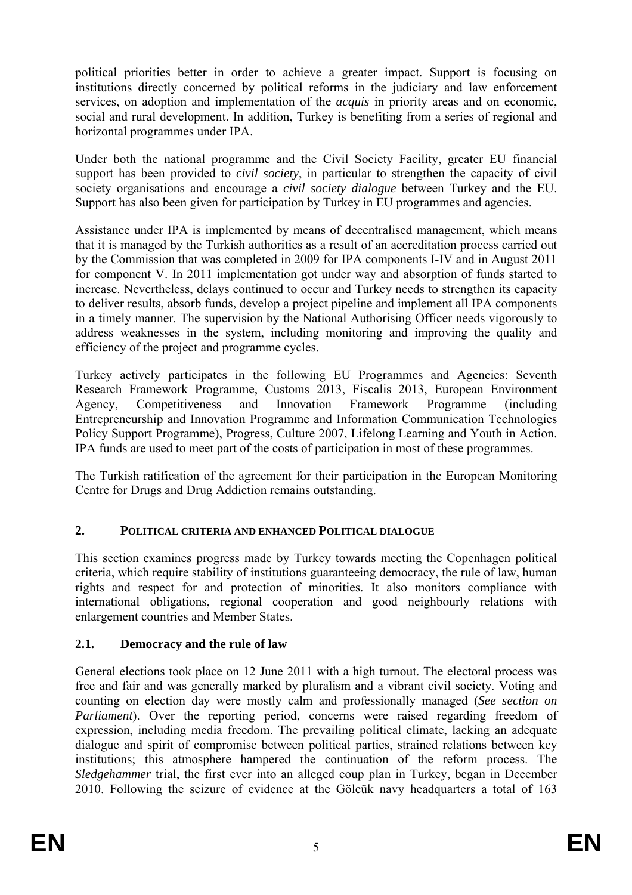political priorities better in order to achieve a greater impact. Support is focusing on institutions directly concerned by political reforms in the judiciary and law enforcement services, on adoption and implementation of the *acquis* in priority areas and on economic, social and rural development. In addition, Turkey is benefiting from a series of regional and horizontal programmes under IPA.

Under both the national programme and the Civil Society Facility, greater EU financial support has been provided to *civil society*, in particular to strengthen the capacity of civil society organisations and encourage a *civil society dialogue* between Turkey and the EU. Support has also been given for participation by Turkey in EU programmes and agencies.

Assistance under IPA is implemented by means of decentralised management, which means that it is managed by the Turkish authorities as a result of an accreditation process carried out by the Commission that was completed in 2009 for IPA components I-IV and in August 2011 for component V. In 2011 implementation got under way and absorption of funds started to increase. Nevertheless, delays continued to occur and Turkey needs to strengthen its capacity to deliver results, absorb funds, develop a project pipeline and implement all IPA components in a timely manner. The supervision by the National Authorising Officer needs vigorously to address weaknesses in the system, including monitoring and improving the quality and efficiency of the project and programme cycles.

Turkey actively participates in the following EU Programmes and Agencies: Seventh Research Framework Programme, Customs 2013, Fiscalis 2013, European Environment Agency, Competitiveness and Innovation Framework Programme (including Entrepreneurship and Innovation Programme and Information Communication Technologies Policy Support Programme), Progress, Culture 2007, Lifelong Learning and Youth in Action. IPA funds are used to meet part of the costs of participation in most of these programmes.

The Turkish ratification of the agreement for their participation in the European Monitoring Centre for Drugs and Drug Addiction remains outstanding.

# <span id="page-5-0"></span>**2. POLITICAL CRITERIA AND ENHANCED POLITICAL DIALOGUE**

This section examines progress made by Turkey towards meeting the Copenhagen political criteria, which require stability of institutions guaranteeing democracy, the rule of law, human rights and respect for and protection of minorities. It also monitors compliance with international obligations, regional cooperation and good neighbourly relations with enlargement countries and Member States.

# <span id="page-5-1"></span>**2.1. Democracy and the rule of law**

General elections took place on 12 June 2011 with a high turnout. The electoral process was free and fair and was generally marked by pluralism and a vibrant civil society. Voting and counting on election day were mostly calm and professionally managed (*See section on Parliament*). Over the reporting period, concerns were raised regarding freedom of expression, including media freedom. The prevailing political climate, lacking an adequate dialogue and spirit of compromise between political parties, strained relations between key institutions; this atmosphere hampered the continuation of the reform process. The *Sledgehammer* trial, the first ever into an alleged coup plan in Turkey, began in December 2010. Following the seizure of evidence at the Gölcük navy headquarters a total of 163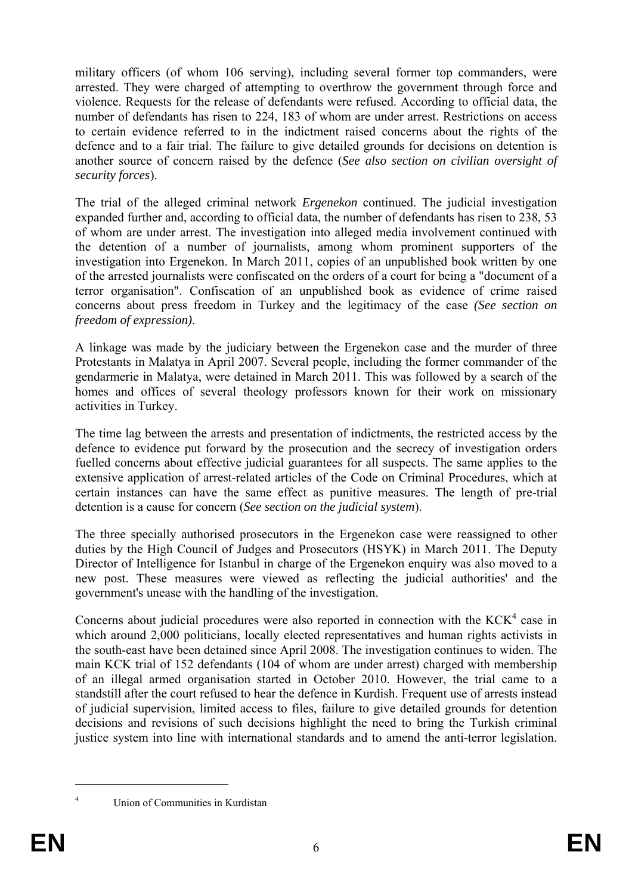military officers (of whom 106 serving), including several former top commanders, were arrested. They were charged of attempting to overthrow the government through force and violence. Requests for the release of defendants were refused. According to official data, the number of defendants has risen to 224, 183 of whom are under arrest. Restrictions on access to certain evidence referred to in the indictment raised concerns about the rights of the defence and to a fair trial. The failure to give detailed grounds for decisions on detention is another source of concern raised by the defence (*See also section on civilian oversight of security forces*).

The trial of the alleged criminal network *Ergenekon* continued. The judicial investigation expanded further and, according to official data, the number of defendants has risen to 238, 53 of whom are under arrest. The investigation into alleged media involvement continued with the detention of a number of journalists, among whom prominent supporters of the investigation into Ergenekon. In March 2011, copies of an unpublished book written by one of the arrested journalists were confiscated on the orders of a court for being a "document of a terror organisation". Confiscation of an unpublished book as evidence of crime raised concerns about press freedom in Turkey and the legitimacy of the case *(See section on freedom of expression)*.

A linkage was made by the judiciary between the Ergenekon case and the murder of three Protestants in Malatya in April 2007. Several people, including the former commander of the gendarmerie in Malatya, were detained in March 2011. This was followed by a search of the homes and offices of several theology professors known for their work on missionary activities in Turkey.

The time lag between the arrests and presentation of indictments, the restricted access by the defence to evidence put forward by the prosecution and the secrecy of investigation orders fuelled concerns about effective judicial guarantees for all suspects. The same applies to the extensive application of arrest-related articles of the Code on Criminal Procedures, which at certain instances can have the same effect as punitive measures. The length of pre-trial detention is a cause for concern (*See section on the judicial system*).

The three specially authorised prosecutors in the Ergenekon case were reassigned to other duties by the High Council of Judges and Prosecutors (HSYK) in March 2011. The Deputy Director of Intelligence for Istanbul in charge of the Ergenekon enquiry was also moved to a new post. These measures were viewed as reflecting the judicial authorities' and the government's unease with the handling of the investigation.

Concerns about judicial procedures were also reported in connection with the  $KCK<sup>4</sup>$  case in which around 2,000 politicians, locally elected representatives and human rights activists in the south-east have been detained since April 2008. The investigation continues to widen. The main KCK trial of 152 defendants (104 of whom are under arrest) charged with membership of an illegal armed organisation started in October 2010. However, the trial came to a standstill after the court refused to hear the defence in Kurdish. Frequent use of arrests instead of judicial supervision, limited access to files, failure to give detailed grounds for detention decisions and revisions of such decisions highlight the need to bring the Turkish criminal justice system into line with international standards and to amend the anti-terror legislation.

4

Union of Communities in Kurdistan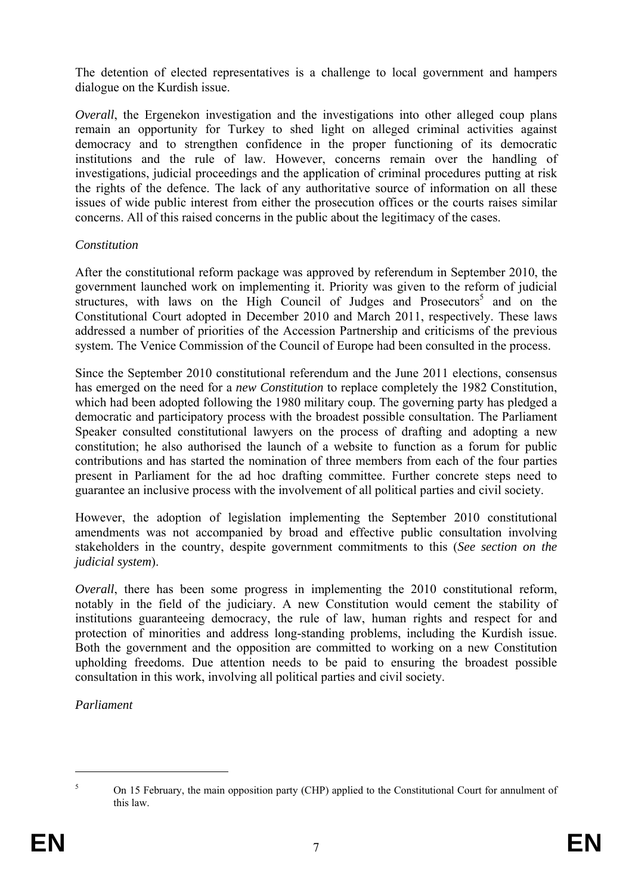The detention of elected representatives is a challenge to local government and hampers dialogue on the Kurdish issue.

*Overall*, the Ergenekon investigation and the investigations into other alleged coup plans remain an opportunity for Turkey to shed light on alleged criminal activities against democracy and to strengthen confidence in the proper functioning of its democratic institutions and the rule of law. However, concerns remain over the handling of investigations, judicial proceedings and the application of criminal procedures putting at risk the rights of the defence. The lack of any authoritative source of information on all these issues of wide public interest from either the prosecution offices or the courts raises similar concerns. All of this raised concerns in the public about the legitimacy of the cases.

#### *Constitution*

After the constitutional reform package was approved by referendum in September 2010, the government launched work on implementing it. Priority was given to the reform of judicial structures, with laws on the High Council of Judges and Prosecutors<sup>5</sup> and on the Constitutional Court adopted in December 2010 and March 2011, respectively. These laws addressed a number of priorities of the Accession Partnership and criticisms of the previous system. The Venice Commission of the Council of Europe had been consulted in the process.

Since the September 2010 constitutional referendum and the June 2011 elections, consensus has emerged on the need for a *new Constitution* to replace completely the 1982 Constitution, which had been adopted following the 1980 military coup. The governing party has pledged a democratic and participatory process with the broadest possible consultation. The Parliament Speaker consulted constitutional lawyers on the process of drafting and adopting a new constitution; he also authorised the launch of a website to function as a forum for public contributions and has started the nomination of three members from each of the four parties present in Parliament for the ad hoc drafting committee. Further concrete steps need to guarantee an inclusive process with the involvement of all political parties and civil society.

However, the adoption of legislation implementing the September 2010 constitutional amendments was not accompanied by broad and effective public consultation involving stakeholders in the country, despite government commitments to this (*See section on the judicial system*).

*Overall*, there has been some progress in implementing the 2010 constitutional reform, notably in the field of the judiciary. A new Constitution would cement the stability of institutions guaranteeing democracy, the rule of law, human rights and respect for and protection of minorities and address long-standing problems, including the Kurdish issue. Both the government and the opposition are committed to working on a new Constitution upholding freedoms. Due attention needs to be paid to ensuring the broadest possible consultation in this work, involving all political parties and civil society.

*Parliament* 

<sup>5</sup> On 15 February, the main opposition party (CHP) applied to the Constitutional Court for annulment of this law.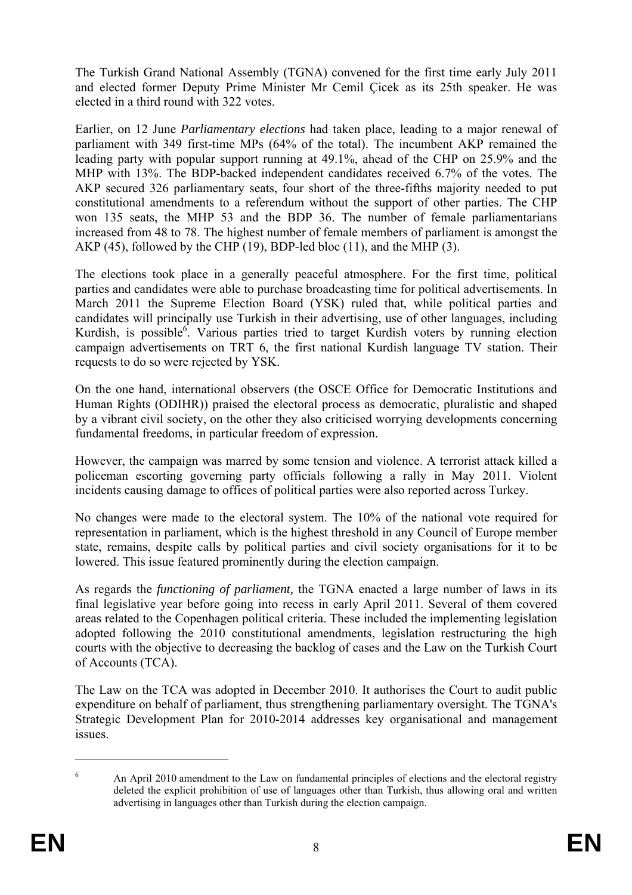The Turkish Grand National Assembly (TGNA) convened for the first time early July 2011 and elected former Deputy Prime Minister Mr Cemil Çicek as its 25th speaker. He was elected in a third round with 322 votes.

Earlier, on 12 June *Parliamentary elections* had taken place, leading to a major renewal of parliament with 349 first-time MPs (64% of the total). The incumbent AKP remained the leading party with popular support running at 49.1%, ahead of the CHP on 25.9% and the MHP with 13%. The BDP-backed independent candidates received 6.7% of the votes. The AKP secured 326 parliamentary seats, four short of the three-fifths majority needed to put constitutional amendments to a referendum without the support of other parties. The CHP won 135 seats, the MHP 53 and the BDP 36. The number of female parliamentarians increased from 48 to 78. The highest number of female members of parliament is amongst the AKP (45), followed by the CHP (19), BDP-led bloc (11), and the MHP (3).

The elections took place in a generally peaceful atmosphere. For the first time, political parties and candidates were able to purchase broadcasting time for political advertisements. In March 2011 the Supreme Election Board (YSK) ruled that, while political parties and candidates will principally use Turkish in their advertising, use of other languages, including Kurdish, is possible<sup>6</sup>. Various parties tried to target Kurdish voters by running election campaign advertisements on TRT 6, the first national Kurdish language TV station. Their requests to do so were rejected by YSK.

On the one hand, international observers (the OSCE Office for Democratic Institutions and Human Rights (ODIHR)) praised the electoral process as democratic, pluralistic and shaped by a vibrant civil society, on the other they also criticised worrying developments concerning fundamental freedoms, in particular freedom of expression.

However, the campaign was marred by some tension and violence. A terrorist attack killed a policeman escorting governing party officials following a rally in May 2011. Violent incidents causing damage to offices of political parties were also reported across Turkey.

No changes were made to the electoral system. The 10% of the national vote required for representation in parliament, which is the highest threshold in any Council of Europe member state, remains, despite calls by political parties and civil society organisations for it to be lowered. This issue featured prominently during the election campaign.

As regards the *functioning of parliament,* the TGNA enacted a large number of laws in its final legislative year before going into recess in early April 2011. Several of them covered areas related to the Copenhagen political criteria. These included the implementing legislation adopted following the 2010 constitutional amendments, legislation restructuring the high courts with the objective to decreasing the backlog of cases and the Law on the Turkish Court of Accounts (TCA).

The Law on the TCA was adopted in December 2010. It authorises the Court to audit public expenditure on behalf of parliament, thus strengthening parliamentary oversight. The TGNA's Strategic Development Plan for 2010-2014 addresses key organisational and management issues.

<sup>6</sup> An April 2010 amendment to the Law on fundamental principles of elections and the electoral registry deleted the explicit prohibition of use of languages other than Turkish, thus allowing oral and written advertising in languages other than Turkish during the election campaign.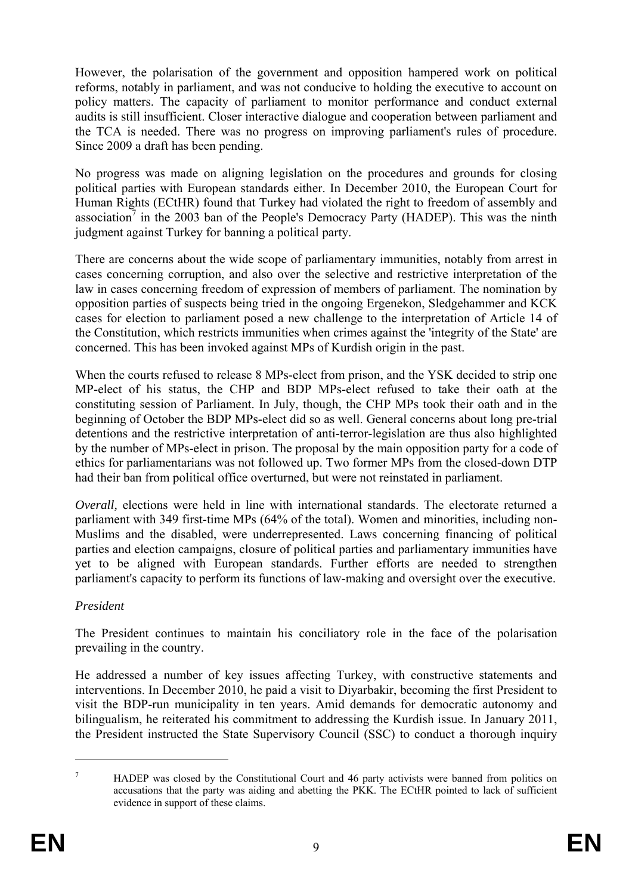However, the polarisation of the government and opposition hampered work on political reforms, notably in parliament, and was not conducive to holding the executive to account on policy matters. The capacity of parliament to monitor performance and conduct external audits is still insufficient. Closer interactive dialogue and cooperation between parliament and the TCA is needed. There was no progress on improving parliament's rules of procedure. Since 2009 a draft has been pending.

No progress was made on aligning legislation on the procedures and grounds for closing political parties with European standards either. In December 2010, the European Court for Human Rights (ECtHR) found that Turkey had violated the right to freedom of assembly and association<sup>7</sup> in the 2003 ban of the People's Democracy Party (HADEP). This was the ninth judgment against Turkey for banning a political party.

There are concerns about the wide scope of parliamentary immunities, notably from arrest in cases concerning corruption, and also over the selective and restrictive interpretation of the law in cases concerning freedom of expression of members of parliament. The nomination by opposition parties of suspects being tried in the ongoing Ergenekon, Sledgehammer and KCK cases for election to parliament posed a new challenge to the interpretation of Article 14 of the Constitution, which restricts immunities when crimes against the 'integrity of the State' are concerned. This has been invoked against MPs of Kurdish origin in the past.

When the courts refused to release 8 MPs-elect from prison, and the YSK decided to strip one MP-elect of his status, the CHP and BDP MPs-elect refused to take their oath at the constituting session of Parliament. In July, though, the CHP MPs took their oath and in the beginning of October the BDP MPs-elect did so as well. General concerns about long pre-trial detentions and the restrictive interpretation of anti-terror-legislation are thus also highlighted by the number of MPs-elect in prison. The proposal by the main opposition party for a code of ethics for parliamentarians was not followed up. Two former MPs from the closed-down DTP had their ban from political office overturned, but were not reinstated in parliament.

*Overall*, elections were held in line with international standards. The electorate returned a parliament with 349 first-time MPs (64% of the total). Women and minorities, including non-Muslims and the disabled, were underrepresented. Laws concerning financing of political parties and election campaigns, closure of political parties and parliamentary immunities have yet to be aligned with European standards. Further efforts are needed to strengthen parliament's capacity to perform its functions of law-making and oversight over the executive.

# *President*

The President continues to maintain his conciliatory role in the face of the polarisation prevailing in the country.

He addressed a number of key issues affecting Turkey, with constructive statements and interventions. In December 2010, he paid a visit to Diyarbakir, becoming the first President to visit the BDP-run municipality in ten years. Amid demands for democratic autonomy and bilingualism, he reiterated his commitment to addressing the Kurdish issue. In January 2011, the President instructed the State Supervisory Council (SSC) to conduct a thorough inquiry

<sup>7</sup> HADEP was closed by the Constitutional Court and 46 party activists were banned from politics on accusations that the party was aiding and abetting the PKK. The ECtHR pointed to lack of sufficient evidence in support of these claims.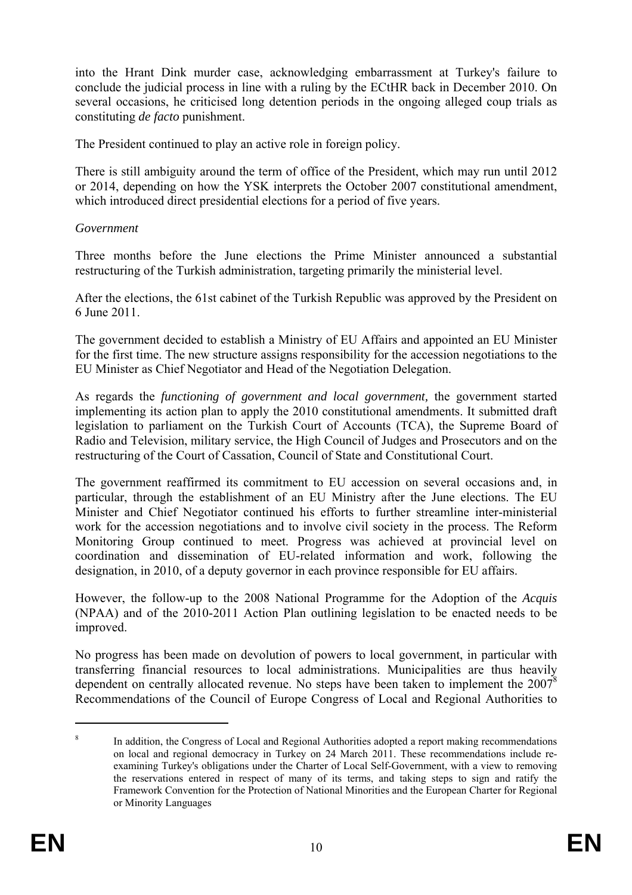into the Hrant Dink murder case, acknowledging embarrassment at Turkey's failure to conclude the judicial process in line with a ruling by the ECtHR back in December 2010. On several occasions, he criticised long detention periods in the ongoing alleged coup trials as constituting *de facto* punishment.

The President continued to play an active role in foreign policy.

There is still ambiguity around the term of office of the President, which may run until 2012 or 2014, depending on how the YSK interprets the October 2007 constitutional amendment, which introduced direct presidential elections for a period of five years.

# *Government*

Three months before the June elections the Prime Minister announced a substantial restructuring of the Turkish administration, targeting primarily the ministerial level.

After the elections, the 61st cabinet of the Turkish Republic was approved by the President on 6 June 2011.

The government decided to establish a Ministry of EU Affairs and appointed an EU Minister for the first time. The new structure assigns responsibility for the accession negotiations to the EU Minister as Chief Negotiator and Head of the Negotiation Delegation.

As regards the *functioning of government and local government,* the government started implementing its action plan to apply the 2010 constitutional amendments. It submitted draft legislation to parliament on the Turkish Court of Accounts (TCA), the Supreme Board of Radio and Television, military service, the High Council of Judges and Prosecutors and on the restructuring of the Court of Cassation, Council of State and Constitutional Court.

The government reaffirmed its commitment to EU accession on several occasions and, in particular, through the establishment of an EU Ministry after the June elections. The EU Minister and Chief Negotiator continued his efforts to further streamline inter-ministerial work for the accession negotiations and to involve civil society in the process. The Reform Monitoring Group continued to meet. Progress was achieved at provincial level on coordination and dissemination of EU-related information and work, following the designation, in 2010, of a deputy governor in each province responsible for EU affairs.

However, the follow-up to the 2008 National Programme for the Adoption of the *Acquis*  (NPAA) and of the 2010-2011 Action Plan outlining legislation to be enacted needs to be improved.

No progress has been made on devolution of powers to local government, in particular with transferring financial resources to local administrations. Municipalities are thus heavily dependent on centrally allocated revenue. No steps have been taken to implement the  $2007^8$ Recommendations of the Council of Europe Congress of Local and Regional Authorities to

<sup>8</sup> In addition, the Congress of Local and Regional Authorities adopted a report making recommendations on local and regional democracy in Turkey on 24 March 2011. These recommendations include reexamining Turkey's obligations under the Charter of Local Self-Government, with a view to removing the reservations entered in respect of many of its terms, and taking steps to sign and ratify the Framework Convention for the Protection of National Minorities and the European Charter for Regional or Minority Languages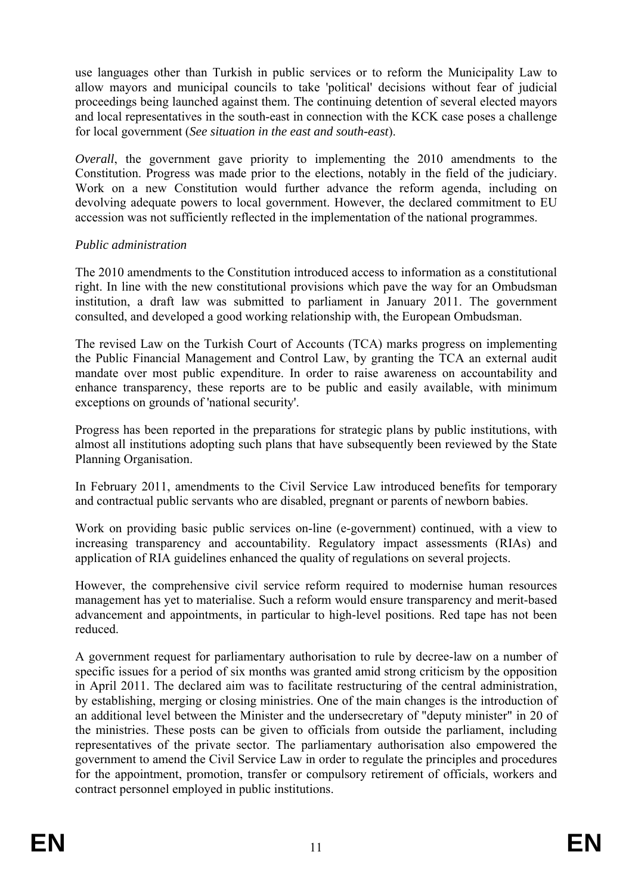use languages other than Turkish in public services or to reform the Municipality Law to allow mayors and municipal councils to take 'political' decisions without fear of judicial proceedings being launched against them. The continuing detention of several elected mayors and local representatives in the south-east in connection with the KCK case poses a challenge for local government (*See situation in the east and south-east*).

*Overall*, the government gave priority to implementing the 2010 amendments to the Constitution. Progress was made prior to the elections, notably in the field of the judiciary. Work on a new Constitution would further advance the reform agenda, including on devolving adequate powers to local government. However, the declared commitment to EU accession was not sufficiently reflected in the implementation of the national programmes.

#### *Public administration*

The 2010 amendments to the Constitution introduced access to information as a constitutional right. In line with the new constitutional provisions which pave the way for an Ombudsman institution, a draft law was submitted to parliament in January 2011. The government consulted, and developed a good working relationship with, the European Ombudsman.

The revised Law on the Turkish Court of Accounts (TCA) marks progress on implementing the Public Financial Management and Control Law, by granting the TCA an external audit mandate over most public expenditure. In order to raise awareness on accountability and enhance transparency, these reports are to be public and easily available, with minimum exceptions on grounds of 'national security'.

Progress has been reported in the preparations for strategic plans by public institutions, with almost all institutions adopting such plans that have subsequently been reviewed by the State Planning Organisation.

In February 2011, amendments to the Civil Service Law introduced benefits for temporary and contractual public servants who are disabled, pregnant or parents of newborn babies.

Work on providing basic public services on-line (e-government) continued, with a view to increasing transparency and accountability. Regulatory impact assessments (RIAs) and application of RIA guidelines enhanced the quality of regulations on several projects.

However, the comprehensive civil service reform required to modernise human resources management has yet to materialise. Such a reform would ensure transparency and merit-based advancement and appointments, in particular to high-level positions. Red tape has not been reduced.

A government request for parliamentary authorisation to rule by decree-law on a number of specific issues for a period of six months was granted amid strong criticism by the opposition in April 2011. The declared aim was to facilitate restructuring of the central administration, by establishing, merging or closing ministries. One of the main changes is the introduction of an additional level between the Minister and the undersecretary of "deputy minister" in 20 of the ministries. These posts can be given to officials from outside the parliament, including representatives of the private sector. The parliamentary authorisation also empowered the government to amend the Civil Service Law in order to regulate the principles and procedures for the appointment, promotion, transfer or compulsory retirement of officials, workers and contract personnel employed in public institutions.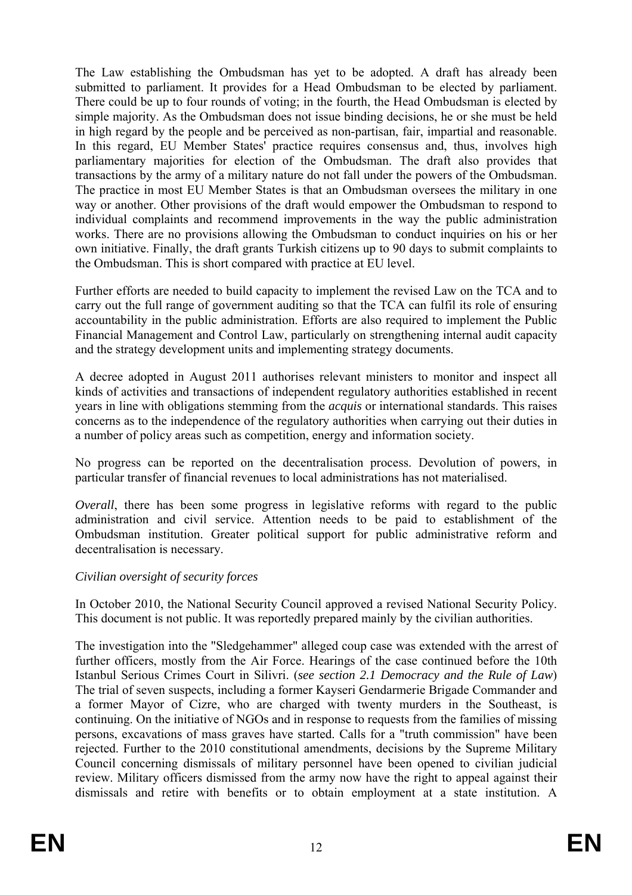The Law establishing the Ombudsman has yet to be adopted. A draft has already been submitted to parliament. It provides for a Head Ombudsman to be elected by parliament. There could be up to four rounds of voting; in the fourth, the Head Ombudsman is elected by simple majority. As the Ombudsman does not issue binding decisions, he or she must be held in high regard by the people and be perceived as non-partisan, fair, impartial and reasonable. In this regard, EU Member States' practice requires consensus and, thus, involves high parliamentary majorities for election of the Ombudsman. The draft also provides that transactions by the army of a military nature do not fall under the powers of the Ombudsman. The practice in most EU Member States is that an Ombudsman oversees the military in one way or another. Other provisions of the draft would empower the Ombudsman to respond to individual complaints and recommend improvements in the way the public administration works. There are no provisions allowing the Ombudsman to conduct inquiries on his or her own initiative. Finally, the draft grants Turkish citizens up to 90 days to submit complaints to the Ombudsman. This is short compared with practice at EU level.

Further efforts are needed to build capacity to implement the revised Law on the TCA and to carry out the full range of government auditing so that the TCA can fulfil its role of ensuring accountability in the public administration. Efforts are also required to implement the Public Financial Management and Control Law, particularly on strengthening internal audit capacity and the strategy development units and implementing strategy documents.

A decree adopted in August 2011 authorises relevant ministers to monitor and inspect all kinds of activities and transactions of independent regulatory authorities established in recent years in line with obligations stemming from the *acquis* or international standards. This raises concerns as to the independence of the regulatory authorities when carrying out their duties in a number of policy areas such as competition, energy and information society.

No progress can be reported on the decentralisation process. Devolution of powers, in particular transfer of financial revenues to local administrations has not materialised.

*Overall*, there has been some progress in legislative reforms with regard to the public administration and civil service. Attention needs to be paid to establishment of the Ombudsman institution. Greater political support for public administrative reform and decentralisation is necessary.

# *Civilian oversight of security forces*

In October 2010, the National Security Council approved a revised National Security Policy. This document is not public. It was reportedly prepared mainly by the civilian authorities.

The investigation into the "Sledgehammer" alleged coup case was extended with the arrest of further officers, mostly from the Air Force. Hearings of the case continued before the 10th Istanbul Serious Crimes Court in Silivri. (*see section 2.1 Democracy and the Rule of Law*) The trial of seven suspects, including a former Kayseri Gendarmerie Brigade Commander and a former Mayor of Cizre, who are charged with twenty murders in the Southeast, is continuing. On the initiative of NGOs and in response to requests from the families of missing persons, excavations of mass graves have started. Calls for a "truth commission" have been rejected. Further to the 2010 constitutional amendments, decisions by the Supreme Military Council concerning dismissals of military personnel have been opened to civilian judicial review. Military officers dismissed from the army now have the right to appeal against their dismissals and retire with benefits or to obtain employment at a state institution. A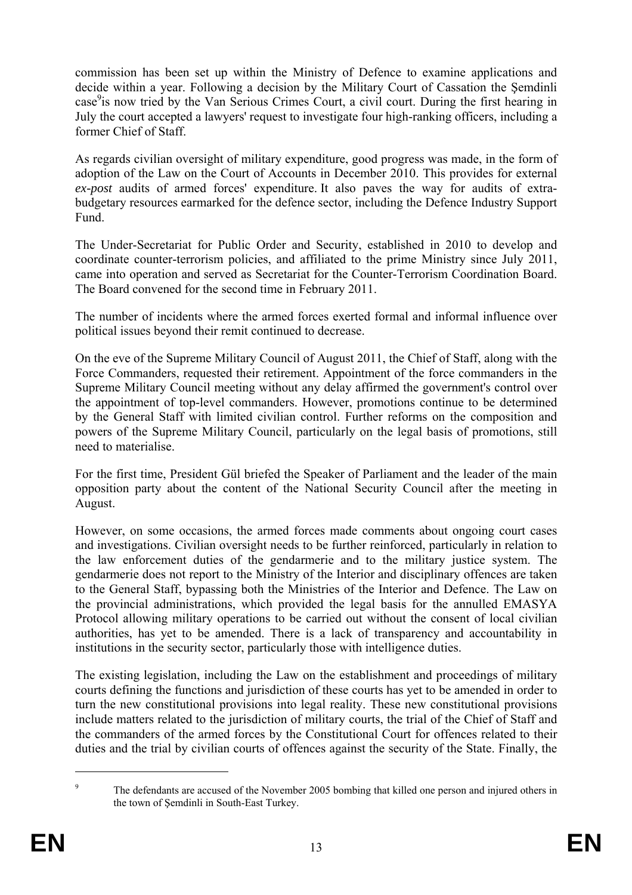commission has been set up within the Ministry of Defence to examine applications and decide within a year. Following a decision by the Military Court of Cassation the Şemdinli case<sup>9</sup>is now tried by the Van Serious Crimes Court, a civil court. During the first hearing in July the court accepted a lawyers' request to investigate four high-ranking officers, including a former Chief of Staff.

As regards civilian oversight of military expenditure, good progress was made, in the form of adoption of the Law on the Court of Accounts in December 2010. This provides for external *ex-post* audits of armed forces' expenditure. It also paves the way for audits of extrabudgetary resources earmarked for the defence sector, including the Defence Industry Support Fund.

The Under-Secretariat for Public Order and Security, established in 2010 to develop and coordinate counter-terrorism policies, and affiliated to the prime Ministry since July 2011, came into operation and served as Secretariat for the Counter-Terrorism Coordination Board. The Board convened for the second time in February 2011.

The number of incidents where the armed forces exerted formal and informal influence over political issues beyond their remit continued to decrease.

On the eve of the Supreme Military Council of August 2011, the Chief of Staff, along with the Force Commanders, requested their retirement. Appointment of the force commanders in the Supreme Military Council meeting without any delay affirmed the government's control over the appointment of top-level commanders. However, promotions continue to be determined by the General Staff with limited civilian control. Further reforms on the composition and powers of the Supreme Military Council, particularly on the legal basis of promotions, still need to materialise.

For the first time, President Gül briefed the Speaker of Parliament and the leader of the main opposition party about the content of the National Security Council after the meeting in August.

However, on some occasions, the armed forces made comments about ongoing court cases and investigations. Civilian oversight needs to be further reinforced, particularly in relation to the law enforcement duties of the gendarmerie and to the military justice system. The gendarmerie does not report to the Ministry of the Interior and disciplinary offences are taken to the General Staff, bypassing both the Ministries of the Interior and Defence. The Law on the provincial administrations, which provided the legal basis for the annulled EMASYA Protocol allowing military operations to be carried out without the consent of local civilian authorities, has yet to be amended. There is a lack of transparency and accountability in institutions in the security sector, particularly those with intelligence duties.

The existing legislation, including the Law on the establishment and proceedings of military courts defining the functions and jurisdiction of these courts has yet to be amended in order to turn the new constitutional provisions into legal reality. These new constitutional provisions include matters related to the jurisdiction of military courts, the trial of the Chief of Staff and the commanders of the armed forces by the Constitutional Court for offences related to their duties and the trial by civilian courts of offences against the security of the State. Finally, the

<sup>9</sup> The defendants are accused of the November 2005 bombing that killed one person and injured others in the town of Şemdinli in South-East Turkey.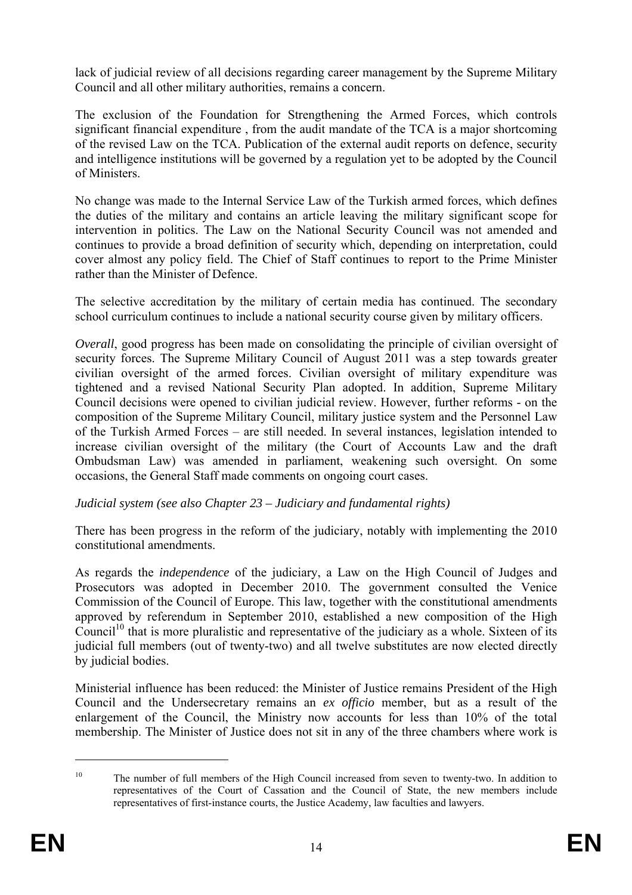lack of judicial review of all decisions regarding career management by the Supreme Military Council and all other military authorities, remains a concern.

The exclusion of the Foundation for Strengthening the Armed Forces, which controls significant financial expenditure , from the audit mandate of the TCA is a major shortcoming of the revised Law on the TCA. Publication of the external audit reports on defence, security and intelligence institutions will be governed by a regulation yet to be adopted by the Council of Ministers.

No change was made to the Internal Service Law of the Turkish armed forces, which defines the duties of the military and contains an article leaving the military significant scope for intervention in politics. The Law on the National Security Council was not amended and continues to provide a broad definition of security which, depending on interpretation, could cover almost any policy field. The Chief of Staff continues to report to the Prime Minister rather than the Minister of Defence.

The selective accreditation by the military of certain media has continued. The secondary school curriculum continues to include a national security course given by military officers.

*Overall*, good progress has been made on consolidating the principle of civilian oversight of security forces. The Supreme Military Council of August 2011 was a step towards greater civilian oversight of the armed forces. Civilian oversight of military expenditure was tightened and a revised National Security Plan adopted. In addition, Supreme Military Council decisions were opened to civilian judicial review. However, further reforms - on the composition of the Supreme Military Council, military justice system and the Personnel Law of the Turkish Armed Forces – are still needed. In several instances, legislation intended to increase civilian oversight of the military (the Court of Accounts Law and the draft Ombudsman Law) was amended in parliament, weakening such oversight. On some occasions, the General Staff made comments on ongoing court cases.

# *Judicial system (see also Chapter 23 – Judiciary and fundamental rights)*

There has been progress in the reform of the judiciary, notably with implementing the 2010 constitutional amendments.

As regards the *independence* of the judiciary, a Law on the High Council of Judges and Prosecutors was adopted in December 2010. The government consulted the Venice Commission of the Council of Europe. This law, together with the constitutional amendments approved by referendum in September 2010, established a new composition of the High Council<sup>10</sup> that is more pluralistic and representative of the judiciary as a whole. Sixteen of its judicial full members (out of twenty-two) and all twelve substitutes are now elected directly by judicial bodies.

Ministerial influence has been reduced: the Minister of Justice remains President of the High Council and the Undersecretary remains an *ex officio* member, but as a result of the enlargement of the Council, the Ministry now accounts for less than 10% of the total membership. The Minister of Justice does not sit in any of the three chambers where work is

<sup>&</sup>lt;sup>10</sup> The number of full members of the High Council increased from seven to twenty-two. In addition to representatives of the Court of Cassation and the Council of State, the new members include representatives of first-instance courts, the Justice Academy, law faculties and lawyers.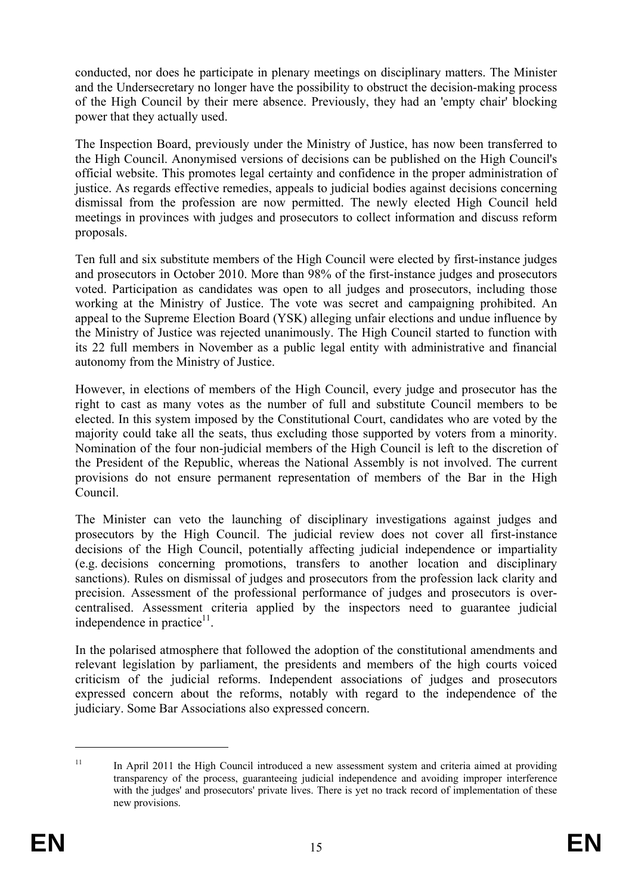conducted, nor does he participate in plenary meetings on disciplinary matters. The Minister and the Undersecretary no longer have the possibility to obstruct the decision-making process of the High Council by their mere absence. Previously, they had an 'empty chair' blocking power that they actually used.

The Inspection Board, previously under the Ministry of Justice, has now been transferred to the High Council. Anonymised versions of decisions can be published on the High Council's official website. This promotes legal certainty and confidence in the proper administration of justice. As regards effective remedies, appeals to judicial bodies against decisions concerning dismissal from the profession are now permitted. The newly elected High Council held meetings in provinces with judges and prosecutors to collect information and discuss reform proposals.

Ten full and six substitute members of the High Council were elected by first-instance judges and prosecutors in October 2010. More than 98% of the first-instance judges and prosecutors voted. Participation as candidates was open to all judges and prosecutors, including those working at the Ministry of Justice. The vote was secret and campaigning prohibited. An appeal to the Supreme Election Board (YSK) alleging unfair elections and undue influence by the Ministry of Justice was rejected unanimously. The High Council started to function with its 22 full members in November as a public legal entity with administrative and financial autonomy from the Ministry of Justice.

However, in elections of members of the High Council, every judge and prosecutor has the right to cast as many votes as the number of full and substitute Council members to be elected. In this system imposed by the Constitutional Court, candidates who are voted by the majority could take all the seats, thus excluding those supported by voters from a minority. Nomination of the four non-judicial members of the High Council is left to the discretion of the President of the Republic, whereas the National Assembly is not involved. The current provisions do not ensure permanent representation of members of the Bar in the High Council.

The Minister can veto the launching of disciplinary investigations against judges and prosecutors by the High Council. The judicial review does not cover all first-instance decisions of the High Council, potentially affecting judicial independence or impartiality (e.g. decisions concerning promotions, transfers to another location and disciplinary sanctions). Rules on dismissal of judges and prosecutors from the profession lack clarity and precision. Assessment of the professional performance of judges and prosecutors is overcentralised. Assessment criteria applied by the inspectors need to guarantee judicial independence in practice $1$ <sup>1</sup>.

In the polarised atmosphere that followed the adoption of the constitutional amendments and relevant legislation by parliament, the presidents and members of the high courts voiced criticism of the judicial reforms. Independent associations of judges and prosecutors expressed concern about the reforms, notably with regard to the independence of the judiciary. Some Bar Associations also expressed concern.

<sup>&</sup>lt;sup>11</sup> In April 2011 the High Council introduced a new assessment system and criteria aimed at providing transparency of the process, guaranteeing judicial independence and avoiding improper interference with the judges' and prosecutors' private lives. There is yet no track record of implementation of these new provisions.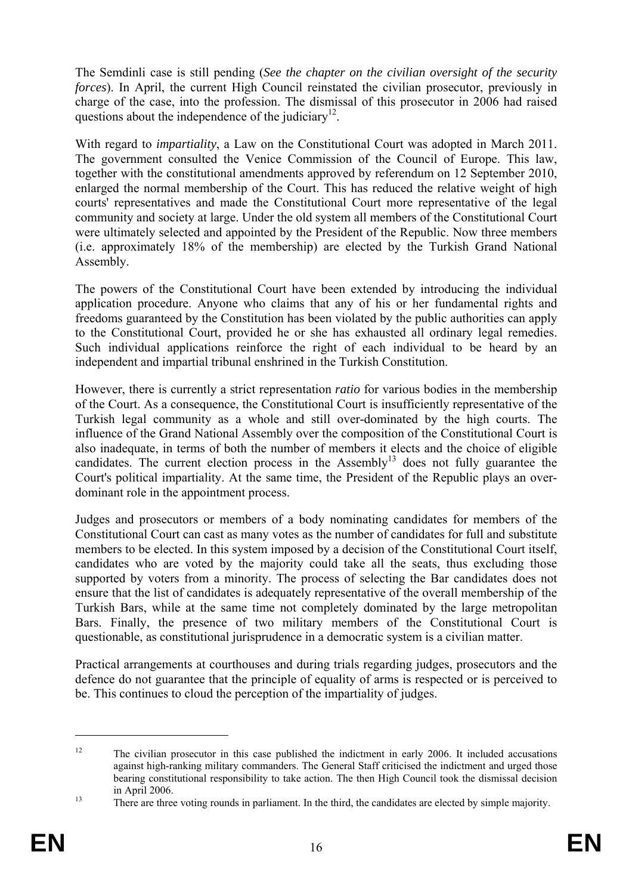The Semdinli case is still pending (*See the chapter on the civilian oversight of the security forces*). In April, the current High Council reinstated the civilian prosecutor, previously in charge of the case, into the profession. The dismissal of this prosecutor in 2006 had raised questions about the independence of the judiciary<sup>12</sup>.

With regard to *impartiality*, a Law on the Constitutional Court was adopted in March 2011. The government consulted the Venice Commission of the Council of Europe. This law, together with the constitutional amendments approved by referendum on 12 September 2010, enlarged the normal membership of the Court. This has reduced the relative weight of high courts' representatives and made the Constitutional Court more representative of the legal community and society at large. Under the old system all members of the Constitutional Court were ultimately selected and appointed by the President of the Republic. Now three members (i.e. approximately 18% of the membership) are elected by the Turkish Grand National Assembly.

The powers of the Constitutional Court have been extended by introducing the individual application procedure. Anyone who claims that any of his or her fundamental rights and freedoms guaranteed by the Constitution has been violated by the public authorities can apply to the Constitutional Court, provided he or she has exhausted all ordinary legal remedies. Such individual applications reinforce the right of each individual to be heard by an independent and impartial tribunal enshrined in the Turkish Constitution.

However, there is currently a strict representation *ratio* for various bodies in the membership of the Court. As a consequence, the Constitutional Court is insufficiently representative of the Turkish legal community as a whole and still over-dominated by the high courts. The influence of the Grand National Assembly over the composition of the Constitutional Court is also inadequate, in terms of both the number of members it elects and the choice of eligible candidates. The current election process in the Assembly<sup>13</sup> does not fully guarantee the Court's political impartiality. At the same time, the President of the Republic plays an overdominant role in the appointment process.

Judges and prosecutors or members of a body nominating candidates for members of the Constitutional Court can cast as many votes as the number of candidates for full and substitute members to be elected. In this system imposed by a decision of the Constitutional Court itself, candidates who are voted by the majority could take all the seats, thus excluding those supported by voters from a minority. The process of selecting the Bar candidates does not ensure that the list of candidates is adequately representative of the overall membership of the Turkish Bars, while at the same time not completely dominated by the large metropolitan Bars. Finally, the presence of two military members of the Constitutional Court is questionable, as constitutional jurisprudence in a democratic system is a civilian matter.

Practical arrangements at courthouses and during trials regarding judges, prosecutors and the defence do not guarantee that the principle of equality of arms is respected or is perceived to be. This continues to cloud the perception of the impartiality of judges.

<sup>&</sup>lt;sup>12</sup> The civilian prosecutor in this case published the indictment in early 2006. It included accusations against high-ranking military commanders. The General Staff criticised the indictment and urged those bearing constitutional responsibility to take action. The then High Council took the dismissal decision  $\frac{13}{13}$  in April 2006.<br>There are three voting rounds in parliament. In the third, the candidates are elected by simple majority.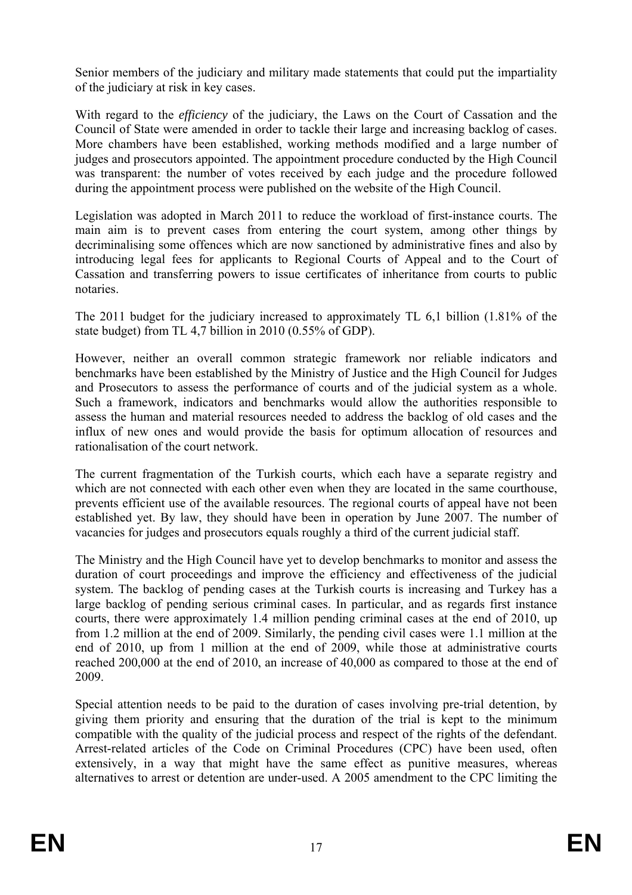Senior members of the judiciary and military made statements that could put the impartiality of the judiciary at risk in key cases.

With regard to the *efficiency* of the judiciary, the Laws on the Court of Cassation and the Council of State were amended in order to tackle their large and increasing backlog of cases. More chambers have been established, working methods modified and a large number of judges and prosecutors appointed. The appointment procedure conducted by the High Council was transparent: the number of votes received by each judge and the procedure followed during the appointment process were published on the website of the High Council.

Legislation was adopted in March 2011 to reduce the workload of first-instance courts. The main aim is to prevent cases from entering the court system, among other things by decriminalising some offences which are now sanctioned by administrative fines and also by introducing legal fees for applicants to Regional Courts of Appeal and to the Court of Cassation and transferring powers to issue certificates of inheritance from courts to public notaries.

The 2011 budget for the judiciary increased to approximately TL 6,1 billion (1.81% of the state budget) from TL 4,7 billion in 2010 (0.55% of GDP).

However, neither an overall common strategic framework nor reliable indicators and benchmarks have been established by the Ministry of Justice and the High Council for Judges and Prosecutors to assess the performance of courts and of the judicial system as a whole. Such a framework, indicators and benchmarks would allow the authorities responsible to assess the human and material resources needed to address the backlog of old cases and the influx of new ones and would provide the basis for optimum allocation of resources and rationalisation of the court network.

The current fragmentation of the Turkish courts, which each have a separate registry and which are not connected with each other even when they are located in the same courthouse, prevents efficient use of the available resources. The regional courts of appeal have not been established yet. By law, they should have been in operation by June 2007. The number of vacancies for judges and prosecutors equals roughly a third of the current judicial staff.

The Ministry and the High Council have yet to develop benchmarks to monitor and assess the duration of court proceedings and improve the efficiency and effectiveness of the judicial system. The backlog of pending cases at the Turkish courts is increasing and Turkey has a large backlog of pending serious criminal cases. In particular, and as regards first instance courts, there were approximately 1.4 million pending criminal cases at the end of 2010, up from 1.2 million at the end of 2009. Similarly, the pending civil cases were 1.1 million at the end of 2010, up from 1 million at the end of 2009, while those at administrative courts reached 200,000 at the end of 2010, an increase of 40,000 as compared to those at the end of 2009.

Special attention needs to be paid to the duration of cases involving pre-trial detention, by giving them priority and ensuring that the duration of the trial is kept to the minimum compatible with the quality of the judicial process and respect of the rights of the defendant. Arrest-related articles of the Code on Criminal Procedures (CPC) have been used, often extensively, in a way that might have the same effect as punitive measures, whereas alternatives to arrest or detention are under-used. A 2005 amendment to the CPC limiting the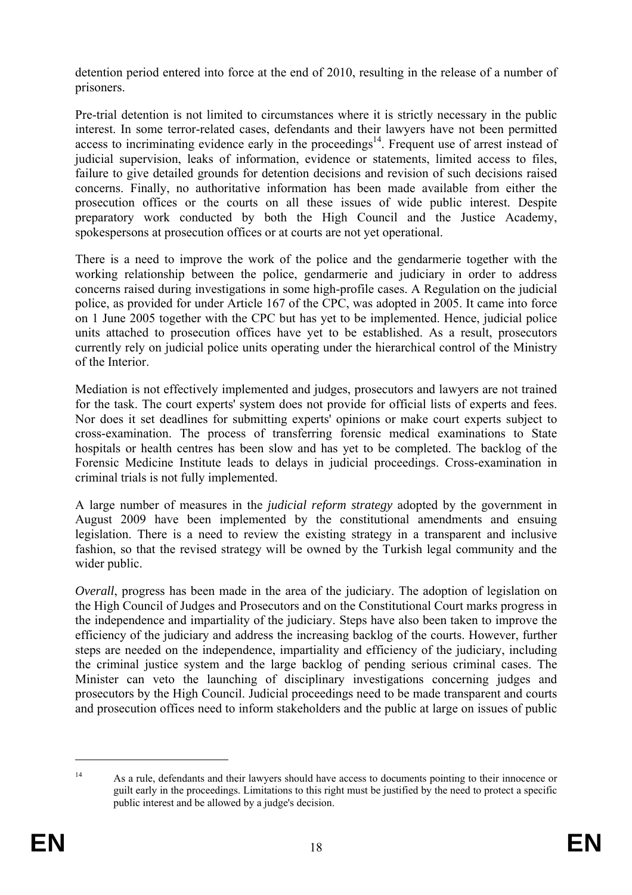detention period entered into force at the end of 2010, resulting in the release of a number of prisoners.

Pre-trial detention is not limited to circumstances where it is strictly necessary in the public interest. In some terror-related cases, defendants and their lawyers have not been permitted access to incriminating evidence early in the proceedings<sup>14</sup>. Frequent use of arrest instead of judicial supervision, leaks of information, evidence or statements, limited access to files, failure to give detailed grounds for detention decisions and revision of such decisions raised concerns. Finally, no authoritative information has been made available from either the prosecution offices or the courts on all these issues of wide public interest. Despite preparatory work conducted by both the High Council and the Justice Academy, spokespersons at prosecution offices or at courts are not yet operational.

There is a need to improve the work of the police and the gendarmerie together with the working relationship between the police, gendarmerie and judiciary in order to address concerns raised during investigations in some high-profile cases. A Regulation on the judicial police, as provided for under Article 167 of the CPC, was adopted in 2005. It came into force on 1 June 2005 together with the CPC but has yet to be implemented. Hence, judicial police units attached to prosecution offices have yet to be established. As a result, prosecutors currently rely on judicial police units operating under the hierarchical control of the Ministry of the Interior.

Mediation is not effectively implemented and judges, prosecutors and lawyers are not trained for the task. The court experts' system does not provide for official lists of experts and fees. Nor does it set deadlines for submitting experts' opinions or make court experts subject to cross-examination. The process of transferring forensic medical examinations to State hospitals or health centres has been slow and has yet to be completed. The backlog of the Forensic Medicine Institute leads to delays in judicial proceedings. Cross-examination in criminal trials is not fully implemented.

A large number of measures in the *judicial reform strategy* adopted by the government in August 2009 have been implemented by the constitutional amendments and ensuing legislation. There is a need to review the existing strategy in a transparent and inclusive fashion, so that the revised strategy will be owned by the Turkish legal community and the wider public.

*Overall*, progress has been made in the area of the judiciary. The adoption of legislation on the High Council of Judges and Prosecutors and on the Constitutional Court marks progress in the independence and impartiality of the judiciary. Steps have also been taken to improve the efficiency of the judiciary and address the increasing backlog of the courts. However, further steps are needed on the independence, impartiality and efficiency of the judiciary, including the criminal justice system and the large backlog of pending serious criminal cases. The Minister can veto the launching of disciplinary investigations concerning judges and prosecutors by the High Council. Judicial proceedings need to be made transparent and courts and prosecution offices need to inform stakeholders and the public at large on issues of public

<sup>&</sup>lt;sup>14</sup> As a rule, defendants and their lawyers should have access to documents pointing to their innocence or guilt early in the proceedings. Limitations to this right must be justified by the need to protect a specific public interest and be allowed by a judge's decision.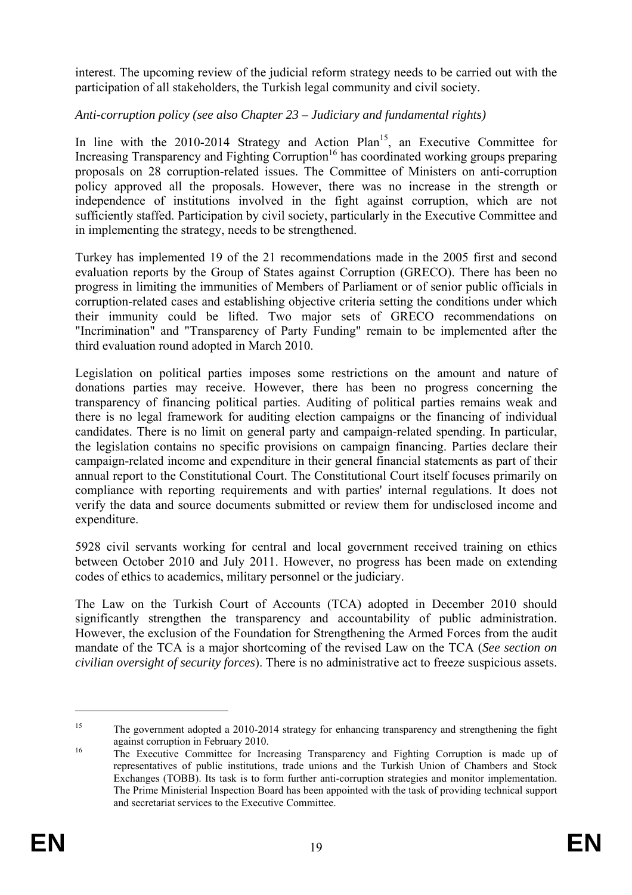interest. The upcoming review of the judicial reform strategy needs to be carried out with the participation of all stakeholders, the Turkish legal community and civil society.

*Anti-corruption policy (see also Chapter 23 – Judiciary and fundamental rights)* 

In line with the  $2010-2014$  Strategy and Action Plan<sup>15</sup>, an Executive Committee for Increasing Transparency and Fighting Corruption<sup>16</sup> has coordinated working groups preparing proposals on 28 corruption-related issues. The Committee of Ministers on anti-corruption policy approved all the proposals. However, there was no increase in the strength or independence of institutions involved in the fight against corruption, which are not sufficiently staffed. Participation by civil society, particularly in the Executive Committee and in implementing the strategy, needs to be strengthened.

Turkey has implemented 19 of the 21 recommendations made in the 2005 first and second evaluation reports by the Group of States against Corruption (GRECO). There has been no progress in limiting the immunities of Members of Parliament or of senior public officials in corruption-related cases and establishing objective criteria setting the conditions under which their immunity could be lifted. Two major sets of GRECO recommendations on "Incrimination" and "Transparency of Party Funding" remain to be implemented after the third evaluation round adopted in March 2010.

Legislation on political parties imposes some restrictions on the amount and nature of donations parties may receive. However, there has been no progress concerning the transparency of financing political parties. Auditing of political parties remains weak and there is no legal framework for auditing election campaigns or the financing of individual candidates. There is no limit on general party and campaign-related spending. In particular, the legislation contains no specific provisions on campaign financing. Parties declare their campaign-related income and expenditure in their general financial statements as part of their annual report to the Constitutional Court. The Constitutional Court itself focuses primarily on compliance with reporting requirements and with parties' internal regulations. It does not verify the data and source documents submitted or review them for undisclosed income and expenditure.

5928 civil servants working for central and local government received training on ethics between October 2010 and July 2011. However, no progress has been made on extending codes of ethics to academics, military personnel or the judiciary.

The Law on the Turkish Court of Accounts (TCA) adopted in December 2010 should significantly strengthen the transparency and accountability of public administration. However, the exclusion of the Foundation for Strengthening the Armed Forces from the audit mandate of the TCA is a major shortcoming of the revised Law on the TCA (*See section on civilian oversight of security forces*). There is no administrative act to freeze suspicious assets.

<sup>&</sup>lt;sup>15</sup> The government adopted a 2010-2014 strategy for enhancing transparency and strengthening the fight

against corruption in February 2010.<br>
<sup>16</sup> The Executive Committee for Increasing Transparency and Fighting Corruption is made up of representatives of public institutions, trade unions and the Turkish Union of Chambers and Stock Exchanges (TOBB). Its task is to form further anti-corruption strategies and monitor implementation. The Prime Ministerial Inspection Board has been appointed with the task of providing technical support and secretariat services to the Executive Committee.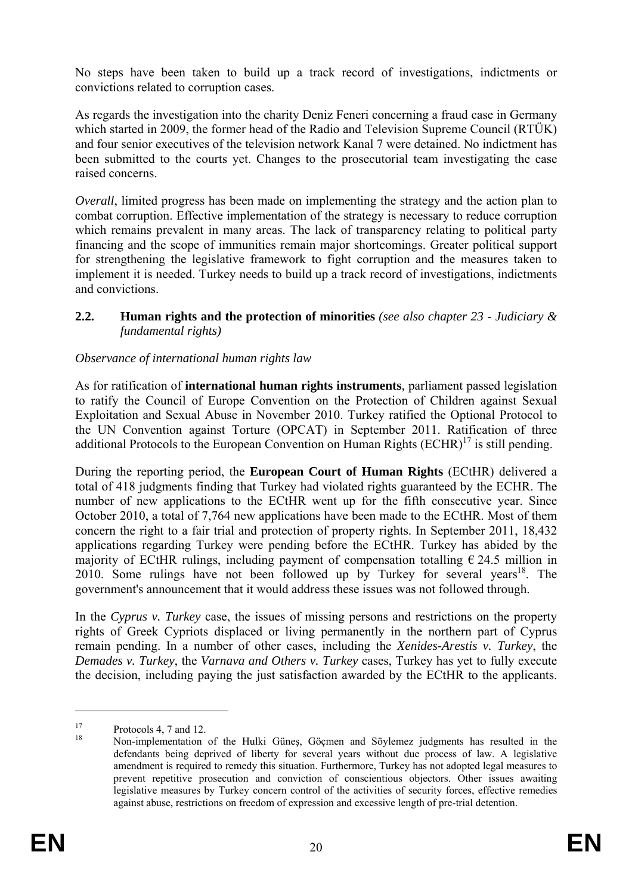No steps have been taken to build up a track record of investigations, indictments or convictions related to corruption cases.

As regards the investigation into the charity Deniz Feneri concerning a fraud case in Germany which started in 2009, the former head of the Radio and Television Supreme Council (RTÜK) and four senior executives of the television network Kanal 7 were detained. No indictment has been submitted to the courts yet. Changes to the prosecutorial team investigating the case raised concerns.

*Overall*, limited progress has been made on implementing the strategy and the action plan to combat corruption. Effective implementation of the strategy is necessary to reduce corruption which remains prevalent in many areas. The lack of transparency relating to political party financing and the scope of immunities remain major shortcomings. Greater political support for strengthening the legislative framework to fight corruption and the measures taken to implement it is needed. Turkey needs to build up a track record of investigations, indictments and convictions.

## **2.2. Human rights and the protection of minorities** *(see also chapter 23 - Judiciary & fundamental rights)*

# *Observance of international human rights law*

As for ratification of **international human rights instruments***,* parliament passed legislation to ratify the Council of Europe Convention on the Protection of Children against Sexual Exploitation and Sexual Abuse in November 2010. Turkey ratified the Optional Protocol to the UN Convention against Torture (OPCAT) in September 2011. Ratification of three additional Protocols to the European Convention on Human Rights  $(ECHR)^{17}$  is still pending.

During the reporting period, the **European Court of Human Rights** (ECtHR) delivered a total of 418 judgments finding that Turkey had violated rights guaranteed by the ECHR. The number of new applications to the ECtHR went up for the fifth consecutive year. Since October 2010, a total of 7,764 new applications have been made to the ECtHR. Most of them concern the right to a fair trial and protection of property rights. In September 2011, 18,432 applications regarding Turkey were pending before the ECtHR. Turkey has abided by the majority of ECtHR rulings, including payment of compensation totalling  $\epsilon$  24.5 million in 2010. Some rulings have not been followed up by Turkey for several years<sup>18</sup>. The government's announcement that it would address these issues was not followed through.

<span id="page-20-0"></span>In the *Cyprus v. Turkey* case, the issues of missing persons and restrictions on the property rights of Greek Cypriots displaced or living permanently in the northern part of Cyprus remain pending. In a number of other cases, including the *Xenides-Arestis v. Turkey*, the *Demades v. Turkey*, the *Varnava and Others v. Turkey* cases, Turkey has yet to fully execute the decision, including paying the just satisfaction awarded by the ECtHR to the applicants.

 $\frac{17}{18}$  Protocols 4, 7 and 12.

<sup>18</sup> Non-implementation of the Hulki Güneş, Göçmen and Söylemez judgments has resulted in the defendants being deprived of liberty for several years without due process of law. A legislative amendment is required to remedy this situation. Furthermore, Turkey has not adopted legal measures to prevent repetitive prosecution and conviction of conscientious objectors. Other issues awaiting legislative measures by Turkey concern control of the activities of security forces, effective remedies against abuse, restrictions on freedom of expression and excessive length of pre-trial detention.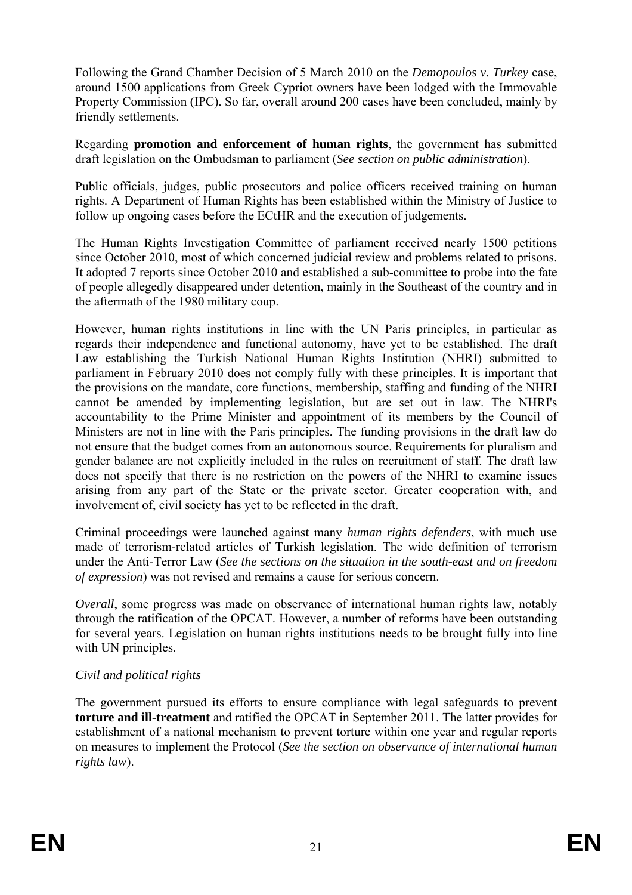Following the Grand Chamber Decision of 5 March 2010 on the *Demopoulos v. Turkey* case, around 1500 applications from Greek Cypriot owners have been lodged with the Immovable Property Commission (IPC). So far, overall around 200 cases have been concluded, mainly by friendly settlements.

Regarding **promotion and enforcement of human rights**, the government has submitted draft legislation on the Ombudsman to parliament (*See section on public administration*).

Public officials, judges, public prosecutors and police officers received training on human rights. A Department of Human Rights has been established within the Ministry of Justice to follow up ongoing cases before the ECtHR and the execution of judgements.

The Human Rights Investigation Committee of parliament received nearly 1500 petitions since October 2010, most of which concerned judicial review and problems related to prisons. It adopted 7 reports since October 2010 and established a sub-committee to probe into the fate of people allegedly disappeared under detention, mainly in the Southeast of the country and in the aftermath of the 1980 military coup.

However, human rights institutions in line with the UN Paris principles, in particular as regards their independence and functional autonomy, have yet to be established. The draft Law establishing the Turkish National Human Rights Institution (NHRI) submitted to parliament in February 2010 does not comply fully with these principles. It is important that the provisions on the mandate, core functions, membership, staffing and funding of the NHRI cannot be amended by implementing legislation, but are set out in law. The NHRI's accountability to the Prime Minister and appointment of its members by the Council of Ministers are not in line with the Paris principles. The funding provisions in the draft law do not ensure that the budget comes from an autonomous source. Requirements for pluralism and gender balance are not explicitly included in the rules on recruitment of staff. The draft law does not specify that there is no restriction on the powers of the NHRI to examine issues arising from any part of the State or the private sector. Greater cooperation with, and involvement of, civil society has yet to be reflected in the draft.

Criminal proceedings were launched against many *human rights defenders*, with much use made of terrorism-related articles of Turkish legislation. The wide definition of terrorism under the Anti-Terror Law (*See the sections on the situation in the south-east and on freedom of expression*) was not revised and remains a cause for serious concern.

*Overall*, some progress was made on observance of international human rights law, notably through the ratification of the OPCAT. However, a number of reforms have been outstanding for several years. Legislation on human rights institutions needs to be brought fully into line with UN principles.

# *Civil and political rights*

The government pursued its efforts to ensure compliance with legal safeguards to prevent **torture and ill-treatment** and ratified the OPCAT in September 2011. The latter provides for establishment of a national mechanism to prevent torture within one year and regular reports on measures to implement the Protocol (*See the section on observance of international human rights law*).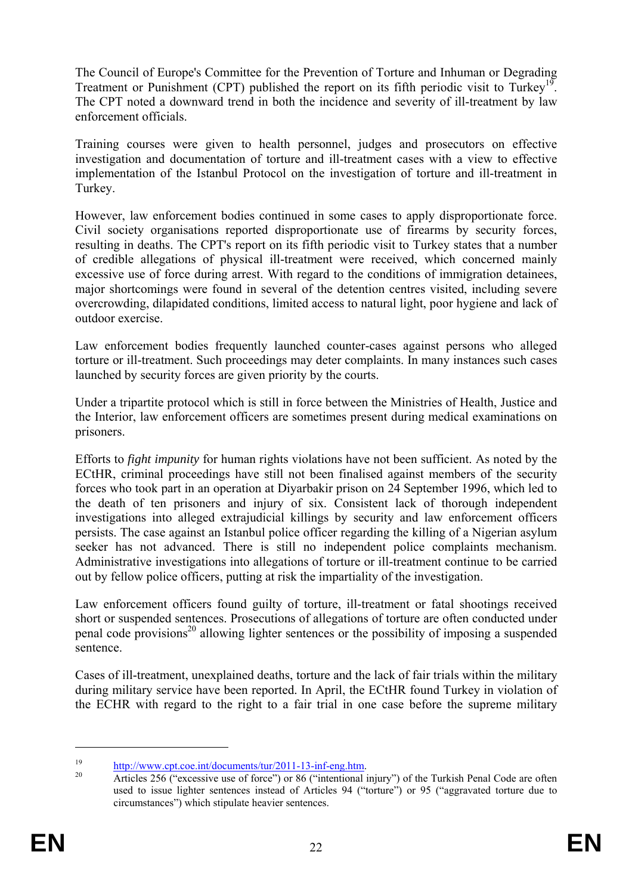The Council of Europe's Committee for the Prevention of Torture and Inhuman or Degrading Treatment or Punishment (CPT) published the report on its fifth periodic visit to Turkey<sup>19</sup> The CPT noted a downward trend in both the incidence and severity of ill-treatment by law enforcement officials.

Training courses were given to health personnel, judges and prosecutors on effective investigation and documentation of torture and ill-treatment cases with a view to effective implementation of the Istanbul Protocol on the investigation of torture and ill-treatment in Turkey.

However, law enforcement bodies continued in some cases to apply disproportionate force. Civil society organisations reported disproportionate use of firearms by security forces, resulting in deaths. The CPT's report on its fifth periodic visit to Turkey states that a number of credible allegations of physical ill-treatment were received, which concerned mainly excessive use of force during arrest. With regard to the conditions of immigration detainees, major shortcomings were found in several of the detention centres visited, including severe overcrowding, dilapidated conditions, limited access to natural light, poor hygiene and lack of outdoor exercise.

Law enforcement bodies frequently launched counter-cases against persons who alleged torture or ill-treatment. Such proceedings may deter complaints. In many instances such cases launched by security forces are given priority by the courts.

Under a tripartite protocol which is still in force between the Ministries of Health, Justice and the Interior, law enforcement officers are sometimes present during medical examinations on prisoners.

Efforts to *fight impunity* for human rights violations have not been sufficient. As noted by the ECtHR, criminal proceedings have still not been finalised against members of the security forces who took part in an operation at Diyarbakir prison on 24 September 1996, which led to the death of ten prisoners and injury of six. Consistent lack of thorough independent investigations into alleged extrajudicial killings by security and law enforcement officers persists. The case against an Istanbul police officer regarding the killing of a Nigerian asylum seeker has not advanced. There is still no independent police complaints mechanism. Administrative investigations into allegations of torture or ill-treatment continue to be carried out by fellow police officers, putting at risk the impartiality of the investigation.

Law enforcement officers found guilty of torture, ill-treatment or fatal shootings received short or suspended sentences. Prosecutions of allegations of torture are often conducted under penal code provisions<sup>20</sup> allowing lighter sentences or the possibility of imposing a suspended sentence.

Cases of ill-treatment, unexplained deaths, torture and the lack of fair trials within the military during military service have been reported. In April, the ECtHR found Turkey in violation of the ECHR with regard to the right to a fair trial in one case before the supreme military

 $\frac{\text{http://www.cpt.coe.int/documents/tur/2011-13-inf-eng.htm}}{\text{Articles 256 ("excessive use of force") or 86 ("intentional injury") of the Turkish Penal Code are often}}$ used to issue lighter sentences instead of Articles 94 ("torture") or 95 ("aggravated torture due to circumstances") which stipulate heavier sentences.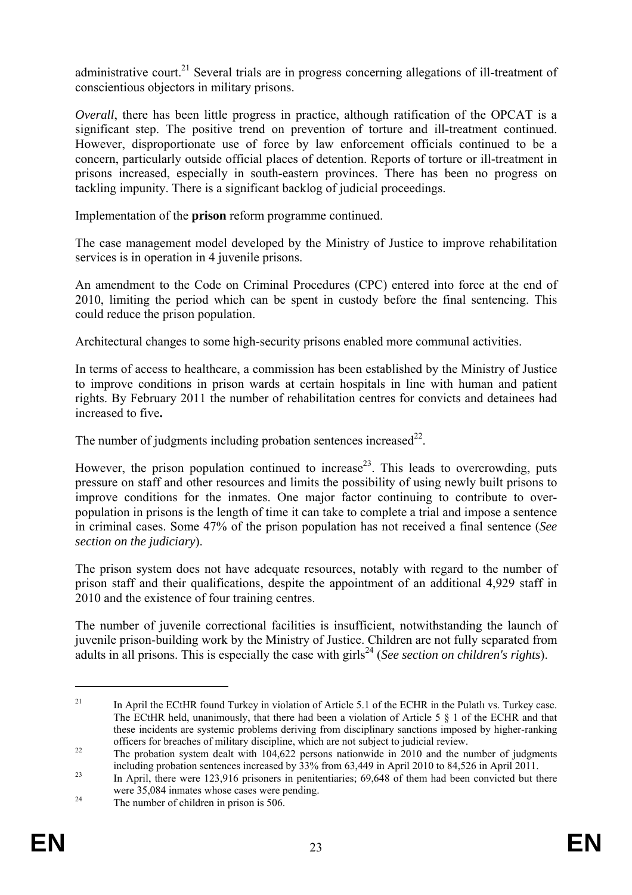administrative court.<sup>21</sup> Several trials are in progress concerning allegations of ill-treatment of conscientious objectors in military prisons.

*Overall*, there has been little progress in practice, although ratification of the OPCAT is a significant step. The positive trend on prevention of torture and ill-treatment continued. However, disproportionate use of force by law enforcement officials continued to be a concern, particularly outside official places of detention. Reports of torture or ill-treatment in prisons increased, especially in south-eastern provinces. There has been no progress on tackling impunity. There is a significant backlog of judicial proceedings.

Implementation of the **prison** reform programme continued.

The case management model developed by the Ministry of Justice to improve rehabilitation services is in operation in 4 juvenile prisons.

An amendment to the Code on Criminal Procedures (CPC) entered into force at the end of 2010, limiting the period which can be spent in custody before the final sentencing. This could reduce the prison population.

Architectural changes to some high-security prisons enabled more communal activities.

In terms of access to healthcare, a commission has been established by the Ministry of Justice to improve conditions in prison wards at certain hospitals in line with human and patient rights. By February 2011 the number of rehabilitation centres for convicts and detainees had increased to five**.**

The number of judgments including probation sentences increased $^{22}$ .

However, the prison population continued to increase<sup>23</sup>. This leads to overcrowding, puts pressure on staff and other resources and limits the possibility of using newly built prisons to improve conditions for the inmates. One major factor continuing to contribute to overpopulation in prisons is the length of time it can take to complete a trial and impose a sentence in criminal cases. Some 47% of the prison population has not received a final sentence (*See section on the judiciary*).

The prison system does not have adequate resources, notably with regard to the number of prison staff and their qualifications, despite the appointment of an additional 4,929 staff in 2010 and the existence of four training centres.

The number of juvenile correctional facilities is insufficient, notwithstanding the launch of juvenile prison-building work by the Ministry of Justice. Children are not fully separated from adults in all prisons. This is especially the case with girls<sup>24</sup> (*See section on children's rights*).

<sup>&</sup>lt;sup>21</sup> In April the ECtHR found Turkey in violation of Article 5.1 of the ECHR in the Pulatlı vs. Turkey case. The ECtHR held, unanimously, that there had been a violation of Article 5 § 1 of the ECHR and that these incidents are systemic problems deriving from disciplinary sanctions imposed by higher-ranking officers for breaches of military discipline, which are not subject to judicial review.

<sup>&</sup>lt;sup>22</sup> The probation system dealt with 104,622 persons nationwide in 2010 and the number of judgments including probation sentences increased by 33% from 63,449 in April 2010 to 84,526 in April 2011.<br>In April, there were 123,916 prisoners in penitentiaries; 69,648 of them had been convicted but there

were 35,084 inmates whose cases were pending.<br><sup>24</sup> The number of children in prison is 506.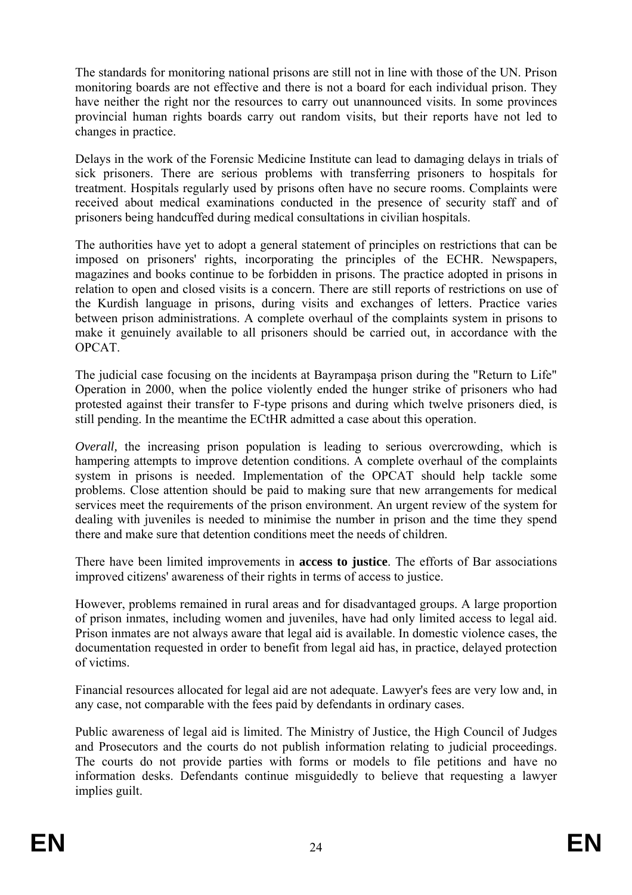The standards for monitoring national prisons are still not in line with those of the UN. Prison monitoring boards are not effective and there is not a board for each individual prison. They have neither the right nor the resources to carry out unannounced visits. In some provinces provincial human rights boards carry out random visits, but their reports have not led to changes in practice.

Delays in the work of the Forensic Medicine Institute can lead to damaging delays in trials of sick prisoners. There are serious problems with transferring prisoners to hospitals for treatment. Hospitals regularly used by prisons often have no secure rooms. Complaints were received about medical examinations conducted in the presence of security staff and of prisoners being handcuffed during medical consultations in civilian hospitals.

The authorities have yet to adopt a general statement of principles on restrictions that can be imposed on prisoners' rights, incorporating the principles of the ECHR. Newspapers, magazines and books continue to be forbidden in prisons. The practice adopted in prisons in relation to open and closed visits is a concern. There are still reports of restrictions on use of the Kurdish language in prisons, during visits and exchanges of letters. Practice varies between prison administrations. A complete overhaul of the complaints system in prisons to make it genuinely available to all prisoners should be carried out, in accordance with the **OPCAT** 

The judicial case focusing on the incidents at Bayrampaşa prison during the "Return to Life" Operation in 2000, when the police violently ended the hunger strike of prisoners who had protested against their transfer to F-type prisons and during which twelve prisoners died, is still pending. In the meantime the ECtHR admitted a case about this operation.

*Overall*, the increasing prison population is leading to serious overcrowding, which is hampering attempts to improve detention conditions. A complete overhaul of the complaints system in prisons is needed. Implementation of the OPCAT should help tackle some problems. Close attention should be paid to making sure that new arrangements for medical services meet the requirements of the prison environment. An urgent review of the system for dealing with juveniles is needed to minimise the number in prison and the time they spend there and make sure that detention conditions meet the needs of children.

There have been limited improvements in **access to justice**. The efforts of Bar associations improved citizens' awareness of their rights in terms of access to justice.

However, problems remained in rural areas and for disadvantaged groups. A large proportion of prison inmates, including women and juveniles, have had only limited access to legal aid. Prison inmates are not always aware that legal aid is available. In domestic violence cases, the documentation requested in order to benefit from legal aid has, in practice, delayed protection of victims.

Financial resources allocated for legal aid are not adequate. Lawyer's fees are very low and, in any case, not comparable with the fees paid by defendants in ordinary cases.

Public awareness of legal aid is limited. The Ministry of Justice, the High Council of Judges and Prosecutors and the courts do not publish information relating to judicial proceedings. The courts do not provide parties with forms or models to file petitions and have no information desks. Defendants continue misguidedly to believe that requesting a lawyer implies guilt.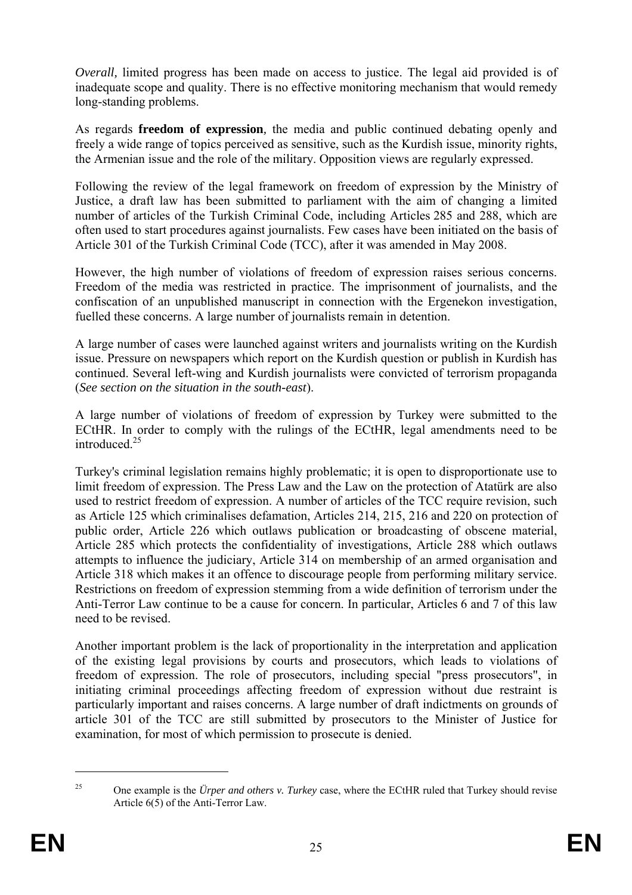*Overall*, limited progress has been made on access to justice. The legal aid provided is of inadequate scope and quality. There is no effective monitoring mechanism that would remedy long-standing problems.

As regards **freedom of expression***,* the media and public continued debating openly and freely a wide range of topics perceived as sensitive, such as the Kurdish issue, minority rights, the Armenian issue and the role of the military. Opposition views are regularly expressed.

Following the review of the legal framework on freedom of expression by the Ministry of Justice, a draft law has been submitted to parliament with the aim of changing a limited number of articles of the Turkish Criminal Code, including Articles 285 and 288, which are often used to start procedures against journalists. Few cases have been initiated on the basis of Article 301 of the Turkish Criminal Code (TCC), after it was amended in May 2008.

However, the high number of violations of freedom of expression raises serious concerns. Freedom of the media was restricted in practice. The imprisonment of journalists, and the confiscation of an unpublished manuscript in connection with the Ergenekon investigation, fuelled these concerns. A large number of journalists remain in detention.

A large number of cases were launched against writers and journalists writing on the Kurdish issue. Pressure on newspapers which report on the Kurdish question or publish in Kurdish has continued. Several left-wing and Kurdish journalists were convicted of terrorism propaganda (*See section on the situation in the south-east*).

A large number of violations of freedom of expression by Turkey were submitted to the ECtHR. In order to comply with the rulings of the ECtHR, legal amendments need to be introduced<sup>25</sup>

Turkey's criminal legislation remains highly problematic; it is open to disproportionate use to limit freedom of expression. The Press Law and the Law on the protection of Atatürk are also used to restrict freedom of expression. A number of articles of the TCC require revision, such as Article 125 which criminalises defamation, Articles 214, 215, 216 and 220 on protection of public order, Article 226 which outlaws publication or broadcasting of obscene material, Article 285 which protects the confidentiality of investigations, Article 288 which outlaws attempts to influence the judiciary, Article 314 on membership of an armed organisation and Article 318 which makes it an offence to discourage people from performing military service. Restrictions on freedom of expression stemming from a wide definition of terrorism under the Anti-Terror Law continue to be a cause for concern. In particular, Articles 6 and 7 of this law need to be revised.

Another important problem is the lack of proportionality in the interpretation and application of the existing legal provisions by courts and prosecutors, which leads to violations of freedom of expression. The role of prosecutors, including special "press prosecutors", in initiating criminal proceedings affecting freedom of expression without due restraint is particularly important and raises concerns. A large number of draft indictments on grounds of article 301 of the TCC are still submitted by prosecutors to the Minister of Justice for examination, for most of which permission to prosecute is denied.

<sup>25</sup> One example is the *Ürper and others v. Turkey* case, where the ECtHR ruled that Turkey should revise Article 6(5) of the Anti-Terror Law.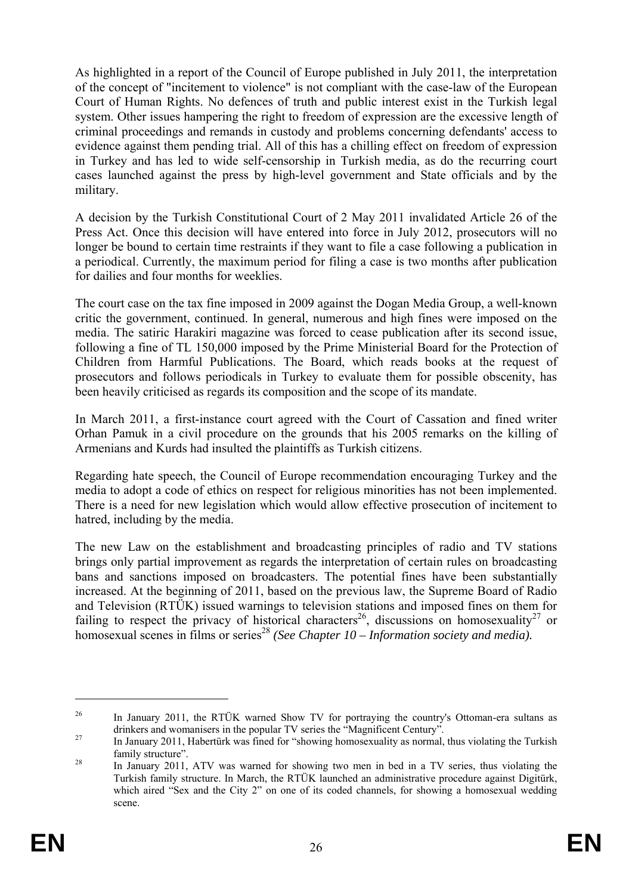As highlighted in a report of the Council of Europe published in July 2011, the interpretation of the concept of "incitement to violence" is not compliant with the case-law of the European Court of Human Rights. No defences of truth and public interest exist in the Turkish legal system. Other issues hampering the right to freedom of expression are the excessive length of criminal proceedings and remands in custody and problems concerning defendants' access to evidence against them pending trial. All of this has a chilling effect on freedom of expression in Turkey and has led to wide self-censorship in Turkish media, as do the recurring court cases launched against the press by high-level government and State officials and by the military.

A decision by the Turkish Constitutional Court of 2 May 2011 invalidated Article 26 of the Press Act. Once this decision will have entered into force in July 2012, prosecutors will no longer be bound to certain time restraints if they want to file a case following a publication in a periodical. Currently, the maximum period for filing a case is two months after publication for dailies and four months for weeklies.

The court case on the tax fine imposed in 2009 against the Dogan Media Group, a well-known critic the government, continued. In general, numerous and high fines were imposed on the media. The satiric Harakiri magazine was forced to cease publication after its second issue, following a fine of TL 150,000 imposed by the Prime Ministerial Board for the Protection of Children from Harmful Publications. The Board, which reads books at the request of prosecutors and follows periodicals in Turkey to evaluate them for possible obscenity, has been heavily criticised as regards its composition and the scope of its mandate.

In March 2011, a first-instance court agreed with the Court of Cassation and fined writer Orhan Pamuk in a civil procedure on the grounds that his 2005 remarks on the killing of Armenians and Kurds had insulted the plaintiffs as Turkish citizens.

Regarding hate speech, the Council of Europe recommendation encouraging Turkey and the media to adopt a code of ethics on respect for religious minorities has not been implemented. There is a need for new legislation which would allow effective prosecution of incitement to hatred, including by the media.

The new Law on the establishment and broadcasting principles of radio and TV stations brings only partial improvement as regards the interpretation of certain rules on broadcasting bans and sanctions imposed on broadcasters. The potential fines have been substantially increased. At the beginning of 2011, based on the previous law, the Supreme Board of Radio and Television (RTÜK) issued warnings to television stations and imposed fines on them for failing to respect the privacy of historical characters<sup>26</sup>, discussions on homosexuality<sup>27</sup> or homosexual scenes in films or series<sup>28</sup> (See Chapter 10 – Information society and media).

<sup>&</sup>lt;sup>26</sup> In January 2011, the RTÜK warned Show TV for portraying the country's Ottoman-era sultans as drinkers and womanisers in the popular TV series the "Magnificent Century".

<sup>27</sup> In January 2011, Habertürk was fined for "showing homosexuality as normal, thus violating the Turkish family structure".<br><sup>28</sup> In January 2011, ATV was warned for showing two men in bed in a TV series, thus violating the

Turkish family structure. In March, the RTÜK launched an administrative procedure against Digitürk, which aired "Sex and the City 2" on one of its coded channels, for showing a homosexual wedding scene.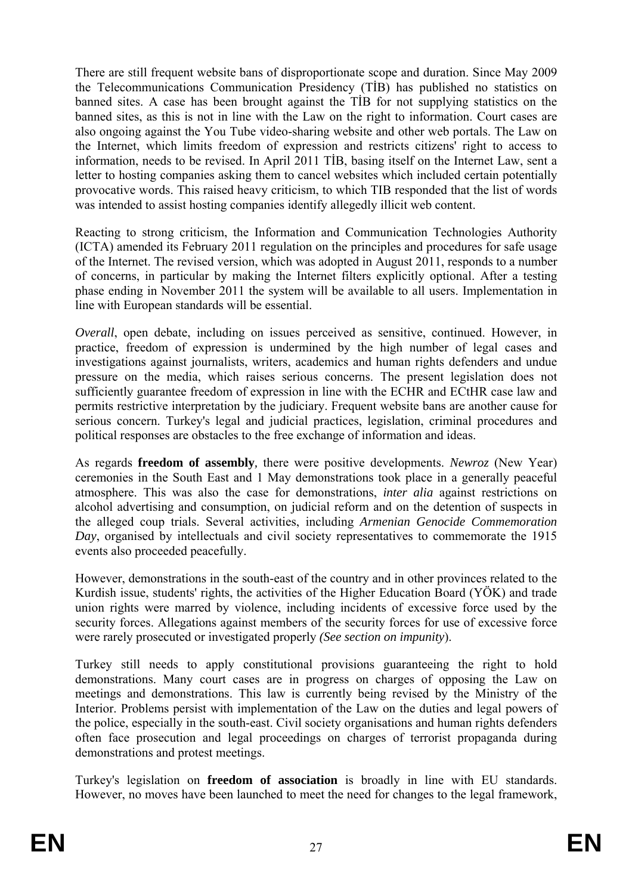There are still frequent website bans of disproportionate scope and duration. Since May 2009 the Telecommunications Communication Presidency (TİB) has published no statistics on banned sites. A case has been brought against the TİB for not supplying statistics on the banned sites, as this is not in line with the Law on the right to information. Court cases are also ongoing against the You Tube video-sharing website and other web portals. The Law on the Internet, which limits freedom of expression and restricts citizens' right to access to information, needs to be revised. In April 2011 TİB, basing itself on the Internet Law, sent a letter to hosting companies asking them to cancel websites which included certain potentially provocative words. This raised heavy criticism, to which TIB responded that the list of words was intended to assist hosting companies identify allegedly illicit web content.

Reacting to strong criticism, the Information and Communication Technologies Authority (ICTA) amended its February 2011 regulation on the principles and procedures for safe usage of the Internet. The revised version, which was adopted in August 2011, responds to a number of concerns, in particular by making the Internet filters explicitly optional. After a testing phase ending in November 2011 the system will be available to all users. Implementation in line with European standards will be essential.

*Overall*, open debate, including on issues perceived as sensitive, continued. However, in practice, freedom of expression is undermined by the high number of legal cases and investigations against journalists, writers, academics and human rights defenders and undue pressure on the media, which raises serious concerns. The present legislation does not sufficiently guarantee freedom of expression in line with the ECHR and ECtHR case law and permits restrictive interpretation by the judiciary. Frequent website bans are another cause for serious concern. Turkey's legal and judicial practices, legislation, criminal procedures and political responses are obstacles to the free exchange of information and ideas.

As regards **freedom of assembly***,* there were positive developments. *Newroz* (New Year) ceremonies in the South East and 1 May demonstrations took place in a generally peaceful atmosphere. This was also the case for demonstrations, *inter alia* against restrictions on alcohol advertising and consumption, on judicial reform and on the detention of suspects in the alleged coup trials. Several activities, including *Armenian Genocide Commemoration Day*, organised by intellectuals and civil society representatives to commemorate the 1915 events also proceeded peacefully.

However, demonstrations in the south-east of the country and in other provinces related to the Kurdish issue, students' rights, the activities of the Higher Education Board (YÖK) and trade union rights were marred by violence, including incidents of excessive force used by the security forces. Allegations against members of the security forces for use of excessive force were rarely prosecuted or investigated properly *(See section on impunity*).

Turkey still needs to apply constitutional provisions guaranteeing the right to hold demonstrations. Many court cases are in progress on charges of opposing the Law on meetings and demonstrations. This law is currently being revised by the Ministry of the Interior. Problems persist with implementation of the Law on the duties and legal powers of the police, especially in the south-east. Civil society organisations and human rights defenders often face prosecution and legal proceedings on charges of terrorist propaganda during demonstrations and protest meetings.

Turkey's legislation on **freedom of association** is broadly in line with EU standards. However, no moves have been launched to meet the need for changes to the legal framework,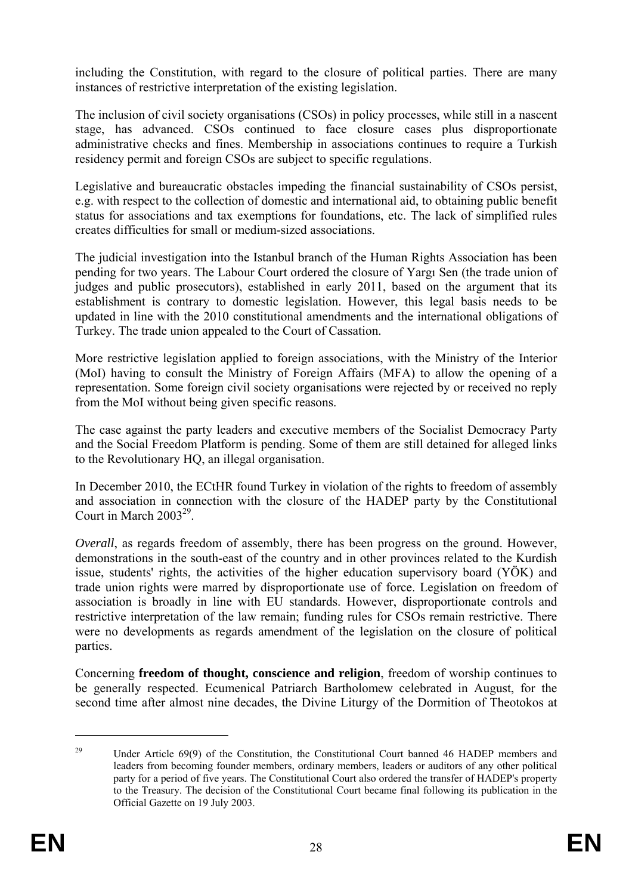including the Constitution, with regard to the closure of political parties. There are many instances of restrictive interpretation of the existing legislation.

The inclusion of civil society organisations (CSOs) in policy processes, while still in a nascent stage, has advanced. CSOs continued to face closure cases plus disproportionate administrative checks and fines. Membership in associations continues to require a Turkish residency permit and foreign CSOs are subject to specific regulations.

Legislative and bureaucratic obstacles impeding the financial sustainability of CSOs persist, e.g. with respect to the collection of domestic and international aid, to obtaining public benefit status for associations and tax exemptions for foundations, etc. The lack of simplified rules creates difficulties for small or medium-sized associations.

The judicial investigation into the Istanbul branch of the Human Rights Association has been pending for two years. The Labour Court ordered the closure of Yargı Sen (the trade union of judges and public prosecutors), established in early 2011, based on the argument that its establishment is contrary to domestic legislation. However, this legal basis needs to be updated in line with the 2010 constitutional amendments and the international obligations of Turkey. The trade union appealed to the Court of Cassation.

More restrictive legislation applied to foreign associations, with the Ministry of the Interior (MoI) having to consult the Ministry of Foreign Affairs (MFA) to allow the opening of a representation. Some foreign civil society organisations were rejected by or received no reply from the MoI without being given specific reasons.

The case against the party leaders and executive members of the Socialist Democracy Party and the Social Freedom Platform is pending. Some of them are still detained for alleged links to the Revolutionary HQ, an illegal organisation.

In December 2010, the ECtHR found Turkey in violation of the rights to freedom of assembly and association in connection with the closure of the HADEP party by the Constitutional Court in March  $2003^{29}$ .

*Overall*, as regards freedom of assembly, there has been progress on the ground. However, demonstrations in the south-east of the country and in other provinces related to the Kurdish issue, students' rights, the activities of the higher education supervisory board (YÖK) and trade union rights were marred by disproportionate use of force. Legislation on freedom of association is broadly in line with EU standards. However, disproportionate controls and restrictive interpretation of the law remain; funding rules for CSOs remain restrictive. There were no developments as regards amendment of the legislation on the closure of political parties.

Concerning **freedom of thought, conscience and religion**, freedom of worship continues to be generally respected. Ecumenical Patriarch Bartholomew celebrated in August, for the second time after almost nine decades, the Divine Liturgy of the Dormition of Theotokos at

<sup>&</sup>lt;sup>29</sup> Under Article 69(9) of the Constitution, the Constitutional Court banned 46 HADEP members and leaders from becoming founder members, ordinary members, leaders or auditors of any other political party for a period of five years. The Constitutional Court also ordered the transfer of HADEP's property to the Treasury. The decision of the Constitutional Court became final following its publication in the Official Gazette on 19 July 2003.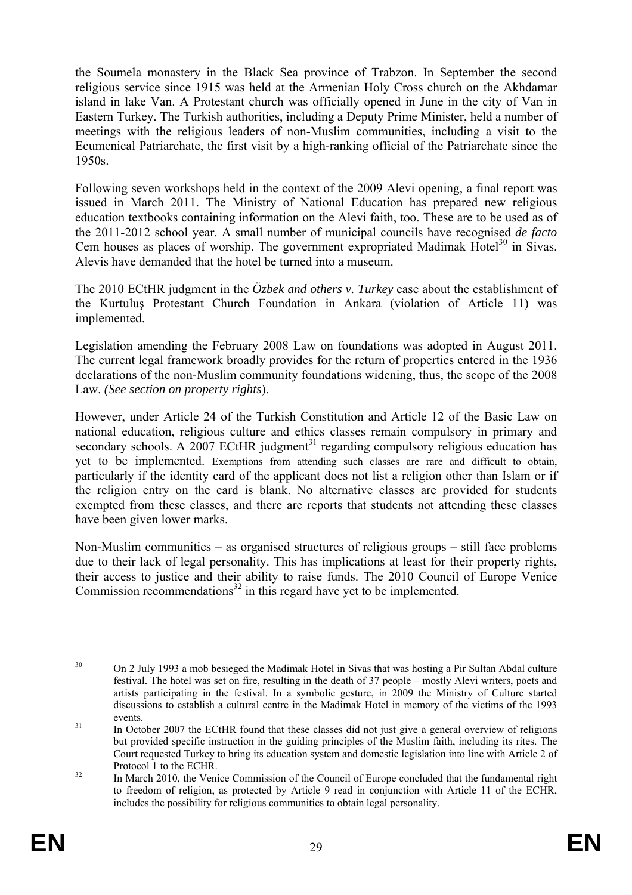the Soumela monastery in the Black Sea province of Trabzon. In September the second religious service since 1915 was held at the Armenian Holy Cross church on the Akhdamar island in lake Van. A Protestant church was officially opened in June in the city of Van in Eastern Turkey. The Turkish authorities, including a Deputy Prime Minister, held a number of meetings with the religious leaders of non-Muslim communities, including a visit to the Ecumenical Patriarchate, the first visit by a high-ranking official of the Patriarchate since the 1950s.

Following seven workshops held in the context of the 2009 Alevi opening, a final report was issued in March 2011. The Ministry of National Education has prepared new religious education textbooks containing information on the Alevi faith, too. These are to be used as of the 2011-2012 school year. A small number of municipal councils have recognised *de facto* Cem houses as places of worship. The government expropriated Madimak  $Hote^{30}$  in Sivas. Alevis have demanded that the hotel be turned into a museum.

The 2010 ECtHR judgment in the *Özbek and others v. Turkey* case about the establishment of the Kurtuluş Protestant Church Foundation in Ankara (violation of Article 11) was implemented.

Legislation amending the February 2008 Law on foundations was adopted in August 2011. The current legal framework broadly provides for the return of properties entered in the 1936 declarations of the non-Muslim community foundations widening, thus, the scope of the 2008 Law. *(See section on property rights*).

However, under Article 24 of the Turkish Constitution and Article 12 of the Basic Law on national education, religious culture and ethics classes remain compulsory in primary and secondary schools. A 2007 ECtHR judgment<sup>31</sup> regarding compulsory religious education has yet to be implemented. Exemptions from attending such classes are rare and difficult to obtain, particularly if the identity card of the applicant does not list a religion other than Islam or if the religion entry on the card is blank. No alternative classes are provided for students exempted from these classes, and there are reports that students not attending these classes have been given lower marks.

Non-Muslim communities – as organised structures of religious groups – still face problems due to their lack of legal personality. This has implications at least for their property rights, their access to justice and their ability to raise funds. The 2010 Council of Europe Venice Commission recommendations $32$  in this regard have yet to be implemented.

<sup>&</sup>lt;sup>30</sup> On 2 July 1993 a mob besieged the Madimak Hotel in Sivas that was hosting a Pir Sultan Abdal culture festival. The hotel was set on fire, resulting in the death of 37 people – mostly Alevi writers, poets and artists participating in the festival. In a symbolic gesture, in 2009 the Ministry of Culture started discussions to establish a cultural centre in the Madimak Hotel in memory of the victims of the 1993

events.<br>In October 2007 the ECtHR found that these classes did not just give a general overview of religions but provided specific instruction in the guiding principles of the Muslim faith, including its rites. The Court requested Turkey to bring its education system and domestic legislation into line with Article 2 of Protocol 1 to the ECHR.<br>32 In March 2010, the Venice Commission of the Council of Europe concluded that the fundamental right

to freedom of religion, as protected by Article 9 read in conjunction with Article 11 of the ECHR, includes the possibility for religious communities to obtain legal personality.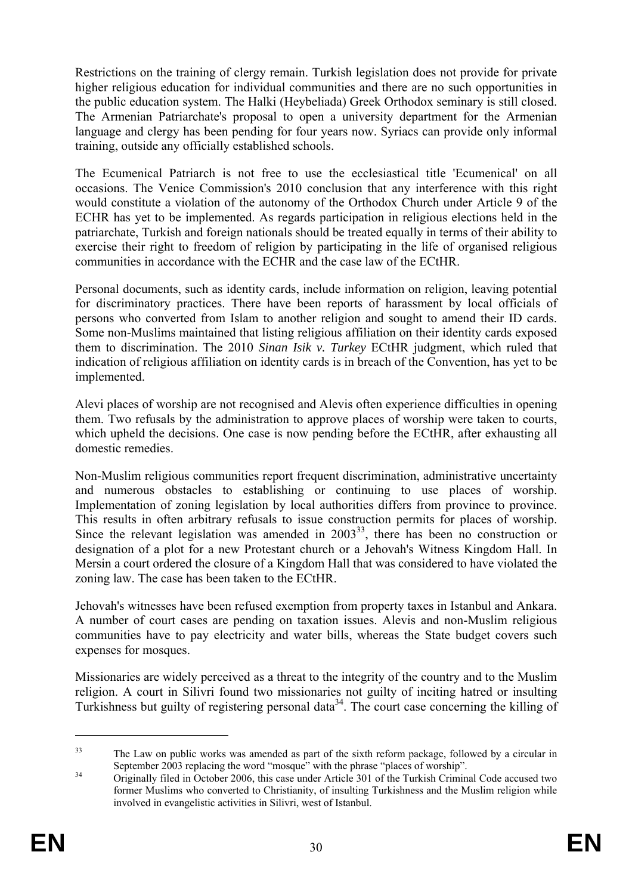Restrictions on the training of clergy remain. Turkish legislation does not provide for private higher religious education for individual communities and there are no such opportunities in the public education system. The Halki (Heybeliada) Greek Orthodox seminary is still closed. The Armenian Patriarchate's proposal to open a university department for the Armenian language and clergy has been pending for four years now. Syriacs can provide only informal training, outside any officially established schools.

The Ecumenical Patriarch is not free to use the ecclesiastical title 'Ecumenical' on all occasions. The Venice Commission's 2010 conclusion that any interference with this right would constitute a violation of the autonomy of the Orthodox Church under Article 9 of the ECHR has yet to be implemented. As regards participation in religious elections held in the patriarchate, Turkish and foreign nationals should be treated equally in terms of their ability to exercise their right to freedom of religion by participating in the life of organised religious communities in accordance with the ECHR and the case law of the ECtHR.

Personal documents, such as identity cards, include information on religion, leaving potential for discriminatory practices. There have been reports of harassment by local officials of persons who converted from Islam to another religion and sought to amend their ID cards. Some non-Muslims maintained that listing religious affiliation on their identity cards exposed them to discrimination. The 2010 *Sinan Isik v. Turkey* ECtHR judgment, which ruled that indication of religious affiliation on identity cards is in breach of the Convention, has yet to be implemented.

Alevi places of worship are not recognised and Alevis often experience difficulties in opening them. Two refusals by the administration to approve places of worship were taken to courts, which upheld the decisions. One case is now pending before the ECtHR, after exhausting all domestic remedies.

Non-Muslim religious communities report frequent discrimination, administrative uncertainty and numerous obstacles to establishing or continuing to use places of worship. Implementation of zoning legislation by local authorities differs from province to province. This results in often arbitrary refusals to issue construction permits for places of worship. Since the relevant legislation was amended in 2003<sup>33</sup>, there has been no construction or designation of a plot for a new Protestant church or a Jehovah's Witness Kingdom Hall. In Mersin a court ordered the closure of a Kingdom Hall that was considered to have violated the zoning law. The case has been taken to the ECtHR.

Jehovah's witnesses have been refused exemption from property taxes in Istanbul and Ankara. A number of court cases are pending on taxation issues. Alevis and non-Muslim religious communities have to pay electricity and water bills, whereas the State budget covers such expenses for mosques.

Missionaries are widely perceived as a threat to the integrity of the country and to the Muslim religion. A court in Silivri found two missionaries not guilty of inciting hatred or insulting Turkishness but guilty of registering personal data<sup>34</sup>. The court case concerning the killing of

<sup>&</sup>lt;sup>33</sup> The Law on public works was amended as part of the sixth reform package, followed by a circular in September 2003 replacing the word "mosque" with the phrase "places of worship".<br>Originally filed in October 2006, this case under Article 301 of the Turkish Criminal Code accused two

former Muslims who converted to Christianity, of insulting Turkishness and the Muslim religion while involved in evangelistic activities in Silivri, west of Istanbul.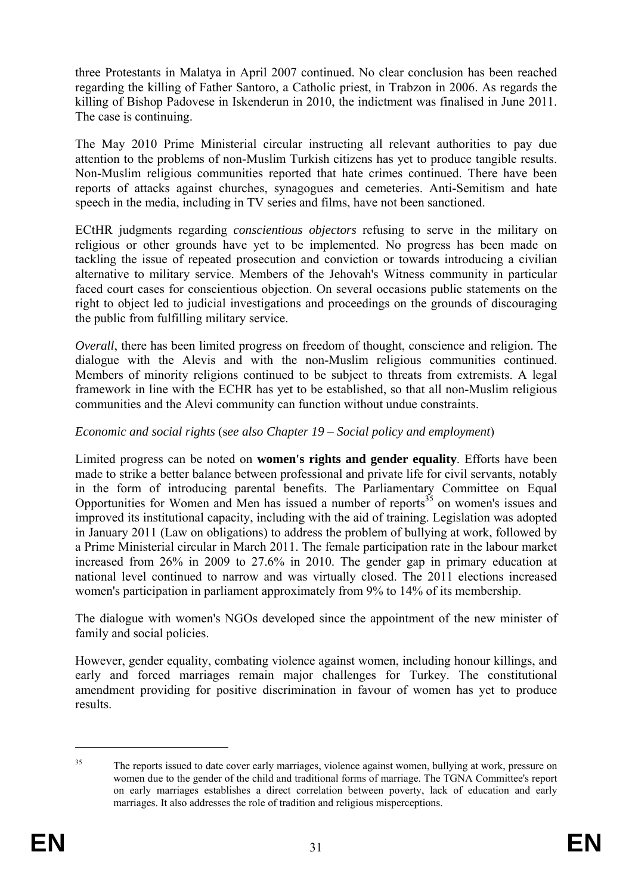three Protestants in Malatya in April 2007 continued. No clear conclusion has been reached regarding the killing of Father Santoro, a Catholic priest, in Trabzon in 2006. As regards the killing of Bishop Padovese in Iskenderun in 2010, the indictment was finalised in June 2011. The case is continuing.

The May 2010 Prime Ministerial circular instructing all relevant authorities to pay due attention to the problems of non-Muslim Turkish citizens has yet to produce tangible results. Non-Muslim religious communities reported that hate crimes continued. There have been reports of attacks against churches, synagogues and cemeteries. Anti-Semitism and hate speech in the media, including in TV series and films, have not been sanctioned.

ECtHR judgments regarding *conscientious objectors* refusing to serve in the military on religious or other grounds have yet to be implemented. No progress has been made on tackling the issue of repeated prosecution and conviction or towards introducing a civilian alternative to military service. Members of the Jehovah's Witness community in particular faced court cases for conscientious objection. On several occasions public statements on the right to object led to judicial investigations and proceedings on the grounds of discouraging the public from fulfilling military service.

*Overall*, there has been limited progress on freedom of thought, conscience and religion. The dialogue with the Alevis and with the non-Muslim religious communities continued. Members of minority religions continued to be subject to threats from extremists. A legal framework in line with the ECHR has yet to be established, so that all non-Muslim religious communities and the Alevi community can function without undue constraints.

# *Economic and social rights* (s*ee also Chapter 19 – Social policy and employment*)

Limited progress can be noted on **women's rights and gender equality**. Efforts have been made to strike a better balance between professional and private life for civil servants, notably in the form of introducing parental benefits. The Parliamentary Committee on Equal Opportunities for Women and Men has issued a number of reports $35$  on women's issues and improved its institutional capacity, including with the aid of training. Legislation was adopted in January 2011 (Law on obligations) to address the problem of bullying at work, followed by a Prime Ministerial circular in March 2011. The female participation rate in the labour market increased from 26% in 2009 to 27.6% in 2010. The gender gap in primary education at national level continued to narrow and was virtually closed. The 2011 elections increased women's participation in parliament approximately from 9% to 14% of its membership.

The dialogue with women's NGOs developed since the appointment of the new minister of family and social policies.

However, gender equality, combating violence against women, including honour killings, and early and forced marriages remain major challenges for Turkey. The constitutional amendment providing for positive discrimination in favour of women has yet to produce results.

<sup>&</sup>lt;sup>35</sup> The reports issued to date cover early marriages, violence against women, bullying at work, pressure on women due to the gender of the child and traditional forms of marriage. The TGNA Committee's report on early marriages establishes a direct correlation between poverty, lack of education and early marriages. It also addresses the role of tradition and religious misperceptions.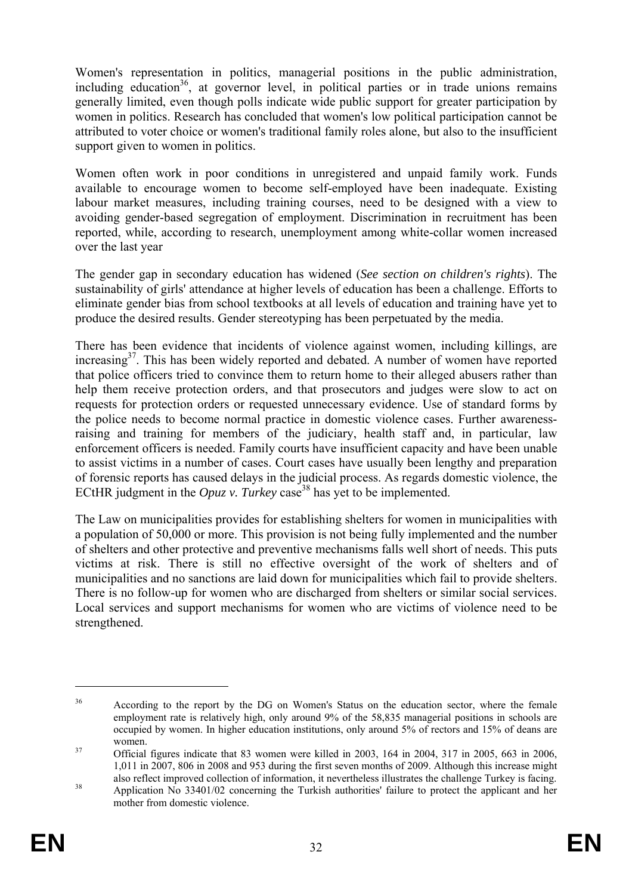Women's representation in politics, managerial positions in the public administration, including education<sup>36</sup>, at governor level, in political parties or in trade unions remains generally limited, even though polls indicate wide public support for greater participation by women in politics. Research has concluded that women's low political participation cannot be attributed to voter choice or women's traditional family roles alone, but also to the insufficient support given to women in politics.

Women often work in poor conditions in unregistered and unpaid family work. Funds available to encourage women to become self-employed have been inadequate. Existing labour market measures, including training courses, need to be designed with a view to avoiding gender-based segregation of employment. Discrimination in recruitment has been reported, while, according to research, unemployment among white-collar women increased over the last year

The gender gap in secondary education has widened (*See section on children's rights*). The sustainability of girls' attendance at higher levels of education has been a challenge. Efforts to eliminate gender bias from school textbooks at all levels of education and training have yet to produce the desired results. Gender stereotyping has been perpetuated by the media.

There has been evidence that incidents of violence against women, including killings, are  $increasing<sup>37</sup>$ . This has been widely reported and debated. A number of women have reported that police officers tried to convince them to return home to their alleged abusers rather than help them receive protection orders, and that prosecutors and judges were slow to act on requests for protection orders or requested unnecessary evidence. Use of standard forms by the police needs to become normal practice in domestic violence cases. Further awarenessraising and training for members of the judiciary, health staff and, in particular, law enforcement officers is needed. Family courts have insufficient capacity and have been unable to assist victims in a number of cases. Court cases have usually been lengthy and preparation of forensic reports has caused delays in the judicial process. As regards domestic violence, the ECtHR judgment in the *Opuz v. Turkey* case<sup>38</sup> has yet to be implemented.

The Law on municipalities provides for establishing shelters for women in municipalities with a population of 50,000 or more. This provision is not being fully implemented and the number of shelters and other protective and preventive mechanisms falls well short of needs. This puts victims at risk. There is still no effective oversight of the work of shelters and of municipalities and no sanctions are laid down for municipalities which fail to provide shelters. There is no follow-up for women who are discharged from shelters or similar social services. Local services and support mechanisms for women who are victims of violence need to be strengthened.

<sup>&</sup>lt;sup>36</sup> According to the report by the DG on Women's Status on the education sector, where the female employment rate is relatively high, only around 9% of the 58,835 managerial positions in schools are occupied by women. In higher education institutions, only around 5% of rectors and 15% of deans are women.

<sup>&</sup>lt;sup>37</sup> Official figures indicate that 83 women were killed in 2003, 164 in 2004, 317 in 2005, 663 in 2006, 1,011 in 2007, 806 in 2008 and 953 during the first seven months of 2009. Although this increase might

also reflect improved collection of information, it nevertheless illustrates the challenge Turkey is facing.<br>Application No 33401/02 concerning the Turkish authorities' failure to protect the applicant and her mother from domestic violence.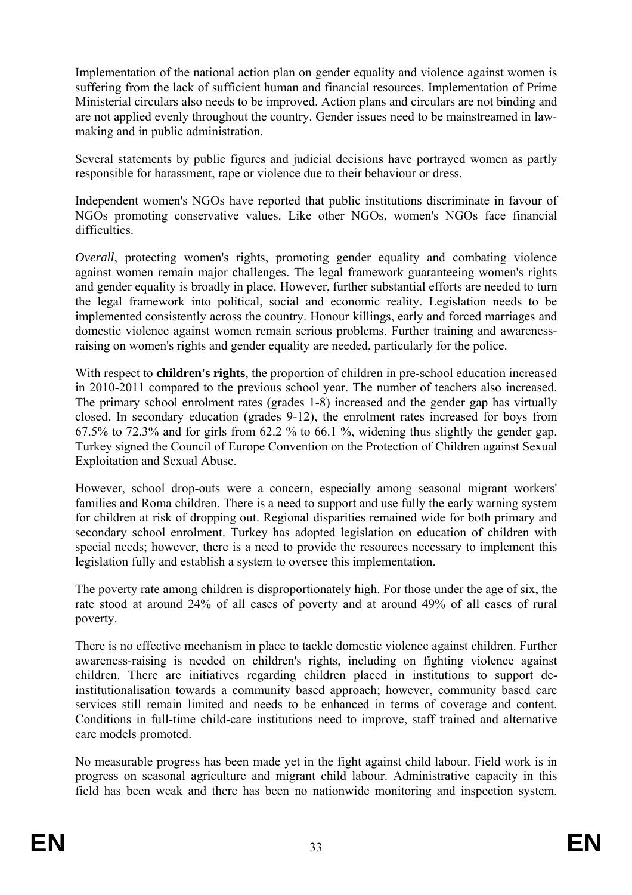Implementation of the national action plan on gender equality and violence against women is suffering from the lack of sufficient human and financial resources. Implementation of Prime Ministerial circulars also needs to be improved. Action plans and circulars are not binding and are not applied evenly throughout the country. Gender issues need to be mainstreamed in lawmaking and in public administration.

Several statements by public figures and judicial decisions have portrayed women as partly responsible for harassment, rape or violence due to their behaviour or dress.

Independent women's NGOs have reported that public institutions discriminate in favour of NGOs promoting conservative values. Like other NGOs, women's NGOs face financial difficulties.

*Overall*, protecting women's rights, promoting gender equality and combating violence against women remain major challenges. The legal framework guaranteeing women's rights and gender equality is broadly in place. However, further substantial efforts are needed to turn the legal framework into political, social and economic reality. Legislation needs to be implemented consistently across the country. Honour killings, early and forced marriages and domestic violence against women remain serious problems. Further training and awarenessraising on women's rights and gender equality are needed, particularly for the police.

With respect to **children's rights**, the proportion of children in pre-school education increased in 2010-2011 compared to the previous school year. The number of teachers also increased. The primary school enrolment rates (grades 1-8) increased and the gender gap has virtually closed. In secondary education (grades 9-12), the enrolment rates increased for boys from  $67.5\%$  to  $72.3\%$  and for girls from  $62.2\%$  to  $66.1\%$ , widening thus slightly the gender gap. Turkey signed the Council of Europe Convention on the Protection of Children against Sexual Exploitation and Sexual Abuse.

However, school drop-outs were a concern, especially among seasonal migrant workers' families and Roma children. There is a need to support and use fully the early warning system for children at risk of dropping out. Regional disparities remained wide for both primary and secondary school enrolment. Turkey has adopted legislation on education of children with special needs; however, there is a need to provide the resources necessary to implement this legislation fully and establish a system to oversee this implementation.

The poverty rate among children is disproportionately high. For those under the age of six, the rate stood at around 24% of all cases of poverty and at around 49% of all cases of rural poverty.

There is no effective mechanism in place to tackle domestic violence against children. Further awareness-raising is needed on children's rights, including on fighting violence against children. There are initiatives regarding children placed in institutions to support deinstitutionalisation towards a community based approach; however, community based care services still remain limited and needs to be enhanced in terms of coverage and content. Conditions in full-time child-care institutions need to improve, staff trained and alternative care models promoted.

No measurable progress has been made yet in the fight against child labour. Field work is in progress on seasonal agriculture and migrant child labour. Administrative capacity in this field has been weak and there has been no nationwide monitoring and inspection system.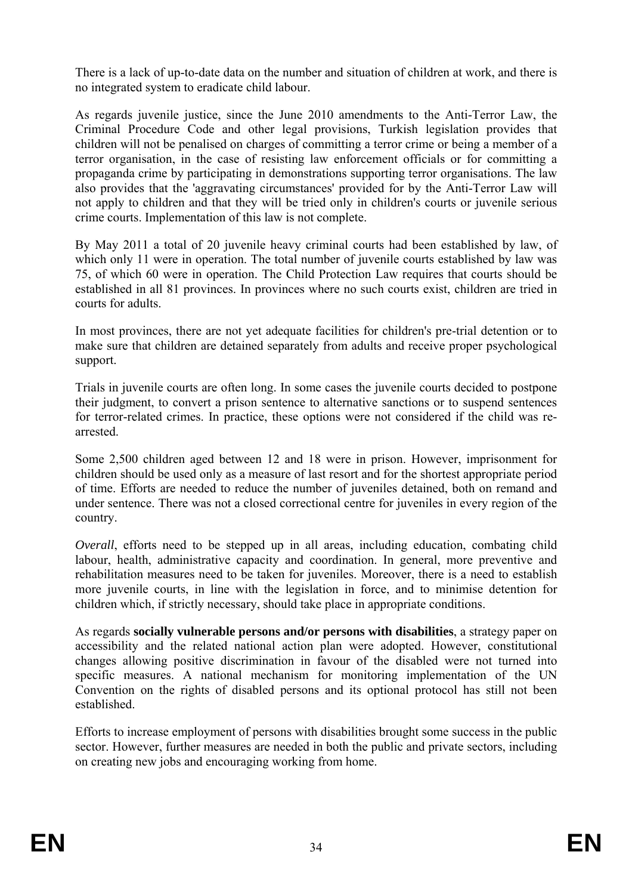There is a lack of up-to-date data on the number and situation of children at work, and there is no integrated system to eradicate child labour.

As regards juvenile justice, since the June 2010 amendments to the Anti-Terror Law, the Criminal Procedure Code and other legal provisions, Turkish legislation provides that children will not be penalised on charges of committing a terror crime or being a member of a terror organisation, in the case of resisting law enforcement officials or for committing a propaganda crime by participating in demonstrations supporting terror organisations. The law also provides that the 'aggravating circumstances' provided for by the Anti-Terror Law will not apply to children and that they will be tried only in children's courts or juvenile serious crime courts. Implementation of this law is not complete.

By May 2011 a total of 20 juvenile heavy criminal courts had been established by law, of which only 11 were in operation. The total number of juvenile courts established by law was 75, of which 60 were in operation. The Child Protection Law requires that courts should be established in all 81 provinces. In provinces where no such courts exist, children are tried in courts for adults.

In most provinces, there are not yet adequate facilities for children's pre-trial detention or to make sure that children are detained separately from adults and receive proper psychological support.

Trials in juvenile courts are often long. In some cases the juvenile courts decided to postpone their judgment, to convert a prison sentence to alternative sanctions or to suspend sentences for terror-related crimes. In practice, these options were not considered if the child was rearrested.

Some 2,500 children aged between 12 and 18 were in prison. However, imprisonment for children should be used only as a measure of last resort and for the shortest appropriate period of time. Efforts are needed to reduce the number of juveniles detained, both on remand and under sentence. There was not a closed correctional centre for juveniles in every region of the country.

*Overall*, efforts need to be stepped up in all areas, including education, combating child labour, health, administrative capacity and coordination. In general, more preventive and rehabilitation measures need to be taken for juveniles. Moreover, there is a need to establish more juvenile courts, in line with the legislation in force, and to minimise detention for children which, if strictly necessary, should take place in appropriate conditions.

As regards **socially vulnerable persons and/or persons with disabilities**, a strategy paper on accessibility and the related national action plan were adopted. However, constitutional changes allowing positive discrimination in favour of the disabled were not turned into specific measures. A national mechanism for monitoring implementation of the UN Convention on the rights of disabled persons and its optional protocol has still not been established.

Efforts to increase employment of persons with disabilities brought some success in the public sector. However, further measures are needed in both the public and private sectors, including on creating new jobs and encouraging working from home.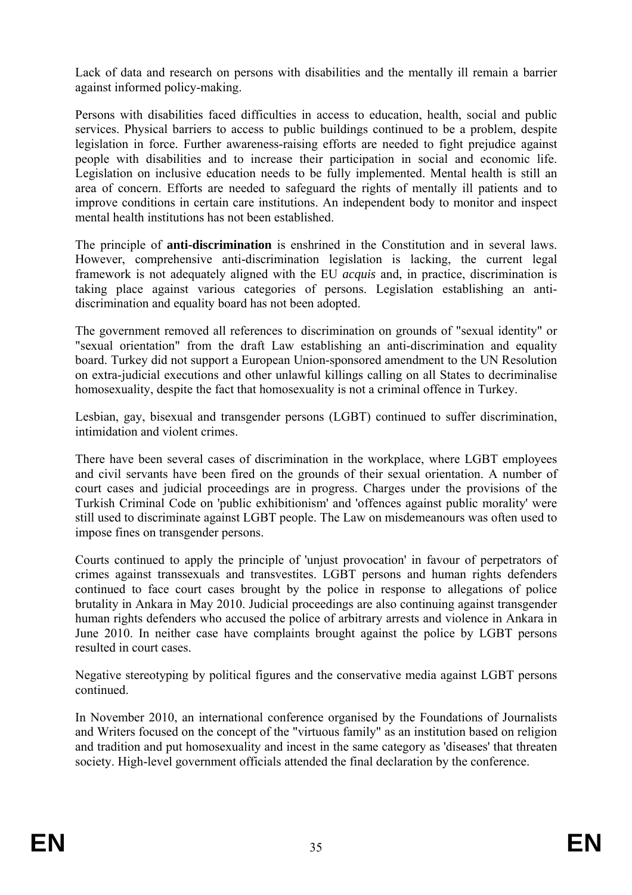Lack of data and research on persons with disabilities and the mentally ill remain a barrier against informed policy-making.

Persons with disabilities faced difficulties in access to education, health, social and public services. Physical barriers to access to public buildings continued to be a problem, despite legislation in force. Further awareness-raising efforts are needed to fight prejudice against people with disabilities and to increase their participation in social and economic life. Legislation on inclusive education needs to be fully implemented. Mental health is still an area of concern. Efforts are needed to safeguard the rights of mentally ill patients and to improve conditions in certain care institutions. An independent body to monitor and inspect mental health institutions has not been established.

The principle of **anti-discrimination** is enshrined in the Constitution and in several laws. However, comprehensive anti-discrimination legislation is lacking, the current legal framework is not adequately aligned with the EU *acquis* and, in practice, discrimination is taking place against various categories of persons. Legislation establishing an antidiscrimination and equality board has not been adopted.

The government removed all references to discrimination on grounds of "sexual identity" or "sexual orientation" from the draft Law establishing an anti-discrimination and equality board. Turkey did not support a European Union-sponsored amendment to the UN Resolution on extra-judicial executions and other unlawful killings calling on all States to decriminalise homosexuality, despite the fact that homosexuality is not a criminal offence in Turkey.

Lesbian, gay, bisexual and transgender persons (LGBT) continued to suffer discrimination, intimidation and violent crimes.

There have been several cases of discrimination in the workplace, where LGBT employees and civil servants have been fired on the grounds of their sexual orientation. A number of court cases and judicial proceedings are in progress. Charges under the provisions of the Turkish Criminal Code on 'public exhibitionism' and 'offences against public morality' were still used to discriminate against LGBT people. The Law on misdemeanours was often used to impose fines on transgender persons.

Courts continued to apply the principle of 'unjust provocation' in favour of perpetrators of crimes against transsexuals and transvestites. LGBT persons and human rights defenders continued to face court cases brought by the police in response to allegations of police brutality in Ankara in May 2010. Judicial proceedings are also continuing against transgender human rights defenders who accused the police of arbitrary arrests and violence in Ankara in June 2010. In neither case have complaints brought against the police by LGBT persons resulted in court cases.

Negative stereotyping by political figures and the conservative media against LGBT persons continued.

In November 2010, an international conference organised by the Foundations of Journalists and Writers focused on the concept of the "virtuous family" as an institution based on religion and tradition and put homosexuality and incest in the same category as 'diseases' that threaten society. High-level government officials attended the final declaration by the conference.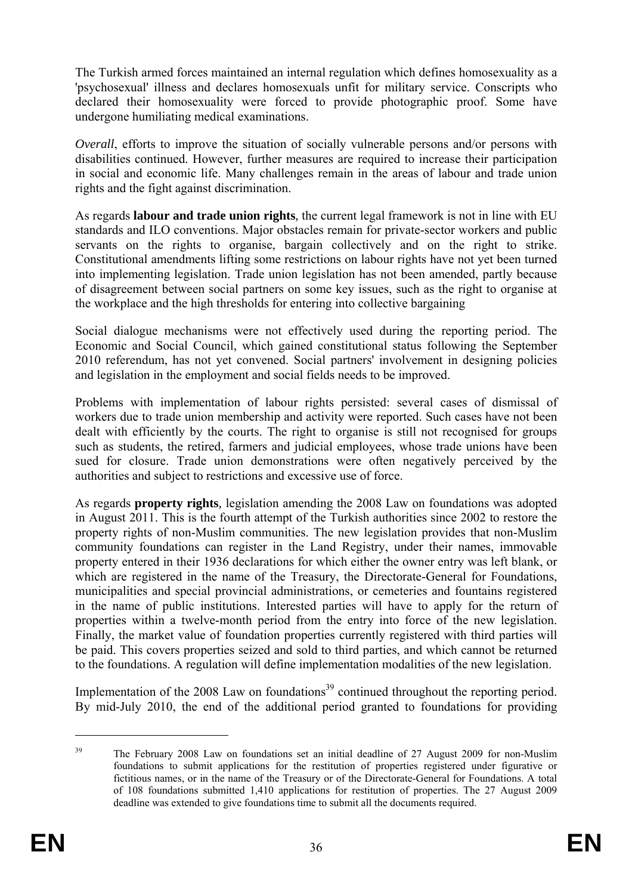The Turkish armed forces maintained an internal regulation which defines homosexuality as a 'psychosexual' illness and declares homosexuals unfit for military service. Conscripts who declared their homosexuality were forced to provide photographic proof. Some have undergone humiliating medical examinations.

*Overall*, efforts to improve the situation of socially vulnerable persons and/or persons with disabilities continued. However, further measures are required to increase their participation in social and economic life. Many challenges remain in the areas of labour and trade union rights and the fight against discrimination.

As regards **labour and trade union rights***,* the current legal framework is not in line with EU standards and ILO conventions. Major obstacles remain for private-sector workers and public servants on the rights to organise, bargain collectively and on the right to strike. Constitutional amendments lifting some restrictions on labour rights have not yet been turned into implementing legislation. Trade union legislation has not been amended, partly because of disagreement between social partners on some key issues, such as the right to organise at the workplace and the high thresholds for entering into collective bargaining

Social dialogue mechanisms were not effectively used during the reporting period. The Economic and Social Council, which gained constitutional status following the September 2010 referendum, has not yet convened. Social partners' involvement in designing policies and legislation in the employment and social fields needs to be improved.

Problems with implementation of labour rights persisted: several cases of dismissal of workers due to trade union membership and activity were reported. Such cases have not been dealt with efficiently by the courts. The right to organise is still not recognised for groups such as students, the retired, farmers and judicial employees, whose trade unions have been sued for closure. Trade union demonstrations were often negatively perceived by the authorities and subject to restrictions and excessive use of force.

As regards **property rights***,* legislation amending the 2008 Law on foundations was adopted in August 2011. This is the fourth attempt of the Turkish authorities since 2002 to restore the property rights of non-Muslim communities. The new legislation provides that non-Muslim community foundations can register in the Land Registry, under their names, immovable property entered in their 1936 declarations for which either the owner entry was left blank, or which are registered in the name of the Treasury, the Directorate-General for Foundations, municipalities and special provincial administrations, or cemeteries and fountains registered in the name of public institutions. Interested parties will have to apply for the return of properties within a twelve-month period from the entry into force of the new legislation. Finally, the market value of foundation properties currently registered with third parties will be paid. This covers properties seized and sold to third parties, and which cannot be returned to the foundations. A regulation will define implementation modalities of the new legislation.

Implementation of the  $2008$  Law on foundations<sup>39</sup> continued throughout the reporting period. By mid-July 2010, the end of the additional period granted to foundations for providing

<u>.</u>

<sup>&</sup>lt;sup>39</sup> The February 2008 Law on foundations set an initial deadline of 27 August 2009 for non-Muslim foundations to submit applications for the restitution of properties registered under figurative or fictitious names, or in the name of the Treasury or of the Directorate-General for Foundations. A total of 108 foundations submitted 1,410 applications for restitution of properties. The 27 August 2009 deadline was extended to give foundations time to submit all the documents required.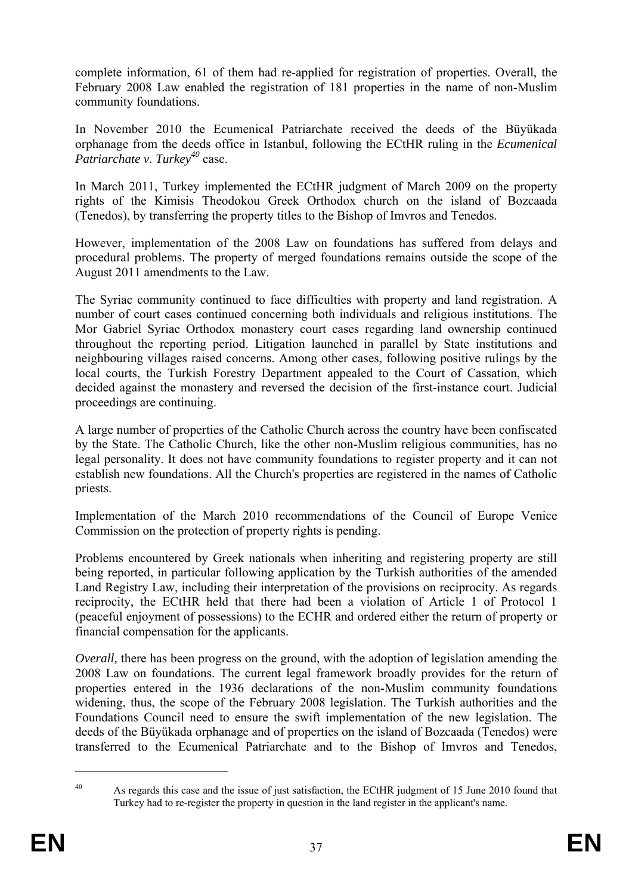complete information, 61 of them had re-applied for registration of properties. Overall, the February 2008 Law enabled the registration of 181 properties in the name of non-Muslim community foundations.

In November 2010 the Ecumenical Patriarchate received the deeds of the Büyükada orphanage from the deeds office in Istanbul, following the ECtHR ruling in the *Ecumenical Patriarchate v. Turkey<sup>40</sup> case.* 

In March 2011, Turkey implemented the ECtHR judgment of March 2009 on the property rights of the Kimisis Theodokou Greek Orthodox church on the island of Bozcaada (Tenedos), by transferring the property titles to the Bishop of Imvros and Tenedos.

However, implementation of the 2008 Law on foundations has suffered from delays and procedural problems. The property of merged foundations remains outside the scope of the August 2011 amendments to the Law.

The Syriac community continued to face difficulties with property and land registration. A number of court cases continued concerning both individuals and religious institutions. The Mor Gabriel Syriac Orthodox monastery court cases regarding land ownership continued throughout the reporting period. Litigation launched in parallel by State institutions and neighbouring villages raised concerns. Among other cases, following positive rulings by the local courts, the Turkish Forestry Department appealed to the Court of Cassation, which decided against the monastery and reversed the decision of the first-instance court. Judicial proceedings are continuing.

A large number of properties of the Catholic Church across the country have been confiscated by the State. The Catholic Church, like the other non-Muslim religious communities, has no legal personality. It does not have community foundations to register property and it can not establish new foundations. All the Church's properties are registered in the names of Catholic priests.

Implementation of the March 2010 recommendations of the Council of Europe Venice Commission on the protection of property rights is pending.

Problems encountered by Greek nationals when inheriting and registering property are still being reported, in particular following application by the Turkish authorities of the amended Land Registry Law, including their interpretation of the provisions on reciprocity. As regards reciprocity, the ECtHR held that there had been a violation of Article 1 of Protocol 1 (peaceful enjoyment of possessions) to the ECHR and ordered either the return of property or financial compensation for the applicants.

*Overall*, there has been progress on the ground, with the adoption of legislation amending the 2008 Law on foundations. The current legal framework broadly provides for the return of properties entered in the 1936 declarations of the non-Muslim community foundations widening, thus, the scope of the February 2008 legislation. The Turkish authorities and the Foundations Council need to ensure the swift implementation of the new legislation. The deeds of the Büyükada orphanage and of properties on the island of Bozcaada (Tenedos) were transferred to the Ecumenical Patriarchate and to the Bishop of Imvros and Tenedos,

<u>.</u>

<sup>&</sup>lt;sup>40</sup> As regards this case and the issue of just satisfaction, the ECtHR judgment of 15 June 2010 found that Turkey had to re-register the property in question in the land register in the applicant's name.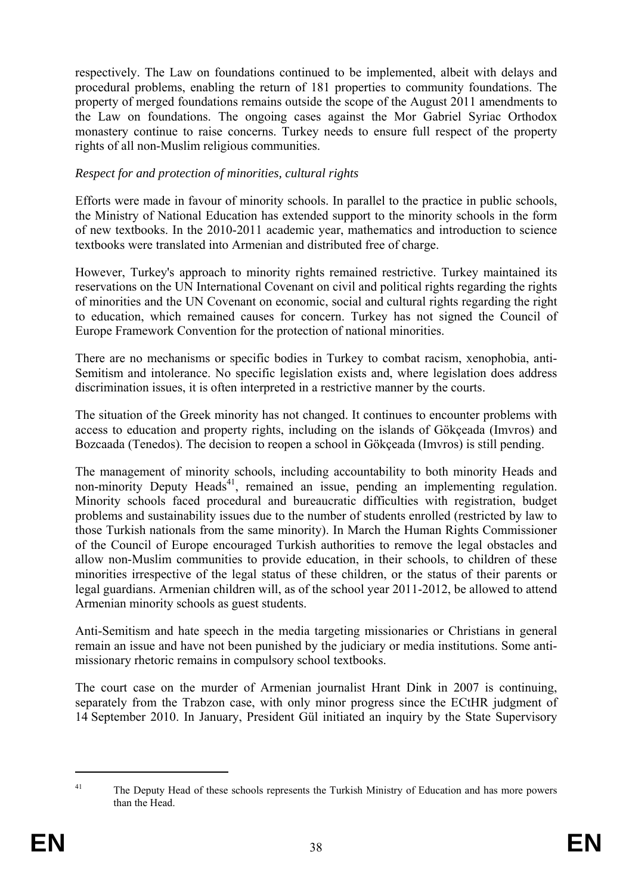respectively. The Law on foundations continued to be implemented, albeit with delays and procedural problems, enabling the return of 181 properties to community foundations. The property of merged foundations remains outside the scope of the August 2011 amendments to the Law on foundations. The ongoing cases against the Mor Gabriel Syriac Orthodox monastery continue to raise concerns. Turkey needs to ensure full respect of the property rights of all non-Muslim religious communities.

#### *Respect for and protection of minorities, cultural rights*

Efforts were made in favour of minority schools. In parallel to the practice in public schools, the Ministry of National Education has extended support to the minority schools in the form of new textbooks. In the 2010-2011 academic year, mathematics and introduction to science textbooks were translated into Armenian and distributed free of charge.

However, Turkey's approach to minority rights remained restrictive. Turkey maintained its reservations on the UN International Covenant on civil and political rights regarding the rights of minorities and the UN Covenant on economic, social and cultural rights regarding the right to education, which remained causes for concern. Turkey has not signed the Council of Europe Framework Convention for the protection of national minorities.

There are no mechanisms or specific bodies in Turkey to combat racism, xenophobia, anti-Semitism and intolerance. No specific legislation exists and, where legislation does address discrimination issues, it is often interpreted in a restrictive manner by the courts.

The situation of the Greek minority has not changed. It continues to encounter problems with access to education and property rights, including on the islands of Gökçeada (Imvros) and Bozcaada (Tenedos). The decision to reopen a school in Gökçeada (Imvros) is still pending.

The management of minority schools, including accountability to both minority Heads and non-minority Deputy Heads<sup>41</sup>, remained an issue, pending an implementing regulation. Minority schools faced procedural and bureaucratic difficulties with registration, budget problems and sustainability issues due to the number of students enrolled (restricted by law to those Turkish nationals from the same minority). In March the Human Rights Commissioner of the Council of Europe encouraged Turkish authorities to remove the legal obstacles and allow non-Muslim communities to provide education, in their schools, to children of these minorities irrespective of the legal status of these children, or the status of their parents or legal guardians. Armenian children will, as of the school year 2011-2012, be allowed to attend Armenian minority schools as guest students.

Anti-Semitism and hate speech in the media targeting missionaries or Christians in general remain an issue and have not been punished by the judiciary or media institutions. Some antimissionary rhetoric remains in compulsory school textbooks.

The court case on the murder of Armenian journalist Hrant Dink in 2007 is continuing, separately from the Trabzon case, with only minor progress since the ECtHR judgment of 14 September 2010. In January, President Gül initiated an inquiry by the State Supervisory

1

<sup>&</sup>lt;sup>41</sup> The Deputy Head of these schools represents the Turkish Ministry of Education and has more powers than the Head.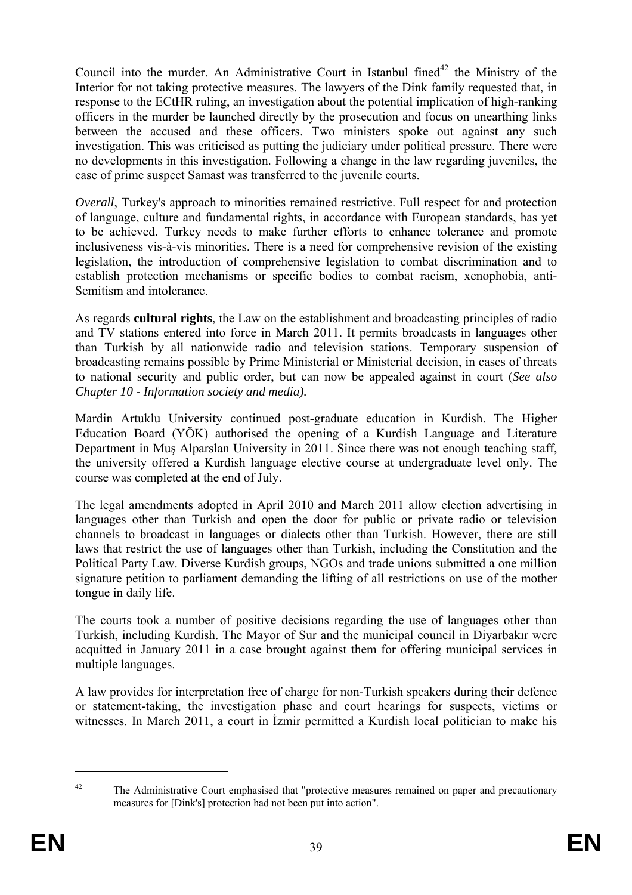Council into the murder. An Administrative Court in Istanbul fined $42$  the Ministry of the Interior for not taking protective measures. The lawyers of the Dink family requested that, in response to the ECtHR ruling, an investigation about the potential implication of high-ranking officers in the murder be launched directly by the prosecution and focus on unearthing links between the accused and these officers. Two ministers spoke out against any such investigation. This was criticised as putting the judiciary under political pressure. There were no developments in this investigation. Following a change in the law regarding juveniles, the case of prime suspect Samast was transferred to the juvenile courts.

*Overall*, Turkey's approach to minorities remained restrictive. Full respect for and protection of language, culture and fundamental rights, in accordance with European standards, has yet to be achieved. Turkey needs to make further efforts to enhance tolerance and promote inclusiveness vis-à-vis minorities. There is a need for comprehensive revision of the existing legislation, the introduction of comprehensive legislation to combat discrimination and to establish protection mechanisms or specific bodies to combat racism, xenophobia, anti-Semitism and intolerance.

As regards **cultural rights**, the Law on the establishment and broadcasting principles of radio and TV stations entered into force in March 2011. It permits broadcasts in languages other than Turkish by all nationwide radio and television stations. Temporary suspension of broadcasting remains possible by Prime Ministerial or Ministerial decision, in cases of threats to national security and public order, but can now be appealed against in court (*See also Chapter 10 - Information society and media).* 

Mardin Artuklu University continued post-graduate education in Kurdish. The Higher Education Board (YÖK) authorised the opening of a Kurdish Language and Literature Department in Muş Alparslan University in 2011. Since there was not enough teaching staff, the university offered a Kurdish language elective course at undergraduate level only. The course was completed at the end of July.

The legal amendments adopted in April 2010 and March 2011 allow election advertising in languages other than Turkish and open the door for public or private radio or television channels to broadcast in languages or dialects other than Turkish. However, there are still laws that restrict the use of languages other than Turkish, including the Constitution and the Political Party Law. Diverse Kurdish groups, NGOs and trade unions submitted a one million signature petition to parliament demanding the lifting of all restrictions on use of the mother tongue in daily life.

The courts took a number of positive decisions regarding the use of languages other than Turkish, including Kurdish. The Mayor of Sur and the municipal council in Diyarbakır were acquitted in January 2011 in a case brought against them for offering municipal services in multiple languages.

A law provides for interpretation free of charge for non-Turkish speakers during their defence or statement-taking, the investigation phase and court hearings for suspects, victims or witnesses. In March 2011, a court in İzmir permitted a Kurdish local politician to make his

<u>.</u>

<sup>&</sup>lt;sup>42</sup> The Administrative Court emphasised that "protective measures remained on paper and precautionary measures for [Dink's] protection had not been put into action".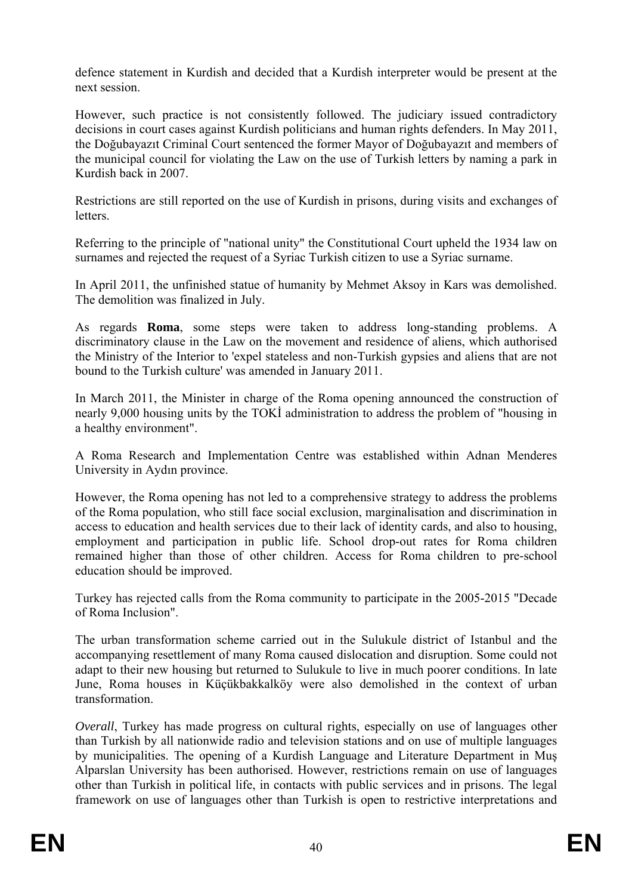defence statement in Kurdish and decided that a Kurdish interpreter would be present at the next session.

However, such practice is not consistently followed. The judiciary issued contradictory decisions in court cases against Kurdish politicians and human rights defenders. In May 2011, the Doğubayazıt Criminal Court sentenced the former Mayor of Doğubayazıt and members of the municipal council for violating the Law on the use of Turkish letters by naming a park in Kurdish back in 2007.

Restrictions are still reported on the use of Kurdish in prisons, during visits and exchanges of **letters** 

Referring to the principle of "national unity" the Constitutional Court upheld the 1934 law on surnames and rejected the request of a Syriac Turkish citizen to use a Syriac surname.

In April 2011, the unfinished statue of humanity by Mehmet Aksoy in Kars was demolished. The demolition was finalized in July.

As regards **Roma**, some steps were taken to address long-standing problems. A discriminatory clause in the Law on the movement and residence of aliens, which authorised the Ministry of the Interior to 'expel stateless and non-Turkish gypsies and aliens that are not bound to the Turkish culture' was amended in January 2011.

In March 2011, the Minister in charge of the Roma opening announced the construction of nearly 9,000 housing units by the TOKİ administration to address the problem of "housing in a healthy environment".

A Roma Research and Implementation Centre was established within Adnan Menderes University in Aydın province.

However, the Roma opening has not led to a comprehensive strategy to address the problems of the Roma population, who still face social exclusion, marginalisation and discrimination in access to education and health services due to their lack of identity cards, and also to housing, employment and participation in public life. School drop-out rates for Roma children remained higher than those of other children. Access for Roma children to pre-school education should be improved.

Turkey has rejected calls from the Roma community to participate in the 2005-2015 "Decade of Roma Inclusion".

The urban transformation scheme carried out in the Sulukule district of Istanbul and the accompanying resettlement of many Roma caused dislocation and disruption. Some could not adapt to their new housing but returned to Sulukule to live in much poorer conditions. In late June, Roma houses in Küçükbakkalköy were also demolished in the context of urban transformation.

*Overall*, Turkey has made progress on cultural rights, especially on use of languages other than Turkish by all nationwide radio and television stations and on use of multiple languages by municipalities. The opening of a Kurdish Language and Literature Department in Muş Alparslan University has been authorised. However, restrictions remain on use of languages other than Turkish in political life, in contacts with public services and in prisons. The legal framework on use of languages other than Turkish is open to restrictive interpretations and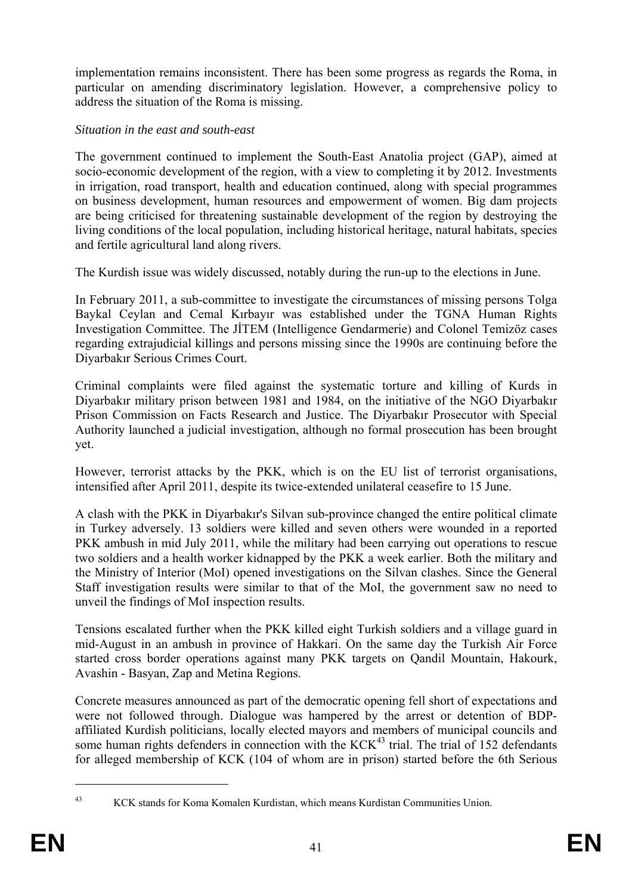implementation remains inconsistent. There has been some progress as regards the Roma, in particular on amending discriminatory legislation. However, a comprehensive policy to address the situation of the Roma is missing.

## *Situation in the east and south-east*

The government continued to implement the South-East Anatolia project (GAP), aimed at socio-economic development of the region, with a view to completing it by 2012. Investments in irrigation, road transport, health and education continued, along with special programmes on business development, human resources and empowerment of women. Big dam projects are being criticised for threatening sustainable development of the region by destroying the living conditions of the local population, including historical heritage, natural habitats, species and fertile agricultural land along rivers.

The Kurdish issue was widely discussed, notably during the run-up to the elections in June.

In February 2011, a sub-committee to investigate the circumstances of missing persons Tolga Baykal Ceylan and Cemal Kırbayır was established under the TGNA Human Rights Investigation Committee. The JİTEM (Intelligence Gendarmerie) and Colonel Temizöz cases regarding extrajudicial killings and persons missing since the 1990s are continuing before the Diyarbakır Serious Crimes Court.

Criminal complaints were filed against the systematic torture and killing of Kurds in Diyarbakır military prison between 1981 and 1984, on the initiative of the NGO Diyarbakır Prison Commission on Facts Research and Justice. The Diyarbakır Prosecutor with Special Authority launched a judicial investigation, although no formal prosecution has been brought yet.

However, terrorist attacks by the PKK, which is on the EU list of terrorist organisations, intensified after April 2011, despite its twice-extended unilateral ceasefire to 15 June.

A clash with the PKK in Diyarbakır's Silvan sub-province changed the entire political climate in Turkey adversely. 13 soldiers were killed and seven others were wounded in a reported PKK ambush in mid July 2011, while the military had been carrying out operations to rescue two soldiers and a health worker kidnapped by the PKK a week earlier. Both the military and the Ministry of Interior (MoI) opened investigations on the Silvan clashes. Since the General Staff investigation results were similar to that of the MoI, the government saw no need to unveil the findings of MoI inspection results.

Tensions escalated further when the PKK killed eight Turkish soldiers and a village guard in mid-August in an ambush in province of Hakkari. On the same day the Turkish Air Force started cross border operations against many PKK targets on Qandil Mountain, Hakourk, Avashin - Basyan, Zap and Metina Regions.

Concrete measures announced as part of the democratic opening fell short of expectations and were not followed through. Dialogue was hampered by the arrest or detention of BDPaffiliated Kurdish politicians, locally elected mayors and members of municipal councils and some human rights defenders in connection with the  $KCK<sup>43</sup>$  trial. The trial of 152 defendants for alleged membership of KCK (104 of whom are in prison) started before the 6th Serious

<sup>1</sup> 

<sup>43</sup> KCK stands for Koma Komalen Kurdistan, which means Kurdistan Communities Union.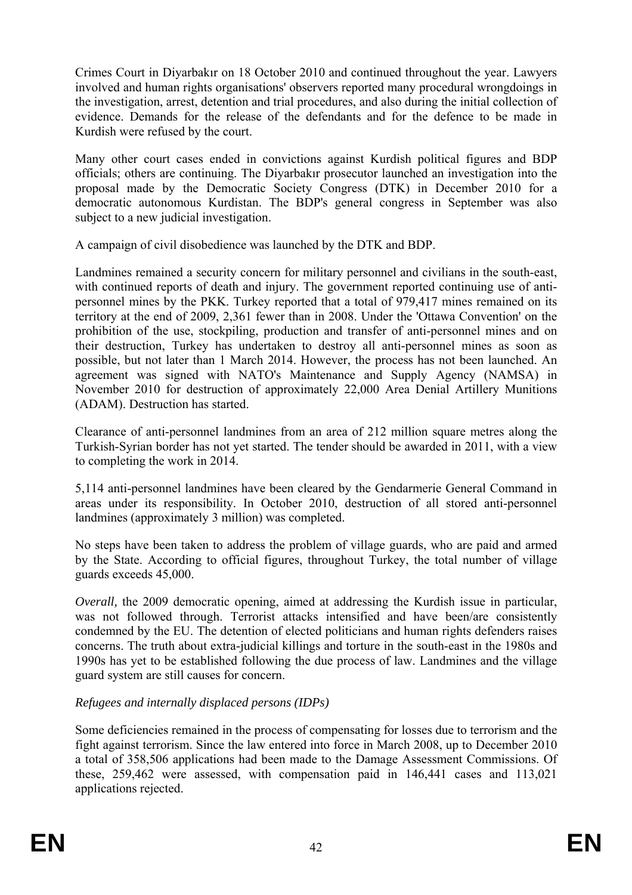Crimes Court in Diyarbakır on 18 October 2010 and continued throughout the year. Lawyers involved and human rights organisations' observers reported many procedural wrongdoings in the investigation, arrest, detention and trial procedures, and also during the initial collection of evidence. Demands for the release of the defendants and for the defence to be made in Kurdish were refused by the court.

Many other court cases ended in convictions against Kurdish political figures and BDP officials; others are continuing. The Diyarbakır prosecutor launched an investigation into the proposal made by the Democratic Society Congress (DTK) in December 2010 for a democratic autonomous Kurdistan. The BDP's general congress in September was also subject to a new judicial investigation.

A campaign of civil disobedience was launched by the DTK and BDP.

Landmines remained a security concern for military personnel and civilians in the south-east, with continued reports of death and injury. The government reported continuing use of antipersonnel mines by the PKK. Turkey reported that a total of 979,417 mines remained on its territory at the end of 2009, 2,361 fewer than in 2008. Under the 'Ottawa Convention' on the prohibition of the use, stockpiling, production and transfer of anti-personnel mines and on their destruction, Turkey has undertaken to destroy all anti-personnel mines as soon as possible, but not later than 1 March 2014. However, the process has not been launched. An agreement was signed with NATO's Maintenance and Supply Agency (NAMSA) in November 2010 for destruction of approximately 22,000 Area Denial Artillery Munitions (ADAM). Destruction has started.

Clearance of anti-personnel landmines from an area of 212 million square metres along the Turkish-Syrian border has not yet started. The tender should be awarded in 2011, with a view to completing the work in 2014.

5,114 anti-personnel landmines have been cleared by the Gendarmerie General Command in areas under its responsibility. In October 2010, destruction of all stored anti-personnel landmines (approximately 3 million) was completed.

No steps have been taken to address the problem of village guards, who are paid and armed by the State. According to official figures, throughout Turkey, the total number of village guards exceeds 45,000.

*Overall*, the 2009 democratic opening, aimed at addressing the Kurdish issue in particular, was not followed through. Terrorist attacks intensified and have been/are consistently condemned by the EU. The detention of elected politicians and human rights defenders raises concerns. The truth about extra-judicial killings and torture in the south-east in the 1980s and 1990s has yet to be established following the due process of law. Landmines and the village guard system are still causes for concern.

# *Refugees and internally displaced persons (IDPs)*

Some deficiencies remained in the process of compensating for losses due to terrorism and the fight against terrorism. Since the law entered into force in March 2008, up to December 2010 a total of 358,506 applications had been made to the Damage Assessment Commissions. Of these, 259,462 were assessed, with compensation paid in 146,441 cases and 113,021 applications rejected.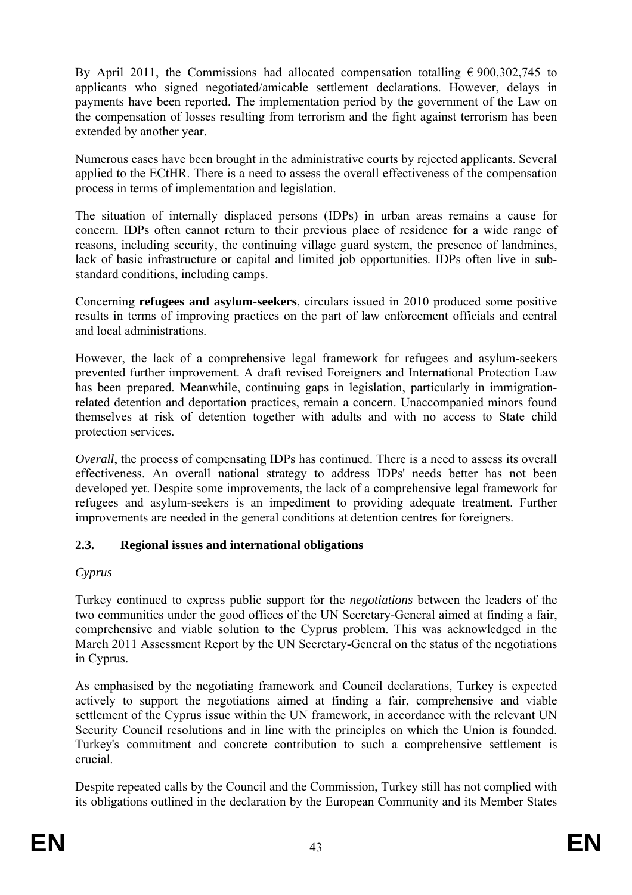By April 2011, the Commissions had allocated compensation totalling  $\epsilon$  900,302,745 to applicants who signed negotiated/amicable settlement declarations. However, delays in payments have been reported. The implementation period by the government of the Law on the compensation of losses resulting from terrorism and the fight against terrorism has been extended by another year.

Numerous cases have been brought in the administrative courts by rejected applicants. Several applied to the ECtHR. There is a need to assess the overall effectiveness of the compensation process in terms of implementation and legislation.

The situation of internally displaced persons (IDPs) in urban areas remains a cause for concern. IDPs often cannot return to their previous place of residence for a wide range of reasons, including security, the continuing village guard system, the presence of landmines, lack of basic infrastructure or capital and limited job opportunities. IDPs often live in substandard conditions, including camps.

Concerning **refugees and asylum-seekers**, circulars issued in 2010 produced some positive results in terms of improving practices on the part of law enforcement officials and central and local administrations.

However, the lack of a comprehensive legal framework for refugees and asylum-seekers prevented further improvement. A draft revised Foreigners and International Protection Law has been prepared. Meanwhile, continuing gaps in legislation, particularly in immigrationrelated detention and deportation practices, remain a concern. Unaccompanied minors found themselves at risk of detention together with adults and with no access to State child protection services.

*Overall*, the process of compensating IDPs has continued. There is a need to assess its overall effectiveness. An overall national strategy to address IDPs' needs better has not been developed yet. Despite some improvements, the lack of a comprehensive legal framework for refugees and asylum-seekers is an impediment to providing adequate treatment. Further improvements are needed in the general conditions at detention centres for foreigners.

## **2.3. Regional issues and international obligations**

## *Cyprus*

Turkey continued to express public support for the *negotiations* between the leaders of the two communities under the good offices of the UN Secretary-General aimed at finding a fair, comprehensive and viable solution to the Cyprus problem. This was acknowledged in the March 2011 Assessment Report by the UN Secretary-General on the status of the negotiations in Cyprus.

As emphasised by the negotiating framework and Council declarations, Turkey is expected actively to support the negotiations aimed at finding a fair, comprehensive and viable settlement of the Cyprus issue within the UN framework, in accordance with the relevant UN Security Council resolutions and in line with the principles on which the Union is founded. Turkey's commitment and concrete contribution to such a comprehensive settlement is crucial.

Despite repeated calls by the Council and the Commission, Turkey still has not complied with its obligations outlined in the declaration by the European Community and its Member States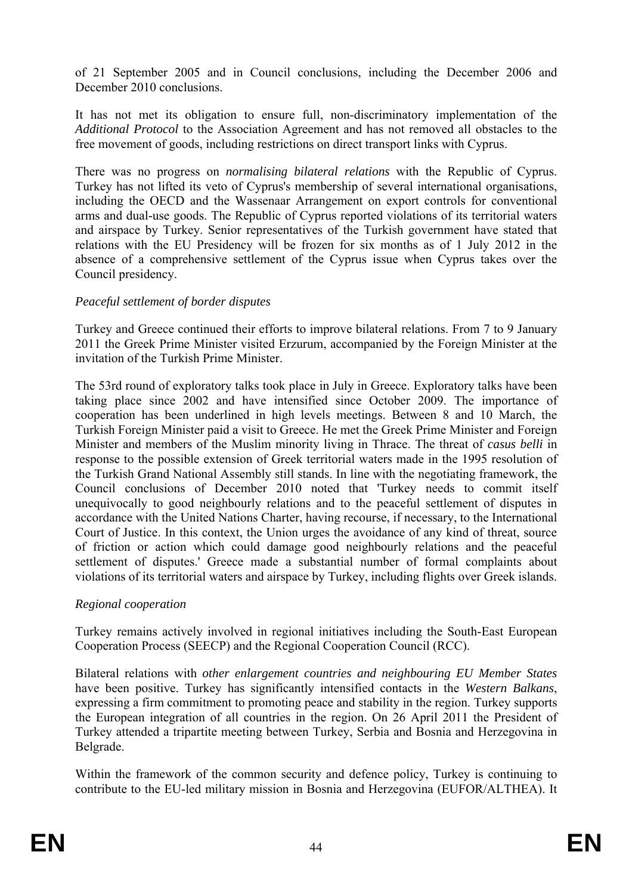of 21 September 2005 and in Council conclusions, including the December 2006 and December 2010 conclusions.

It has not met its obligation to ensure full, non-discriminatory implementation of the *Additional Protocol* to the Association Agreement and has not removed all obstacles to the free movement of goods, including restrictions on direct transport links with Cyprus.

There was no progress on *normalising bilateral relations* with the Republic of Cyprus. Turkey has not lifted its veto of Cyprus's membership of several international organisations, including the OECD and the Wassenaar Arrangement on export controls for conventional arms and dual-use goods. The Republic of Cyprus reported violations of its territorial waters and airspace by Turkey. Senior representatives of the Turkish government have stated that relations with the EU Presidency will be frozen for six months as of 1 July 2012 in the absence of a comprehensive settlement of the Cyprus issue when Cyprus takes over the Council presidency.

## *Peaceful settlement of border disputes*

Turkey and Greece continued their efforts to improve bilateral relations. From 7 to 9 January 2011 the Greek Prime Minister visited Erzurum, accompanied by the Foreign Minister at the invitation of the Turkish Prime Minister.

The 53rd round of exploratory talks took place in July in Greece. Exploratory talks have been taking place since 2002 and have intensified since October 2009. The importance of cooperation has been underlined in high levels meetings. Between 8 and 10 March, the Turkish Foreign Minister paid a visit to Greece. He met the Greek Prime Minister and Foreign Minister and members of the Muslim minority living in Thrace. The threat of *casus belli* in response to the possible extension of Greek territorial waters made in the 1995 resolution of the Turkish Grand National Assembly still stands. In line with the negotiating framework, the Council conclusions of December 2010 noted that 'Turkey needs to commit itself unequivocally to good neighbourly relations and to the peaceful settlement of disputes in accordance with the United Nations Charter, having recourse, if necessary, to the International Court of Justice. In this context, the Union urges the avoidance of any kind of threat, source of friction or action which could damage good neighbourly relations and the peaceful settlement of disputes.' Greece made a substantial number of formal complaints about violations of its territorial waters and airspace by Turkey, including flights over Greek islands.

## *Regional cooperation*

Turkey remains actively involved in regional initiatives including the South-East European Cooperation Process (SEECP) and the Regional Cooperation Council (RCC).

Bilateral relations with *other enlargement countries and neighbouring EU Member States* have been positive. Turkey has significantly intensified contacts in the *Western Balkans*, expressing a firm commitment to promoting peace and stability in the region. Turkey supports the European integration of all countries in the region. On 26 April 2011 the President of Turkey attended a tripartite meeting between Turkey, Serbia and Bosnia and Herzegovina in Belgrade.

Within the framework of the common security and defence policy, Turkey is continuing to contribute to the EU-led military mission in Bosnia and Herzegovina (EUFOR/ALTHEA). It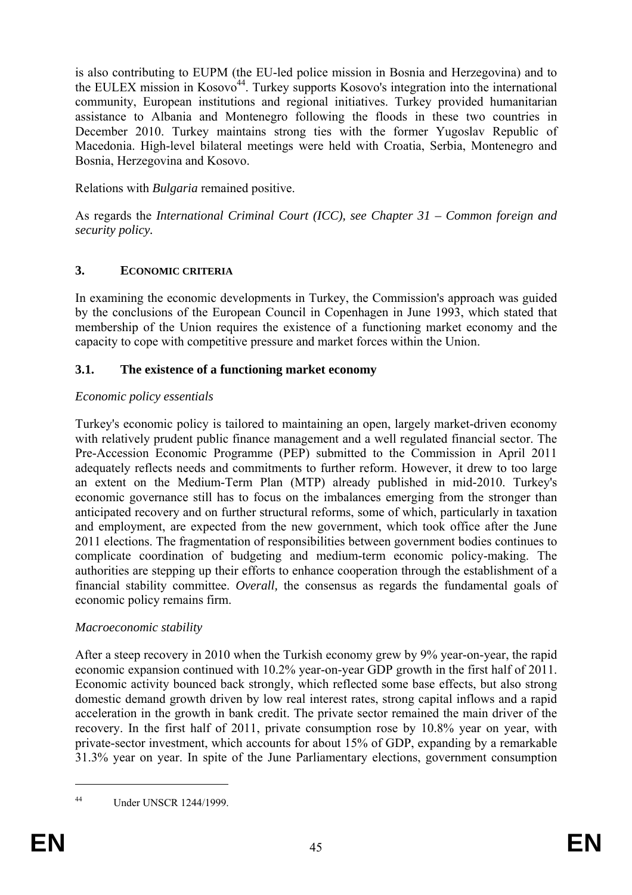is also contributing to EUPM (the EU-led police mission in Bosnia and Herzegovina) and to the EULEX mission in Kosovo<sup>44</sup>. Turkey supports Kosovo's integration into the international community, European institutions and regional initiatives. Turkey provided humanitarian assistance to Albania and Montenegro following the floods in these two countries in December 2010. Turkey maintains strong ties with the former Yugoslav Republic of Macedonia. High-level bilateral meetings were held with Croatia, Serbia, Montenegro and Bosnia, Herzegovina and Kosovo.

Relations with *Bulgaria* remained positive.

As regards the *International Criminal Court (ICC), see Chapter 31 – Common foreign and security policy.* 

## **3. ECONOMIC CRITERIA**

In examining the economic developments in Turkey, the Commission's approach was guided by the conclusions of the European Council in Copenhagen in June 1993, which stated that membership of the Union requires the existence of a functioning market economy and the capacity to cope with competitive pressure and market forces within the Union.

# **3.1. The existence of a functioning market economy**

## *Economic policy essentials*

Turkey's economic policy is tailored to maintaining an open, largely market-driven economy with relatively prudent public finance management and a well regulated financial sector. The Pre-Accession Economic Programme (PEP) submitted to the Commission in April 2011 adequately reflects needs and commitments to further reform. However, it drew to too large an extent on the Medium-Term Plan (MTP) already published in mid-2010. Turkey's economic governance still has to focus on the imbalances emerging from the stronger than anticipated recovery and on further structural reforms, some of which, particularly in taxation and employment, are expected from the new government, which took office after the June 2011 elections. The fragmentation of responsibilities between government bodies continues to complicate coordination of budgeting and medium-term economic policy-making. The authorities are stepping up their efforts to enhance cooperation through the establishment of a financial stability committee. *Overall,* the consensus as regards the fundamental goals of economic policy remains firm.

## *Macroeconomic stability*

After a steep recovery in 2010 when the Turkish economy grew by 9% year-on-year, the rapid economic expansion continued with 10.2% year-on-year GDP growth in the first half of 2011. Economic activity bounced back strongly, which reflected some base effects, but also strong domestic demand growth driven by low real interest rates, strong capital inflows and a rapid acceleration in the growth in bank credit. The private sector remained the main driver of the recovery. In the first half of 2011, private consumption rose by 10.8% year on year, with private-sector investment, which accounts for about 15% of GDP, expanding by a remarkable 31.3% year on year. In spite of the June Parliamentary elections, government consumption

1

<sup>44</sup> Under UNSCR 1244/1999.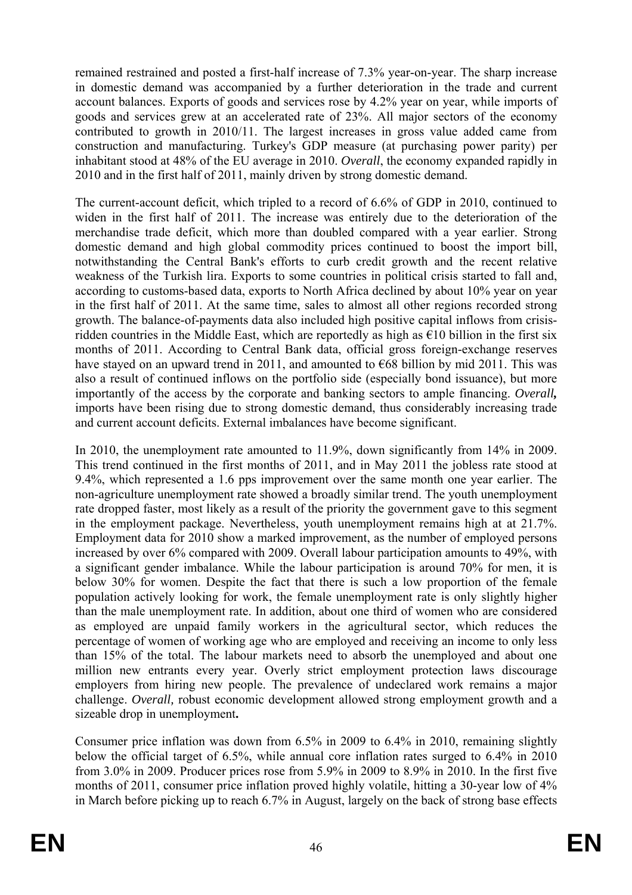remained restrained and posted a first-half increase of 7.3% year-on-year. The sharp increase in domestic demand was accompanied by a further deterioration in the trade and current account balances. Exports of goods and services rose by 4.2% year on year, while imports of goods and services grew at an accelerated rate of 23%. All major sectors of the economy contributed to growth in 2010/11. The largest increases in gross value added came from construction and manufacturing. Turkey's GDP measure (at purchasing power parity) per inhabitant stood at 48% of the EU average in 2010. *Overall*, the economy expanded rapidly in 2010 and in the first half of 2011, mainly driven by strong domestic demand.

The current-account deficit, which tripled to a record of 6.6% of GDP in 2010, continued to widen in the first half of 2011. The increase was entirely due to the deterioration of the merchandise trade deficit, which more than doubled compared with a year earlier. Strong domestic demand and high global commodity prices continued to boost the import bill, notwithstanding the Central Bank's efforts to curb credit growth and the recent relative weakness of the Turkish lira. Exports to some countries in political crisis started to fall and, according to customs-based data, exports to North Africa declined by about 10% year on year in the first half of 2011. At the same time, sales to almost all other regions recorded strong growth. The balance-of-payments data also included high positive capital inflows from crisisridden countries in the Middle East, which are reportedly as high as  $\hat{\epsilon}$ 10 billion in the first six months of 2011. According to Central Bank data, official gross foreign-exchange reserves have stayed on an upward trend in 2011, and amounted to  $668$  billion by mid 2011. This was also a result of continued inflows on the portfolio side (especially bond issuance), but more importantly of the access by the corporate and banking sectors to ample financing. *Overall,* imports have been rising due to strong domestic demand, thus considerably increasing trade and current account deficits. External imbalances have become significant.

In 2010, the unemployment rate amounted to 11.9%, down significantly from 14% in 2009. This trend continued in the first months of 2011, and in May 2011 the jobless rate stood at 9.4%, which represented a 1.6 pps improvement over the same month one year earlier. The non-agriculture unemployment rate showed a broadly similar trend. The youth unemployment rate dropped faster, most likely as a result of the priority the government gave to this segment in the employment package. Nevertheless, youth unemployment remains high at at 21.7%. Employment data for 2010 show a marked improvement, as the number of employed persons increased by over 6% compared with 2009. Overall labour participation amounts to 49%, with a significant gender imbalance. While the labour participation is around 70% for men, it is below 30% for women. Despite the fact that there is such a low proportion of the female population actively looking for work, the female unemployment rate is only slightly higher than the male unemployment rate. In addition, about one third of women who are considered as employed are unpaid family workers in the agricultural sector, which reduces the percentage of women of working age who are employed and receiving an income to only less than 15% of the total. The labour markets need to absorb the unemployed and about one million new entrants every year. Overly strict employment protection laws discourage employers from hiring new people. The prevalence of undeclared work remains a major challenge. *Overall,* robust economic development allowed strong employment growth and a sizeable drop in unemployment**.**

Consumer price inflation was down from 6.5% in 2009 to 6.4% in 2010, remaining slightly below the official target of 6.5%, while annual core inflation rates surged to 6.4% in 2010 from 3.0% in 2009. Producer prices rose from 5.9% in 2009 to 8.9% in 2010. In the first five months of 2011, consumer price inflation proved highly volatile, hitting a 30-year low of 4% in March before picking up to reach 6.7% in August, largely on the back of strong base effects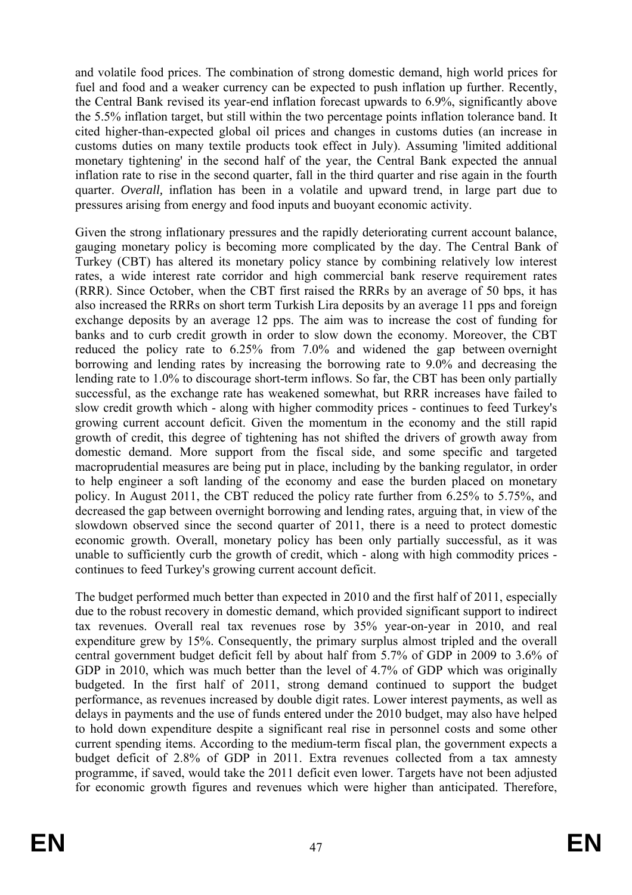and volatile food prices. The combination of strong domestic demand, high world prices for fuel and food and a weaker currency can be expected to push inflation up further. Recently, the Central Bank revised its year-end inflation forecast upwards to 6.9%, significantly above the 5.5% inflation target, but still within the two percentage points inflation tolerance band. It cited higher-than-expected global oil prices and changes in customs duties (an increase in customs duties on many textile products took effect in July). Assuming 'limited additional monetary tightening' in the second half of the year, the Central Bank expected the annual inflation rate to rise in the second quarter, fall in the third quarter and rise again in the fourth quarter. *Overall,* inflation has been in a volatile and upward trend, in large part due to pressures arising from energy and food inputs and buoyant economic activity.

Given the strong inflationary pressures and the rapidly deteriorating current account balance, gauging monetary policy is becoming more complicated by the day. The Central Bank of Turkey (CBT) has altered its monetary policy stance by combining relatively low interest rates, a wide interest rate corridor and high commercial bank reserve requirement rates (RRR). Since October, when the CBT first raised the RRRs by an average of 50 bps, it has also increased the RRRs on short term Turkish Lira deposits by an average 11 pps and foreign exchange deposits by an average 12 pps. The aim was to increase the cost of funding for banks and to curb credit growth in order to slow down the economy. Moreover, the CBT reduced the policy rate to 6.25% from 7.0% and widened the gap between overnight borrowing and lending rates by increasing the borrowing rate to 9.0% and decreasing the lending rate to 1.0% to discourage short-term inflows. So far, the CBT has been only partially successful, as the exchange rate has weakened somewhat, but RRR increases have failed to slow credit growth which - along with higher commodity prices - continues to feed Turkey's growing current account deficit. Given the momentum in the economy and the still rapid growth of credit, this degree of tightening has not shifted the drivers of growth away from domestic demand. More support from the fiscal side, and some specific and targeted macroprudential measures are being put in place, including by the banking regulator, in order to help engineer a soft landing of the economy and ease the burden placed on monetary policy. In August 2011, the CBT reduced the policy rate further from 6.25% to 5.75%, and decreased the gap between overnight borrowing and lending rates, arguing that, in view of the slowdown observed since the second quarter of 2011, there is a need to protect domestic economic growth. Overall, monetary policy has been only partially successful, as it was unable to sufficiently curb the growth of credit, which - along with high commodity prices continues to feed Turkey's growing current account deficit.

The budget performed much better than expected in 2010 and the first half of 2011, especially due to the robust recovery in domestic demand, which provided significant support to indirect tax revenues. Overall real tax revenues rose by 35% year-on-year in 2010, and real expenditure grew by 15%. Consequently, the primary surplus almost tripled and the overall central government budget deficit fell by about half from 5.7% of GDP in 2009 to 3.6% of GDP in 2010, which was much better than the level of 4.7% of GDP which was originally budgeted. In the first half of 2011, strong demand continued to support the budget performance, as revenues increased by double digit rates. Lower interest payments, as well as delays in payments and the use of funds entered under the 2010 budget, may also have helped to hold down expenditure despite a significant real rise in personnel costs and some other current spending items. According to the medium-term fiscal plan, the government expects a budget deficit of 2.8% of GDP in 2011. Extra revenues collected from a tax amnesty programme, if saved, would take the 2011 deficit even lower. Targets have not been adjusted for economic growth figures and revenues which were higher than anticipated. Therefore,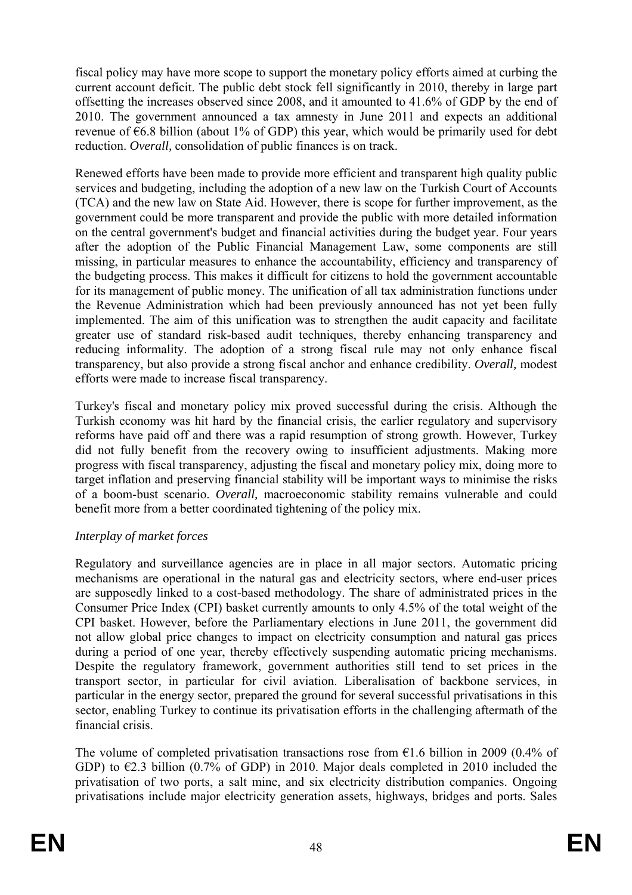fiscal policy may have more scope to support the monetary policy efforts aimed at curbing the current account deficit. The public debt stock fell significantly in 2010, thereby in large part offsetting the increases observed since 2008, and it amounted to 41.6% of GDP by the end of 2010. The government announced a tax amnesty in June 2011 and expects an additional revenue of  $66.8$  billion (about 1% of GDP) this year, which would be primarily used for debt reduction. *Overall,* consolidation of public finances is on track.

Renewed efforts have been made to provide more efficient and transparent high quality public services and budgeting, including the adoption of a new law on the Turkish Court of Accounts (TCA) and the new law on State Aid. However, there is scope for further improvement, as the government could be more transparent and provide the public with more detailed information on the central government's budget and financial activities during the budget year. Four years after the adoption of the Public Financial Management Law, some components are still missing, in particular measures to enhance the accountability, efficiency and transparency of the budgeting process. This makes it difficult for citizens to hold the government accountable for its management of public money. The unification of all tax administration functions under the Revenue Administration which had been previously announced has not yet been fully implemented. The aim of this unification was to strengthen the audit capacity and facilitate greater use of standard risk-based audit techniques, thereby enhancing transparency and reducing informality. The adoption of a strong fiscal rule may not only enhance fiscal transparency, but also provide a strong fiscal anchor and enhance credibility. *Overall,* modest efforts were made to increase fiscal transparency.

Turkey's fiscal and monetary policy mix proved successful during the crisis. Although the Turkish economy was hit hard by the financial crisis, the earlier regulatory and supervisory reforms have paid off and there was a rapid resumption of strong growth. However, Turkey did not fully benefit from the recovery owing to insufficient adjustments. Making more progress with fiscal transparency, adjusting the fiscal and monetary policy mix, doing more to target inflation and preserving financial stability will be important ways to minimise the risks of a boom-bust scenario. *Overall,* macroeconomic stability remains vulnerable and could benefit more from a better coordinated tightening of the policy mix.

## *Interplay of market forces*

Regulatory and surveillance agencies are in place in all major sectors. Automatic pricing mechanisms are operational in the natural gas and electricity sectors, where end-user prices are supposedly linked to a cost-based methodology. The share of administrated prices in the Consumer Price Index (CPI) basket currently amounts to only 4.5% of the total weight of the CPI basket. However, before the Parliamentary elections in June 2011, the government did not allow global price changes to impact on electricity consumption and natural gas prices during a period of one year, thereby effectively suspending automatic pricing mechanisms. Despite the regulatory framework, government authorities still tend to set prices in the transport sector, in particular for civil aviation. Liberalisation of backbone services, in particular in the energy sector, prepared the ground for several successful privatisations in this sector, enabling Turkey to continue its privatisation efforts in the challenging aftermath of the financial crisis.

The volume of completed privatisation transactions rose from  $\epsilon$ 1.6 billion in 2009 (0.4% of GDP) to  $\epsilon$ 2.3 billion (0.7% of GDP) in 2010. Major deals completed in 2010 included the privatisation of two ports, a salt mine, and six electricity distribution companies. Ongoing privatisations include major electricity generation assets, highways, bridges and ports. Sales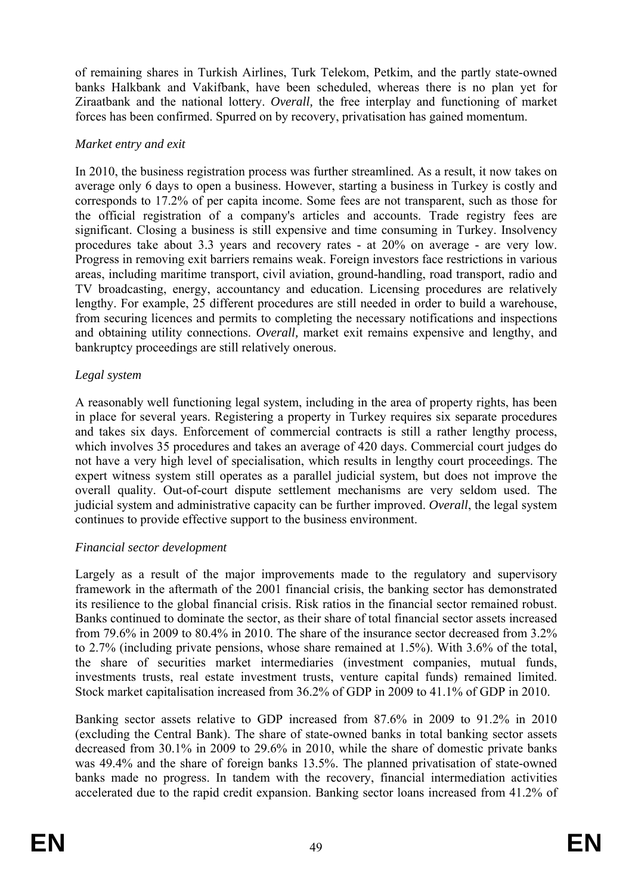of remaining shares in Turkish Airlines, Turk Telekom, Petkim, and the partly state-owned banks Halkbank and Vakifbank, have been scheduled, whereas there is no plan yet for Ziraatbank and the national lottery. *Overall,* the free interplay and functioning of market forces has been confirmed. Spurred on by recovery, privatisation has gained momentum.

## *Market entry and exit*

In 2010, the business registration process was further streamlined. As a result, it now takes on average only 6 days to open a business. However, starting a business in Turkey is costly and corresponds to 17.2% of per capita income. Some fees are not transparent, such as those for the official registration of a company's articles and accounts. Trade registry fees are significant. Closing a business is still expensive and time consuming in Turkey. Insolvency procedures take about 3.3 years and recovery rates - at 20% on average - are very low. Progress in removing exit barriers remains weak. Foreign investors face restrictions in various areas, including maritime transport, civil aviation, ground-handling, road transport, radio and TV broadcasting, energy, accountancy and education. Licensing procedures are relatively lengthy. For example, 25 different procedures are still needed in order to build a warehouse, from securing licences and permits to completing the necessary notifications and inspections and obtaining utility connections. *Overall,* market exit remains expensive and lengthy, and bankruptcy proceedings are still relatively onerous.

## *Legal system*

A reasonably well functioning legal system, including in the area of property rights, has been in place for several years. Registering a property in Turkey requires six separate procedures and takes six days. Enforcement of commercial contracts is still a rather lengthy process, which involves 35 procedures and takes an average of 420 days. Commercial court judges do not have a very high level of specialisation, which results in lengthy court proceedings. The expert witness system still operates as a parallel judicial system, but does not improve the overall quality. Out-of-court dispute settlement mechanisms are very seldom used. The judicial system and administrative capacity can be further improved. *Overall*, the legal system continues to provide effective support to the business environment.

## *Financial sector development*

Largely as a result of the major improvements made to the regulatory and supervisory framework in the aftermath of the 2001 financial crisis, the banking sector has demonstrated its resilience to the global financial crisis. Risk ratios in the financial sector remained robust. Banks continued to dominate the sector, as their share of total financial sector assets increased from 79.6% in 2009 to 80.4% in 2010. The share of the insurance sector decreased from 3.2% to 2.7% (including private pensions, whose share remained at 1.5%). With 3.6% of the total, the share of securities market intermediaries (investment companies, mutual funds, investments trusts, real estate investment trusts, venture capital funds) remained limited. Stock market capitalisation increased from 36.2% of GDP in 2009 to 41.1% of GDP in 2010.

Banking sector assets relative to GDP increased from 87.6% in 2009 to 91.2% in 2010 (excluding the Central Bank). The share of state-owned banks in total banking sector assets decreased from 30.1% in 2009 to 29.6% in 2010, while the share of domestic private banks was 49.4% and the share of foreign banks 13.5%. The planned privatisation of state-owned banks made no progress. In tandem with the recovery, financial intermediation activities accelerated due to the rapid credit expansion. Banking sector loans increased from 41.2% of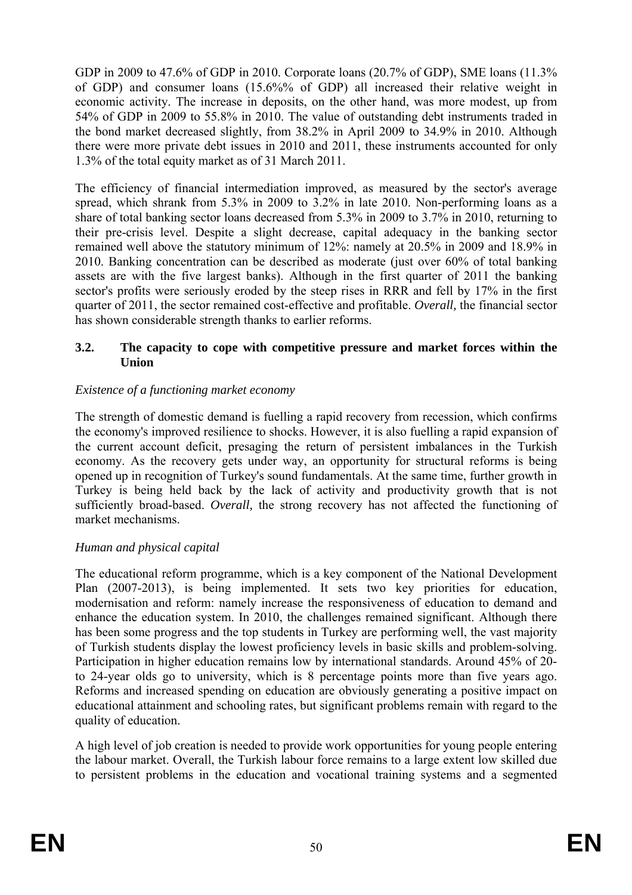GDP in 2009 to 47.6% of GDP in 2010. Corporate loans (20.7% of GDP), SME loans (11.3% of GDP) and consumer loans (15.6%% of GDP) all increased their relative weight in economic activity. The increase in deposits, on the other hand, was more modest, up from 54% of GDP in 2009 to 55.8% in 2010. The value of outstanding debt instruments traded in the bond market decreased slightly, from 38.2% in April 2009 to 34.9% in 2010. Although there were more private debt issues in 2010 and 2011, these instruments accounted for only 1.3% of the total equity market as of 31 March 2011.

The efficiency of financial intermediation improved, as measured by the sector's average spread, which shrank from 5.3% in 2009 to 3.2% in late 2010. Non-performing loans as a share of total banking sector loans decreased from 5.3% in 2009 to 3.7% in 2010, returning to their pre-crisis level. Despite a slight decrease, capital adequacy in the banking sector remained well above the statutory minimum of 12%: namely at 20.5% in 2009 and 18.9% in 2010. Banking concentration can be described as moderate (just over 60% of total banking assets are with the five largest banks). Although in the first quarter of 2011 the banking sector's profits were seriously eroded by the steep rises in RRR and fell by 17% in the first quarter of 2011, the sector remained cost-effective and profitable. *Overall,* the financial sector has shown considerable strength thanks to earlier reforms.

#### **3.2. The capacity to cope with competitive pressure and market forces within the Union**

## *Existence of a functioning market economy*

The strength of domestic demand is fuelling a rapid recovery from recession, which confirms the economy's improved resilience to shocks. However, it is also fuelling a rapid expansion of the current account deficit, presaging the return of persistent imbalances in the Turkish economy. As the recovery gets under way, an opportunity for structural reforms is being opened up in recognition of Turkey's sound fundamentals. At the same time, further growth in Turkey is being held back by the lack of activity and productivity growth that is not sufficiently broad-based. *Overall,* the strong recovery has not affected the functioning of market mechanisms.

## *Human and physical capital*

The educational reform programme, which is a key component of the National Development Plan (2007-2013), is being implemented. It sets two key priorities for education, modernisation and reform: namely increase the responsiveness of education to demand and enhance the education system. In 2010, the challenges remained significant. Although there has been some progress and the top students in Turkey are performing well, the vast majority of Turkish students display the lowest proficiency levels in basic skills and problem-solving. Participation in higher education remains low by international standards. Around 45% of 20 to 24-year olds go to university, which is 8 percentage points more than five years ago. Reforms and increased spending on education are obviously generating a positive impact on educational attainment and schooling rates, but significant problems remain with regard to the quality of education.

A high level of job creation is needed to provide work opportunities for young people entering the labour market. Overall, the Turkish labour force remains to a large extent low skilled due to persistent problems in the education and vocational training systems and a segmented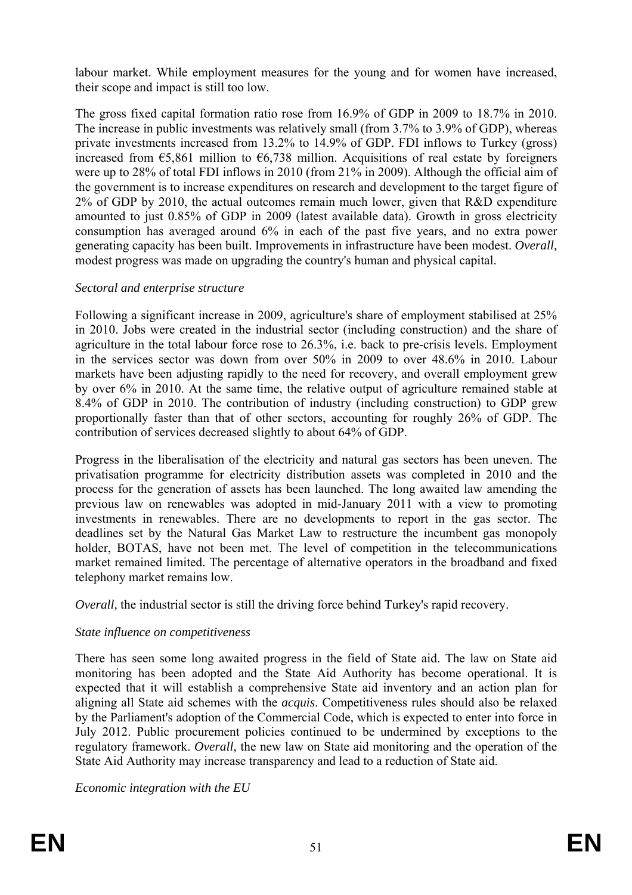labour market. While employment measures for the young and for women have increased, their scope and impact is still too low.

The gross fixed capital formation ratio rose from 16.9% of GDP in 2009 to 18.7% in 2010. The increase in public investments was relatively small (from 3.7% to 3.9% of GDP), whereas private investments increased from 13.2% to 14.9% of GDP. FDI inflows to Turkey (gross) increased from  $\epsilon$ 5,861 million to  $\epsilon$ 6,738 million. Acquisitions of real estate by foreigners were up to 28% of total FDI inflows in 2010 (from 21% in 2009). Although the official aim of the government is to increase expenditures on research and development to the target figure of 2% of GDP by 2010, the actual outcomes remain much lower, given that R&D expenditure amounted to just 0.85% of GDP in 2009 (latest available data). Growth in gross electricity consumption has averaged around 6% in each of the past five years, and no extra power generating capacity has been built. Improvements in infrastructure have been modest. *Overall,*  modest progress was made on upgrading the country's human and physical capital.

## *Sectoral and enterprise structure*

Following a significant increase in 2009, agriculture's share of employment stabilised at 25% in 2010. Jobs were created in the industrial sector (including construction) and the share of agriculture in the total labour force rose to 26.3%, i.e. back to pre-crisis levels. Employment in the services sector was down from over 50% in 2009 to over 48.6% in 2010. Labour markets have been adjusting rapidly to the need for recovery, and overall employment grew by over 6% in 2010. At the same time, the relative output of agriculture remained stable at 8.4% of GDP in 2010. The contribution of industry (including construction) to GDP grew proportionally faster than that of other sectors, accounting for roughly 26% of GDP. The contribution of services decreased slightly to about 64% of GDP.

Progress in the liberalisation of the electricity and natural gas sectors has been uneven. The privatisation programme for electricity distribution assets was completed in 2010 and the process for the generation of assets has been launched. The long awaited law amending the previous law on renewables was adopted in mid-January 2011 with a view to promoting investments in renewables. There are no developments to report in the gas sector. The deadlines set by the Natural Gas Market Law to restructure the incumbent gas monopoly holder, BOTAS, have not been met. The level of competition in the telecommunications market remained limited. The percentage of alternative operators in the broadband and fixed telephony market remains low.

*Overall,* the industrial sector is still the driving force behind Turkey's rapid recovery.

## *State influence on competitiveness*

There has seen some long awaited progress in the field of State aid. The law on State aid monitoring has been adopted and the State Aid Authority has become operational. It is expected that it will establish a comprehensive State aid inventory and an action plan for aligning all State aid schemes with the *acquis*. Competitiveness rules should also be relaxed by the Parliament's adoption of the Commercial Code, which is expected to enter into force in July 2012. Public procurement policies continued to be undermined by exceptions to the regulatory framework. *Overall,* the new law on State aid monitoring and the operation of the State Aid Authority may increase transparency and lead to a reduction of State aid.

*Economic integration with the EU*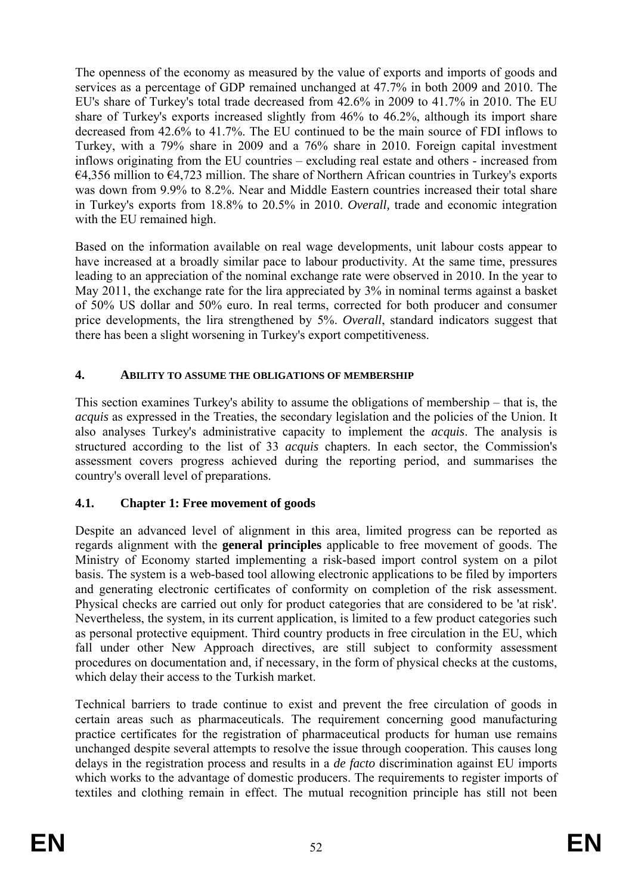The openness of the economy as measured by the value of exports and imports of goods and services as a percentage of GDP remained unchanged at 47.7% in both 2009 and 2010. The EU's share of Turkey's total trade decreased from 42.6% in 2009 to 41.7% in 2010. The EU share of Turkey's exports increased slightly from 46% to 46.2%, although its import share decreased from 42.6% to 41.7%. The EU continued to be the main source of FDI inflows to Turkey, with a 79% share in 2009 and a 76% share in 2010. Foreign capital investment inflows originating from the EU countries – excluding real estate and others - increased from  $€4.356$  million to  $€4.723$  million. The share of Northern African countries in Turkey's exports was down from 9.9% to 8.2%. Near and Middle Eastern countries increased their total share in Turkey's exports from 18.8% to 20.5% in 2010. *Overall,* trade and economic integration with the EU remained high.

Based on the information available on real wage developments, unit labour costs appear to have increased at a broadly similar pace to labour productivity. At the same time, pressures leading to an appreciation of the nominal exchange rate were observed in 2010. In the year to May 2011, the exchange rate for the lira appreciated by 3% in nominal terms against a basket of 50% US dollar and 50% euro. In real terms, corrected for both producer and consumer price developments, the lira strengthened by 5%. *Overall*, standard indicators suggest that there has been a slight worsening in Turkey's export competitiveness.

## **4. ABILITY TO ASSUME THE OBLIGATIONS OF MEMBERSHIP**

This section examines Turkey's ability to assume the obligations of membership – that is, the *acquis* as expressed in the Treaties, the secondary legislation and the policies of the Union. It also analyses Turkey's administrative capacity to implement the *acquis*. The analysis is structured according to the list of 33 *acquis* chapters. In each sector, the Commission's assessment covers progress achieved during the reporting period, and summarises the country's overall level of preparations.

# **4.1. Chapter 1: Free movement of goods**

Despite an advanced level of alignment in this area, limited progress can be reported as regards alignment with the **general principles** applicable to free movement of goods. The Ministry of Economy started implementing a risk-based import control system on a pilot basis. The system is a web-based tool allowing electronic applications to be filed by importers and generating electronic certificates of conformity on completion of the risk assessment. Physical checks are carried out only for product categories that are considered to be 'at risk'. Nevertheless, the system, in its current application, is limited to a few product categories such as personal protective equipment. Third country products in free circulation in the EU, which fall under other New Approach directives, are still subject to conformity assessment procedures on documentation and, if necessary, in the form of physical checks at the customs, which delay their access to the Turkish market.

Technical barriers to trade continue to exist and prevent the free circulation of goods in certain areas such as pharmaceuticals. The requirement concerning good manufacturing practice certificates for the registration of pharmaceutical products for human use remains unchanged despite several attempts to resolve the issue through cooperation. This causes long delays in the registration process and results in a *de facto* discrimination against EU imports which works to the advantage of domestic producers. The requirements to register imports of textiles and clothing remain in effect. The mutual recognition principle has still not been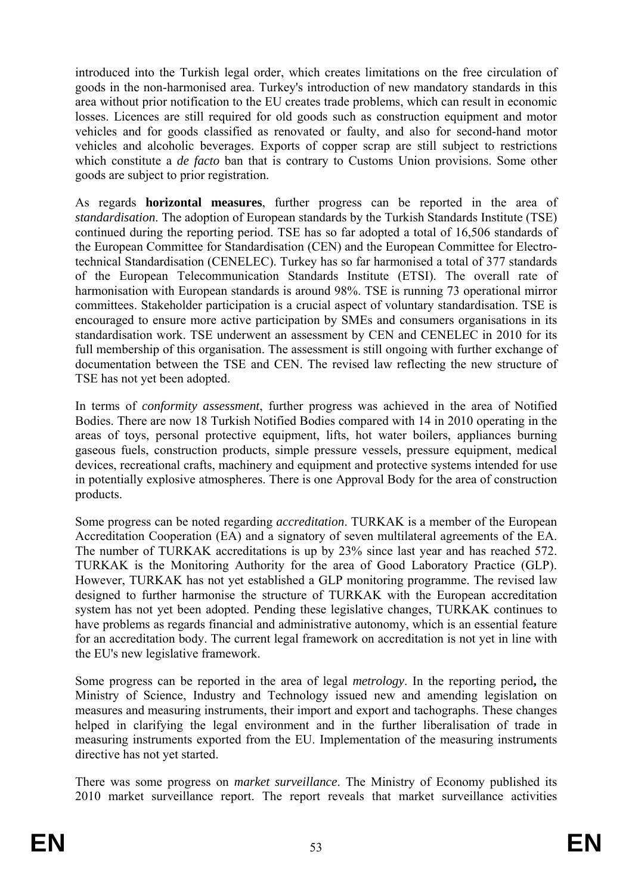introduced into the Turkish legal order, which creates limitations on the free circulation of goods in the non-harmonised area. Turkey's introduction of new mandatory standards in this area without prior notification to the EU creates trade problems, which can result in economic losses. Licences are still required for old goods such as construction equipment and motor vehicles and for goods classified as renovated or faulty, and also for second-hand motor vehicles and alcoholic beverages. Exports of copper scrap are still subject to restrictions which constitute a *de facto* ban that is contrary to Customs Union provisions. Some other goods are subject to prior registration.

As regards **horizontal measures**, further progress can be reported in the area of *standardisation*. The adoption of European standards by the Turkish Standards Institute (TSE) continued during the reporting period. TSE has so far adopted a total of 16,506 standards of the European Committee for Standardisation (CEN) and the European Committee for Electrotechnical Standardisation (CENELEC). Turkey has so far harmonised a total of 377 standards of the European Telecommunication Standards Institute (ETSI). The overall rate of harmonisation with European standards is around 98%. TSE is running 73 operational mirror committees. Stakeholder participation is a crucial aspect of voluntary standardisation. TSE is encouraged to ensure more active participation by SMEs and consumers organisations in its standardisation work. TSE underwent an assessment by CEN and CENELEC in 2010 for its full membership of this organisation. The assessment is still ongoing with further exchange of documentation between the TSE and CEN. The revised law reflecting the new structure of TSE has not yet been adopted.

In terms of *conformity assessment*, further progress was achieved in the area of Notified Bodies. There are now 18 Turkish Notified Bodies compared with 14 in 2010 operating in the areas of toys, personal protective equipment, lifts, hot water boilers, appliances burning gaseous fuels, construction products, simple pressure vessels, pressure equipment, medical devices, recreational crafts, machinery and equipment and protective systems intended for use in potentially explosive atmospheres. There is one Approval Body for the area of construction products.

Some progress can be noted regarding *accreditation*. TURKAK is a member of the European Accreditation Cooperation (EA) and a signatory of seven multilateral agreements of the EA. The number of TURKAK accreditations is up by 23% since last year and has reached 572. TURKAK is the Monitoring Authority for the area of Good Laboratory Practice (GLP). However, TURKAK has not yet established a GLP monitoring programme. The revised law designed to further harmonise the structure of TURKAK with the European accreditation system has not yet been adopted. Pending these legislative changes, TURKAK continues to have problems as regards financial and administrative autonomy, which is an essential feature for an accreditation body. The current legal framework on accreditation is not yet in line with the EU's new legislative framework.

Some progress can be reported in the area of legal *metrology*. In the reporting period**,** the Ministry of Science, Industry and Technology issued new and amending legislation on measures and measuring instruments, their import and export and tachographs. These changes helped in clarifying the legal environment and in the further liberalisation of trade in measuring instruments exported from the EU. Implementation of the measuring instruments directive has not yet started.

There was some progress on *market surveillance*. The Ministry of Economy published its 2010 market surveillance report. The report reveals that market surveillance activities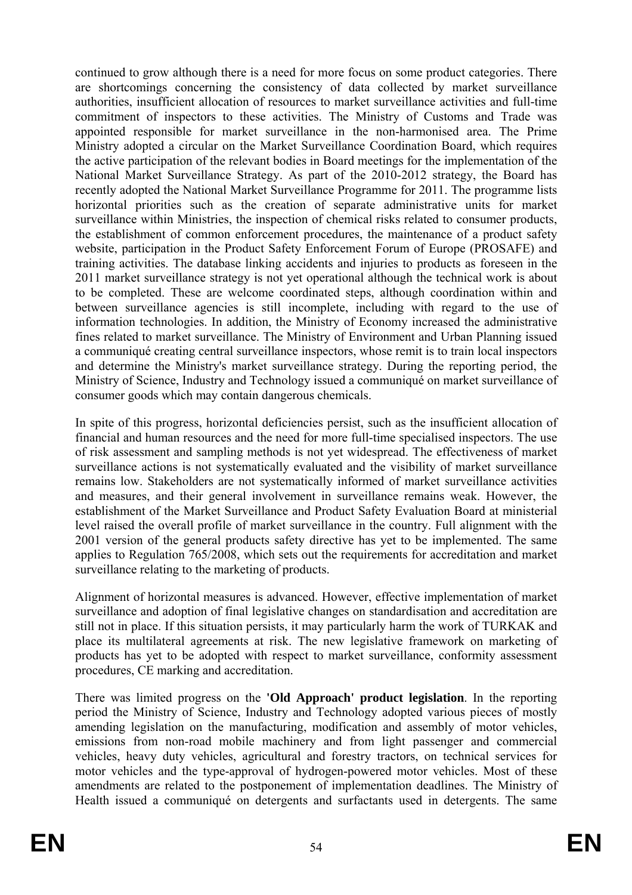continued to grow although there is a need for more focus on some product categories. There are shortcomings concerning the consistency of data collected by market surveillance authorities, insufficient allocation of resources to market surveillance activities and full-time commitment of inspectors to these activities. The Ministry of Customs and Trade was appointed responsible for market surveillance in the non-harmonised area. The Prime Ministry adopted a circular on the Market Surveillance Coordination Board, which requires the active participation of the relevant bodies in Board meetings for the implementation of the National Market Surveillance Strategy. As part of the 2010-2012 strategy, the Board has recently adopted the National Market Surveillance Programme for 2011. The programme lists horizontal priorities such as the creation of separate administrative units for market surveillance within Ministries, the inspection of chemical risks related to consumer products, the establishment of common enforcement procedures, the maintenance of a product safety website, participation in the Product Safety Enforcement Forum of Europe (PROSAFE) and training activities. The database linking accidents and injuries to products as foreseen in the 2011 market surveillance strategy is not yet operational although the technical work is about to be completed. These are welcome coordinated steps, although coordination within and between surveillance agencies is still incomplete, including with regard to the use of information technologies. In addition, the Ministry of Economy increased the administrative fines related to market surveillance. The Ministry of Environment and Urban Planning issued a communiqué creating central surveillance inspectors, whose remit is to train local inspectors and determine the Ministry's market surveillance strategy. During the reporting period, the Ministry of Science, Industry and Technology issued a communiqué on market surveillance of consumer goods which may contain dangerous chemicals.

In spite of this progress, horizontal deficiencies persist, such as the insufficient allocation of financial and human resources and the need for more full-time specialised inspectors. The use of risk assessment and sampling methods is not yet widespread. The effectiveness of market surveillance actions is not systematically evaluated and the visibility of market surveillance remains low. Stakeholders are not systematically informed of market surveillance activities and measures, and their general involvement in surveillance remains weak. However, the establishment of the Market Surveillance and Product Safety Evaluation Board at ministerial level raised the overall profile of market surveillance in the country. Full alignment with the 2001 version of the general products safety directive has yet to be implemented. The same applies to Regulation 765/2008, which sets out the requirements for accreditation and market surveillance relating to the marketing of products.

Alignment of horizontal measures is advanced. However, effective implementation of market surveillance and adoption of final legislative changes on standardisation and accreditation are still not in place. If this situation persists, it may particularly harm the work of TURKAK and place its multilateral agreements at risk. The new legislative framework on marketing of products has yet to be adopted with respect to market surveillance, conformity assessment procedures, CE marking and accreditation.

There was limited progress on the **'Old Approach' product legislation**. In the reporting period the Ministry of Science, Industry and Technology adopted various pieces of mostly amending legislation on the manufacturing, modification and assembly of motor vehicles, emissions from non-road mobile machinery and from light passenger and commercial vehicles, heavy duty vehicles, agricultural and forestry tractors, on technical services for motor vehicles and the type-approval of hydrogen-powered motor vehicles. Most of these amendments are related to the postponement of implementation deadlines. The Ministry of Health issued a communiqué on detergents and surfactants used in detergents. The same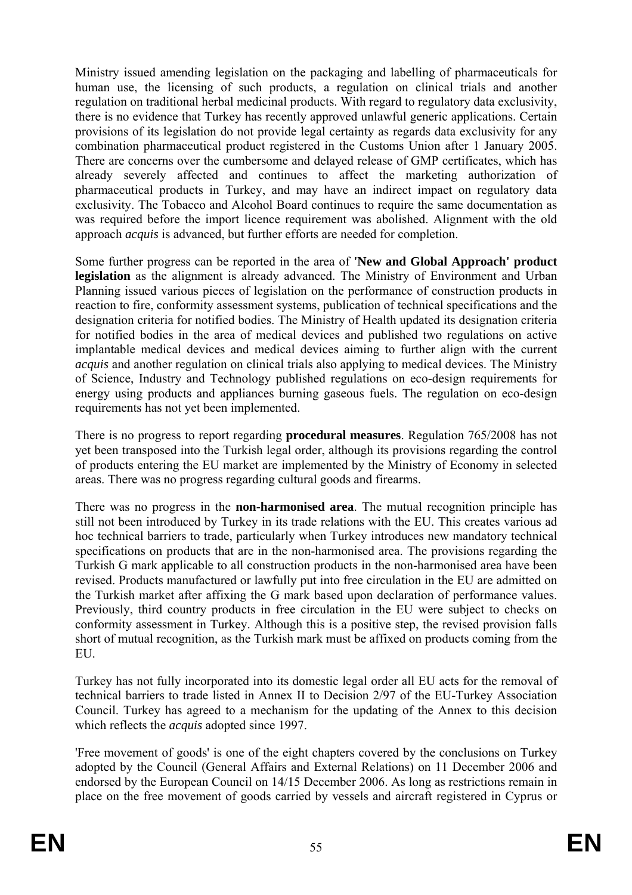Ministry issued amending legislation on the packaging and labelling of pharmaceuticals for human use, the licensing of such products, a regulation on clinical trials and another regulation on traditional herbal medicinal products. With regard to regulatory data exclusivity, there is no evidence that Turkey has recently approved unlawful generic applications. Certain provisions of its legislation do not provide legal certainty as regards data exclusivity for any combination pharmaceutical product registered in the Customs Union after 1 January 2005. There are concerns over the cumbersome and delayed release of GMP certificates, which has already severely affected and continues to affect the marketing authorization of pharmaceutical products in Turkey, and may have an indirect impact on regulatory data exclusivity. The Tobacco and Alcohol Board continues to require the same documentation as was required before the import licence requirement was abolished. Alignment with the old approach *acquis* is advanced, but further efforts are needed for completion.

Some further progress can be reported in the area of **'New and Global Approach' product legislation** as the alignment is already advanced. The Ministry of Environment and Urban Planning issued various pieces of legislation on the performance of construction products in reaction to fire, conformity assessment systems, publication of technical specifications and the designation criteria for notified bodies. The Ministry of Health updated its designation criteria for notified bodies in the area of medical devices and published two regulations on active implantable medical devices and medical devices aiming to further align with the current *acquis* and another regulation on clinical trials also applying to medical devices. The Ministry of Science, Industry and Technology published regulations on eco-design requirements for energy using products and appliances burning gaseous fuels. The regulation on eco-design requirements has not yet been implemented.

There is no progress to report regarding **procedural measures**. Regulation 765/2008 has not yet been transposed into the Turkish legal order, although its provisions regarding the control of products entering the EU market are implemented by the Ministry of Economy in selected areas. There was no progress regarding cultural goods and firearms.

There was no progress in the **non-harmonised area**. The mutual recognition principle has still not been introduced by Turkey in its trade relations with the EU. This creates various ad hoc technical barriers to trade, particularly when Turkey introduces new mandatory technical specifications on products that are in the non-harmonised area. The provisions regarding the Turkish G mark applicable to all construction products in the non-harmonised area have been revised. Products manufactured or lawfully put into free circulation in the EU are admitted on the Turkish market after affixing the G mark based upon declaration of performance values. Previously, third country products in free circulation in the EU were subject to checks on conformity assessment in Turkey. Although this is a positive step, the revised provision falls short of mutual recognition, as the Turkish mark must be affixed on products coming from the EU.

Turkey has not fully incorporated into its domestic legal order all EU acts for the removal of technical barriers to trade listed in Annex II to Decision 2/97 of the EU-Turkey Association Council. Turkey has agreed to a mechanism for the updating of the Annex to this decision which reflects the *acquis* adopted since 1997.

'Free movement of goods' is one of the eight chapters covered by the conclusions on Turkey adopted by the Council (General Affairs and External Relations) on 11 December 2006 and endorsed by the European Council on 14/15 December 2006. As long as restrictions remain in place on the free movement of goods carried by vessels and aircraft registered in Cyprus or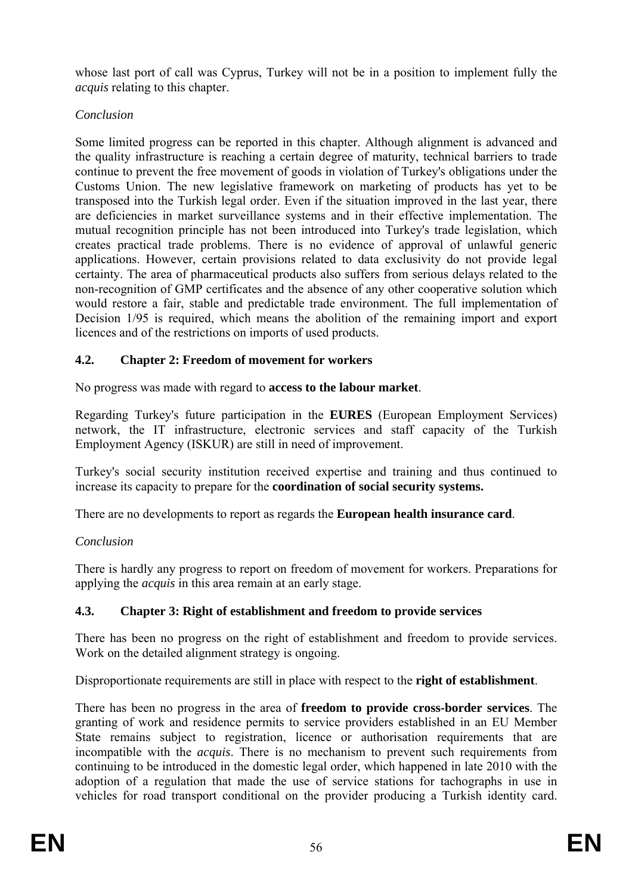whose last port of call was Cyprus, Turkey will not be in a position to implement fully the *acquis* relating to this chapter.

# *Conclusion*

Some limited progress can be reported in this chapter. Although alignment is advanced and the quality infrastructure is reaching a certain degree of maturity, technical barriers to trade continue to prevent the free movement of goods in violation of Turkey's obligations under the Customs Union. The new legislative framework on marketing of products has yet to be transposed into the Turkish legal order. Even if the situation improved in the last year, there are deficiencies in market surveillance systems and in their effective implementation. The mutual recognition principle has not been introduced into Turkey's trade legislation, which creates practical trade problems. There is no evidence of approval of unlawful generic applications. However, certain provisions related to data exclusivity do not provide legal certainty. The area of pharmaceutical products also suffers from serious delays related to the non-recognition of GMP certificates and the absence of any other cooperative solution which would restore a fair, stable and predictable trade environment. The full implementation of Decision 1/95 is required, which means the abolition of the remaining import and export licences and of the restrictions on imports of used products.

# **4.2. Chapter 2: Freedom of movement for workers**

No progress was made with regard to **access to the labour market**.

Regarding Turkey's future participation in the **EURES** (European Employment Services) network, the IT infrastructure, electronic services and staff capacity of the Turkish Employment Agency (ISKUR) are still in need of improvement.

Turkey's social security institution received expertise and training and thus continued to increase its capacity to prepare for the **coordination of social security systems.**

There are no developments to report as regards the **European health insurance card**.

# *Conclusion*

There is hardly any progress to report on freedom of movement for workers. Preparations for applying the *acquis* in this area remain at an early stage.

# **4.3. Chapter 3: Right of establishment and freedom to provide services**

There has been no progress on the right of establishment and freedom to provide services. Work on the detailed alignment strategy is ongoing.

Disproportionate requirements are still in place with respect to the **right of establishment**.

There has been no progress in the area of **freedom to provide cross-border services**. The granting of work and residence permits to service providers established in an EU Member State remains subject to registration, licence or authorisation requirements that are incompatible with the *acquis*. There is no mechanism to prevent such requirements from continuing to be introduced in the domestic legal order, which happened in late 2010 with the adoption of a regulation that made the use of service stations for tachographs in use in vehicles for road transport conditional on the provider producing a Turkish identity card.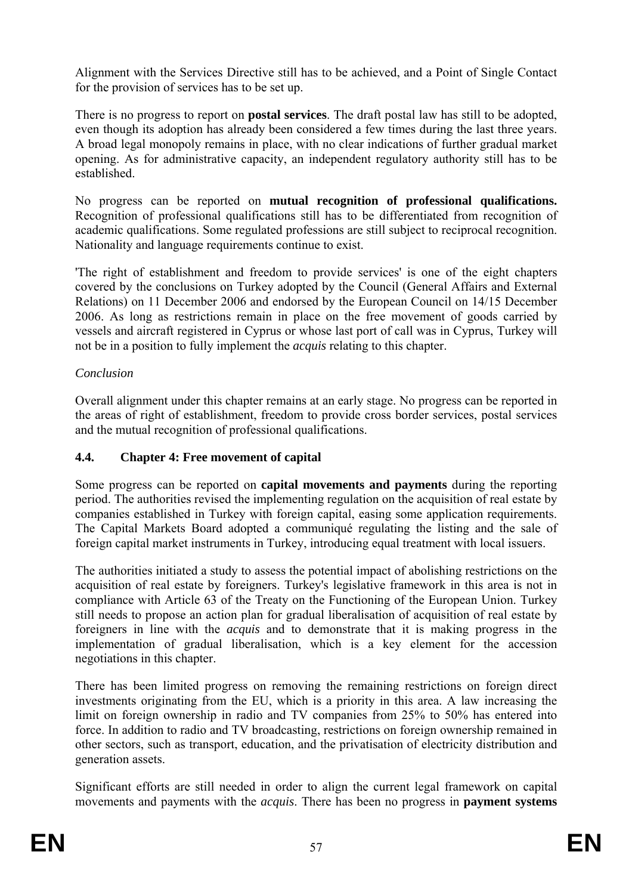Alignment with the Services Directive still has to be achieved, and a Point of Single Contact for the provision of services has to be set up.

There is no progress to report on **postal services**. The draft postal law has still to be adopted, even though its adoption has already been considered a few times during the last three years. A broad legal monopoly remains in place, with no clear indications of further gradual market opening. As for administrative capacity, an independent regulatory authority still has to be established.

No progress can be reported on **mutual recognition of professional qualifications.**  Recognition of professional qualifications still has to be differentiated from recognition of academic qualifications. Some regulated professions are still subject to reciprocal recognition. Nationality and language requirements continue to exist.

'The right of establishment and freedom to provide services' is one of the eight chapters covered by the conclusions on Turkey adopted by the Council (General Affairs and External Relations) on 11 December 2006 and endorsed by the European Council on 14/15 December 2006. As long as restrictions remain in place on the free movement of goods carried by vessels and aircraft registered in Cyprus or whose last port of call was in Cyprus, Turkey will not be in a position to fully implement the *acquis* relating to this chapter.

## *Conclusion*

Overall alignment under this chapter remains at an early stage. No progress can be reported in the areas of right of establishment, freedom to provide cross border services, postal services and the mutual recognition of professional qualifications.

# **4.4. Chapter 4: Free movement of capital**

Some progress can be reported on **capital movements and payments** during the reporting period. The authorities revised the implementing regulation on the acquisition of real estate by companies established in Turkey with foreign capital, easing some application requirements. The Capital Markets Board adopted a communiqué regulating the listing and the sale of foreign capital market instruments in Turkey, introducing equal treatment with local issuers.

The authorities initiated a study to assess the potential impact of abolishing restrictions on the acquisition of real estate by foreigners. Turkey's legislative framework in this area is not in compliance with Article 63 of the Treaty on the Functioning of the European Union. Turkey still needs to propose an action plan for gradual liberalisation of acquisition of real estate by foreigners in line with the *acquis* and to demonstrate that it is making progress in the implementation of gradual liberalisation, which is a key element for the accession negotiations in this chapter.

There has been limited progress on removing the remaining restrictions on foreign direct investments originating from the EU, which is a priority in this area. A law increasing the limit on foreign ownership in radio and TV companies from 25% to 50% has entered into force. In addition to radio and TV broadcasting, restrictions on foreign ownership remained in other sectors, such as transport, education, and the privatisation of electricity distribution and generation assets.

Significant efforts are still needed in order to align the current legal framework on capital movements and payments with the *acquis*. There has been no progress in **payment systems**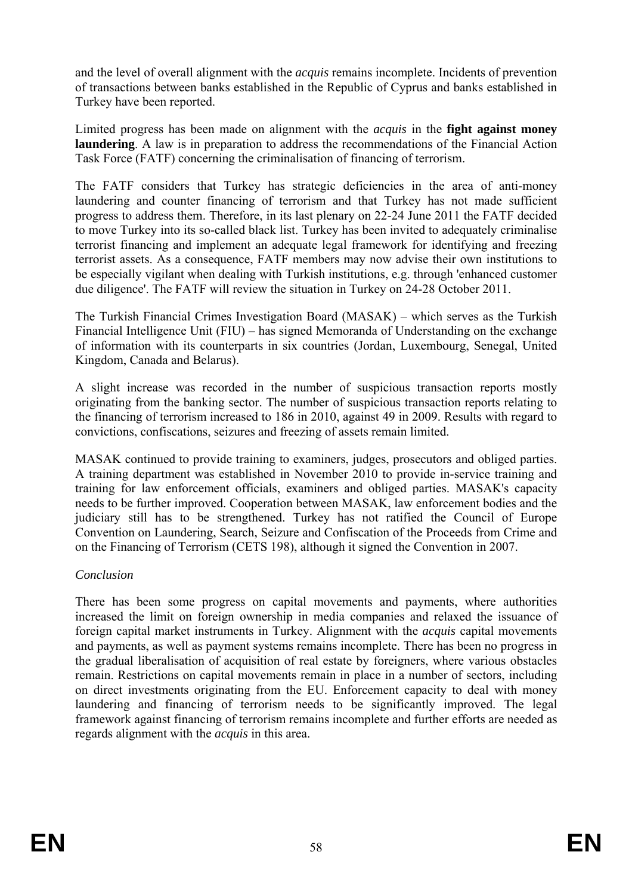and the level of overall alignment with the *acquis* remains incomplete. Incidents of prevention of transactions between banks established in the Republic of Cyprus and banks established in Turkey have been reported.

Limited progress has been made on alignment with the *acquis* in the **fight against money laundering**. A law is in preparation to address the recommendations of the Financial Action Task Force (FATF) concerning the criminalisation of financing of terrorism.

The FATF considers that Turkey has strategic deficiencies in the area of anti-money laundering and counter financing of terrorism and that Turkey has not made sufficient progress to address them. Therefore, in its last plenary on 22-24 June 2011 the FATF decided to move Turkey into its so-called black list. Turkey has been invited to adequately criminalise terrorist financing and implement an adequate legal framework for identifying and freezing terrorist assets. As a consequence, FATF members may now advise their own institutions to be especially vigilant when dealing with Turkish institutions, e.g. through 'enhanced customer due diligence'. The FATF will review the situation in Turkey on 24-28 October 2011.

The Turkish Financial Crimes Investigation Board (MASAK) – which serves as the Turkish Financial Intelligence Unit (FIU) – has signed Memoranda of Understanding on the exchange of information with its counterparts in six countries (Jordan, Luxembourg, Senegal, United Kingdom, Canada and Belarus).

A slight increase was recorded in the number of suspicious transaction reports mostly originating from the banking sector. The number of suspicious transaction reports relating to the financing of terrorism increased to 186 in 2010, against 49 in 2009. Results with regard to convictions, confiscations, seizures and freezing of assets remain limited.

MASAK continued to provide training to examiners, judges, prosecutors and obliged parties. A training department was established in November 2010 to provide in-service training and training for law enforcement officials, examiners and obliged parties. MASAK's capacity needs to be further improved. Cooperation between MASAK, law enforcement bodies and the judiciary still has to be strengthened. Turkey has not ratified the Council of Europe Convention on Laundering, Search, Seizure and Confiscation of the Proceeds from Crime and on the Financing of Terrorism (CETS 198), although it signed the Convention in 2007.

## *Conclusion*

There has been some progress on capital movements and payments, where authorities increased the limit on foreign ownership in media companies and relaxed the issuance of foreign capital market instruments in Turkey. Alignment with the *acquis* capital movements and payments, as well as payment systems remains incomplete. There has been no progress in the gradual liberalisation of acquisition of real estate by foreigners, where various obstacles remain. Restrictions on capital movements remain in place in a number of sectors, including on direct investments originating from the EU. Enforcement capacity to deal with money laundering and financing of terrorism needs to be significantly improved. The legal framework against financing of terrorism remains incomplete and further efforts are needed as regards alignment with the *acquis* in this area.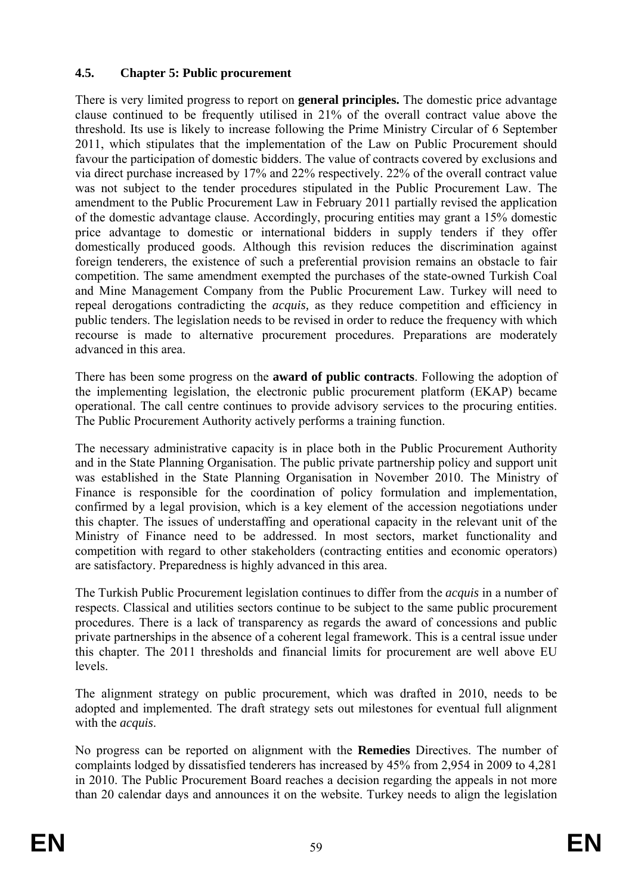## **4.5. Chapter 5: Public procurement**

There is very limited progress to report on **general principles.** The domestic price advantage clause continued to be frequently utilised in 21% of the overall contract value above the threshold. Its use is likely to increase following the Prime Ministry Circular of 6 September 2011, which stipulates that the implementation of the Law on Public Procurement should favour the participation of domestic bidders. The value of contracts covered by exclusions and via direct purchase increased by 17% and 22% respectively. 22% of the overall contract value was not subject to the tender procedures stipulated in the Public Procurement Law. The amendment to the Public Procurement Law in February 2011 partially revised the application of the domestic advantage clause. Accordingly, procuring entities may grant a 15% domestic price advantage to domestic or international bidders in supply tenders if they offer domestically produced goods. Although this revision reduces the discrimination against foreign tenderers, the existence of such a preferential provision remains an obstacle to fair competition. The same amendment exempted the purchases of the state-owned Turkish Coal and Mine Management Company from the Public Procurement Law. Turkey will need to repeal derogations contradicting the *acquis,* as they reduce competition and efficiency in public tenders. The legislation needs to be revised in order to reduce the frequency with which recourse is made to alternative procurement procedures. Preparations are moderately advanced in this area.

There has been some progress on the **award of public contracts**. Following the adoption of the implementing legislation, the electronic public procurement platform (EKAP) became operational. The call centre continues to provide advisory services to the procuring entities. The Public Procurement Authority actively performs a training function.

The necessary administrative capacity is in place both in the Public Procurement Authority and in the State Planning Organisation. The public private partnership policy and support unit was established in the State Planning Organisation in November 2010. The Ministry of Finance is responsible for the coordination of policy formulation and implementation, confirmed by a legal provision, which is a key element of the accession negotiations under this chapter. The issues of understaffing and operational capacity in the relevant unit of the Ministry of Finance need to be addressed. In most sectors, market functionality and competition with regard to other stakeholders (contracting entities and economic operators) are satisfactory. Preparedness is highly advanced in this area.

The Turkish Public Procurement legislation continues to differ from the *acquis* in a number of respects. Classical and utilities sectors continue to be subject to the same public procurement procedures. There is a lack of transparency as regards the award of concessions and public private partnerships in the absence of a coherent legal framework. This is a central issue under this chapter. The 2011 thresholds and financial limits for procurement are well above EU levels.

The alignment strategy on public procurement, which was drafted in 2010, needs to be adopted and implemented. The draft strategy sets out milestones for eventual full alignment with the *acquis*.

No progress can be reported on alignment with the **Remedies** Directives. The number of complaints lodged by dissatisfied tenderers has increased by 45% from 2,954 in 2009 to 4,281 in 2010. The Public Procurement Board reaches a decision regarding the appeals in not more than 20 calendar days and announces it on the website. Turkey needs to align the legislation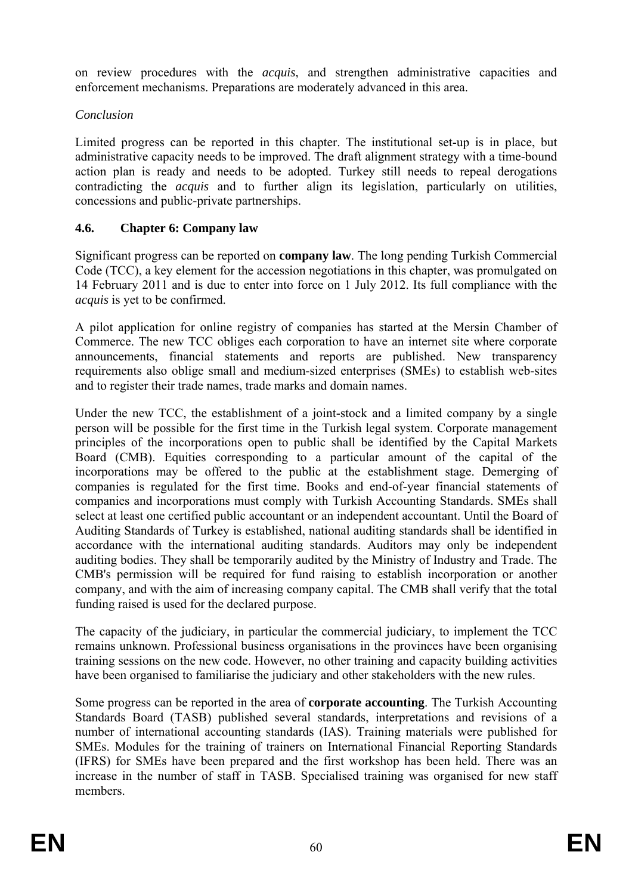on review procedures with the *acquis*, and strengthen administrative capacities and enforcement mechanisms. Preparations are moderately advanced in this area.

## *Conclusion*

Limited progress can be reported in this chapter. The institutional set-up is in place, but administrative capacity needs to be improved. The draft alignment strategy with a time-bound action plan is ready and needs to be adopted. Turkey still needs to repeal derogations contradicting the *acquis* and to further align its legislation, particularly on utilities, concessions and public-private partnerships.

## **4.6. Chapter 6: Company law**

Significant progress can be reported on **company law**. The long pending Turkish Commercial Code (TCC), a key element for the accession negotiations in this chapter, was promulgated on 14 February 2011 and is due to enter into force on 1 July 2012. Its full compliance with the *acquis* is yet to be confirmed.

A pilot application for online registry of companies has started at the Mersin Chamber of Commerce. The new TCC obliges each corporation to have an internet site where corporate announcements, financial statements and reports are published. New transparency requirements also oblige small and medium-sized enterprises (SMEs) to establish web-sites and to register their trade names, trade marks and domain names.

Under the new TCC, the establishment of a joint-stock and a limited company by a single person will be possible for the first time in the Turkish legal system. Corporate management principles of the incorporations open to public shall be identified by the Capital Markets Board (CMB). Equities corresponding to a particular amount of the capital of the incorporations may be offered to the public at the establishment stage. Demerging of companies is regulated for the first time. Books and end-of-year financial statements of companies and incorporations must comply with Turkish Accounting Standards. SMEs shall select at least one certified public accountant or an independent accountant. Until the Board of Auditing Standards of Turkey is established, national auditing standards shall be identified in accordance with the international auditing standards. Auditors may only be independent auditing bodies. They shall be temporarily audited by the Ministry of Industry and Trade. The CMB's permission will be required for fund raising to establish incorporation or another company, and with the aim of increasing company capital. The CMB shall verify that the total funding raised is used for the declared purpose.

The capacity of the judiciary, in particular the commercial judiciary, to implement the TCC remains unknown. Professional business organisations in the provinces have been organising training sessions on the new code. However, no other training and capacity building activities have been organised to familiarise the judiciary and other stakeholders with the new rules.

Some progress can be reported in the area of **corporate accounting**. The Turkish Accounting Standards Board (TASB) published several standards, interpretations and revisions of a number of international accounting standards (IAS). Training materials were published for SMEs. Modules for the training of trainers on International Financial Reporting Standards (IFRS) for SMEs have been prepared and the first workshop has been held. There was an increase in the number of staff in TASB. Specialised training was organised for new staff members.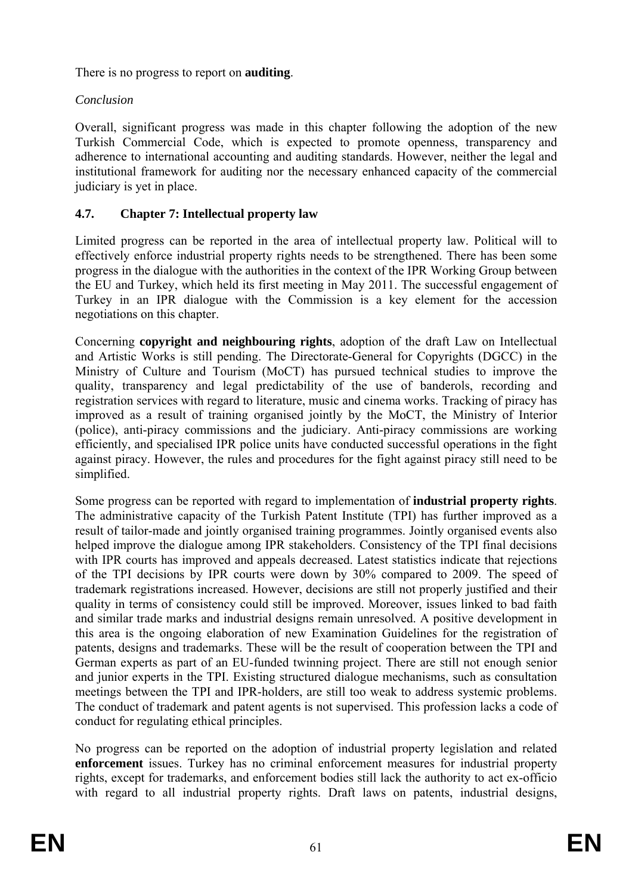There is no progress to report on **auditing**.

# *Conclusion*

Overall, significant progress was made in this chapter following the adoption of the new Turkish Commercial Code, which is expected to promote openness, transparency and adherence to international accounting and auditing standards. However, neither the legal and institutional framework for auditing nor the necessary enhanced capacity of the commercial judiciary is yet in place.

# **4.7. Chapter 7: Intellectual property law**

Limited progress can be reported in the area of intellectual property law. Political will to effectively enforce industrial property rights needs to be strengthened. There has been some progress in the dialogue with the authorities in the context of the IPR Working Group between the EU and Turkey, which held its first meeting in May 2011. The successful engagement of Turkey in an IPR dialogue with the Commission is a key element for the accession negotiations on this chapter.

Concerning **copyright and neighbouring rights**, adoption of the draft Law on Intellectual and Artistic Works is still pending. The Directorate-General for Copyrights (DGCC) in the Ministry of Culture and Tourism (MoCT) has pursued technical studies to improve the quality, transparency and legal predictability of the use of banderols, recording and registration services with regard to literature, music and cinema works. Tracking of piracy has improved as a result of training organised jointly by the MoCT, the Ministry of Interior (police), anti-piracy commissions and the judiciary. Anti-piracy commissions are working efficiently, and specialised IPR police units have conducted successful operations in the fight against piracy. However, the rules and procedures for the fight against piracy still need to be simplified.

Some progress can be reported with regard to implementation of **industrial property rights**. The administrative capacity of the Turkish Patent Institute (TPI) has further improved as a result of tailor-made and jointly organised training programmes. Jointly organised events also helped improve the dialogue among IPR stakeholders. Consistency of the TPI final decisions with IPR courts has improved and appeals decreased. Latest statistics indicate that rejections of the TPI decisions by IPR courts were down by 30% compared to 2009. The speed of trademark registrations increased. However, decisions are still not properly justified and their quality in terms of consistency could still be improved. Moreover, issues linked to bad faith and similar trade marks and industrial designs remain unresolved. A positive development in this area is the ongoing elaboration of new Examination Guidelines for the registration of patents, designs and trademarks. These will be the result of cooperation between the TPI and German experts as part of an EU-funded twinning project. There are still not enough senior and junior experts in the TPI. Existing structured dialogue mechanisms, such as consultation meetings between the TPI and IPR-holders, are still too weak to address systemic problems. The conduct of trademark and patent agents is not supervised. This profession lacks a code of conduct for regulating ethical principles.

No progress can be reported on the adoption of industrial property legislation and related **enforcement** issues. Turkey has no criminal enforcement measures for industrial property rights, except for trademarks, and enforcement bodies still lack the authority to act ex-officio with regard to all industrial property rights. Draft laws on patents, industrial designs,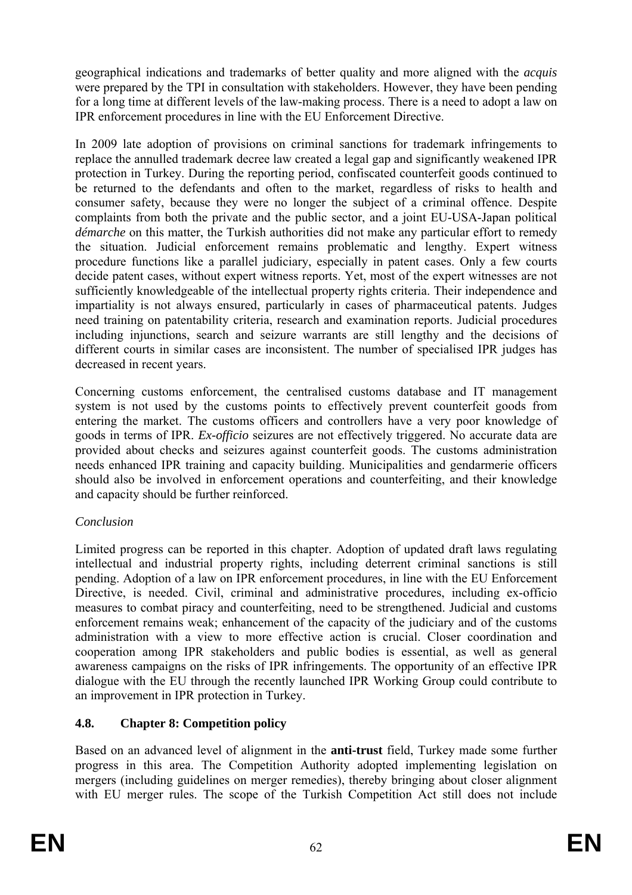geographical indications and trademarks of better quality and more aligned with the *acquis* were prepared by the TPI in consultation with stakeholders. However, they have been pending for a long time at different levels of the law-making process. There is a need to adopt a law on IPR enforcement procedures in line with the EU Enforcement Directive.

In 2009 late adoption of provisions on criminal sanctions for trademark infringements to replace the annulled trademark decree law created a legal gap and significantly weakened IPR protection in Turkey. During the reporting period, confiscated counterfeit goods continued to be returned to the defendants and often to the market, regardless of risks to health and consumer safety, because they were no longer the subject of a criminal offence. Despite complaints from both the private and the public sector, and a joint EU-USA-Japan political *démarche* on this matter, the Turkish authorities did not make any particular effort to remedy the situation. Judicial enforcement remains problematic and lengthy. Expert witness procedure functions like a parallel judiciary, especially in patent cases. Only a few courts decide patent cases, without expert witness reports. Yet, most of the expert witnesses are not sufficiently knowledgeable of the intellectual property rights criteria. Their independence and impartiality is not always ensured, particularly in cases of pharmaceutical patents. Judges need training on patentability criteria, research and examination reports. Judicial procedures including injunctions, search and seizure warrants are still lengthy and the decisions of different courts in similar cases are inconsistent. The number of specialised IPR judges has decreased in recent years.

Concerning customs enforcement, the centralised customs database and IT management system is not used by the customs points to effectively prevent counterfeit goods from entering the market. The customs officers and controllers have a very poor knowledge of goods in terms of IPR. *Ex-officio* seizures are not effectively triggered. No accurate data are provided about checks and seizures against counterfeit goods. The customs administration needs enhanced IPR training and capacity building. Municipalities and gendarmerie officers should also be involved in enforcement operations and counterfeiting, and their knowledge and capacity should be further reinforced.

# *Conclusion*

Limited progress can be reported in this chapter. Adoption of updated draft laws regulating intellectual and industrial property rights, including deterrent criminal sanctions is still pending. Adoption of a law on IPR enforcement procedures, in line with the EU Enforcement Directive, is needed. Civil, criminal and administrative procedures, including ex-officio measures to combat piracy and counterfeiting, need to be strengthened. Judicial and customs enforcement remains weak; enhancement of the capacity of the judiciary and of the customs administration with a view to more effective action is crucial. Closer coordination and cooperation among IPR stakeholders and public bodies is essential, as well as general awareness campaigns on the risks of IPR infringements. The opportunity of an effective IPR dialogue with the EU through the recently launched IPR Working Group could contribute to an improvement in IPR protection in Turkey.

# **4.8. Chapter 8: Competition policy**

Based on an advanced level of alignment in the **anti-trust** field, Turkey made some further progress in this area. The Competition Authority adopted implementing legislation on mergers (including guidelines on merger remedies), thereby bringing about closer alignment with EU merger rules. The scope of the Turkish Competition Act still does not include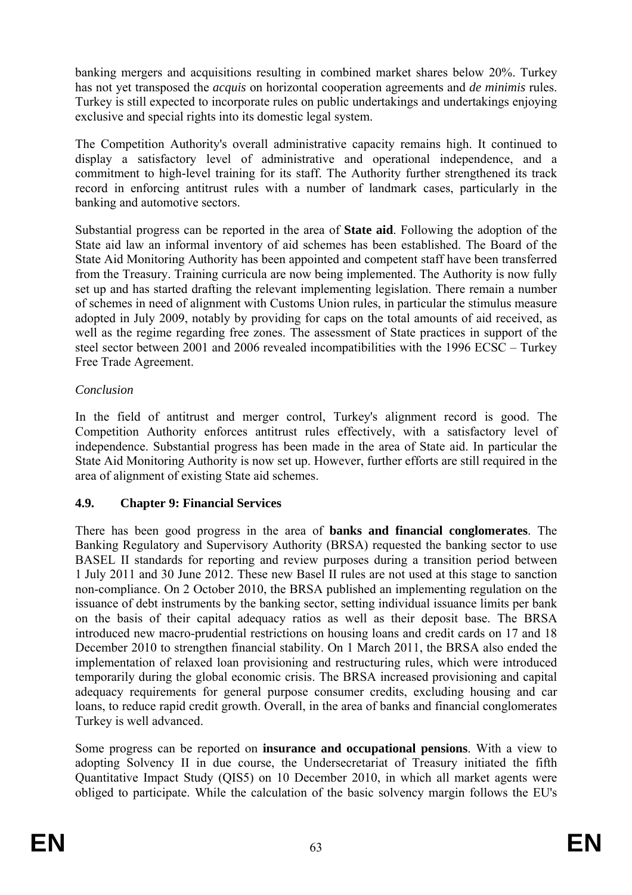banking mergers and acquisitions resulting in combined market shares below 20%. Turkey has not yet transposed the *acquis* on horizontal cooperation agreements and *de minimis* rules. Turkey is still expected to incorporate rules on public undertakings and undertakings enjoying exclusive and special rights into its domestic legal system.

The Competition Authority's overall administrative capacity remains high. It continued to display a satisfactory level of administrative and operational independence, and a commitment to high-level training for its staff. The Authority further strengthened its track record in enforcing antitrust rules with a number of landmark cases, particularly in the banking and automotive sectors.

Substantial progress can be reported in the area of **State aid**. Following the adoption of the State aid law an informal inventory of aid schemes has been established. The Board of the State Aid Monitoring Authority has been appointed and competent staff have been transferred from the Treasury. Training curricula are now being implemented. The Authority is now fully set up and has started drafting the relevant implementing legislation. There remain a number of schemes in need of alignment with Customs Union rules, in particular the stimulus measure adopted in July 2009, notably by providing for caps on the total amounts of aid received, as well as the regime regarding free zones. The assessment of State practices in support of the steel sector between 2001 and 2006 revealed incompatibilities with the 1996 ECSC – Turkey Free Trade Agreement.

## *Conclusion*

In the field of antitrust and merger control, Turkey's alignment record is good. The Competition Authority enforces antitrust rules effectively, with a satisfactory level of independence. Substantial progress has been made in the area of State aid. In particular the State Aid Monitoring Authority is now set up. However, further efforts are still required in the area of alignment of existing State aid schemes.

# **4.9. Chapter 9: Financial Services**

There has been good progress in the area of **banks and financial conglomerates**. The Banking Regulatory and Supervisory Authority (BRSA) requested the banking sector to use BASEL II standards for reporting and review purposes during a transition period between 1 July 2011 and 30 June 2012. These new Basel II rules are not used at this stage to sanction non-compliance. On 2 October 2010, the BRSA published an implementing regulation on the issuance of debt instruments by the banking sector, setting individual issuance limits per bank on the basis of their capital adequacy ratios as well as their deposit base. The BRSA introduced new macro-prudential restrictions on housing loans and credit cards on 17 and 18 December 2010 to strengthen financial stability. On 1 March 2011, the BRSA also ended the implementation of relaxed loan provisioning and restructuring rules, which were introduced temporarily during the global economic crisis. The BRSA increased provisioning and capital adequacy requirements for general purpose consumer credits, excluding housing and car loans, to reduce rapid credit growth. Overall, in the area of banks and financial conglomerates Turkey is well advanced.

Some progress can be reported on **insurance and occupational pensions**. With a view to adopting Solvency II in due course, the Undersecretariat of Treasury initiated the fifth Quantitative Impact Study (QIS5) on 10 December 2010, in which all market agents were obliged to participate. While the calculation of the basic solvency margin follows the EU's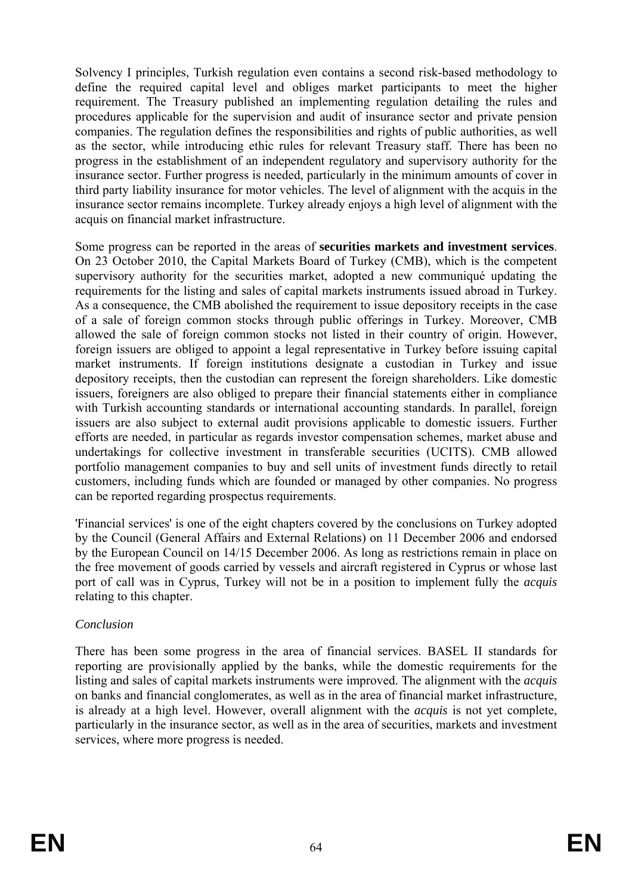Solvency I principles, Turkish regulation even contains a second risk-based methodology to define the required capital level and obliges market participants to meet the higher requirement. The Treasury published an implementing regulation detailing the rules and procedures applicable for the supervision and audit of insurance sector and private pension companies. The regulation defines the responsibilities and rights of public authorities, as well as the sector, while introducing ethic rules for relevant Treasury staff. There has been no progress in the establishment of an independent regulatory and supervisory authority for the insurance sector. Further progress is needed, particularly in the minimum amounts of cover in third party liability insurance for motor vehicles. The level of alignment with the acquis in the insurance sector remains incomplete. Turkey already enjoys a high level of alignment with the acquis on financial market infrastructure.

Some progress can be reported in the areas of **securities markets and investment services**. On 23 October 2010, the Capital Markets Board of Turkey (CMB), which is the competent supervisory authority for the securities market, adopted a new communiqué updating the requirements for the listing and sales of capital markets instruments issued abroad in Turkey. As a consequence, the CMB abolished the requirement to issue depository receipts in the case of a sale of foreign common stocks through public offerings in Turkey. Moreover, CMB allowed the sale of foreign common stocks not listed in their country of origin. However, foreign issuers are obliged to appoint a legal representative in Turkey before issuing capital market instruments. If foreign institutions designate a custodian in Turkey and issue depository receipts, then the custodian can represent the foreign shareholders. Like domestic issuers, foreigners are also obliged to prepare their financial statements either in compliance with Turkish accounting standards or international accounting standards. In parallel, foreign issuers are also subject to external audit provisions applicable to domestic issuers. Further efforts are needed, in particular as regards investor compensation schemes, market abuse and undertakings for collective investment in transferable securities (UCITS). CMB allowed portfolio management companies to buy and sell units of investment funds directly to retail customers, including funds which are founded or managed by other companies. No progress can be reported regarding prospectus requirements.

'Financial services' is one of the eight chapters covered by the conclusions on Turkey adopted by the Council (General Affairs and External Relations) on 11 December 2006 and endorsed by the European Council on 14/15 December 2006. As long as restrictions remain in place on the free movement of goods carried by vessels and aircraft registered in Cyprus or whose last port of call was in Cyprus, Turkey will not be in a position to implement fully the *acquis* relating to this chapter.

## *Conclusion*

There has been some progress in the area of financial services. BASEL II standards for reporting are provisionally applied by the banks, while the domestic requirements for the listing and sales of capital markets instruments were improved. The alignment with the *acquis* on banks and financial conglomerates, as well as in the area of financial market infrastructure, is already at a high level. However, overall alignment with the *acquis* is not yet complete, particularly in the insurance sector, as well as in the area of securities, markets and investment services, where more progress is needed.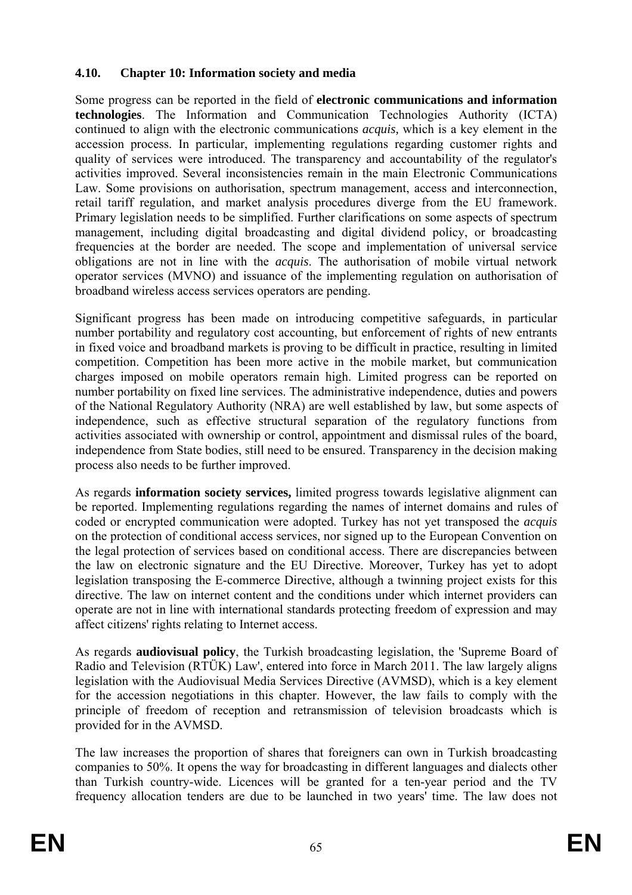## **4.10. Chapter 10: Information society and media**

Some progress can be reported in the field of **electronic communications and information technologies**. The Information and Communication Technologies Authority (ICTA) continued to align with the electronic communications *acquis,* which is a key element in the accession process. In particular, implementing regulations regarding customer rights and quality of services were introduced. The transparency and accountability of the regulator's activities improved. Several inconsistencies remain in the main Electronic Communications Law. Some provisions on authorisation, spectrum management, access and interconnection, retail tariff regulation, and market analysis procedures diverge from the EU framework. Primary legislation needs to be simplified. Further clarifications on some aspects of spectrum management, including digital broadcasting and digital dividend policy, or broadcasting frequencies at the border are needed. The scope and implementation of universal service obligations are not in line with the *acquis*. The authorisation of mobile virtual network operator services (MVNO) and issuance of the implementing regulation on authorisation of broadband wireless access services operators are pending.

Significant progress has been made on introducing competitive safeguards, in particular number portability and regulatory cost accounting, but enforcement of rights of new entrants in fixed voice and broadband markets is proving to be difficult in practice, resulting in limited competition. Competition has been more active in the mobile market, but communication charges imposed on mobile operators remain high. Limited progress can be reported on number portability on fixed line services. The administrative independence, duties and powers of the National Regulatory Authority (NRA) are well established by law, but some aspects of independence, such as effective structural separation of the regulatory functions from activities associated with ownership or control, appointment and dismissal rules of the board, independence from State bodies, still need to be ensured. Transparency in the decision making process also needs to be further improved.

As regards **information society services,** limited progress towards legislative alignment can be reported. Implementing regulations regarding the names of internet domains and rules of coded or encrypted communication were adopted. Turkey has not yet transposed the *acquis* on the protection of conditional access services, nor signed up to the European Convention on the legal protection of services based on conditional access. There are discrepancies between the law on electronic signature and the EU Directive. Moreover, Turkey has yet to adopt legislation transposing the E-commerce Directive, although a twinning project exists for this directive. The law on internet content and the conditions under which internet providers can operate are not in line with international standards protecting freedom of expression and may affect citizens' rights relating to Internet access.

As regards **audiovisual policy**, the Turkish broadcasting legislation, the 'Supreme Board of Radio and Television (RTÜK) Law', entered into force in March 2011. The law largely aligns legislation with the Audiovisual Media Services Directive (AVMSD), which is a key element for the accession negotiations in this chapter. However, the law fails to comply with the principle of freedom of reception and retransmission of television broadcasts which is provided for in the AVMSD.

The law increases the proportion of shares that foreigners can own in Turkish broadcasting companies to 50%. It opens the way for broadcasting in different languages and dialects other than Turkish country-wide. Licences will be granted for a ten-year period and the TV frequency allocation tenders are due to be launched in two years' time. The law does not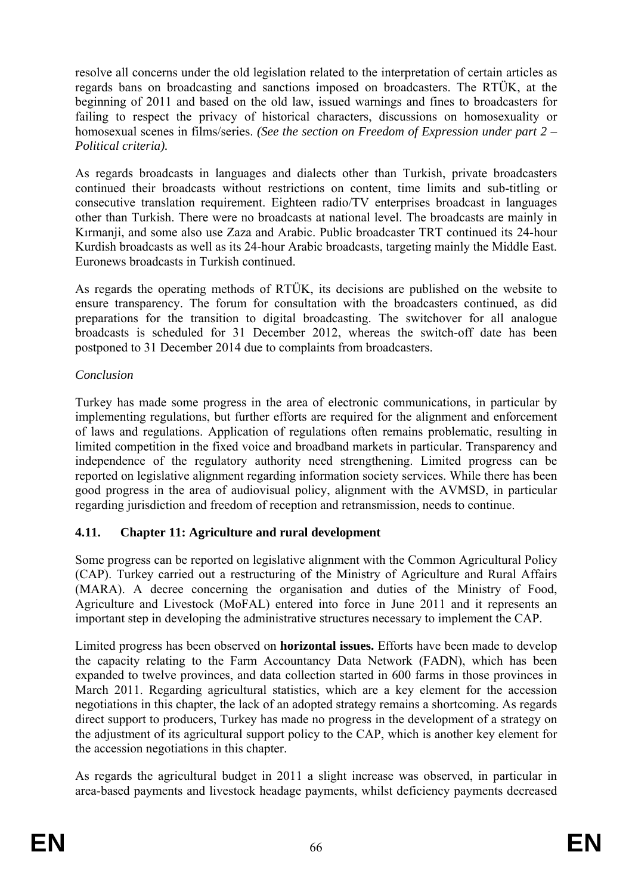resolve all concerns under the old legislation related to the interpretation of certain articles as regards bans on broadcasting and sanctions imposed on broadcasters. The RTÜK, at the beginning of 2011 and based on the old law, issued warnings and fines to broadcasters for failing to respect the privacy of historical characters, discussions on homosexuality or homosexual scenes in films/series. *(See the section on Freedom of Expression under part 2 – Political criteria).*

As regards broadcasts in languages and dialects other than Turkish, private broadcasters continued their broadcasts without restrictions on content, time limits and sub-titling or consecutive translation requirement. Eighteen radio/TV enterprises broadcast in languages other than Turkish. There were no broadcasts at national level. The broadcasts are mainly in Kurmanii, and some also use Zaza and Arabic. Public broadcaster TRT continued its 24-hour Kurdish broadcasts as well as its 24-hour Arabic broadcasts, targeting mainly the Middle East. Euronews broadcasts in Turkish continued.

As regards the operating methods of RTÜK, its decisions are published on the website to ensure transparency. The forum for consultation with the broadcasters continued, as did preparations for the transition to digital broadcasting. The switchover for all analogue broadcasts is scheduled for 31 December 2012, whereas the switch-off date has been postponed to 31 December 2014 due to complaints from broadcasters.

## *Conclusion*

Turkey has made some progress in the area of electronic communications, in particular by implementing regulations, but further efforts are required for the alignment and enforcement of laws and regulations. Application of regulations often remains problematic, resulting in limited competition in the fixed voice and broadband markets in particular. Transparency and independence of the regulatory authority need strengthening. Limited progress can be reported on legislative alignment regarding information society services. While there has been good progress in the area of audiovisual policy, alignment with the AVMSD, in particular regarding jurisdiction and freedom of reception and retransmission, needs to continue.

# **4.11. Chapter 11: Agriculture and rural development**

Some progress can be reported on legislative alignment with the Common Agricultural Policy (CAP). Turkey carried out a restructuring of the Ministry of Agriculture and Rural Affairs (MARA). A decree concerning the organisation and duties of the Ministry of Food, Agriculture and Livestock (MoFAL) entered into force in June 2011 and it represents an important step in developing the administrative structures necessary to implement the CAP.

Limited progress has been observed on **horizontal issues.** Efforts have been made to develop the capacity relating to the Farm Accountancy Data Network (FADN), which has been expanded to twelve provinces, and data collection started in 600 farms in those provinces in March 2011. Regarding agricultural statistics, which are a key element for the accession negotiations in this chapter, the lack of an adopted strategy remains a shortcoming. As regards direct support to producers, Turkey has made no progress in the development of a strategy on the adjustment of its agricultural support policy to the CAP, which is another key element for the accession negotiations in this chapter.

As regards the agricultural budget in 2011 a slight increase was observed, in particular in area-based payments and livestock headage payments, whilst deficiency payments decreased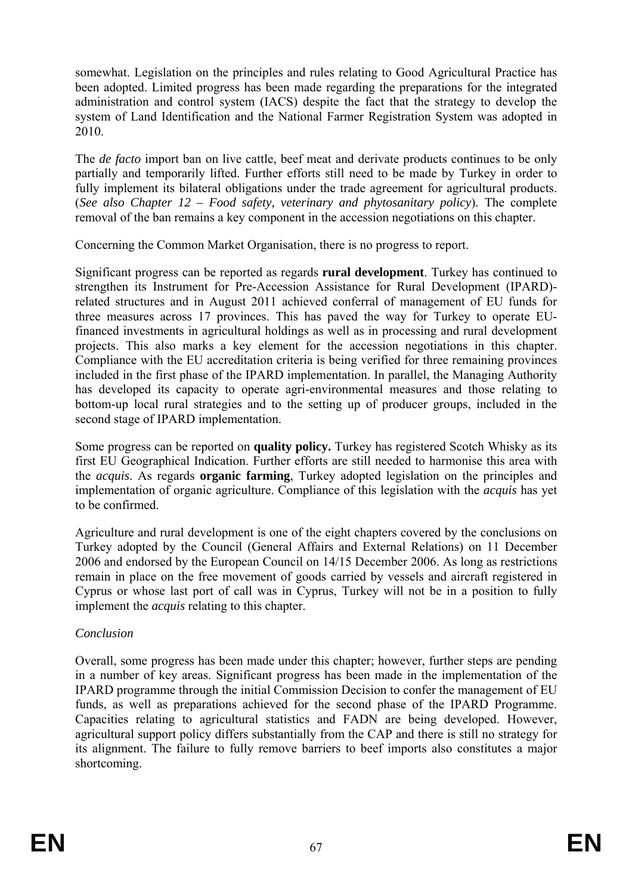somewhat. Legislation on the principles and rules relating to Good Agricultural Practice has been adopted. Limited progress has been made regarding the preparations for the integrated administration and control system (IACS) despite the fact that the strategy to develop the system of Land Identification and the National Farmer Registration System was adopted in 2010.

The *de facto* import ban on live cattle, beef meat and derivate products continues to be only partially and temporarily lifted. Further efforts still need to be made by Turkey in order to fully implement its bilateral obligations under the trade agreement for agricultural products. (*See also Chapter 12 – Food safety, veterinary and phytosanitary policy*). The complete removal of the ban remains a key component in the accession negotiations on this chapter.

Concerning the Common Market Organisation, there is no progress to report.

Significant progress can be reported as regards **rural development**. Turkey has continued to strengthen its Instrument for Pre-Accession Assistance for Rural Development (IPARD) related structures and in August 2011 achieved conferral of management of EU funds for three measures across 17 provinces. This has paved the way for Turkey to operate EUfinanced investments in agricultural holdings as well as in processing and rural development projects. This also marks a key element for the accession negotiations in this chapter. Compliance with the EU accreditation criteria is being verified for three remaining provinces included in the first phase of the IPARD implementation. In parallel, the Managing Authority has developed its capacity to operate agri-environmental measures and those relating to bottom-up local rural strategies and to the setting up of producer groups, included in the second stage of IPARD implementation.

Some progress can be reported on **quality policy.** Turkey has registered Scotch Whisky as its first EU Geographical Indication. Further efforts are still needed to harmonise this area with the *acquis*. As regards **organic farming**, Turkey adopted legislation on the principles and implementation of organic agriculture. Compliance of this legislation with the *acquis* has yet to be confirmed.

Agriculture and rural development is one of the eight chapters covered by the conclusions on Turkey adopted by the Council (General Affairs and External Relations) on 11 December 2006 and endorsed by the European Council on 14/15 December 2006. As long as restrictions remain in place on the free movement of goods carried by vessels and aircraft registered in Cyprus or whose last port of call was in Cyprus, Turkey will not be in a position to fully implement the *acquis* relating to this chapter.

## *Conclusion*

Overall, some progress has been made under this chapter; however, further steps are pending in a number of key areas. Significant progress has been made in the implementation of the IPARD programme through the initial Commission Decision to confer the management of EU funds, as well as preparations achieved for the second phase of the IPARD Programme. Capacities relating to agricultural statistics and FADN are being developed. However, agricultural support policy differs substantially from the CAP and there is still no strategy for its alignment. The failure to fully remove barriers to beef imports also constitutes a major shortcoming.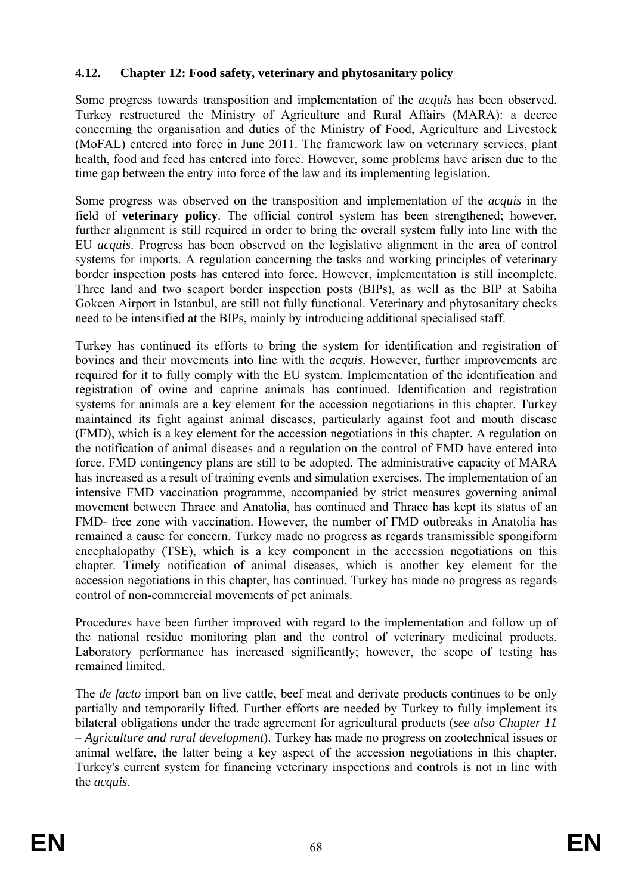## **4.12. Chapter 12: Food safety, veterinary and phytosanitary policy**

Some progress towards transposition and implementation of the *acquis* has been observed. Turkey restructured the Ministry of Agriculture and Rural Affairs (MARA): a decree concerning the organisation and duties of the Ministry of Food, Agriculture and Livestock (MoFAL) entered into force in June 2011. The framework law on veterinary services, plant health, food and feed has entered into force. However, some problems have arisen due to the time gap between the entry into force of the law and its implementing legislation.

Some progress was observed on the transposition and implementation of the *acquis* in the field of **veterinary policy**. The official control system has been strengthened; however, further alignment is still required in order to bring the overall system fully into line with the EU *acquis*. Progress has been observed on the legislative alignment in the area of control systems for imports. A regulation concerning the tasks and working principles of veterinary border inspection posts has entered into force. However, implementation is still incomplete. Three land and two seaport border inspection posts (BIPs), as well as the BIP at Sabiha Gokcen Airport in Istanbul, are still not fully functional. Veterinary and phytosanitary checks need to be intensified at the BIPs, mainly by introducing additional specialised staff.

Turkey has continued its efforts to bring the system for identification and registration of bovines and their movements into line with the *acquis*. However, further improvements are required for it to fully comply with the EU system. Implementation of the identification and registration of ovine and caprine animals has continued. Identification and registration systems for animals are a key element for the accession negotiations in this chapter. Turkey maintained its fight against animal diseases, particularly against foot and mouth disease (FMD), which is a key element for the accession negotiations in this chapter. A regulation on the notification of animal diseases and a regulation on the control of FMD have entered into force. FMD contingency plans are still to be adopted. The administrative capacity of MARA has increased as a result of training events and simulation exercises. The implementation of an intensive FMD vaccination programme, accompanied by strict measures governing animal movement between Thrace and Anatolia, has continued and Thrace has kept its status of an FMD- free zone with vaccination. However, the number of FMD outbreaks in Anatolia has remained a cause for concern. Turkey made no progress as regards transmissible spongiform encephalopathy (TSE), which is a key component in the accession negotiations on this chapter. Timely notification of animal diseases, which is another key element for the accession negotiations in this chapter, has continued. Turkey has made no progress as regards control of non-commercial movements of pet animals.

Procedures have been further improved with regard to the implementation and follow up of the national residue monitoring plan and the control of veterinary medicinal products. Laboratory performance has increased significantly; however, the scope of testing has remained limited.

The *de facto* import ban on live cattle, beef meat and derivate products continues to be only partially and temporarily lifted. Further efforts are needed by Turkey to fully implement its bilateral obligations under the trade agreement for agricultural products (*see also Chapter 11 – Agriculture and rural development*). Turkey has made no progress on zootechnical issues or animal welfare, the latter being a key aspect of the accession negotiations in this chapter. Turkey's current system for financing veterinary inspections and controls is not in line with the *acquis*.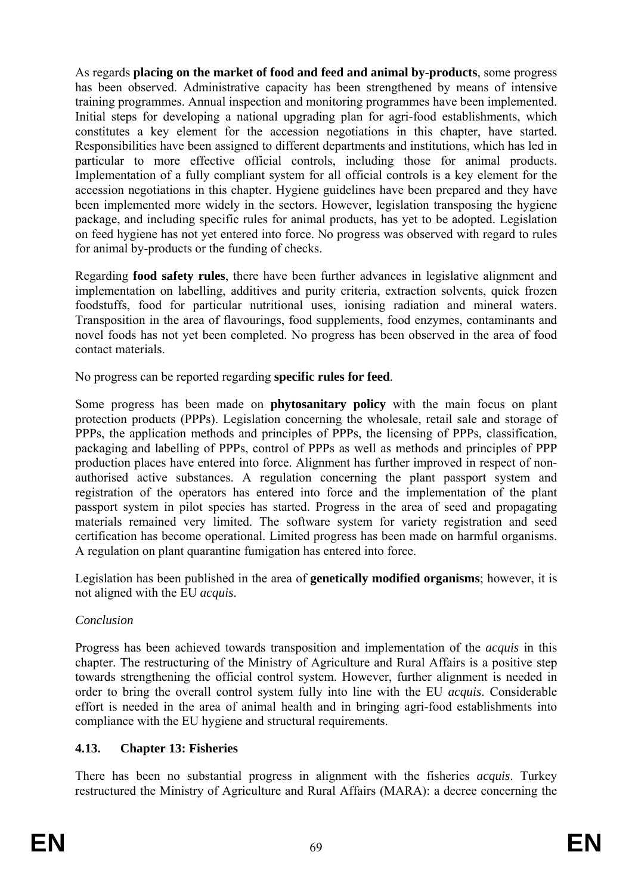As regards **placing on the market of food and feed and animal by-products**, some progress has been observed. Administrative capacity has been strengthened by means of intensive training programmes. Annual inspection and monitoring programmes have been implemented. Initial steps for developing a national upgrading plan for agri-food establishments, which constitutes a key element for the accession negotiations in this chapter, have started. Responsibilities have been assigned to different departments and institutions, which has led in particular to more effective official controls, including those for animal products. Implementation of a fully compliant system for all official controls is a key element for the accession negotiations in this chapter. Hygiene guidelines have been prepared and they have been implemented more widely in the sectors. However, legislation transposing the hygiene package, and including specific rules for animal products, has yet to be adopted. Legislation on feed hygiene has not yet entered into force. No progress was observed with regard to rules for animal by-products or the funding of checks.

Regarding **food safety rules**, there have been further advances in legislative alignment and implementation on labelling, additives and purity criteria, extraction solvents, quick frozen foodstuffs, food for particular nutritional uses, ionising radiation and mineral waters. Transposition in the area of flavourings, food supplements, food enzymes, contaminants and novel foods has not yet been completed. No progress has been observed in the area of food contact materials.

No progress can be reported regarding **specific rules for feed**.

Some progress has been made on **phytosanitary policy** with the main focus on plant protection products (PPPs). Legislation concerning the wholesale, retail sale and storage of PPPs, the application methods and principles of PPPs, the licensing of PPPs, classification, packaging and labelling of PPPs, control of PPPs as well as methods and principles of PPP production places have entered into force. Alignment has further improved in respect of nonauthorised active substances. A regulation concerning the plant passport system and registration of the operators has entered into force and the implementation of the plant passport system in pilot species has started. Progress in the area of seed and propagating materials remained very limited. The software system for variety registration and seed certification has become operational. Limited progress has been made on harmful organisms. A regulation on plant quarantine fumigation has entered into force.

Legislation has been published in the area of **genetically modified organisms**; however, it is not aligned with the EU *acquis*.

# *Conclusion*

Progress has been achieved towards transposition and implementation of the *acquis* in this chapter. The restructuring of the Ministry of Agriculture and Rural Affairs is a positive step towards strengthening the official control system. However, further alignment is needed in order to bring the overall control system fully into line with the EU *acquis*. Considerable effort is needed in the area of animal health and in bringing agri-food establishments into compliance with the EU hygiene and structural requirements.

# **4.13. Chapter 13: Fisheries**

There has been no substantial progress in alignment with the fisheries *acquis*. Turkey restructured the Ministry of Agriculture and Rural Affairs (MARA): a decree concerning the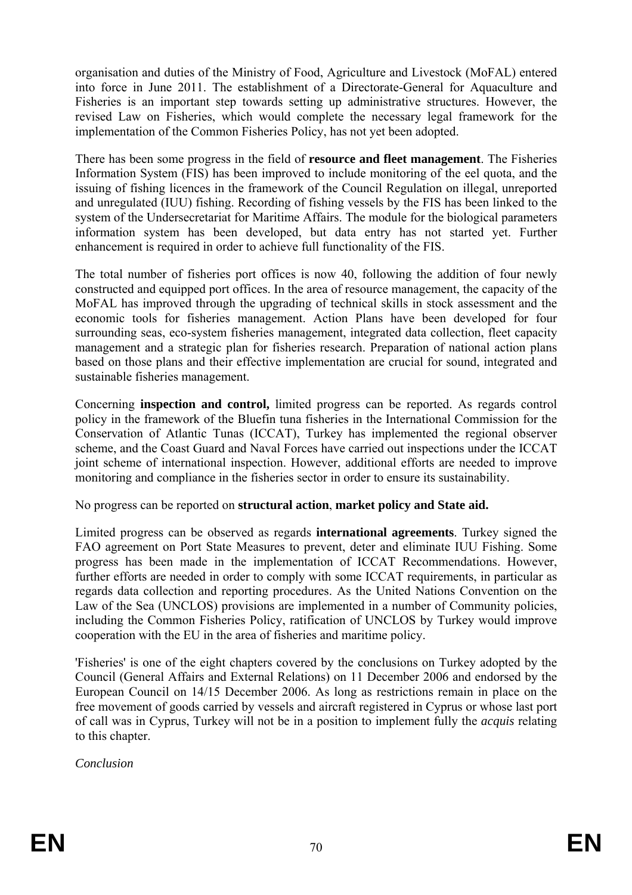organisation and duties of the Ministry of Food, Agriculture and Livestock (MoFAL) entered into force in June 2011. The establishment of a Directorate-General for Aquaculture and Fisheries is an important step towards setting up administrative structures. However, the revised Law on Fisheries, which would complete the necessary legal framework for the implementation of the Common Fisheries Policy, has not yet been adopted.

There has been some progress in the field of **resource and fleet management**. The Fisheries Information System (FIS) has been improved to include monitoring of the eel quota, and the issuing of fishing licences in the framework of the Council Regulation on illegal, unreported and unregulated (IUU) fishing. Recording of fishing vessels by the FIS has been linked to the system of the Undersecretariat for Maritime Affairs. The module for the biological parameters information system has been developed, but data entry has not started yet. Further enhancement is required in order to achieve full functionality of the FIS.

The total number of fisheries port offices is now 40, following the addition of four newly constructed and equipped port offices. In the area of resource management, the capacity of the MoFAL has improved through the upgrading of technical skills in stock assessment and the economic tools for fisheries management. Action Plans have been developed for four surrounding seas, eco-system fisheries management, integrated data collection, fleet capacity management and a strategic plan for fisheries research. Preparation of national action plans based on those plans and their effective implementation are crucial for sound, integrated and sustainable fisheries management.

Concerning **inspection and control,** limited progress can be reported. As regards control policy in the framework of the Bluefin tuna fisheries in the International Commission for the Conservation of Atlantic Tunas (ICCAT), Turkey has implemented the regional observer scheme, and the Coast Guard and Naval Forces have carried out inspections under the ICCAT joint scheme of international inspection. However, additional efforts are needed to improve monitoring and compliance in the fisheries sector in order to ensure its sustainability.

No progress can be reported on **structural action**, **market policy and State aid.**

Limited progress can be observed as regards **international agreements**. Turkey signed the FAO agreement on Port State Measures to prevent, deter and eliminate IUU Fishing. Some progress has been made in the implementation of ICCAT Recommendations. However, further efforts are needed in order to comply with some ICCAT requirements, in particular as regards data collection and reporting procedures. As the United Nations Convention on the Law of the Sea (UNCLOS) provisions are implemented in a number of Community policies, including the Common Fisheries Policy, ratification of UNCLOS by Turkey would improve cooperation with the EU in the area of fisheries and maritime policy.

'Fisheries' is one of the eight chapters covered by the conclusions on Turkey adopted by the Council (General Affairs and External Relations) on 11 December 2006 and endorsed by the European Council on 14/15 December 2006. As long as restrictions remain in place on the free movement of goods carried by vessels and aircraft registered in Cyprus or whose last port of call was in Cyprus, Turkey will not be in a position to implement fully the *acquis* relating to this chapter.

*Conclusion*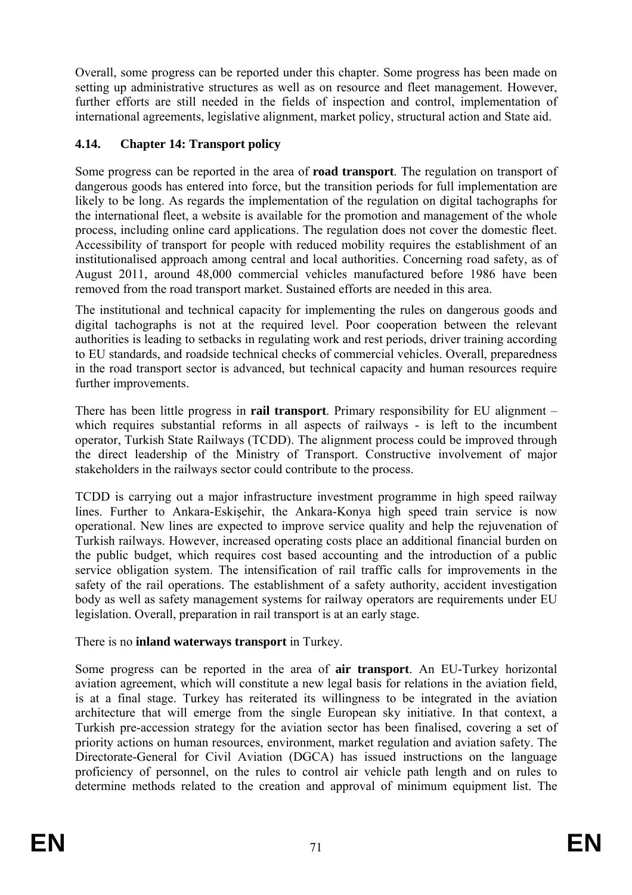Overall, some progress can be reported under this chapter. Some progress has been made on setting up administrative structures as well as on resource and fleet management. However, further efforts are still needed in the fields of inspection and control, implementation of international agreements, legislative alignment, market policy, structural action and State aid.

## **4.14. Chapter 14: Transport policy**

Some progress can be reported in the area of **road transport**. The regulation on transport of dangerous goods has entered into force, but the transition periods for full implementation are likely to be long. As regards the implementation of the regulation on digital tachographs for the international fleet, a website is available for the promotion and management of the whole process, including online card applications. The regulation does not cover the domestic fleet. Accessibility of transport for people with reduced mobility requires the establishment of an institutionalised approach among central and local authorities. Concerning road safety, as of August 2011, around 48,000 commercial vehicles manufactured before 1986 have been removed from the road transport market. Sustained efforts are needed in this area.

The institutional and technical capacity for implementing the rules on dangerous goods and digital tachographs is not at the required level. Poor cooperation between the relevant authorities is leading to setbacks in regulating work and rest periods, driver training according to EU standards, and roadside technical checks of commercial vehicles. Overall, preparedness in the road transport sector is advanced, but technical capacity and human resources require further improvements.

There has been little progress in **rail transport**. Primary responsibility for EU alignment – which requires substantial reforms in all aspects of railways - is left to the incumbent operator, Turkish State Railways (TCDD). The alignment process could be improved through the direct leadership of the Ministry of Transport. Constructive involvement of major stakeholders in the railways sector could contribute to the process.

TCDD is carrying out a major infrastructure investment programme in high speed railway lines. Further to Ankara-Eskişehir, the Ankara-Konya high speed train service is now operational. New lines are expected to improve service quality and help the rejuvenation of Turkish railways. However, increased operating costs place an additional financial burden on the public budget, which requires cost based accounting and the introduction of a public service obligation system. The intensification of rail traffic calls for improvements in the safety of the rail operations. The establishment of a safety authority, accident investigation body as well as safety management systems for railway operators are requirements under EU legislation. Overall, preparation in rail transport is at an early stage.

## There is no **inland waterways transport** in Turkey.

Some progress can be reported in the area of **air transport**. An EU-Turkey horizontal aviation agreement, which will constitute a new legal basis for relations in the aviation field, is at a final stage. Turkey has reiterated its willingness to be integrated in the aviation architecture that will emerge from the single European sky initiative. In that context, a Turkish pre-accession strategy for the aviation sector has been finalised, covering a set of priority actions on human resources, environment, market regulation and aviation safety. The Directorate-General for Civil Aviation (DGCA) has issued instructions on the language proficiency of personnel, on the rules to control air vehicle path length and on rules to determine methods related to the creation and approval of minimum equipment list. The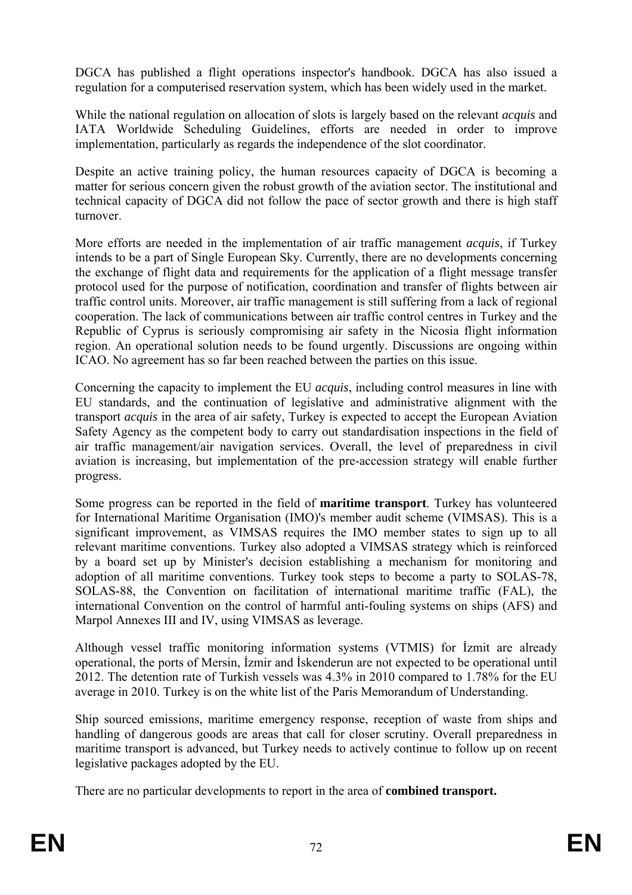DGCA has published a flight operations inspector's handbook. DGCA has also issued a regulation for a computerised reservation system, which has been widely used in the market.

While the national regulation on allocation of slots is largely based on the relevant *acquis* and IATA Worldwide Scheduling Guidelines, efforts are needed in order to improve implementation, particularly as regards the independence of the slot coordinator.

Despite an active training policy, the human resources capacity of DGCA is becoming a matter for serious concern given the robust growth of the aviation sector. The institutional and technical capacity of DGCA did not follow the pace of sector growth and there is high staff turnover.

More efforts are needed in the implementation of air traffic management *acquis*, if Turkey intends to be a part of Single European Sky. Currently, there are no developments concerning the exchange of flight data and requirements for the application of a flight message transfer protocol used for the purpose of notification, coordination and transfer of flights between air traffic control units. Moreover, air traffic management is still suffering from a lack of regional cooperation. The lack of communications between air traffic control centres in Turkey and the Republic of Cyprus is seriously compromising air safety in the Nicosia flight information region. An operational solution needs to be found urgently. Discussions are ongoing within ICAO. No agreement has so far been reached between the parties on this issue.

Concerning the capacity to implement the EU *acquis*, including control measures in line with EU standards, and the continuation of legislative and administrative alignment with the transport *acquis* in the area of air safety, Turkey is expected to accept the European Aviation Safety Agency as the competent body to carry out standardisation inspections in the field of air traffic management/air navigation services. Overall, the level of preparedness in civil aviation is increasing, but implementation of the pre-accession strategy will enable further progress.

Some progress can be reported in the field of **maritime transport**. Turkey has volunteered for International Maritime Organisation (IMO)'s member audit scheme (VIMSAS). This is a significant improvement, as VIMSAS requires the IMO member states to sign up to all relevant maritime conventions. Turkey also adopted a VIMSAS strategy which is reinforced by a board set up by Minister's decision establishing a mechanism for monitoring and adoption of all maritime conventions. Turkey took steps to become a party to SOLAS-78, SOLAS-88, the Convention on facilitation of international maritime traffic (FAL), the international Convention on the control of harmful anti-fouling systems on ships (AFS) and Marpol Annexes III and IV, using VIMSAS as leverage.

Although vessel traffic monitoring information systems (VTMIS) for İzmit are already operational, the ports of Mersin, İzmir and İskenderun are not expected to be operational until 2012. The detention rate of Turkish vessels was 4.3% in 2010 compared to 1.78% for the EU average in 2010. Turkey is on the white list of the Paris Memorandum of Understanding.

Ship sourced emissions, maritime emergency response, reception of waste from ships and handling of dangerous goods are areas that call for closer scrutiny. Overall preparedness in maritime transport is advanced, but Turkey needs to actively continue to follow up on recent legislative packages adopted by the EU.

There are no particular developments to report in the area of **combined transport.**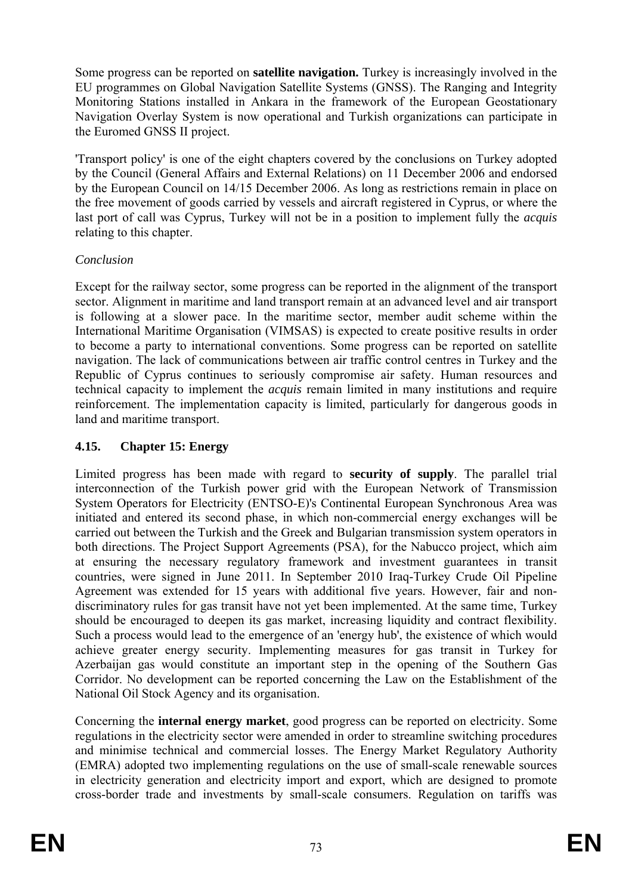Some progress can be reported on **satellite navigation.** Turkey is increasingly involved in the EU programmes on Global Navigation Satellite Systems (GNSS). The Ranging and Integrity Monitoring Stations installed in Ankara in the framework of the European Geostationary Navigation Overlay System is now operational and Turkish organizations can participate in the Euromed GNSS II project.

'Transport policy' is one of the eight chapters covered by the conclusions on Turkey adopted by the Council (General Affairs and External Relations) on 11 December 2006 and endorsed by the European Council on 14/15 December 2006. As long as restrictions remain in place on the free movement of goods carried by vessels and aircraft registered in Cyprus, or where the last port of call was Cyprus, Turkey will not be in a position to implement fully the *acquis*  relating to this chapter.

#### *Conclusion*

Except for the railway sector, some progress can be reported in the alignment of the transport sector. Alignment in maritime and land transport remain at an advanced level and air transport is following at a slower pace. In the maritime sector, member audit scheme within the International Maritime Organisation (VIMSAS) is expected to create positive results in order to become a party to international conventions. Some progress can be reported on satellite navigation. The lack of communications between air traffic control centres in Turkey and the Republic of Cyprus continues to seriously compromise air safety. Human resources and technical capacity to implement the *acquis* remain limited in many institutions and require reinforcement. The implementation capacity is limited, particularly for dangerous goods in land and maritime transport.

# **4.15. Chapter 15: Energy**

Limited progress has been made with regard to **security of supply**. The parallel trial interconnection of the Turkish power grid with the European Network of Transmission System Operators for Electricity (ENTSO-E)'s Continental European Synchronous Area was initiated and entered its second phase, in which non-commercial energy exchanges will be carried out between the Turkish and the Greek and Bulgarian transmission system operators in both directions. The Project Support Agreements (PSA), for the Nabucco project, which aim at ensuring the necessary regulatory framework and investment guarantees in transit countries, were signed in June 2011. In September 2010 Iraq-Turkey Crude Oil Pipeline Agreement was extended for 15 years with additional five years. However, fair and nondiscriminatory rules for gas transit have not yet been implemented. At the same time, Turkey should be encouraged to deepen its gas market, increasing liquidity and contract flexibility. Such a process would lead to the emergence of an 'energy hub', the existence of which would achieve greater energy security. Implementing measures for gas transit in Turkey for Azerbaijan gas would constitute an important step in the opening of the Southern Gas Corridor. No development can be reported concerning the Law on the Establishment of the National Oil Stock Agency and its organisation.

Concerning the **internal energy market**, good progress can be reported on electricity. Some regulations in the electricity sector were amended in order to streamline switching procedures and minimise technical and commercial losses. The Energy Market Regulatory Authority (EMRA) adopted two implementing regulations on the use of small-scale renewable sources in electricity generation and electricity import and export, which are designed to promote cross-border trade and investments by small-scale consumers. Regulation on tariffs was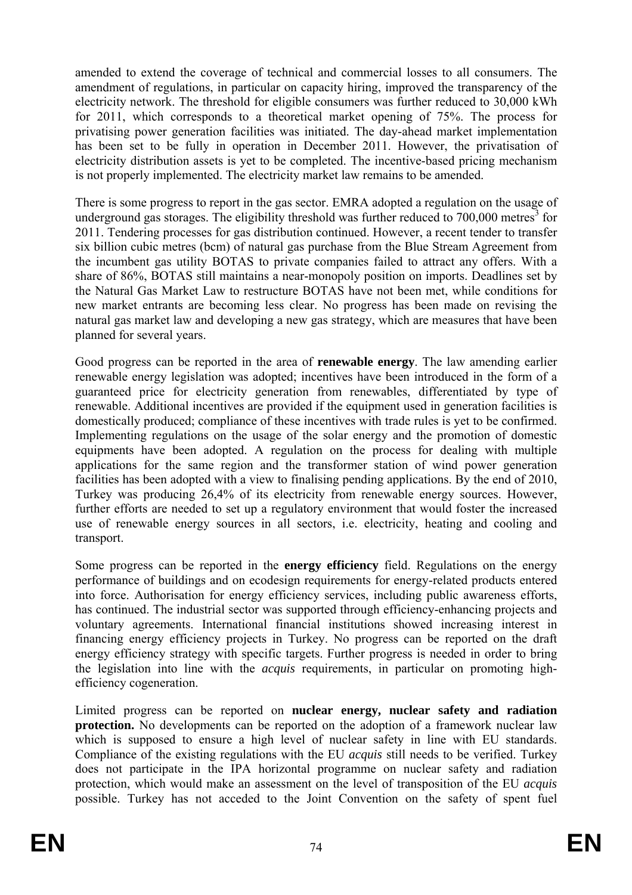amended to extend the coverage of technical and commercial losses to all consumers. The amendment of regulations, in particular on capacity hiring, improved the transparency of the electricity network. The threshold for eligible consumers was further reduced to 30,000 kWh for 2011, which corresponds to a theoretical market opening of 75%. The process for privatising power generation facilities was initiated. The day-ahead market implementation has been set to be fully in operation in December 2011. However, the privatisation of electricity distribution assets is yet to be completed. The incentive-based pricing mechanism is not properly implemented. The electricity market law remains to be amended.

There is some progress to report in the gas sector. EMRA adopted a regulation on the usage of underground gas storages. The eligibility threshold was further reduced to  $700,000$  metres<sup>3</sup> for 2011. Tendering processes for gas distribution continued. However, a recent tender to transfer six billion cubic metres (bcm) of natural gas purchase from the Blue Stream Agreement from the incumbent gas utility BOTAS to private companies failed to attract any offers. With a share of 86%, BOTAS still maintains a near-monopoly position on imports. Deadlines set by the Natural Gas Market Law to restructure BOTAS have not been met, while conditions for new market entrants are becoming less clear. No progress has been made on revising the natural gas market law and developing a new gas strategy, which are measures that have been planned for several years.

Good progress can be reported in the area of **renewable energy**. The law amending earlier renewable energy legislation was adopted; incentives have been introduced in the form of a guaranteed price for electricity generation from renewables, differentiated by type of renewable. Additional incentives are provided if the equipment used in generation facilities is domestically produced; compliance of these incentives with trade rules is yet to be confirmed. Implementing regulations on the usage of the solar energy and the promotion of domestic equipments have been adopted. A regulation on the process for dealing with multiple applications for the same region and the transformer station of wind power generation facilities has been adopted with a view to finalising pending applications. By the end of 2010, Turkey was producing 26,4% of its electricity from renewable energy sources. However, further efforts are needed to set up a regulatory environment that would foster the increased use of renewable energy sources in all sectors, i.e. electricity, heating and cooling and transport.

Some progress can be reported in the **energy efficiency** field. Regulations on the energy performance of buildings and on ecodesign requirements for energy-related products entered into force. Authorisation for energy efficiency services, including public awareness efforts, has continued. The industrial sector was supported through efficiency-enhancing projects and voluntary agreements. International financial institutions showed increasing interest in financing energy efficiency projects in Turkey. No progress can be reported on the draft energy efficiency strategy with specific targets. Further progress is needed in order to bring the legislation into line with the *acquis* requirements, in particular on promoting highefficiency cogeneration.

Limited progress can be reported on **nuclear energy, nuclear safety and radiation protection.** No developments can be reported on the adoption of a framework nuclear law which is supposed to ensure a high level of nuclear safety in line with EU standards. Compliance of the existing regulations with the EU *acquis* still needs to be verified. Turkey does not participate in the IPA horizontal programme on nuclear safety and radiation protection, which would make an assessment on the level of transposition of the EU *acquis*  possible. Turkey has not acceded to the Joint Convention on the safety of spent fuel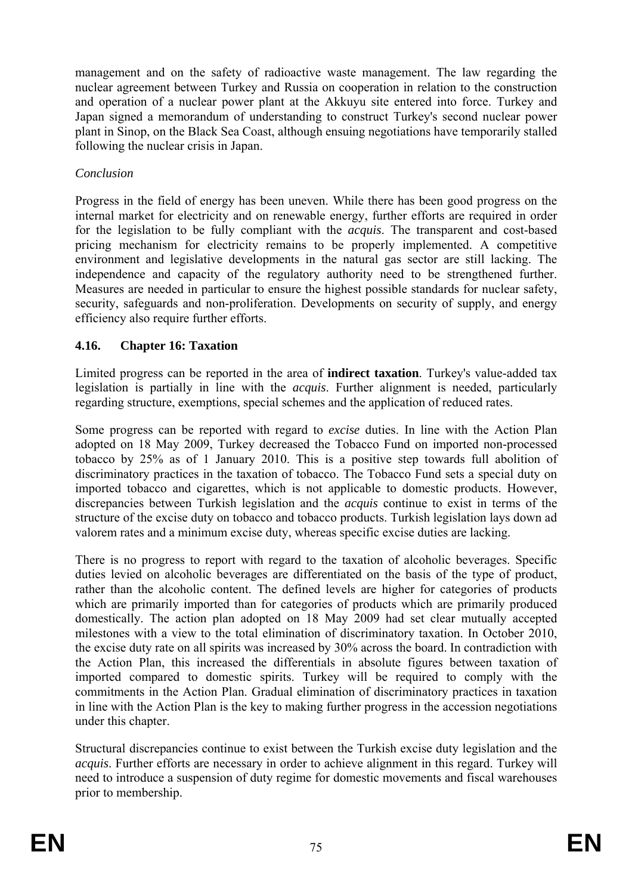management and on the safety of radioactive waste management. The law regarding the nuclear agreement between Turkey and Russia on cooperation in relation to the construction and operation of a nuclear power plant at the Akkuyu site entered into force. Turkey and Japan signed a memorandum of understanding to construct Turkey's second nuclear power plant in Sinop, on the Black Sea Coast, although ensuing negotiations have temporarily stalled following the nuclear crisis in Japan.

### *Conclusion*

Progress in the field of energy has been uneven. While there has been good progress on the internal market for electricity and on renewable energy, further efforts are required in order for the legislation to be fully compliant with the *acquis*. The transparent and cost-based pricing mechanism for electricity remains to be properly implemented. A competitive environment and legislative developments in the natural gas sector are still lacking. The independence and capacity of the regulatory authority need to be strengthened further. Measures are needed in particular to ensure the highest possible standards for nuclear safety, security, safeguards and non-proliferation. Developments on security of supply, and energy efficiency also require further efforts.

### **4.16. Chapter 16: Taxation**

Limited progress can be reported in the area of **indirect taxation**. Turkey's value-added tax legislation is partially in line with the *acquis*. Further alignment is needed, particularly regarding structure, exemptions, special schemes and the application of reduced rates.

Some progress can be reported with regard to *excise* duties. In line with the Action Plan adopted on 18 May 2009, Turkey decreased the Tobacco Fund on imported non-processed tobacco by 25% as of 1 January 2010. This is a positive step towards full abolition of discriminatory practices in the taxation of tobacco. The Tobacco Fund sets a special duty on imported tobacco and cigarettes, which is not applicable to domestic products. However, discrepancies between Turkish legislation and the *acquis* continue to exist in terms of the structure of the excise duty on tobacco and tobacco products. Turkish legislation lays down ad valorem rates and a minimum excise duty, whereas specific excise duties are lacking.

There is no progress to report with regard to the taxation of alcoholic beverages. Specific duties levied on alcoholic beverages are differentiated on the basis of the type of product, rather than the alcoholic content. The defined levels are higher for categories of products which are primarily imported than for categories of products which are primarily produced domestically. The action plan adopted on 18 May 2009 had set clear mutually accepted milestones with a view to the total elimination of discriminatory taxation. In October 2010, the excise duty rate on all spirits was increased by 30% across the board. In contradiction with the Action Plan, this increased the differentials in absolute figures between taxation of imported compared to domestic spirits. Turkey will be required to comply with the commitments in the Action Plan. Gradual elimination of discriminatory practices in taxation in line with the Action Plan is the key to making further progress in the accession negotiations under this chapter.

Structural discrepancies continue to exist between the Turkish excise duty legislation and the *acquis*. Further efforts are necessary in order to achieve alignment in this regard. Turkey will need to introduce a suspension of duty regime for domestic movements and fiscal warehouses prior to membership.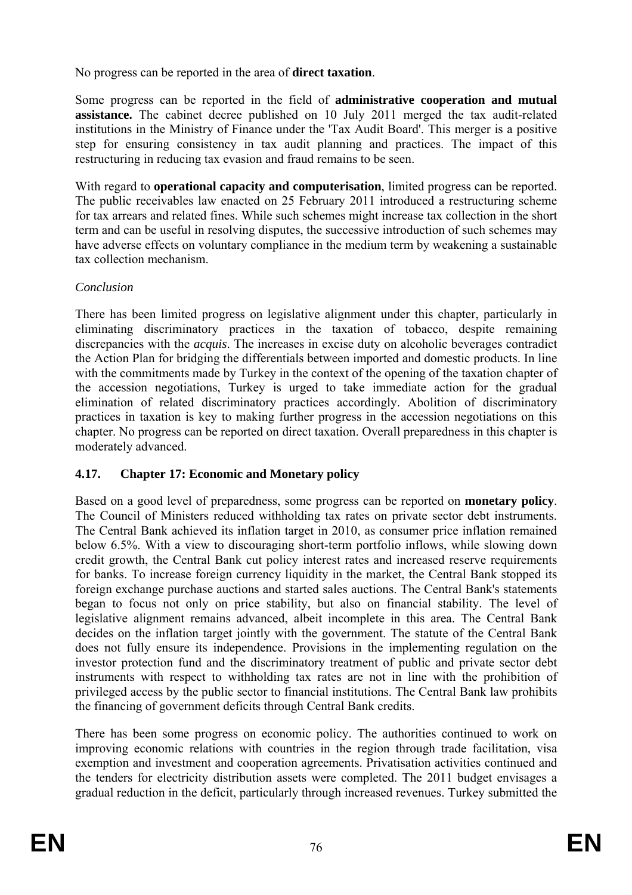No progress can be reported in the area of **direct taxation**.

Some progress can be reported in the field of **administrative cooperation and mutual assistance.** The cabinet decree published on 10 July 2011 merged the tax audit-related institutions in the Ministry of Finance under the 'Tax Audit Board'. This merger is a positive step for ensuring consistency in tax audit planning and practices. The impact of this restructuring in reducing tax evasion and fraud remains to be seen.

With regard to **operational capacity and computerisation**, limited progress can be reported. The public receivables law enacted on 25 February 2011 introduced a restructuring scheme for tax arrears and related fines. While such schemes might increase tax collection in the short term and can be useful in resolving disputes, the successive introduction of such schemes may have adverse effects on voluntary compliance in the medium term by weakening a sustainable tax collection mechanism.

# *Conclusion*

There has been limited progress on legislative alignment under this chapter, particularly in eliminating discriminatory practices in the taxation of tobacco, despite remaining discrepancies with the *acquis*. The increases in excise duty on alcoholic beverages contradict the Action Plan for bridging the differentials between imported and domestic products. In line with the commitments made by Turkey in the context of the opening of the taxation chapter of the accession negotiations, Turkey is urged to take immediate action for the gradual elimination of related discriminatory practices accordingly. Abolition of discriminatory practices in taxation is key to making further progress in the accession negotiations on this chapter. No progress can be reported on direct taxation. Overall preparedness in this chapter is moderately advanced.

# **4.17. Chapter 17: Economic and Monetary policy**

Based on a good level of preparedness, some progress can be reported on **monetary policy**. The Council of Ministers reduced withholding tax rates on private sector debt instruments. The Central Bank achieved its inflation target in 2010, as consumer price inflation remained below 6.5%. With a view to discouraging short-term portfolio inflows, while slowing down credit growth, the Central Bank cut policy interest rates and increased reserve requirements for banks. To increase foreign currency liquidity in the market, the Central Bank stopped its foreign exchange purchase auctions and started sales auctions. The Central Bank's statements began to focus not only on price stability, but also on financial stability. The level of legislative alignment remains advanced, albeit incomplete in this area. The Central Bank decides on the inflation target jointly with the government. The statute of the Central Bank does not fully ensure its independence. Provisions in the implementing regulation on the investor protection fund and the discriminatory treatment of public and private sector debt instruments with respect to withholding tax rates are not in line with the prohibition of privileged access by the public sector to financial institutions. The Central Bank law prohibits the financing of government deficits through Central Bank credits.

There has been some progress on economic policy. The authorities continued to work on improving economic relations with countries in the region through trade facilitation, visa exemption and investment and cooperation agreements. Privatisation activities continued and the tenders for electricity distribution assets were completed. The 2011 budget envisages a gradual reduction in the deficit, particularly through increased revenues. Turkey submitted the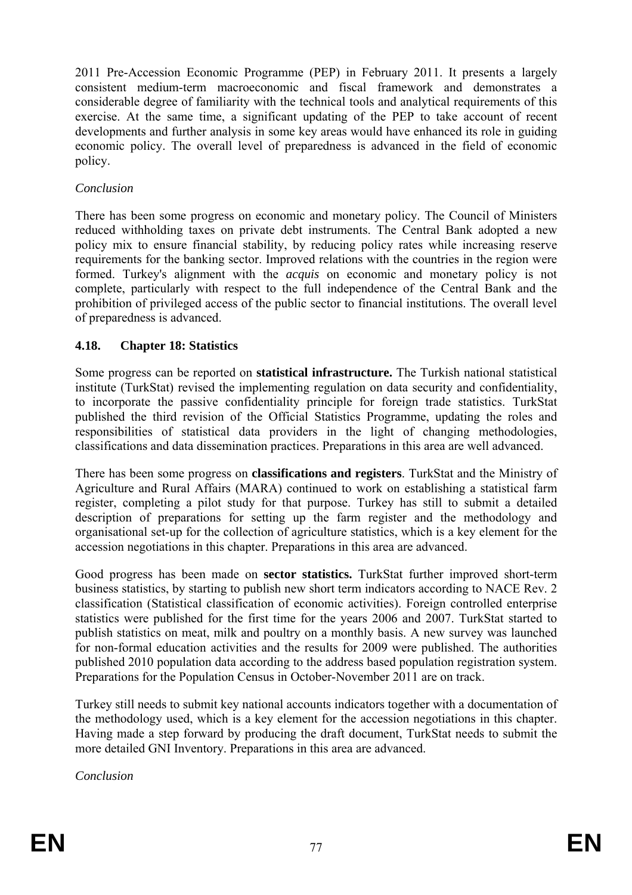2011 Pre-Accession Economic Programme (PEP) in February 2011. It presents a largely consistent medium-term macroeconomic and fiscal framework and demonstrates a considerable degree of familiarity with the technical tools and analytical requirements of this exercise. At the same time, a significant updating of the PEP to take account of recent developments and further analysis in some key areas would have enhanced its role in guiding economic policy. The overall level of preparedness is advanced in the field of economic policy.

### *Conclusion*

There has been some progress on economic and monetary policy. The Council of Ministers reduced withholding taxes on private debt instruments. The Central Bank adopted a new policy mix to ensure financial stability, by reducing policy rates while increasing reserve requirements for the banking sector. Improved relations with the countries in the region were formed. Turkey's alignment with the *acquis* on economic and monetary policy is not complete, particularly with respect to the full independence of the Central Bank and the prohibition of privileged access of the public sector to financial institutions. The overall level of preparedness is advanced.

### **4.18. Chapter 18: Statistics**

Some progress can be reported on **statistical infrastructure.** The Turkish national statistical institute (TurkStat) revised the implementing regulation on data security and confidentiality, to incorporate the passive confidentiality principle for foreign trade statistics. TurkStat published the third revision of the Official Statistics Programme, updating the roles and responsibilities of statistical data providers in the light of changing methodologies, classifications and data dissemination practices. Preparations in this area are well advanced.

There has been some progress on **classifications and registers**. TurkStat and the Ministry of Agriculture and Rural Affairs (MARA) continued to work on establishing a statistical farm register, completing a pilot study for that purpose. Turkey has still to submit a detailed description of preparations for setting up the farm register and the methodology and organisational set-up for the collection of agriculture statistics, which is a key element for the accession negotiations in this chapter. Preparations in this area are advanced.

Good progress has been made on **sector statistics.** TurkStat further improved short-term business statistics, by starting to publish new short term indicators according to NACE Rev. 2 classification (Statistical classification of economic activities). Foreign controlled enterprise statistics were published for the first time for the years 2006 and 2007. TurkStat started to publish statistics on meat, milk and poultry on a monthly basis. A new survey was launched for non-formal education activities and the results for 2009 were published. The authorities published 2010 population data according to the address based population registration system. Preparations for the Population Census in October-November 2011 are on track.

Turkey still needs to submit key national accounts indicators together with a documentation of the methodology used, which is a key element for the accession negotiations in this chapter. Having made a step forward by producing the draft document, TurkStat needs to submit the more detailed GNI Inventory. Preparations in this area are advanced.

*Conclusion*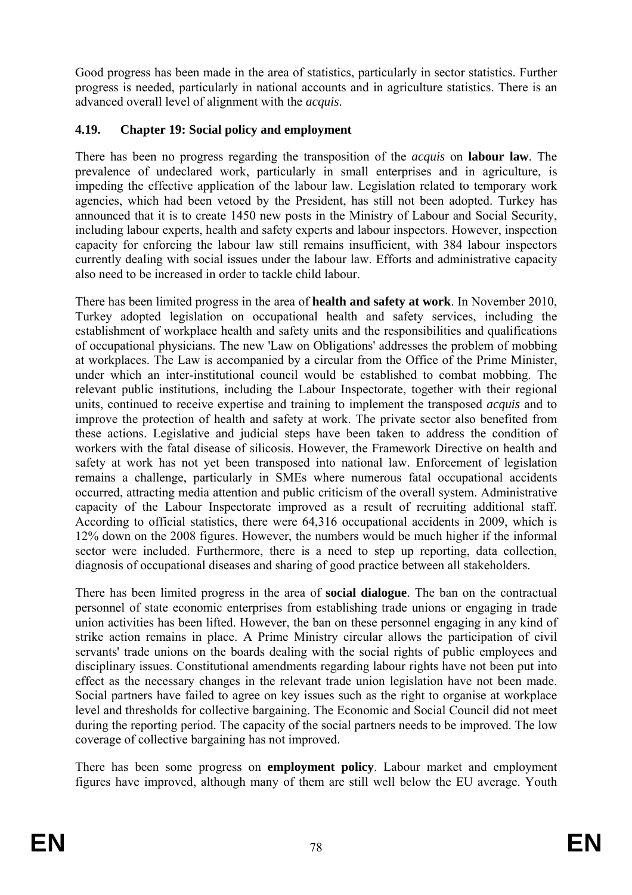Good progress has been made in the area of statistics, particularly in sector statistics. Further progress is needed, particularly in national accounts and in agriculture statistics. There is an advanced overall level of alignment with the *acquis*.

### **4.19. Chapter 19: Social policy and employment**

There has been no progress regarding the transposition of the *acquis* on **labour law**. The prevalence of undeclared work, particularly in small enterprises and in agriculture, is impeding the effective application of the labour law. Legislation related to temporary work agencies, which had been vetoed by the President, has still not been adopted. Turkey has announced that it is to create 1450 new posts in the Ministry of Labour and Social Security, including labour experts, health and safety experts and labour inspectors. However, inspection capacity for enforcing the labour law still remains insufficient, with 384 labour inspectors currently dealing with social issues under the labour law. Efforts and administrative capacity also need to be increased in order to tackle child labour.

There has been limited progress in the area of **health and safety at work**. In November 2010, Turkey adopted legislation on occupational health and safety services, including the establishment of workplace health and safety units and the responsibilities and qualifications of occupational physicians. The new 'Law on Obligations' addresses the problem of mobbing at workplaces. The Law is accompanied by a circular from the Office of the Prime Minister, under which an inter-institutional council would be established to combat mobbing. The relevant public institutions, including the Labour Inspectorate, together with their regional units, continued to receive expertise and training to implement the transposed *acquis* and to improve the protection of health and safety at work. The private sector also benefited from these actions. Legislative and judicial steps have been taken to address the condition of workers with the fatal disease of silicosis. However, the Framework Directive on health and safety at work has not yet been transposed into national law. Enforcement of legislation remains a challenge, particularly in SMEs where numerous fatal occupational accidents occurred, attracting media attention and public criticism of the overall system. Administrative capacity of the Labour Inspectorate improved as a result of recruiting additional staff. According to official statistics, there were 64,316 occupational accidents in 2009, which is 12% down on the 2008 figures. However, the numbers would be much higher if the informal sector were included. Furthermore, there is a need to step up reporting, data collection, diagnosis of occupational diseases and sharing of good practice between all stakeholders.

There has been limited progress in the area of **social dialogue**. The ban on the contractual personnel of state economic enterprises from establishing trade unions or engaging in trade union activities has been lifted. However, the ban on these personnel engaging in any kind of strike action remains in place. A Prime Ministry circular allows the participation of civil servants' trade unions on the boards dealing with the social rights of public employees and disciplinary issues. Constitutional amendments regarding labour rights have not been put into effect as the necessary changes in the relevant trade union legislation have not been made. Social partners have failed to agree on key issues such as the right to organise at workplace level and thresholds for collective bargaining. The Economic and Social Council did not meet during the reporting period. The capacity of the social partners needs to be improved. The low coverage of collective bargaining has not improved.

There has been some progress on **employment policy**. Labour market and employment figures have improved, although many of them are still well below the EU average. Youth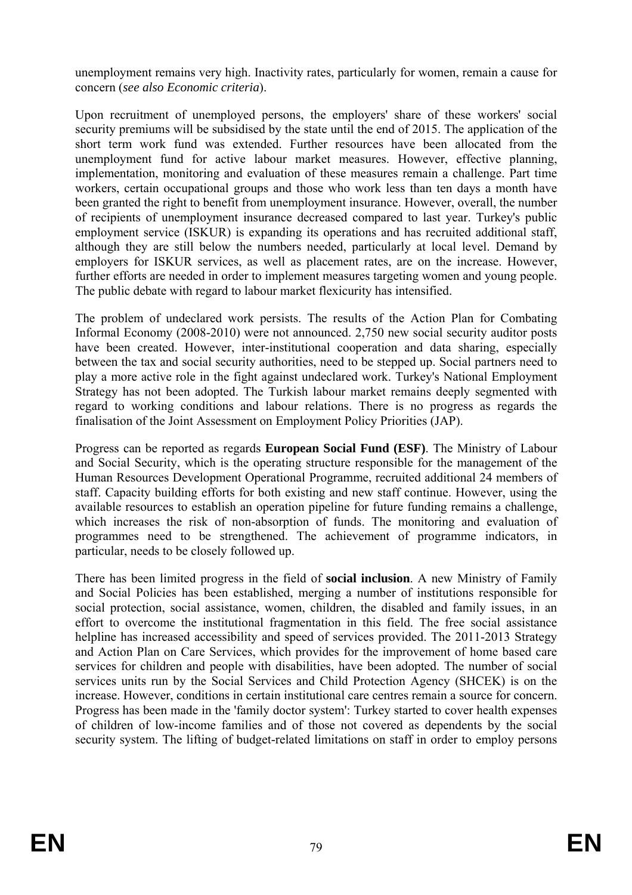unemployment remains very high. Inactivity rates, particularly for women, remain a cause for concern (*see also Economic criteria*).

Upon recruitment of unemployed persons, the employers' share of these workers' social security premiums will be subsidised by the state until the end of 2015. The application of the short term work fund was extended. Further resources have been allocated from the unemployment fund for active labour market measures. However, effective planning, implementation, monitoring and evaluation of these measures remain a challenge. Part time workers, certain occupational groups and those who work less than ten days a month have been granted the right to benefit from unemployment insurance. However, overall, the number of recipients of unemployment insurance decreased compared to last year. Turkey's public employment service (ISKUR) is expanding its operations and has recruited additional staff, although they are still below the numbers needed, particularly at local level. Demand by employers for ISKUR services, as well as placement rates, are on the increase. However, further efforts are needed in order to implement measures targeting women and young people. The public debate with regard to labour market flexicurity has intensified.

The problem of undeclared work persists. The results of the Action Plan for Combating Informal Economy (2008-2010) were not announced. 2,750 new social security auditor posts have been created. However, inter-institutional cooperation and data sharing, especially between the tax and social security authorities, need to be stepped up. Social partners need to play a more active role in the fight against undeclared work. Turkey's National Employment Strategy has not been adopted. The Turkish labour market remains deeply segmented with regard to working conditions and labour relations. There is no progress as regards the finalisation of the Joint Assessment on Employment Policy Priorities (JAP).

Progress can be reported as regards **European Social Fund (ESF)**. The Ministry of Labour and Social Security, which is the operating structure responsible for the management of the Human Resources Development Operational Programme, recruited additional 24 members of staff. Capacity building efforts for both existing and new staff continue. However, using the available resources to establish an operation pipeline for future funding remains a challenge, which increases the risk of non-absorption of funds. The monitoring and evaluation of programmes need to be strengthened. The achievement of programme indicators, in particular, needs to be closely followed up.

There has been limited progress in the field of **social inclusion**. A new Ministry of Family and Social Policies has been established, merging a number of institutions responsible for social protection, social assistance, women, children, the disabled and family issues, in an effort to overcome the institutional fragmentation in this field. The free social assistance helpline has increased accessibility and speed of services provided. The 2011-2013 Strategy and Action Plan on Care Services, which provides for the improvement of home based care services for children and people with disabilities, have been adopted. The number of social services units run by the Social Services and Child Protection Agency (SHCEK) is on the increase. However, conditions in certain institutional care centres remain a source for concern. Progress has been made in the 'family doctor system': Turkey started to cover health expenses of children of low-income families and of those not covered as dependents by the social security system. The lifting of budget-related limitations on staff in order to employ persons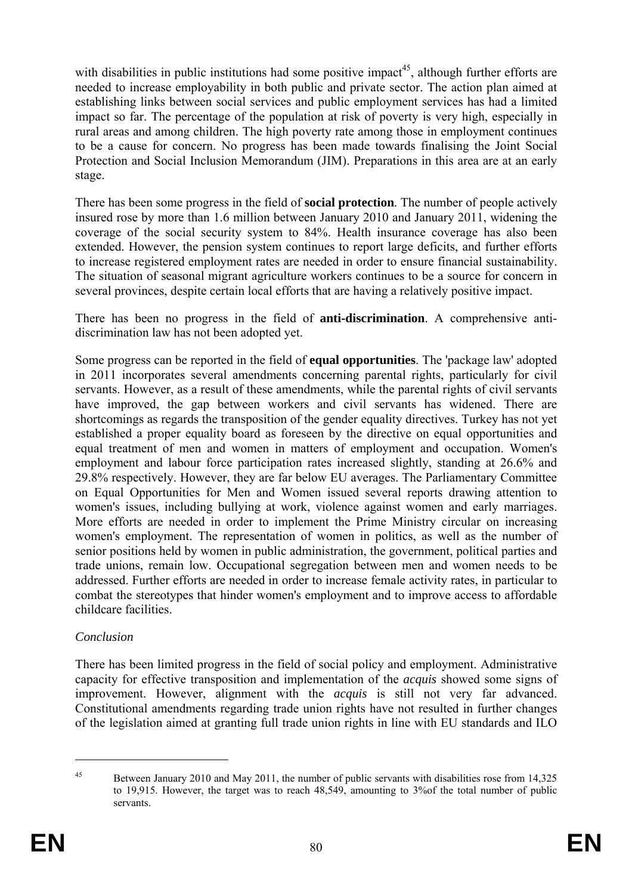with disabilities in public institutions had some positive impact<sup>45</sup>, although further efforts are needed to increase employability in both public and private sector. The action plan aimed at establishing links between social services and public employment services has had a limited impact so far. The percentage of the population at risk of poverty is very high, especially in rural areas and among children. The high poverty rate among those in employment continues to be a cause for concern. No progress has been made towards finalising the Joint Social Protection and Social Inclusion Memorandum (JIM). Preparations in this area are at an early stage.

There has been some progress in the field of **social protection**. The number of people actively insured rose by more than 1.6 million between January 2010 and January 2011, widening the coverage of the social security system to 84%. Health insurance coverage has also been extended. However, the pension system continues to report large deficits, and further efforts to increase registered employment rates are needed in order to ensure financial sustainability. The situation of seasonal migrant agriculture workers continues to be a source for concern in several provinces, despite certain local efforts that are having a relatively positive impact.

There has been no progress in the field of **anti-discrimination**. A comprehensive antidiscrimination law has not been adopted yet.

Some progress can be reported in the field of **equal opportunities**. The 'package law' adopted in 2011 incorporates several amendments concerning parental rights, particularly for civil servants. However, as a result of these amendments, while the parental rights of civil servants have improved, the gap between workers and civil servants has widened. There are shortcomings as regards the transposition of the gender equality directives. Turkey has not yet established a proper equality board as foreseen by the directive on equal opportunities and equal treatment of men and women in matters of employment and occupation. Women's employment and labour force participation rates increased slightly, standing at 26.6% and 29.8% respectively. However, they are far below EU averages. The Parliamentary Committee on Equal Opportunities for Men and Women issued several reports drawing attention to women's issues, including bullying at work, violence against women and early marriages. More efforts are needed in order to implement the Prime Ministry circular on increasing women's employment. The representation of women in politics, as well as the number of senior positions held by women in public administration, the government, political parties and trade unions, remain low. Occupational segregation between men and women needs to be addressed. Further efforts are needed in order to increase female activity rates, in particular to combat the stereotypes that hinder women's employment and to improve access to affordable childcare facilities.

#### *Conclusion*

There has been limited progress in the field of social policy and employment. Administrative capacity for effective transposition and implementation of the *acquis* showed some signs of improvement. However, alignment with the *acquis* is still not very far advanced. Constitutional amendments regarding trade union rights have not resulted in further changes of the legislation aimed at granting full trade union rights in line with EU standards and ILO

 $\overline{a}$ 

<sup>&</sup>lt;sup>45</sup> Between January 2010 and May 2011, the number of public servants with disabilities rose from 14,325 to 19,915. However, the target was to reach 48,549, amounting to 3%of the total number of public servants.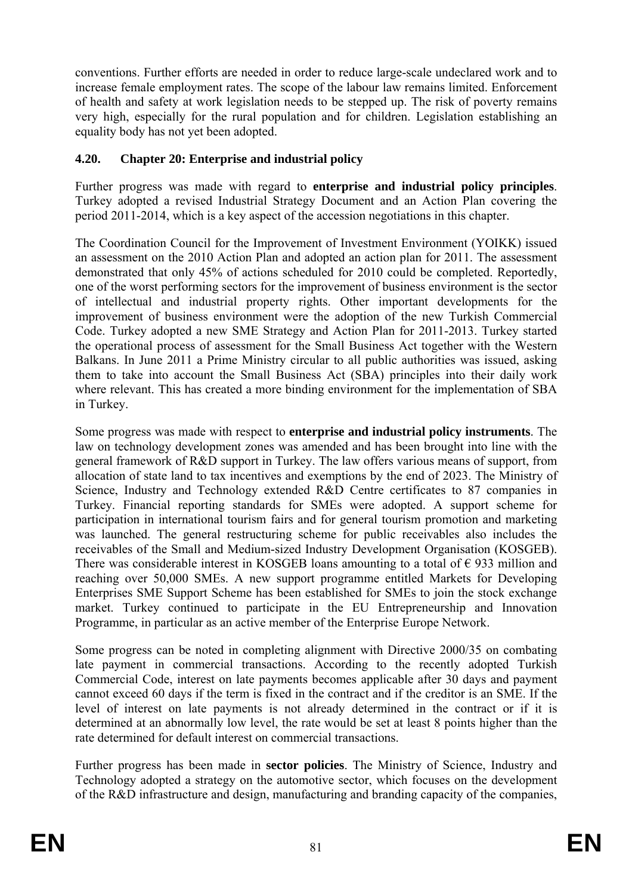conventions. Further efforts are needed in order to reduce large-scale undeclared work and to increase female employment rates. The scope of the labour law remains limited. Enforcement of health and safety at work legislation needs to be stepped up. The risk of poverty remains very high, especially for the rural population and for children. Legislation establishing an equality body has not yet been adopted.

#### **4.20. Chapter 20: Enterprise and industrial policy**

Further progress was made with regard to **enterprise and industrial policy principles**. Turkey adopted a revised Industrial Strategy Document and an Action Plan covering the period 2011-2014, which is a key aspect of the accession negotiations in this chapter.

The Coordination Council for the Improvement of Investment Environment (YOIKK) issued an assessment on the 2010 Action Plan and adopted an action plan for 2011. The assessment demonstrated that only 45% of actions scheduled for 2010 could be completed. Reportedly, one of the worst performing sectors for the improvement of business environment is the sector of intellectual and industrial property rights. Other important developments for the improvement of business environment were the adoption of the new Turkish Commercial Code. Turkey adopted a new SME Strategy and Action Plan for 2011-2013. Turkey started the operational process of assessment for the Small Business Act together with the Western Balkans. In June 2011 a Prime Ministry circular to all public authorities was issued, asking them to take into account the Small Business Act (SBA) principles into their daily work where relevant. This has created a more binding environment for the implementation of SBA in Turkey.

Some progress was made with respect to **enterprise and industrial policy instruments**. The law on technology development zones was amended and has been brought into line with the general framework of R&D support in Turkey. The law offers various means of support, from allocation of state land to tax incentives and exemptions by the end of 2023. The Ministry of Science, Industry and Technology extended R&D Centre certificates to 87 companies in Turkey. Financial reporting standards for SMEs were adopted. A support scheme for participation in international tourism fairs and for general tourism promotion and marketing was launched. The general restructuring scheme for public receivables also includes the receivables of the Small and Medium-sized Industry Development Organisation (KOSGEB). There was considerable interest in KOSGEB loans amounting to a total of  $\epsilon$  933 million and reaching over 50,000 SMEs. A new support programme entitled Markets for Developing Enterprises SME Support Scheme has been established for SMEs to join the stock exchange market. Turkey continued to participate in the EU Entrepreneurship and Innovation Programme, in particular as an active member of the Enterprise Europe Network.

Some progress can be noted in completing alignment with Directive 2000/35 on combating late payment in commercial transactions. According to the recently adopted Turkish Commercial Code, interest on late payments becomes applicable after 30 days and payment cannot exceed 60 days if the term is fixed in the contract and if the creditor is an SME. If the level of interest on late payments is not already determined in the contract or if it is determined at an abnormally low level, the rate would be set at least 8 points higher than the rate determined for default interest on commercial transactions.

Further progress has been made in **sector policies**. The Ministry of Science, Industry and Technology adopted a strategy on the automotive sector, which focuses on the development of the R&D infrastructure and design, manufacturing and branding capacity of the companies,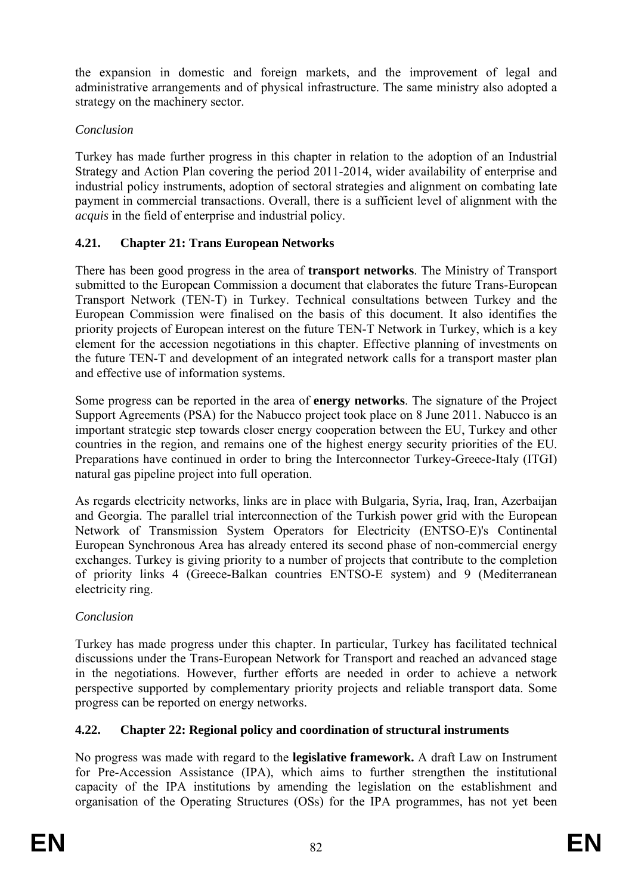the expansion in domestic and foreign markets, and the improvement of legal and administrative arrangements and of physical infrastructure. The same ministry also adopted a strategy on the machinery sector.

# *Conclusion*

Turkey has made further progress in this chapter in relation to the adoption of an Industrial Strategy and Action Plan covering the period 2011-2014, wider availability of enterprise and industrial policy instruments, adoption of sectoral strategies and alignment on combating late payment in commercial transactions. Overall, there is a sufficient level of alignment with the *acquis* in the field of enterprise and industrial policy.

# **4.21. Chapter 21: Trans European Networks**

There has been good progress in the area of **transport networks**. The Ministry of Transport submitted to the European Commission a document that elaborates the future Trans-European Transport Network (TEN-T) in Turkey. Technical consultations between Turkey and the European Commission were finalised on the basis of this document. It also identifies the priority projects of European interest on the future TEN-T Network in Turkey, which is a key element for the accession negotiations in this chapter. Effective planning of investments on the future TEN-T and development of an integrated network calls for a transport master plan and effective use of information systems.

Some progress can be reported in the area of **energy networks**. The signature of the Project Support Agreements (PSA) for the Nabucco project took place on 8 June 2011. Nabucco is an important strategic step towards closer energy cooperation between the EU, Turkey and other countries in the region, and remains one of the highest energy security priorities of the EU. Preparations have continued in order to bring the Interconnector Turkey-Greece-Italy (ITGI) natural gas pipeline project into full operation.

As regards electricity networks, links are in place with Bulgaria, Syria, Iraq, Iran, Azerbaijan and Georgia. The parallel trial interconnection of the Turkish power grid with the European Network of Transmission System Operators for Electricity (ENTSO-E)'s Continental European Synchronous Area has already entered its second phase of non-commercial energy exchanges. Turkey is giving priority to a number of projects that contribute to the completion of priority links 4 (Greece-Balkan countries ENTSO-E system) and 9 (Mediterranean electricity ring.

# *Conclusion*

Turkey has made progress under this chapter. In particular, Turkey has facilitated technical discussions under the Trans-European Network for Transport and reached an advanced stage in the negotiations. However, further efforts are needed in order to achieve a network perspective supported by complementary priority projects and reliable transport data. Some progress can be reported on energy networks.

# **4.22. Chapter 22: Regional policy and coordination of structural instruments**

No progress was made with regard to the **legislative framework.** A draft Law on Instrument for Pre-Accession Assistance (IPA), which aims to further strengthen the institutional capacity of the IPA institutions by amending the legislation on the establishment and organisation of the Operating Structures (OSs) for the IPA programmes, has not yet been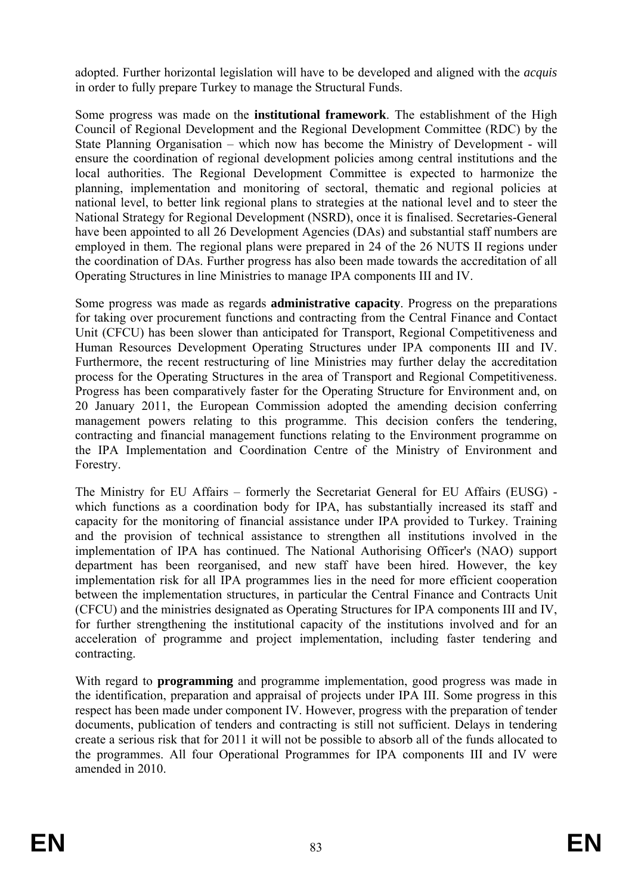adopted. Further horizontal legislation will have to be developed and aligned with the *acquis* in order to fully prepare Turkey to manage the Structural Funds.

Some progress was made on the **institutional framework**. The establishment of the High Council of Regional Development and the Regional Development Committee (RDC) by the State Planning Organisation – which now has become the Ministry of Development - will ensure the coordination of regional development policies among central institutions and the local authorities. The Regional Development Committee is expected to harmonize the planning, implementation and monitoring of sectoral, thematic and regional policies at national level, to better link regional plans to strategies at the national level and to steer the National Strategy for Regional Development (NSRD), once it is finalised. Secretaries-General have been appointed to all 26 Development Agencies (DAs) and substantial staff numbers are employed in them. The regional plans were prepared in 24 of the 26 NUTS II regions under the coordination of DAs. Further progress has also been made towards the accreditation of all Operating Structures in line Ministries to manage IPA components III and IV.

Some progress was made as regards **administrative capacity**. Progress on the preparations for taking over procurement functions and contracting from the Central Finance and Contact Unit (CFCU) has been slower than anticipated for Transport, Regional Competitiveness and Human Resources Development Operating Structures under IPA components III and IV. Furthermore, the recent restructuring of line Ministries may further delay the accreditation process for the Operating Structures in the area of Transport and Regional Competitiveness. Progress has been comparatively faster for the Operating Structure for Environment and, on 20 January 2011, the European Commission adopted the amending decision conferring management powers relating to this programme. This decision confers the tendering, contracting and financial management functions relating to the Environment programme on the IPA Implementation and Coordination Centre of the Ministry of Environment and Forestry.

The Ministry for EU Affairs – formerly the Secretariat General for EU Affairs (EUSG) which functions as a coordination body for IPA, has substantially increased its staff and capacity for the monitoring of financial assistance under IPA provided to Turkey. Training and the provision of technical assistance to strengthen all institutions involved in the implementation of IPA has continued. The National Authorising Officer's (NAO) support department has been reorganised, and new staff have been hired. However, the key implementation risk for all IPA programmes lies in the need for more efficient cooperation between the implementation structures, in particular the Central Finance and Contracts Unit (CFCU) and the ministries designated as Operating Structures for IPA components III and IV, for further strengthening the institutional capacity of the institutions involved and for an acceleration of programme and project implementation, including faster tendering and contracting.

With regard to **programming** and programme implementation, good progress was made in the identification, preparation and appraisal of projects under IPA III. Some progress in this respect has been made under component IV. However, progress with the preparation of tender documents, publication of tenders and contracting is still not sufficient. Delays in tendering create a serious risk that for 2011 it will not be possible to absorb all of the funds allocated to the programmes. All four Operational Programmes for IPA components III and IV were amended in 2010.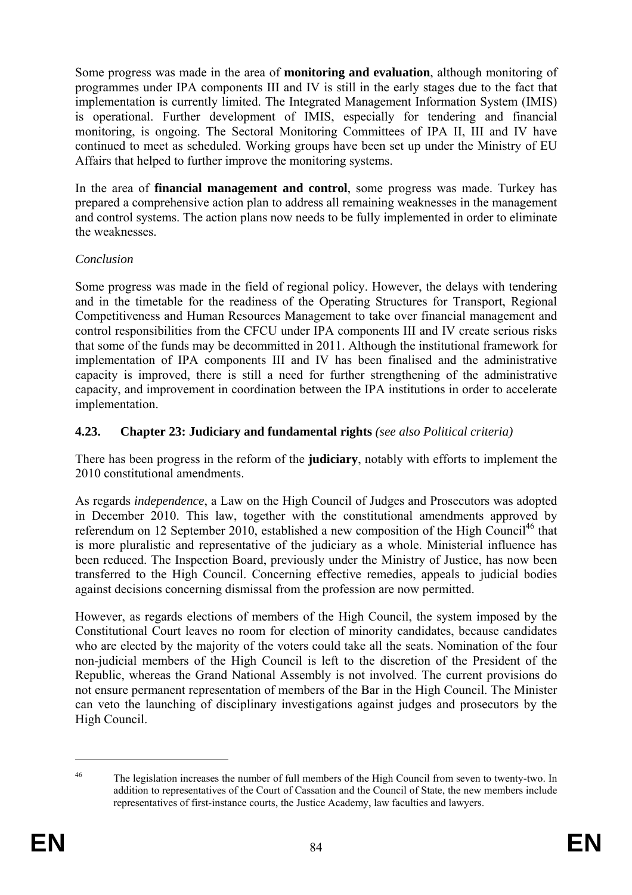Some progress was made in the area of **monitoring and evaluation**, although monitoring of programmes under IPA components III and IV is still in the early stages due to the fact that implementation is currently limited. The Integrated Management Information System (IMIS) is operational. Further development of IMIS, especially for tendering and financial monitoring, is ongoing. The Sectoral Monitoring Committees of IPA II, III and IV have continued to meet as scheduled. Working groups have been set up under the Ministry of EU Affairs that helped to further improve the monitoring systems.

In the area of **financial management and control**, some progress was made. Turkey has prepared a comprehensive action plan to address all remaining weaknesses in the management and control systems. The action plans now needs to be fully implemented in order to eliminate the weaknesses.

### *Conclusion*

Some progress was made in the field of regional policy. However, the delays with tendering and in the timetable for the readiness of the Operating Structures for Transport, Regional Competitiveness and Human Resources Management to take over financial management and control responsibilities from the CFCU under IPA components III and IV create serious risks that some of the funds may be decommitted in 2011. Although the institutional framework for implementation of IPA components III and IV has been finalised and the administrative capacity is improved, there is still a need for further strengthening of the administrative capacity, and improvement in coordination between the IPA institutions in order to accelerate implementation.

# **4.23. Chapter 23: Judiciary and fundamental rights** *(see also Political criteria)*

There has been progress in the reform of the **judiciary**, notably with efforts to implement the 2010 constitutional amendments.

As regards *independence*, a Law on the High Council of Judges and Prosecutors was adopted in December 2010. This law, together with the constitutional amendments approved by referendum on 12 September 2010, established a new composition of the High Council<sup>46</sup> that is more pluralistic and representative of the judiciary as a whole. Ministerial influence has been reduced. The Inspection Board, previously under the Ministry of Justice, has now been transferred to the High Council. Concerning effective remedies, appeals to judicial bodies against decisions concerning dismissal from the profession are now permitted.

However, as regards elections of members of the High Council, the system imposed by the Constitutional Court leaves no room for election of minority candidates, because candidates who are elected by the majority of the voters could take all the seats. Nomination of the four non-judicial members of the High Council is left to the discretion of the President of the Republic, whereas the Grand National Assembly is not involved. The current provisions do not ensure permanent representation of members of the Bar in the High Council. The Minister can veto the launching of disciplinary investigations against judges and prosecutors by the High Council.

1

<sup>&</sup>lt;sup>46</sup> The legislation increases the number of full members of the High Council from seven to twenty-two. In addition to representatives of the Court of Cassation and the Council of State, the new members include representatives of first-instance courts, the Justice Academy, law faculties and lawyers.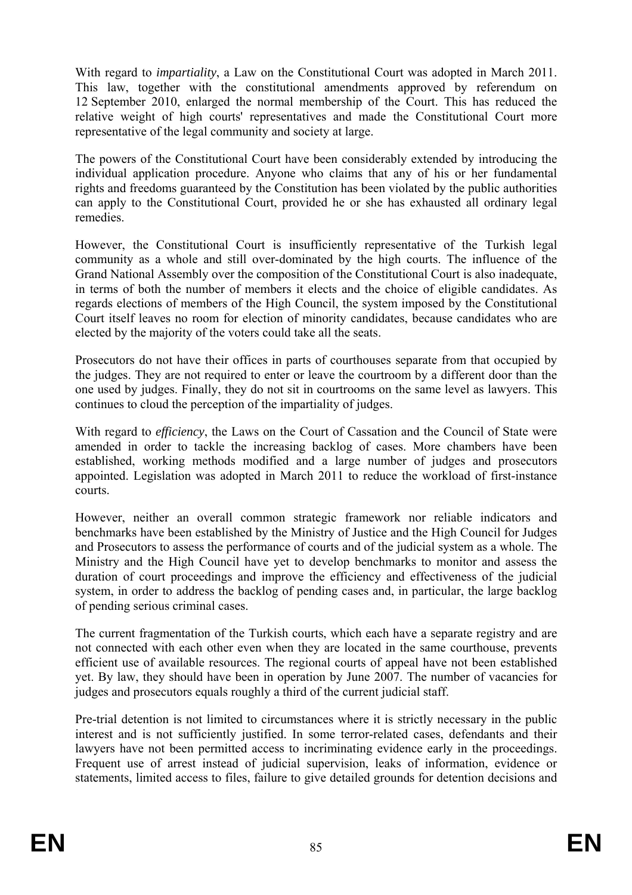With regard to *impartiality*, a Law on the Constitutional Court was adopted in March 2011. This law, together with the constitutional amendments approved by referendum on 12 September 2010, enlarged the normal membership of the Court. This has reduced the relative weight of high courts' representatives and made the Constitutional Court more representative of the legal community and society at large.

The powers of the Constitutional Court have been considerably extended by introducing the individual application procedure. Anyone who claims that any of his or her fundamental rights and freedoms guaranteed by the Constitution has been violated by the public authorities can apply to the Constitutional Court, provided he or she has exhausted all ordinary legal remedies.

However, the Constitutional Court is insufficiently representative of the Turkish legal community as a whole and still over-dominated by the high courts. The influence of the Grand National Assembly over the composition of the Constitutional Court is also inadequate, in terms of both the number of members it elects and the choice of eligible candidates. As regards elections of members of the High Council, the system imposed by the Constitutional Court itself leaves no room for election of minority candidates, because candidates who are elected by the majority of the voters could take all the seats.

Prosecutors do not have their offices in parts of courthouses separate from that occupied by the judges. They are not required to enter or leave the courtroom by a different door than the one used by judges. Finally, they do not sit in courtrooms on the same level as lawyers. This continues to cloud the perception of the impartiality of judges.

With regard to *efficiency*, the Laws on the Court of Cassation and the Council of State were amended in order to tackle the increasing backlog of cases. More chambers have been established, working methods modified and a large number of judges and prosecutors appointed. Legislation was adopted in March 2011 to reduce the workload of first-instance courts.

However, neither an overall common strategic framework nor reliable indicators and benchmarks have been established by the Ministry of Justice and the High Council for Judges and Prosecutors to assess the performance of courts and of the judicial system as a whole. The Ministry and the High Council have yet to develop benchmarks to monitor and assess the duration of court proceedings and improve the efficiency and effectiveness of the judicial system, in order to address the backlog of pending cases and, in particular, the large backlog of pending serious criminal cases.

The current fragmentation of the Turkish courts, which each have a separate registry and are not connected with each other even when they are located in the same courthouse, prevents efficient use of available resources. The regional courts of appeal have not been established yet. By law, they should have been in operation by June 2007. The number of vacancies for judges and prosecutors equals roughly a third of the current judicial staff.

Pre-trial detention is not limited to circumstances where it is strictly necessary in the public interest and is not sufficiently justified. In some terror-related cases, defendants and their lawyers have not been permitted access to incriminating evidence early in the proceedings. Frequent use of arrest instead of judicial supervision, leaks of information, evidence or statements, limited access to files, failure to give detailed grounds for detention decisions and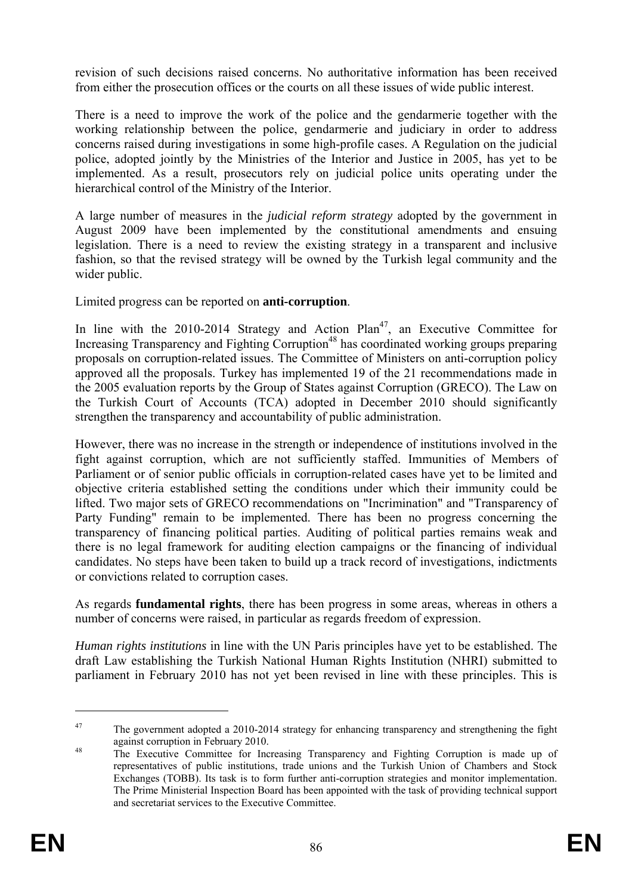revision of such decisions raised concerns. No authoritative information has been received from either the prosecution offices or the courts on all these issues of wide public interest.

There is a need to improve the work of the police and the gendarmerie together with the working relationship between the police, gendarmerie and judiciary in order to address concerns raised during investigations in some high-profile cases. A Regulation on the judicial police, adopted jointly by the Ministries of the Interior and Justice in 2005, has yet to be implemented. As a result, prosecutors rely on judicial police units operating under the hierarchical control of the Ministry of the Interior.

A large number of measures in the *judicial reform strategy* adopted by the government in August 2009 have been implemented by the constitutional amendments and ensuing legislation. There is a need to review the existing strategy in a transparent and inclusive fashion, so that the revised strategy will be owned by the Turkish legal community and the wider public.

Limited progress can be reported on **anti-corruption**.

In line with the  $2010-2014$  Strategy and Action Plan<sup>47</sup>, an Executive Committee for Increasing Transparency and Fighting Corruption<sup>48</sup> has coordinated working groups preparing proposals on corruption-related issues. The Committee of Ministers on anti-corruption policy approved all the proposals. Turkey has implemented 19 of the 21 recommendations made in the 2005 evaluation reports by the Group of States against Corruption (GRECO). The Law on the Turkish Court of Accounts (TCA) adopted in December 2010 should significantly strengthen the transparency and accountability of public administration.

However, there was no increase in the strength or independence of institutions involved in the fight against corruption, which are not sufficiently staffed. Immunities of Members of Parliament or of senior public officials in corruption-related cases have yet to be limited and objective criteria established setting the conditions under which their immunity could be lifted. Two major sets of GRECO recommendations on "Incrimination" and "Transparency of Party Funding" remain to be implemented. There has been no progress concerning the transparency of financing political parties. Auditing of political parties remains weak and there is no legal framework for auditing election campaigns or the financing of individual candidates. No steps have been taken to build up a track record of investigations, indictments or convictions related to corruption cases.

As regards **fundamental rights**, there has been progress in some areas, whereas in others a number of concerns were raised, in particular as regards freedom of expression.

*Human rights institutions* in line with the UN Paris principles have yet to be established. The draft Law establishing the Turkish National Human Rights Institution (NHRI) submitted to parliament in February 2010 has not yet been revised in line with these principles. This is

1

<sup>&</sup>lt;sup>47</sup> The government adopted a 2010-2014 strategy for enhancing transparency and strengthening the fight against corruption in February 2010.<br>
<sup>48</sup> The Executive Committee for Increasing Transparency and Fighting Corruption is made up of

representatives of public institutions, trade unions and the Turkish Union of Chambers and Stock Exchanges (TOBB). Its task is to form further anti-corruption strategies and monitor implementation. The Prime Ministerial Inspection Board has been appointed with the task of providing technical support and secretariat services to the Executive Committee.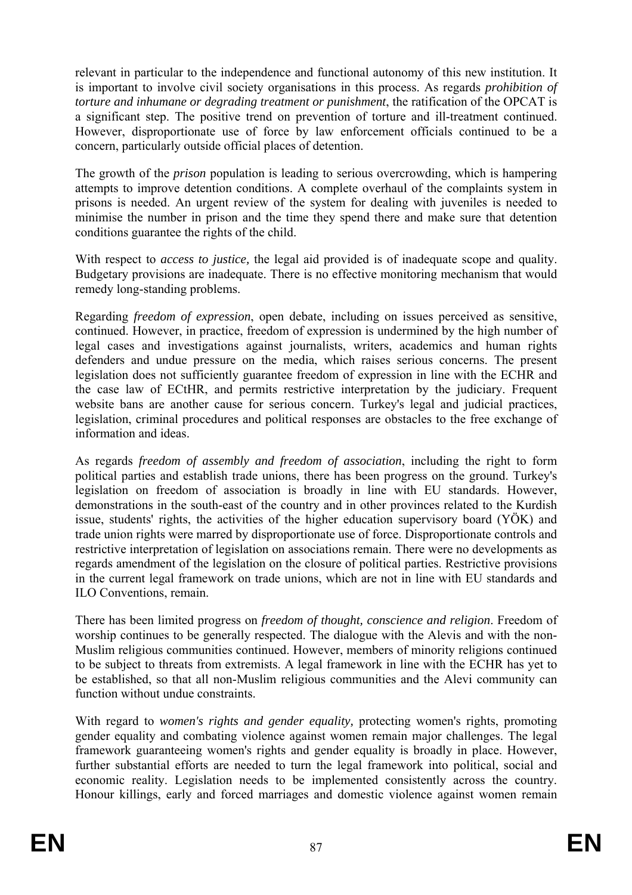relevant in particular to the independence and functional autonomy of this new institution. It is important to involve civil society organisations in this process. As regards *prohibition of torture and inhumane or degrading treatment or punishment*, the ratification of the OPCAT is a significant step. The positive trend on prevention of torture and ill-treatment continued. However, disproportionate use of force by law enforcement officials continued to be a concern, particularly outside official places of detention.

The growth of the *prison* population is leading to serious overcrowding, which is hampering attempts to improve detention conditions. A complete overhaul of the complaints system in prisons is needed. An urgent review of the system for dealing with juveniles is needed to minimise the number in prison and the time they spend there and make sure that detention conditions guarantee the rights of the child.

With respect to *access to justice,* the legal aid provided is of inadequate scope and quality. Budgetary provisions are inadequate. There is no effective monitoring mechanism that would remedy long-standing problems.

Regarding *freedom of expression*, open debate, including on issues perceived as sensitive, continued. However, in practice, freedom of expression is undermined by the high number of legal cases and investigations against journalists, writers, academics and human rights defenders and undue pressure on the media, which raises serious concerns. The present legislation does not sufficiently guarantee freedom of expression in line with the ECHR and the case law of ECtHR, and permits restrictive interpretation by the judiciary. Frequent website bans are another cause for serious concern. Turkey's legal and judicial practices, legislation, criminal procedures and political responses are obstacles to the free exchange of information and ideas.

As regards *freedom of assembly and freedom of association*, including the right to form political parties and establish trade unions, there has been progress on the ground. Turkey's legislation on freedom of association is broadly in line with EU standards. However, demonstrations in the south-east of the country and in other provinces related to the Kurdish issue, students' rights, the activities of the higher education supervisory board (YÖK) and trade union rights were marred by disproportionate use of force. Disproportionate controls and restrictive interpretation of legislation on associations remain. There were no developments as regards amendment of the legislation on the closure of political parties. Restrictive provisions in the current legal framework on trade unions, which are not in line with EU standards and ILO Conventions, remain.

There has been limited progress on *freedom of thought, conscience and religion*. Freedom of worship continues to be generally respected. The dialogue with the Alevis and with the non-Muslim religious communities continued. However, members of minority religions continued to be subject to threats from extremists. A legal framework in line with the ECHR has yet to be established, so that all non-Muslim religious communities and the Alevi community can function without undue constraints.

With regard to *women's rights and gender equality,* protecting women's rights, promoting gender equality and combating violence against women remain major challenges. The legal framework guaranteeing women's rights and gender equality is broadly in place. However, further substantial efforts are needed to turn the legal framework into political, social and economic reality. Legislation needs to be implemented consistently across the country. Honour killings, early and forced marriages and domestic violence against women remain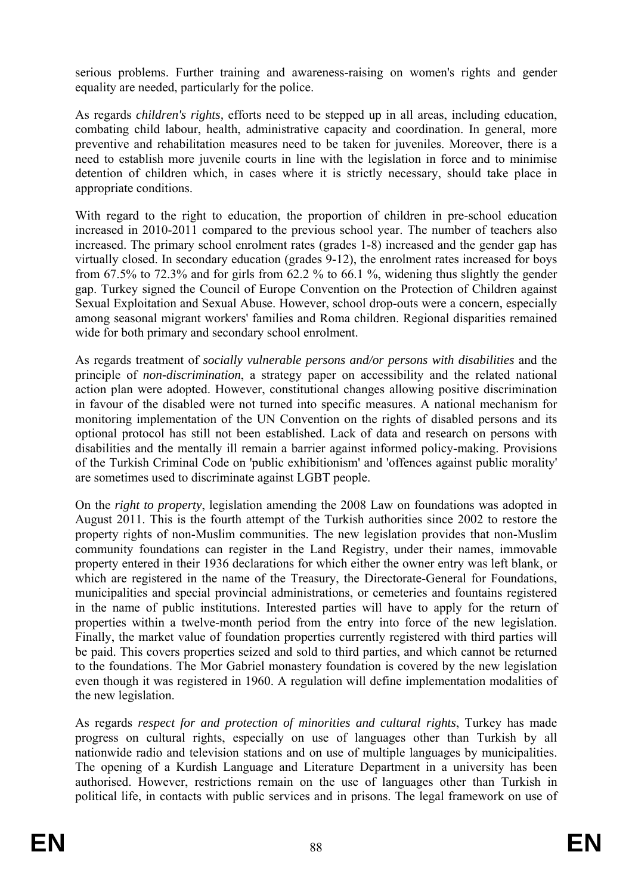serious problems. Further training and awareness-raising on women's rights and gender equality are needed, particularly for the police.

As regards *children's rights,* efforts need to be stepped up in all areas, including education, combating child labour, health, administrative capacity and coordination. In general, more preventive and rehabilitation measures need to be taken for juveniles. Moreover, there is a need to establish more juvenile courts in line with the legislation in force and to minimise detention of children which, in cases where it is strictly necessary, should take place in appropriate conditions.

With regard to the right to education, the proportion of children in pre-school education increased in 2010-2011 compared to the previous school year. The number of teachers also increased. The primary school enrolment rates (grades 1-8) increased and the gender gap has virtually closed. In secondary education (grades 9-12), the enrolment rates increased for boys from  $67.5\%$  to  $72.3\%$  and for girls from  $62.2\%$  to  $66.1\%$ , widening thus slightly the gender gap. Turkey signed the Council of Europe Convention on the Protection of Children against Sexual Exploitation and Sexual Abuse. However, school drop-outs were a concern, especially among seasonal migrant workers' families and Roma children. Regional disparities remained wide for both primary and secondary school enrolment.

As regards treatment of *socially vulnerable persons and/or persons with disabilities* and the principle of *non-discrimination*, a strategy paper on accessibility and the related national action plan were adopted. However, constitutional changes allowing positive discrimination in favour of the disabled were not turned into specific measures. A national mechanism for monitoring implementation of the UN Convention on the rights of disabled persons and its optional protocol has still not been established. Lack of data and research on persons with disabilities and the mentally ill remain a barrier against informed policy-making. Provisions of the Turkish Criminal Code on 'public exhibitionism' and 'offences against public morality' are sometimes used to discriminate against LGBT people.

On the *right to property*, legislation amending the 2008 Law on foundations was adopted in August 2011. This is the fourth attempt of the Turkish authorities since 2002 to restore the property rights of non-Muslim communities. The new legislation provides that non-Muslim community foundations can register in the Land Registry, under their names, immovable property entered in their 1936 declarations for which either the owner entry was left blank, or which are registered in the name of the Treasury, the Directorate-General for Foundations, municipalities and special provincial administrations, or cemeteries and fountains registered in the name of public institutions. Interested parties will have to apply for the return of properties within a twelve-month period from the entry into force of the new legislation. Finally, the market value of foundation properties currently registered with third parties will be paid. This covers properties seized and sold to third parties, and which cannot be returned to the foundations. The Mor Gabriel monastery foundation is covered by the new legislation even though it was registered in 1960. A regulation will define implementation modalities of the new legislation.

As regards *respect for and protection of minorities and cultural rights*, Turkey has made progress on cultural rights, especially on use of languages other than Turkish by all nationwide radio and television stations and on use of multiple languages by municipalities. The opening of a Kurdish Language and Literature Department in a university has been authorised. However, restrictions remain on the use of languages other than Turkish in political life, in contacts with public services and in prisons. The legal framework on use of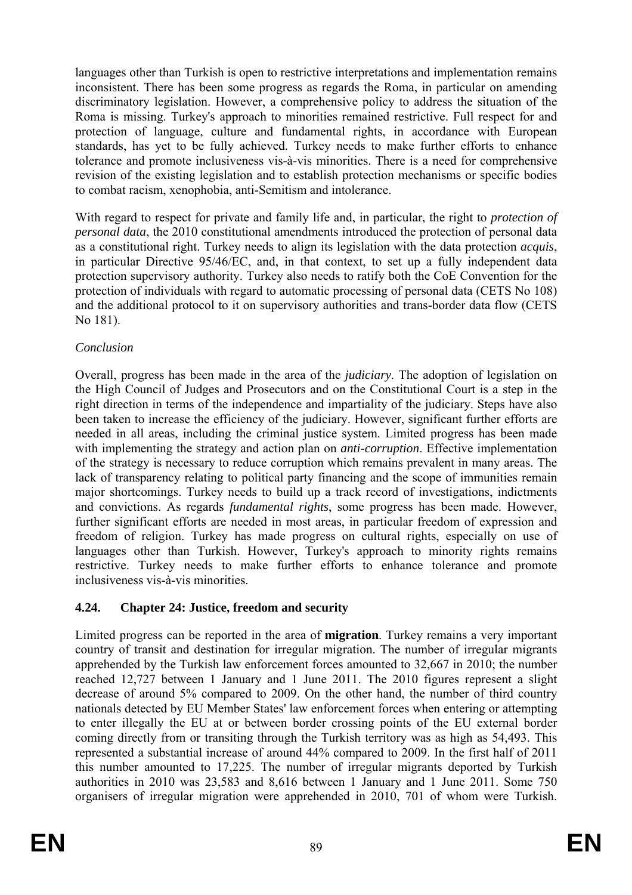languages other than Turkish is open to restrictive interpretations and implementation remains inconsistent. There has been some progress as regards the Roma, in particular on amending discriminatory legislation. However, a comprehensive policy to address the situation of the Roma is missing. Turkey's approach to minorities remained restrictive. Full respect for and protection of language, culture and fundamental rights, in accordance with European standards, has yet to be fully achieved. Turkey needs to make further efforts to enhance tolerance and promote inclusiveness vis-à-vis minorities. There is a need for comprehensive revision of the existing legislation and to establish protection mechanisms or specific bodies to combat racism, xenophobia, anti-Semitism and intolerance.

With regard to respect for private and family life and, in particular, the right to *protection of personal data*, the 2010 constitutional amendments introduced the protection of personal data as a constitutional right. Turkey needs to align its legislation with the data protection *acquis*, in particular Directive 95/46/EC, and, in that context, to set up a fully independent data protection supervisory authority. Turkey also needs to ratify both the CoE Convention for the protection of individuals with regard to automatic processing of personal data (CETS No 108) and the additional protocol to it on supervisory authorities and trans-border data flow (CETS No 181).

### *Conclusion*

Overall, progress has been made in the area of the *judiciary*. The adoption of legislation on the High Council of Judges and Prosecutors and on the Constitutional Court is a step in the right direction in terms of the independence and impartiality of the judiciary. Steps have also been taken to increase the efficiency of the judiciary. However, significant further efforts are needed in all areas, including the criminal justice system. Limited progress has been made with implementing the strategy and action plan on *anti-corruption*. Effective implementation of the strategy is necessary to reduce corruption which remains prevalent in many areas. The lack of transparency relating to political party financing and the scope of immunities remain major shortcomings. Turkey needs to build up a track record of investigations, indictments and convictions. As regards *fundamental rights*, some progress has been made. However, further significant efforts are needed in most areas, in particular freedom of expression and freedom of religion. Turkey has made progress on cultural rights, especially on use of languages other than Turkish. However, Turkey's approach to minority rights remains restrictive. Turkey needs to make further efforts to enhance tolerance and promote inclusiveness vis-à-vis minorities.

# **4.24. Chapter 24: Justice, freedom and security**

Limited progress can be reported in the area of **migration**. Turkey remains a very important country of transit and destination for irregular migration. The number of irregular migrants apprehended by the Turkish law enforcement forces amounted to 32,667 in 2010; the number reached 12,727 between 1 January and 1 June 2011. The 2010 figures represent a slight decrease of around 5% compared to 2009. On the other hand, the number of third country nationals detected by EU Member States' law enforcement forces when entering or attempting to enter illegally the EU at or between border crossing points of the EU external border coming directly from or transiting through the Turkish territory was as high as 54,493. This represented a substantial increase of around 44% compared to 2009. In the first half of 2011 this number amounted to 17,225. The number of irregular migrants deported by Turkish authorities in 2010 was 23,583 and 8,616 between 1 January and 1 June 2011. Some 750 organisers of irregular migration were apprehended in 2010, 701 of whom were Turkish.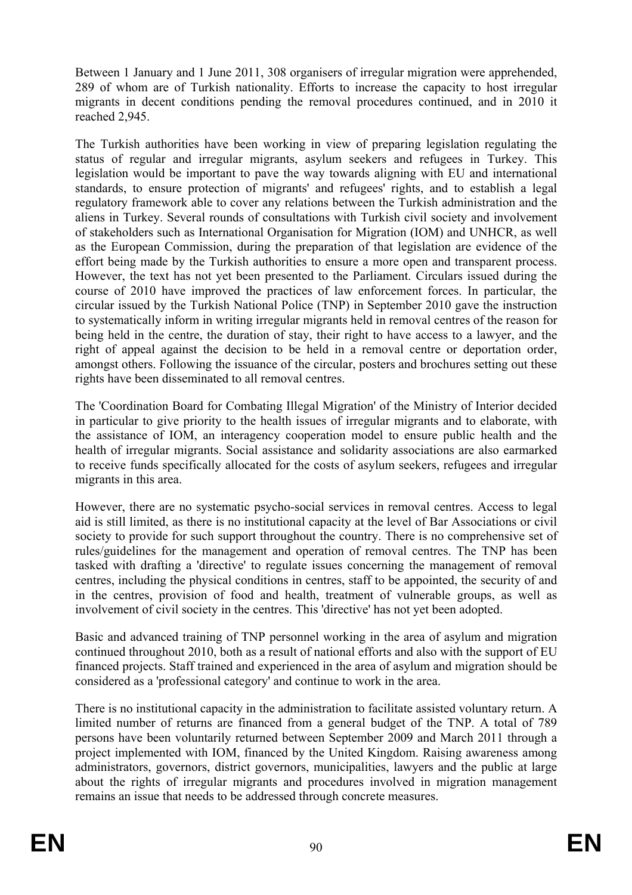Between 1 January and 1 June 2011, 308 organisers of irregular migration were apprehended, 289 of whom are of Turkish nationality. Efforts to increase the capacity to host irregular migrants in decent conditions pending the removal procedures continued, and in 2010 it reached 2,945.

The Turkish authorities have been working in view of preparing legislation regulating the status of regular and irregular migrants, asylum seekers and refugees in Turkey. This legislation would be important to pave the way towards aligning with EU and international standards, to ensure protection of migrants' and refugees' rights, and to establish a legal regulatory framework able to cover any relations between the Turkish administration and the aliens in Turkey. Several rounds of consultations with Turkish civil society and involvement of stakeholders such as International Organisation for Migration (IOM) and UNHCR, as well as the European Commission, during the preparation of that legislation are evidence of the effort being made by the Turkish authorities to ensure a more open and transparent process. However, the text has not yet been presented to the Parliament. Circulars issued during the course of 2010 have improved the practices of law enforcement forces. In particular, the circular issued by the Turkish National Police (TNP) in September 2010 gave the instruction to systematically inform in writing irregular migrants held in removal centres of the reason for being held in the centre, the duration of stay, their right to have access to a lawyer, and the right of appeal against the decision to be held in a removal centre or deportation order, amongst others. Following the issuance of the circular, posters and brochures setting out these rights have been disseminated to all removal centres.

The 'Coordination Board for Combating Illegal Migration' of the Ministry of Interior decided in particular to give priority to the health issues of irregular migrants and to elaborate, with the assistance of IOM, an interagency cooperation model to ensure public health and the health of irregular migrants. Social assistance and solidarity associations are also earmarked to receive funds specifically allocated for the costs of asylum seekers, refugees and irregular migrants in this area.

However, there are no systematic psycho-social services in removal centres. Access to legal aid is still limited, as there is no institutional capacity at the level of Bar Associations or civil society to provide for such support throughout the country. There is no comprehensive set of rules/guidelines for the management and operation of removal centres. The TNP has been tasked with drafting a 'directive' to regulate issues concerning the management of removal centres, including the physical conditions in centres, staff to be appointed, the security of and in the centres, provision of food and health, treatment of vulnerable groups, as well as involvement of civil society in the centres. This 'directive' has not yet been adopted.

Basic and advanced training of TNP personnel working in the area of asylum and migration continued throughout 2010, both as a result of national efforts and also with the support of EU financed projects. Staff trained and experienced in the area of asylum and migration should be considered as a 'professional category' and continue to work in the area.

There is no institutional capacity in the administration to facilitate assisted voluntary return. A limited number of returns are financed from a general budget of the TNP. A total of 789 persons have been voluntarily returned between September 2009 and March 2011 through a project implemented with IOM, financed by the United Kingdom. Raising awareness among administrators, governors, district governors, municipalities, lawyers and the public at large about the rights of irregular migrants and procedures involved in migration management remains an issue that needs to be addressed through concrete measures.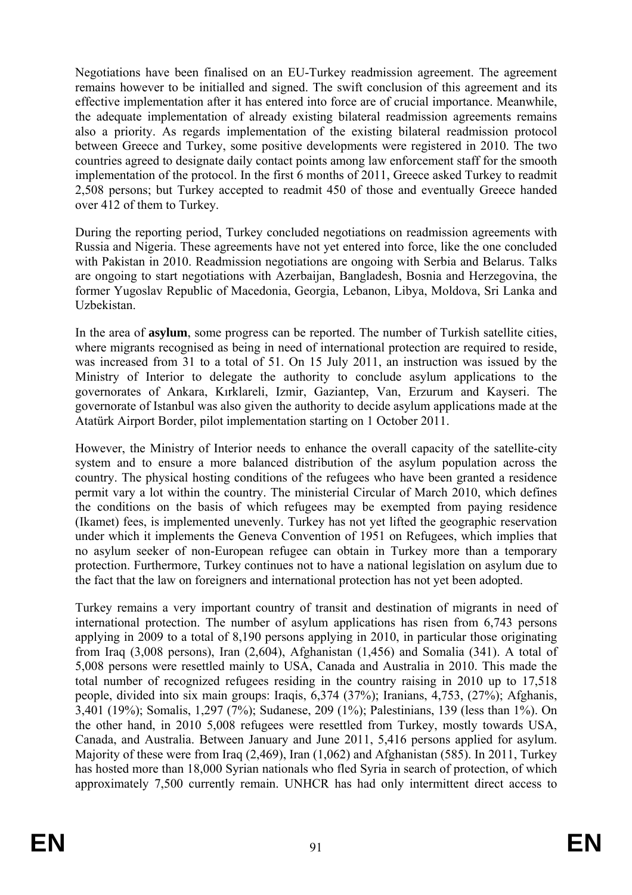Negotiations have been finalised on an EU-Turkey readmission agreement. The agreement remains however to be initialled and signed. The swift conclusion of this agreement and its effective implementation after it has entered into force are of crucial importance. Meanwhile, the adequate implementation of already existing bilateral readmission agreements remains also a priority. As regards implementation of the existing bilateral readmission protocol between Greece and Turkey, some positive developments were registered in 2010. The two countries agreed to designate daily contact points among law enforcement staff for the smooth implementation of the protocol. In the first 6 months of 2011, Greece asked Turkey to readmit 2,508 persons; but Turkey accepted to readmit 450 of those and eventually Greece handed over 412 of them to Turkey.

During the reporting period, Turkey concluded negotiations on readmission agreements with Russia and Nigeria. These agreements have not yet entered into force, like the one concluded with Pakistan in 2010. Readmission negotiations are ongoing with Serbia and Belarus. Talks are ongoing to start negotiations with Azerbaijan, Bangladesh, Bosnia and Herzegovina, the former Yugoslav Republic of Macedonia, Georgia, Lebanon, Libya, Moldova, Sri Lanka and Uzbekistan.

In the area of **asylum**, some progress can be reported. The number of Turkish satellite cities, where migrants recognised as being in need of international protection are required to reside, was increased from 31 to a total of 51. On 15 July 2011, an instruction was issued by the Ministry of Interior to delegate the authority to conclude asylum applications to the governorates of Ankara, Kırklareli, Izmir, Gaziantep, Van, Erzurum and Kayseri. The governorate of Istanbul was also given the authority to decide asylum applications made at the Atatürk Airport Border, pilot implementation starting on 1 October 2011.

However, the Ministry of Interior needs to enhance the overall capacity of the satellite-city system and to ensure a more balanced distribution of the asylum population across the country. The physical hosting conditions of the refugees who have been granted a residence permit vary a lot within the country. The ministerial Circular of March 2010, which defines the conditions on the basis of which refugees may be exempted from paying residence (Ikamet) fees, is implemented unevenly. Turkey has not yet lifted the geographic reservation under which it implements the Geneva Convention of 1951 on Refugees, which implies that no asylum seeker of non-European refugee can obtain in Turkey more than a temporary protection. Furthermore, Turkey continues not to have a national legislation on asylum due to the fact that the law on foreigners and international protection has not yet been adopted.

Turkey remains a very important country of transit and destination of migrants in need of international protection. The number of asylum applications has risen from 6,743 persons applying in 2009 to a total of 8,190 persons applying in 2010, in particular those originating from Iraq (3,008 persons), Iran (2,604), Afghanistan (1,456) and Somalia (341). A total of 5,008 persons were resettled mainly to USA, Canada and Australia in 2010. This made the total number of recognized refugees residing in the country raising in 2010 up to 17,518 people, divided into six main groups: Iraqis, 6,374 (37%); Iranians, 4,753, (27%); Afghanis, 3,401 (19%); Somalis, 1,297 (7%); Sudanese, 209 (1%); Palestinians, 139 (less than 1%). On the other hand, in 2010 5,008 refugees were resettled from Turkey, mostly towards USA, Canada, and Australia. Between January and June 2011, 5,416 persons applied for asylum. Majority of these were from Iraq (2,469), Iran (1,062) and Afghanistan (585). In 2011, Turkey has hosted more than 18,000 Syrian nationals who fled Syria in search of protection, of which approximately 7,500 currently remain. UNHCR has had only intermittent direct access to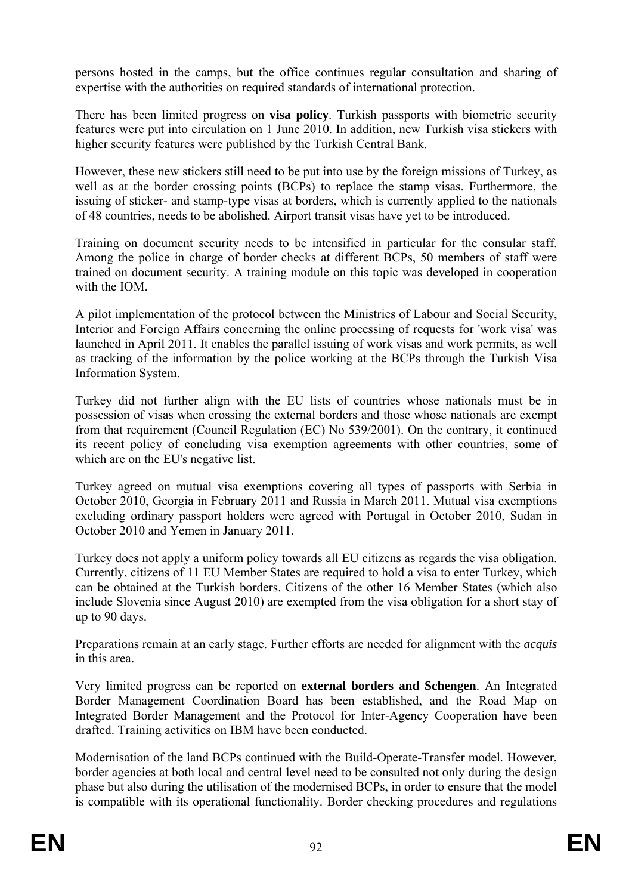persons hosted in the camps, but the office continues regular consultation and sharing of expertise with the authorities on required standards of international protection.

There has been limited progress on **visa policy**. Turkish passports with biometric security features were put into circulation on 1 June 2010. In addition, new Turkish visa stickers with higher security features were published by the Turkish Central Bank.

However, these new stickers still need to be put into use by the foreign missions of Turkey, as well as at the border crossing points (BCPs) to replace the stamp visas. Furthermore, the issuing of sticker- and stamp-type visas at borders, which is currently applied to the nationals of 48 countries, needs to be abolished. Airport transit visas have yet to be introduced.

Training on document security needs to be intensified in particular for the consular staff. Among the police in charge of border checks at different BCPs, 50 members of staff were trained on document security. A training module on this topic was developed in cooperation with the IOM

A pilot implementation of the protocol between the Ministries of Labour and Social Security, Interior and Foreign Affairs concerning the online processing of requests for 'work visa' was launched in April 2011. It enables the parallel issuing of work visas and work permits, as well as tracking of the information by the police working at the BCPs through the Turkish Visa Information System.

Turkey did not further align with the EU lists of countries whose nationals must be in possession of visas when crossing the external borders and those whose nationals are exempt from that requirement (Council Regulation (EC) No 539/2001). On the contrary, it continued its recent policy of concluding visa exemption agreements with other countries, some of which are on the EU's negative list.

Turkey agreed on mutual visa exemptions covering all types of passports with Serbia in October 2010, Georgia in February 2011 and Russia in March 2011. Mutual visa exemptions excluding ordinary passport holders were agreed with Portugal in October 2010, Sudan in October 2010 and Yemen in January 2011.

Turkey does not apply a uniform policy towards all EU citizens as regards the visa obligation. Currently, citizens of 11 EU Member States are required to hold a visa to enter Turkey, which can be obtained at the Turkish borders. Citizens of the other 16 Member States (which also include Slovenia since August 2010) are exempted from the visa obligation for a short stay of up to 90 days.

Preparations remain at an early stage. Further efforts are needed for alignment with the *acquis*  in this area.

Very limited progress can be reported on **external borders and Schengen**. An Integrated Border Management Coordination Board has been established, and the Road Map on Integrated Border Management and the Protocol for Inter-Agency Cooperation have been drafted. Training activities on IBM have been conducted.

Modernisation of the land BCPs continued with the Build-Operate-Transfer model*.* However, border agencies at both local and central level need to be consulted not only during the design phase but also during the utilisation of the modernised BCPs, in order to ensure that the model is compatible with its operational functionality. Border checking procedures and regulations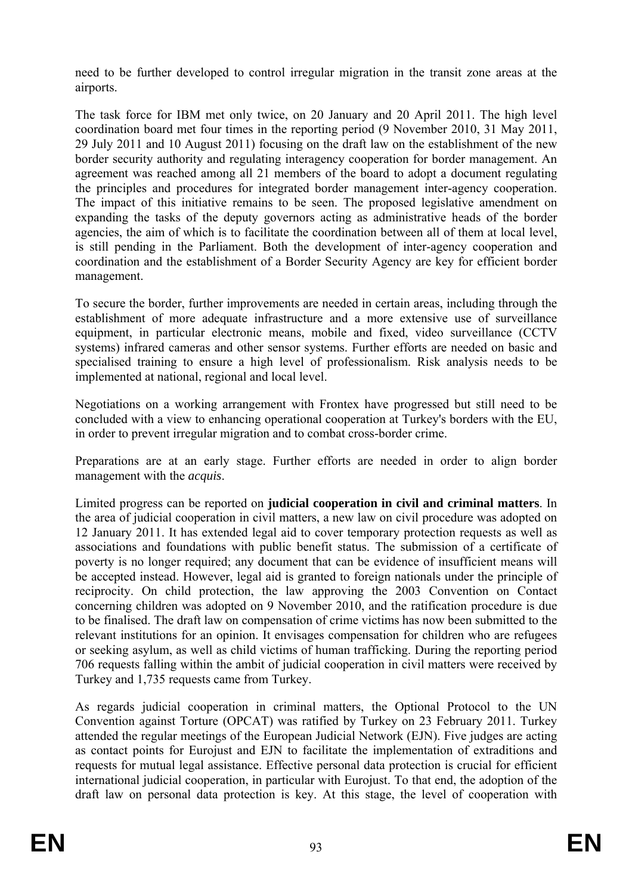need to be further developed to control irregular migration in the transit zone areas at the airports.

The task force for IBM met only twice, on 20 January and 20 April 2011. The high level coordination board met four times in the reporting period (9 November 2010, 31 May 2011, 29 July 2011 and 10 August 2011) focusing on the draft law on the establishment of the new border security authority and regulating interagency cooperation for border management. An agreement was reached among all 21 members of the board to adopt a document regulating the principles and procedures for integrated border management inter-agency cooperation. The impact of this initiative remains to be seen. The proposed legislative amendment on expanding the tasks of the deputy governors acting as administrative heads of the border agencies, the aim of which is to facilitate the coordination between all of them at local level, is still pending in the Parliament. Both the development of inter-agency cooperation and coordination and the establishment of a Border Security Agency are key for efficient border management.

To secure the border, further improvements are needed in certain areas, including through the establishment of more adequate infrastructure and a more extensive use of surveillance equipment, in particular electronic means, mobile and fixed, video surveillance (CCTV systems) infrared cameras and other sensor systems. Further efforts are needed on basic and specialised training to ensure a high level of professionalism. Risk analysis needs to be implemented at national, regional and local level.

Negotiations on a working arrangement with Frontex have progressed but still need to be concluded with a view to enhancing operational cooperation at Turkey's borders with the EU, in order to prevent irregular migration and to combat cross-border crime.

Preparations are at an early stage. Further efforts are needed in order to align border management with the *acquis*.

Limited progress can be reported on **judicial cooperation in civil and criminal matters**. In the area of judicial cooperation in civil matters, a new law on civil procedure was adopted on 12 January 2011. It has extended legal aid to cover temporary protection requests as well as associations and foundations with public benefit status. The submission of a certificate of poverty is no longer required; any document that can be evidence of insufficient means will be accepted instead. However, legal aid is granted to foreign nationals under the principle of reciprocity. On child protection, the law approving the 2003 Convention on Contact concerning children was adopted on 9 November 2010, and the ratification procedure is due to be finalised. The draft law on compensation of crime victims has now been submitted to the relevant institutions for an opinion. It envisages compensation for children who are refugees or seeking asylum, as well as child victims of human trafficking. During the reporting period 706 requests falling within the ambit of judicial cooperation in civil matters were received by Turkey and 1,735 requests came from Turkey.

As regards judicial cooperation in criminal matters, the Optional Protocol to the UN Convention against Torture (OPCAT) was ratified by Turkey on 23 February 2011. Turkey attended the regular meetings of the European Judicial Network (EJN). Five judges are acting as contact points for Eurojust and EJN to facilitate the implementation of extraditions and requests for mutual legal assistance. Effective personal data protection is crucial for efficient international judicial cooperation, in particular with Eurojust. To that end, the adoption of the draft law on personal data protection is key. At this stage, the level of cooperation with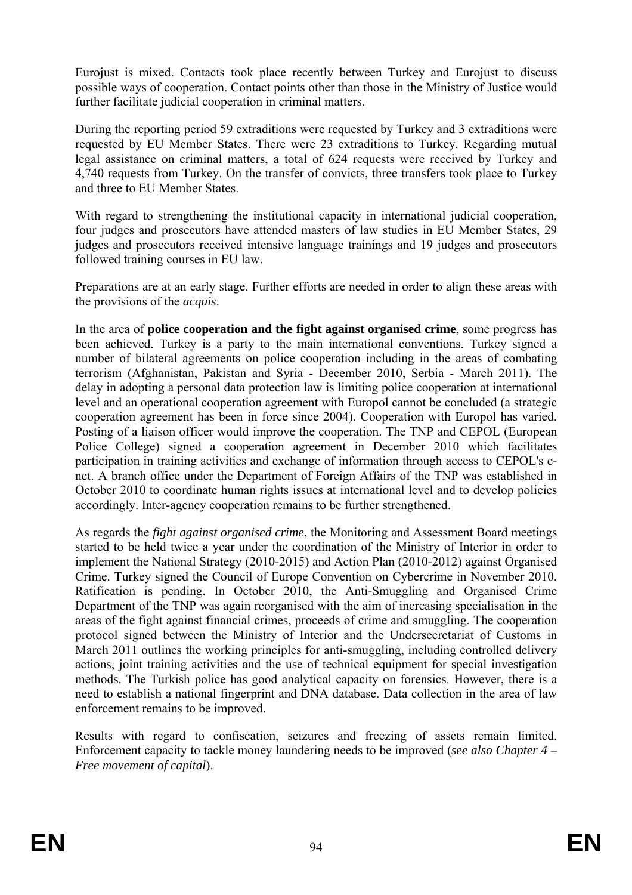Eurojust is mixed. Contacts took place recently between Turkey and Eurojust to discuss possible ways of cooperation. Contact points other than those in the Ministry of Justice would further facilitate judicial cooperation in criminal matters.

During the reporting period 59 extraditions were requested by Turkey and 3 extraditions were requested by EU Member States. There were 23 extraditions to Turkey. Regarding mutual legal assistance on criminal matters, a total of 624 requests were received by Turkey and 4,740 requests from Turkey. On the transfer of convicts, three transfers took place to Turkey and three to EU Member States.

With regard to strengthening the institutional capacity in international judicial cooperation, four judges and prosecutors have attended masters of law studies in EU Member States, 29 judges and prosecutors received intensive language trainings and 19 judges and prosecutors followed training courses in EU law.

Preparations are at an early stage. Further efforts are needed in order to align these areas with the provisions of the *acquis*.

In the area of **police cooperation and the fight against organised crime**, some progress has been achieved. Turkey is a party to the main international conventions. Turkey signed a number of bilateral agreements on police cooperation including in the areas of combating terrorism (Afghanistan, Pakistan and Syria - December 2010, Serbia - March 2011). The delay in adopting a personal data protection law is limiting police cooperation at international level and an operational cooperation agreement with Europol cannot be concluded (a strategic cooperation agreement has been in force since 2004). Cooperation with Europol has varied. Posting of a liaison officer would improve the cooperation. The TNP and CEPOL (European Police College) signed a cooperation agreement in December 2010 which facilitates participation in training activities and exchange of information through access to CEPOL's enet. A branch office under the Department of Foreign Affairs of the TNP was established in October 2010 to coordinate human rights issues at international level and to develop policies accordingly. Inter-agency cooperation remains to be further strengthened.

As regards the *fight against organised crime*, the Monitoring and Assessment Board meetings started to be held twice a year under the coordination of the Ministry of Interior in order to implement the National Strategy (2010-2015) and Action Plan (2010-2012) against Organised Crime. Turkey signed the Council of Europe Convention on Cybercrime in November 2010. Ratification is pending. In October 2010, the Anti-Smuggling and Organised Crime Department of the TNP was again reorganised with the aim of increasing specialisation in the areas of the fight against financial crimes, proceeds of crime and smuggling. The cooperation protocol signed between the Ministry of Interior and the Undersecretariat of Customs in March 2011 outlines the working principles for anti-smuggling, including controlled delivery actions, joint training activities and the use of technical equipment for special investigation methods. The Turkish police has good analytical capacity on forensics. However, there is a need to establish a national fingerprint and DNA database. Data collection in the area of law enforcement remains to be improved.

Results with regard to confiscation, seizures and freezing of assets remain limited. Enforcement capacity to tackle money laundering needs to be improved (*see also Chapter 4 – Free movement of capital*).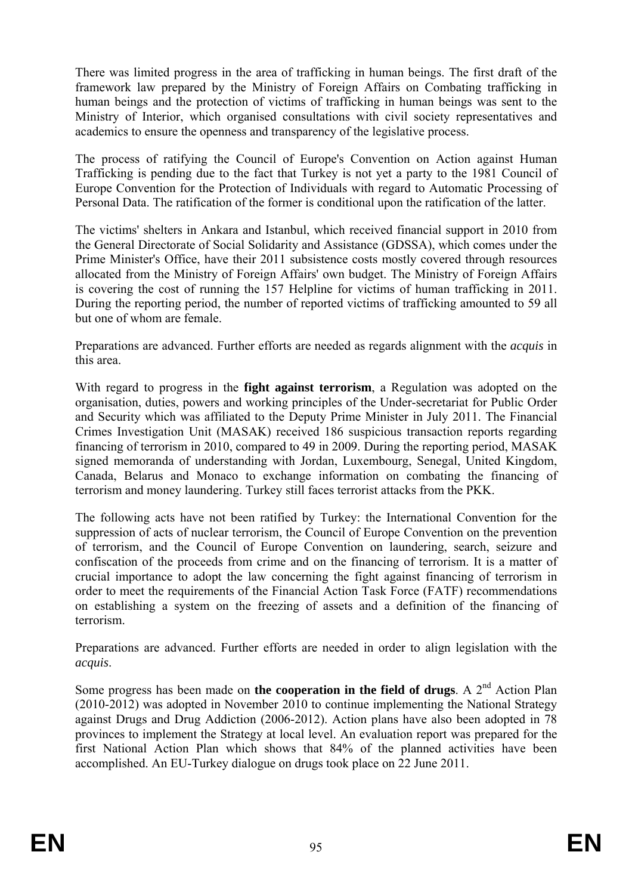There was limited progress in the area of trafficking in human beings. The first draft of the framework law prepared by the Ministry of Foreign Affairs on Combating trafficking in human beings and the protection of victims of trafficking in human beings was sent to the Ministry of Interior, which organised consultations with civil society representatives and academics to ensure the openness and transparency of the legislative process.

The process of ratifying the Council of Europe's Convention on Action against Human Trafficking is pending due to the fact that Turkey is not yet a party to the 1981 Council of Europe Convention for the Protection of Individuals with regard to Automatic Processing of Personal Data. The ratification of the former is conditional upon the ratification of the latter.

The victims' shelters in Ankara and Istanbul, which received financial support in 2010 from the General Directorate of Social Solidarity and Assistance (GDSSA), which comes under the Prime Minister's Office, have their 2011 subsistence costs mostly covered through resources allocated from the Ministry of Foreign Affairs' own budget. The Ministry of Foreign Affairs is covering the cost of running the 157 Helpline for victims of human trafficking in 2011. During the reporting period, the number of reported victims of trafficking amounted to 59 all but one of whom are female.

Preparations are advanced. Further efforts are needed as regards alignment with the *acquis* in this area.

With regard to progress in the **fight against terrorism**, a Regulation was adopted on the organisation, duties, powers and working principles of the Under-secretariat for Public Order and Security which was affiliated to the Deputy Prime Minister in July 2011. The Financial Crimes Investigation Unit (MASAK) received 186 suspicious transaction reports regarding financing of terrorism in 2010, compared to 49 in 2009. During the reporting period, MASAK signed memoranda of understanding with Jordan, Luxembourg, Senegal, United Kingdom, Canada, Belarus and Monaco to exchange information on combating the financing of terrorism and money laundering. Turkey still faces terrorist attacks from the PKK.

The following acts have not been ratified by Turkey: the International Convention for the suppression of acts of nuclear terrorism, the Council of Europe Convention on the prevention of terrorism, and the Council of Europe Convention on laundering, search, seizure and confiscation of the proceeds from crime and on the financing of terrorism. It is a matter of crucial importance to adopt the law concerning the fight against financing of terrorism in order to meet the requirements of the Financial Action Task Force (FATF) recommendations on establishing a system on the freezing of assets and a definition of the financing of terrorism.

Preparations are advanced. Further efforts are needed in order to align legislation with the *acquis*.

Some progress has been made on **the cooperation in the field of drugs**. A 2<sup>nd</sup> Action Plan  $(2010-2012)$  was adopted in November 2010 to continue implementing the National Strategy against Drugs and Drug Addiction (2006-2012). Action plans have also been adopted in 78 provinces to implement the Strategy at local level. An evaluation report was prepared for the first National Action Plan which shows that 84% of the planned activities have been accomplished. An EU-Turkey dialogue on drugs took place on 22 June 2011.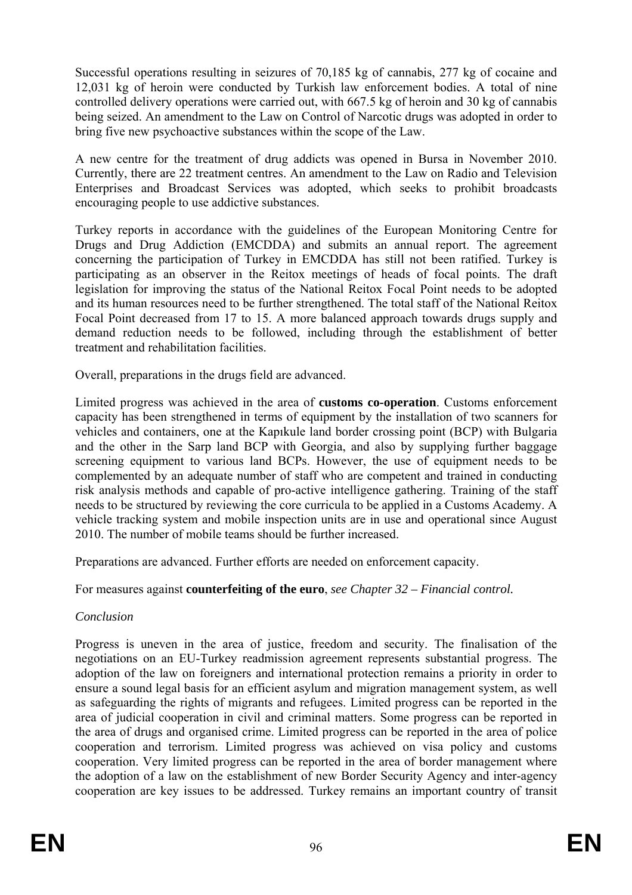Successful operations resulting in seizures of 70,185 kg of cannabis, 277 kg of cocaine and 12,031 kg of heroin were conducted by Turkish law enforcement bodies. A total of nine controlled delivery operations were carried out, with 667.5 kg of heroin and 30 kg of cannabis being seized. An amendment to the Law on Control of Narcotic drugs was adopted in order to bring five new psychoactive substances within the scope of the Law.

A new centre for the treatment of drug addicts was opened in Bursa in November 2010. Currently, there are 22 treatment centres. An amendment to the Law on Radio and Television Enterprises and Broadcast Services was adopted, which seeks to prohibit broadcasts encouraging people to use addictive substances.

Turkey reports in accordance with the guidelines of the European Monitoring Centre for Drugs and Drug Addiction (EMCDDA) and submits an annual report. The agreement concerning the participation of Turkey in EMCDDA has still not been ratified. Turkey is participating as an observer in the Reitox meetings of heads of focal points. The draft legislation for improving the status of the National Reitox Focal Point needs to be adopted and its human resources need to be further strengthened. The total staff of the National Reitox Focal Point decreased from 17 to 15. A more balanced approach towards drugs supply and demand reduction needs to be followed, including through the establishment of better treatment and rehabilitation facilities.

Overall, preparations in the drugs field are advanced.

Limited progress was achieved in the area of **customs co-operation**. Customs enforcement capacity has been strengthened in terms of equipment by the installation of two scanners for vehicles and containers, one at the Kapıkule land border crossing point (BCP) with Bulgaria and the other in the Sarp land BCP with Georgia, and also by supplying further baggage screening equipment to various land BCPs. However, the use of equipment needs to be complemented by an adequate number of staff who are competent and trained in conducting risk analysis methods and capable of pro-active intelligence gathering. Training of the staff needs to be structured by reviewing the core curricula to be applied in a Customs Academy. A vehicle tracking system and mobile inspection units are in use and operational since August 2010. The number of mobile teams should be further increased.

Preparations are advanced. Further efforts are needed on enforcement capacity.

For measures against **counterfeiting of the euro**, *see Chapter 32 – Financial control.* 

# *Conclusion*

Progress is uneven in the area of justice, freedom and security. The finalisation of the negotiations on an EU-Turkey readmission agreement represents substantial progress. The adoption of the law on foreigners and international protection remains a priority in order to ensure a sound legal basis for an efficient asylum and migration management system, as well as safeguarding the rights of migrants and refugees. Limited progress can be reported in the area of judicial cooperation in civil and criminal matters. Some progress can be reported in the area of drugs and organised crime. Limited progress can be reported in the area of police cooperation and terrorism. Limited progress was achieved on visa policy and customs cooperation. Very limited progress can be reported in the area of border management where the adoption of a law on the establishment of new Border Security Agency and inter-agency cooperation are key issues to be addressed. Turkey remains an important country of transit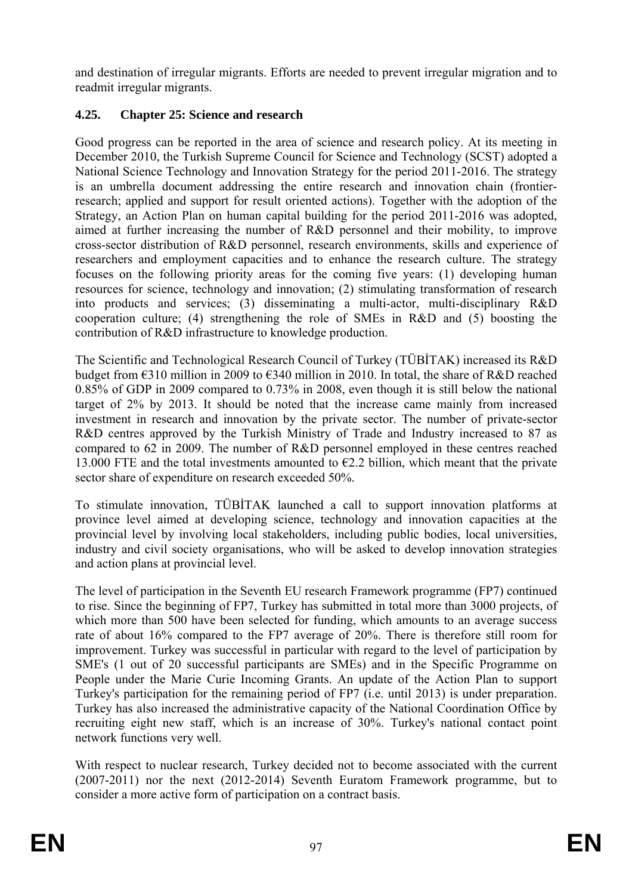and destination of irregular migrants. Efforts are needed to prevent irregular migration and to readmit irregular migrants.

# **4.25. Chapter 25: Science and research**

Good progress can be reported in the area of science and research policy. At its meeting in December 2010, the Turkish Supreme Council for Science and Technology (SCST) adopted a National Science Technology and Innovation Strategy for the period 2011-2016. The strategy is an umbrella document addressing the entire research and innovation chain (frontierresearch; applied and support for result oriented actions). Together with the adoption of the Strategy, an Action Plan on human capital building for the period 2011-2016 was adopted, aimed at further increasing the number of R&D personnel and their mobility, to improve cross-sector distribution of R&D personnel, research environments, skills and experience of researchers and employment capacities and to enhance the research culture. The strategy focuses on the following priority areas for the coming five years: (1) developing human resources for science, technology and innovation; (2) stimulating transformation of research into products and services; (3) disseminating a multi-actor, multi-disciplinary R&D cooperation culture; (4) strengthening the role of SMEs in R&D and (5) boosting the contribution of R&D infrastructure to knowledge production.

The Scientific and Technological Research Council of Turkey (TÜBİTAK) increased its R&D budget from €310 million in 2009 to €340 million in 2010. In total, the share of R&D reached 0.85% of GDP in 2009 compared to 0.73% in 2008, even though it is still below the national target of 2% by 2013. It should be noted that the increase came mainly from increased investment in research and innovation by the private sector. The number of private-sector R&D centres approved by the Turkish Ministry of Trade and Industry increased to 87 as compared to 62 in 2009. The number of R&D personnel employed in these centres reached 13.000 FTE and the total investments amounted to  $\epsilon$ 2.2 billion, which meant that the private sector share of expenditure on research exceeded 50%.

To stimulate innovation, TÜBİTAK launched a call to support innovation platforms at province level aimed at developing science, technology and innovation capacities at the provincial level by involving local stakeholders, including public bodies, local universities, industry and civil society organisations, who will be asked to develop innovation strategies and action plans at provincial level.

The level of participation in the Seventh EU research Framework programme (FP7) continued to rise. Since the beginning of FP7, Turkey has submitted in total more than 3000 projects, of which more than 500 have been selected for funding, which amounts to an average success rate of about 16% compared to the FP7 average of 20%. There is therefore still room for improvement. Turkey was successful in particular with regard to the level of participation by SME's (1 out of 20 successful participants are SMEs) and in the Specific Programme on People under the Marie Curie Incoming Grants. An update of the Action Plan to support Turkey's participation for the remaining period of FP7 (i.e. until 2013) is under preparation. Turkey has also increased the administrative capacity of the National Coordination Office by recruiting eight new staff, which is an increase of 30%. Turkey's national contact point network functions very well.

With respect to nuclear research, Turkey decided not to become associated with the current (2007-2011) nor the next (2012-2014) Seventh Euratom Framework programme, but to consider a more active form of participation on a contract basis.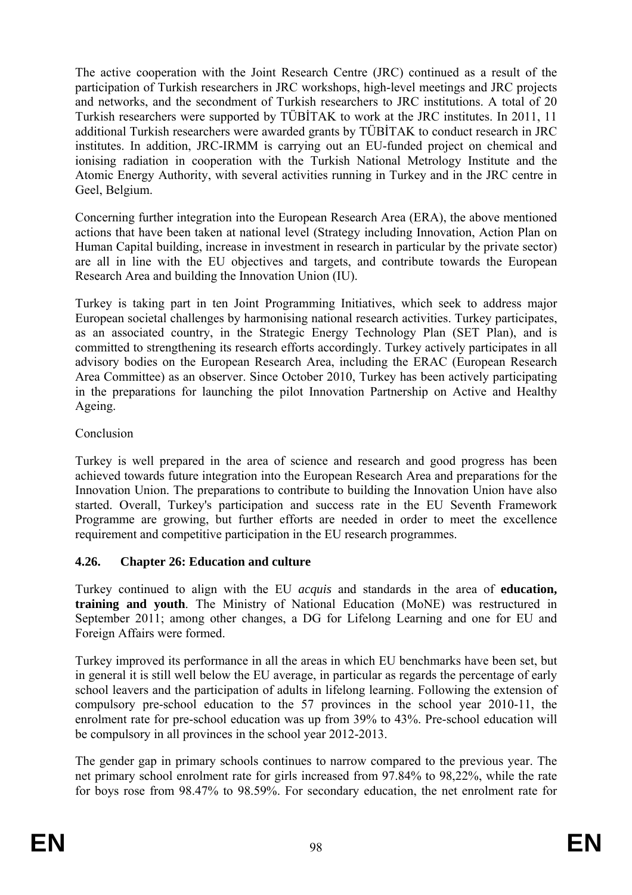The active cooperation with the Joint Research Centre (JRC) continued as a result of the participation of Turkish researchers in JRC workshops, high-level meetings and JRC projects and networks, and the secondment of Turkish researchers to JRC institutions. A total of 20 Turkish researchers were supported by TÜBİTAK to work at the JRC institutes. In 2011, 11 additional Turkish researchers were awarded grants by TÜBİTAK to conduct research in JRC institutes. In addition, JRC-IRMM is carrying out an EU-funded project on chemical and ionising radiation in cooperation with the Turkish National Metrology Institute and the Atomic Energy Authority, with several activities running in Turkey and in the JRC centre in Geel, Belgium.

Concerning further integration into the European Research Area (ERA), the above mentioned actions that have been taken at national level (Strategy including Innovation, Action Plan on Human Capital building, increase in investment in research in particular by the private sector) are all in line with the EU objectives and targets, and contribute towards the European Research Area and building the Innovation Union (IU).

Turkey is taking part in ten Joint Programming Initiatives, which seek to address major European societal challenges by harmonising national research activities. Turkey participates, as an associated country, in the Strategic Energy Technology Plan (SET Plan), and is committed to strengthening its research efforts accordingly. Turkey actively participates in all advisory bodies on the European Research Area, including the ERAC (European Research Area Committee) as an observer. Since October 2010, Turkey has been actively participating in the preparations for launching the pilot Innovation Partnership on Active and Healthy Ageing.

#### Conclusion

Turkey is well prepared in the area of science and research and good progress has been achieved towards future integration into the European Research Area and preparations for the Innovation Union. The preparations to contribute to building the Innovation Union have also started. Overall, Turkey's participation and success rate in the EU Seventh Framework Programme are growing, but further efforts are needed in order to meet the excellence requirement and competitive participation in the EU research programmes.

# **4.26. Chapter 26: Education and culture**

Turkey continued to align with the EU *acquis* and standards in the area of **education, training and youth**. The Ministry of National Education (MoNE) was restructured in September 2011; among other changes, a DG for Lifelong Learning and one for EU and Foreign Affairs were formed.

Turkey improved its performance in all the areas in which EU benchmarks have been set, but in general it is still well below the EU average, in particular as regards the percentage of early school leavers and the participation of adults in lifelong learning. Following the extension of compulsory pre-school education to the 57 provinces in the school year 2010-11, the enrolment rate for pre-school education was up from 39% to 43%. Pre-school education will be compulsory in all provinces in the school year 2012-2013.

The gender gap in primary schools continues to narrow compared to the previous year. The net primary school enrolment rate for girls increased from 97.84% to 98,22%, while the rate for boys rose from 98.47% to 98.59%. For secondary education, the net enrolment rate for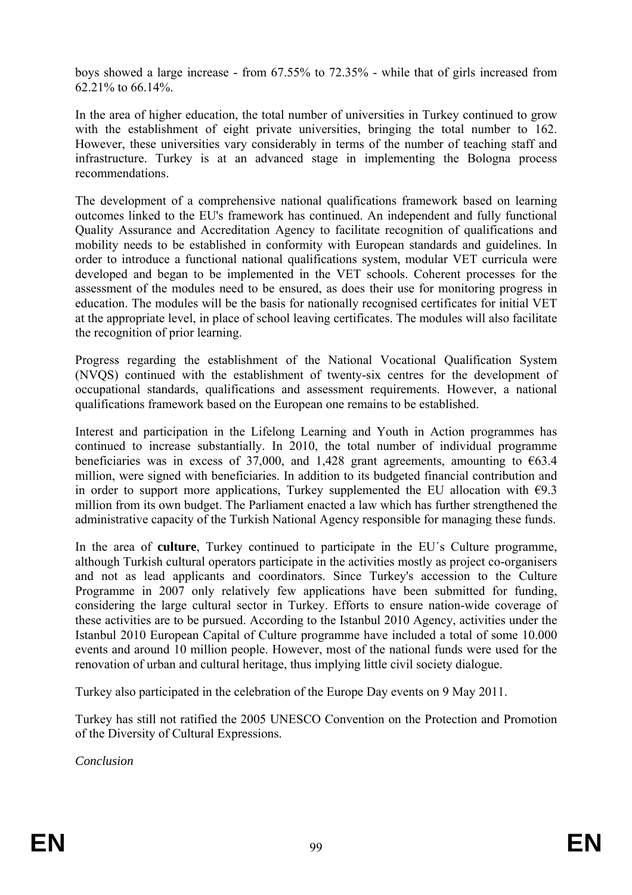boys showed a large increase - from 67.55% to 72.35% - while that of girls increased from 62.21% to 66.14%.

In the area of higher education, the total number of universities in Turkey continued to grow with the establishment of eight private universities, bringing the total number to 162. However, these universities vary considerably in terms of the number of teaching staff and infrastructure. Turkey is at an advanced stage in implementing the Bologna process recommendations.

The development of a comprehensive national qualifications framework based on learning outcomes linked to the EU's framework has continued. An independent and fully functional Quality Assurance and Accreditation Agency to facilitate recognition of qualifications and mobility needs to be established in conformity with European standards and guidelines. In order to introduce a functional national qualifications system, modular VET curricula were developed and began to be implemented in the VET schools. Coherent processes for the assessment of the modules need to be ensured, as does their use for monitoring progress in education. The modules will be the basis for nationally recognised certificates for initial VET at the appropriate level, in place of school leaving certificates. The modules will also facilitate the recognition of prior learning.

Progress regarding the establishment of the National Vocational Qualification System (NVQS) continued with the establishment of twenty-six centres for the development of occupational standards, qualifications and assessment requirements. However, a national qualifications framework based on the European one remains to be established.

Interest and participation in the Lifelong Learning and Youth in Action programmes has continued to increase substantially. In 2010, the total number of individual programme beneficiaries was in excess of 37,000, and 1,428 grant agreements, amounting to  $\epsilon$ 63.4 million, were signed with beneficiaries. In addition to its budgeted financial contribution and in order to support more applications, Turkey supplemented the EU allocation with  $\epsilon$ 9.3 million from its own budget. The Parliament enacted a law which has further strengthened the administrative capacity of the Turkish National Agency responsible for managing these funds.

In the area of **culture**, Turkey continued to participate in the EU´s Culture programme, although Turkish cultural operators participate in the activities mostly as project co-organisers and not as lead applicants and coordinators. Since Turkey's accession to the Culture Programme in 2007 only relatively few applications have been submitted for funding, considering the large cultural sector in Turkey. Efforts to ensure nation-wide coverage of these activities are to be pursued. According to the Istanbul 2010 Agency, activities under the Istanbul 2010 European Capital of Culture programme have included a total of some 10.000 events and around 10 million people. However, most of the national funds were used for the renovation of urban and cultural heritage, thus implying little civil society dialogue.

Turkey also participated in the celebration of the Europe Day events on 9 May 2011.

Turkey has still not ratified the 2005 UNESCO Convention on the Protection and Promotion of the Diversity of Cultural Expressions.

*Conclusion*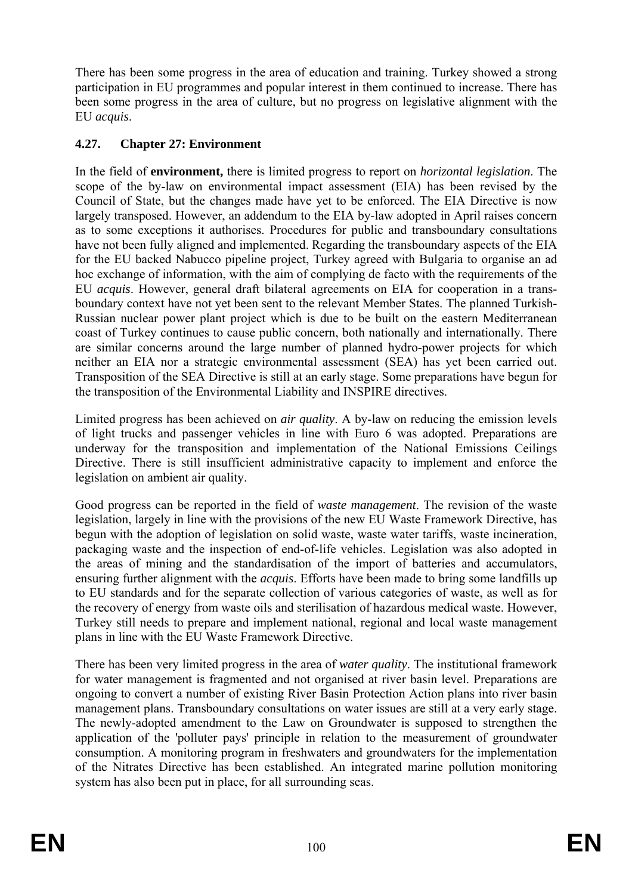There has been some progress in the area of education and training. Turkey showed a strong participation in EU programmes and popular interest in them continued to increase. There has been some progress in the area of culture, but no progress on legislative alignment with the EU *acquis*.

### **4.27. Chapter 27: Environment**

In the field of **environment,** there is limited progress to report on *horizontal legislation*. The scope of the by-law on environmental impact assessment (EIA) has been revised by the Council of State, but the changes made have yet to be enforced. The EIA Directive is now largely transposed. However, an addendum to the EIA by-law adopted in April raises concern as to some exceptions it authorises. Procedures for public and transboundary consultations have not been fully aligned and implemented. Regarding the transboundary aspects of the EIA for the EU backed Nabucco pipeline project, Turkey agreed with Bulgaria to organise an ad hoc exchange of information, with the aim of complying de facto with the requirements of the EU *acquis*. However, general draft bilateral agreements on EIA for cooperation in a transboundary context have not yet been sent to the relevant Member States. The planned Turkish-Russian nuclear power plant project which is due to be built on the eastern Mediterranean coast of Turkey continues to cause public concern, both nationally and internationally. There are similar concerns around the large number of planned hydro-power projects for which neither an EIA nor a strategic environmental assessment (SEA) has yet been carried out. Transposition of the SEA Directive is still at an early stage. Some preparations have begun for the transposition of the Environmental Liability and INSPIRE directives.

Limited progress has been achieved on *air quality*. A by-law on reducing the emission levels of light trucks and passenger vehicles in line with Euro 6 was adopted. Preparations are underway for the transposition and implementation of the National Emissions Ceilings Directive. There is still insufficient administrative capacity to implement and enforce the legislation on ambient air quality.

Good progress can be reported in the field of *waste management*. The revision of the waste legislation, largely in line with the provisions of the new EU Waste Framework Directive, has begun with the adoption of legislation on solid waste, waste water tariffs, waste incineration, packaging waste and the inspection of end-of-life vehicles. Legislation was also adopted in the areas of mining and the standardisation of the import of batteries and accumulators, ensuring further alignment with the *acquis*. Efforts have been made to bring some landfills up to EU standards and for the separate collection of various categories of waste, as well as for the recovery of energy from waste oils and sterilisation of hazardous medical waste. However, Turkey still needs to prepare and implement national, regional and local waste management plans in line with the EU Waste Framework Directive.

There has been very limited progress in the area of *water quality*. The institutional framework for water management is fragmented and not organised at river basin level. Preparations are ongoing to convert a number of existing River Basin Protection Action plans into river basin management plans. Transboundary consultations on water issues are still at a very early stage. The newly-adopted amendment to the Law on Groundwater is supposed to strengthen the application of the 'polluter pays' principle in relation to the measurement of groundwater consumption. A monitoring program in freshwaters and groundwaters for the implementation of the Nitrates Directive has been established. An integrated marine pollution monitoring system has also been put in place, for all surrounding seas.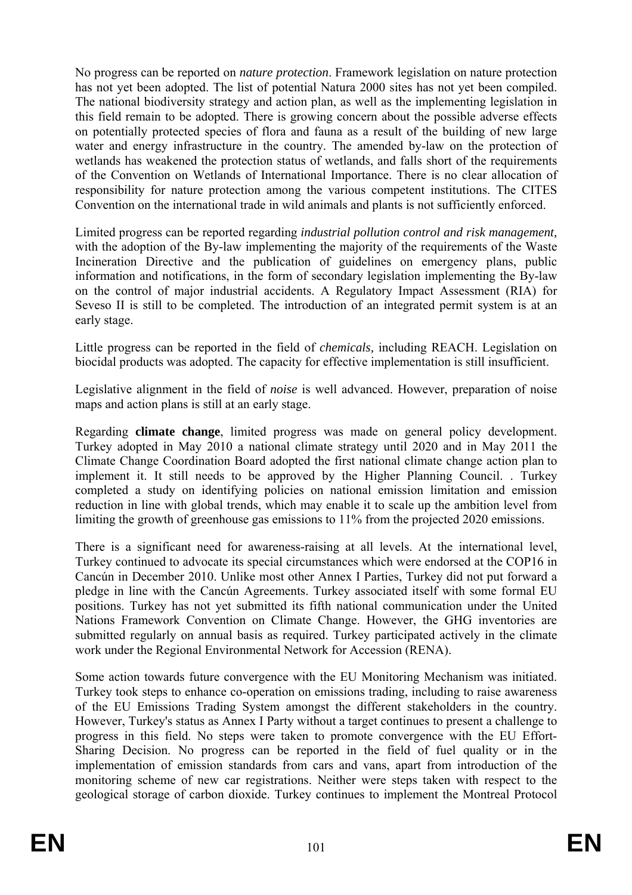No progress can be reported on *nature protection*. Framework legislation on nature protection has not yet been adopted. The list of potential Natura 2000 sites has not yet been compiled. The national biodiversity strategy and action plan, as well as the implementing legislation in this field remain to be adopted. There is growing concern about the possible adverse effects on potentially protected species of flora and fauna as a result of the building of new large water and energy infrastructure in the country. The amended by-law on the protection of wetlands has weakened the protection status of wetlands, and falls short of the requirements of the Convention on Wetlands of International Importance. There is no clear allocation of responsibility for nature protection among the various competent institutions. The CITES Convention on the international trade in wild animals and plants is not sufficiently enforced.

Limited progress can be reported regarding *industrial pollution control and risk management,* with the adoption of the By-law implementing the majority of the requirements of the Waste Incineration Directive and the publication of guidelines on emergency plans, public information and notifications, in the form of secondary legislation implementing the By-law on the control of major industrial accidents. A Regulatory Impact Assessment (RIA) for Seveso II is still to be completed. The introduction of an integrated permit system is at an early stage.

Little progress can be reported in the field of *chemicals,* including REACH. Legislation on biocidal products was adopted. The capacity for effective implementation is still insufficient.

Legislative alignment in the field of *noise* is well advanced. However, preparation of noise maps and action plans is still at an early stage.

Regarding **climate change**, limited progress was made on general policy development. Turkey adopted in May 2010 a national climate strategy until 2020 and in May 2011 the Climate Change Coordination Board adopted the first national climate change action plan to implement it. It still needs to be approved by the Higher Planning Council. . Turkey completed a study on identifying policies on national emission limitation and emission reduction in line with global trends, which may enable it to scale up the ambition level from limiting the growth of greenhouse gas emissions to 11% from the projected 2020 emissions.

There is a significant need for awareness-raising at all levels. At the international level, Turkey continued to advocate its special circumstances which were endorsed at the COP16 in Cancún in December 2010. Unlike most other Annex I Parties, Turkey did not put forward a pledge in line with the Cancún Agreements. Turkey associated itself with some formal EU positions. Turkey has not yet submitted its fifth national communication under the United Nations Framework Convention on Climate Change. However, the GHG inventories are submitted regularly on annual basis as required. Turkey participated actively in the climate work under the Regional Environmental Network for Accession (RENA).

Some action towards future convergence with the EU Monitoring Mechanism was initiated. Turkey took steps to enhance co-operation on emissions trading, including to raise awareness of the EU Emissions Trading System amongst the different stakeholders in the country. However, Turkey's status as Annex I Party without a target continues to present a challenge to progress in this field. No steps were taken to promote convergence with the EU Effort-Sharing Decision. No progress can be reported in the field of fuel quality or in the implementation of emission standards from cars and vans, apart from introduction of the monitoring scheme of new car registrations. Neither were steps taken with respect to the geological storage of carbon dioxide. Turkey continues to implement the Montreal Protocol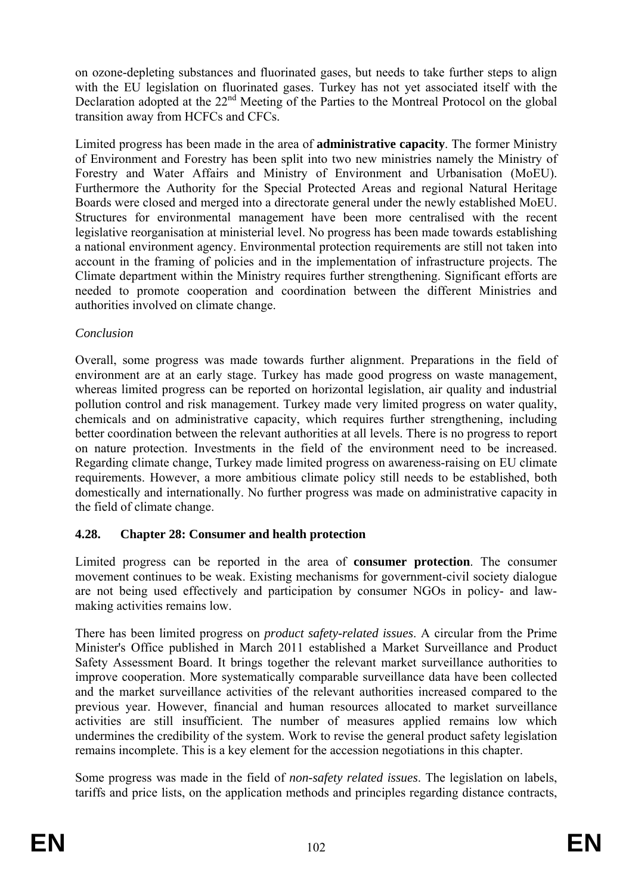on ozone-depleting substances and fluorinated gases, but needs to take further steps to align with the EU legislation on fluorinated gases. Turkey has not yet associated itself with the Declaration adopted at the 22<sup>nd</sup> Meeting of the Parties to the Montreal Protocol on the global transition away from HCFCs and CFCs.

Limited progress has been made in the area of **administrative capacity**. The former Ministry of Environment and Forestry has been split into two new ministries namely the Ministry of Forestry and Water Affairs and Ministry of Environment and Urbanisation (MoEU). Furthermore the Authority for the Special Protected Areas and regional Natural Heritage Boards were closed and merged into a directorate general under the newly established MoEU. Structures for environmental management have been more centralised with the recent legislative reorganisation at ministerial level. No progress has been made towards establishing a national environment agency. Environmental protection requirements are still not taken into account in the framing of policies and in the implementation of infrastructure projects. The Climate department within the Ministry requires further strengthening. Significant efforts are needed to promote cooperation and coordination between the different Ministries and authorities involved on climate change.

#### *Conclusion*

Overall, some progress was made towards further alignment. Preparations in the field of environment are at an early stage. Turkey has made good progress on waste management, whereas limited progress can be reported on horizontal legislation, air quality and industrial pollution control and risk management. Turkey made very limited progress on water quality, chemicals and on administrative capacity, which requires further strengthening, including better coordination between the relevant authorities at all levels. There is no progress to report on nature protection. Investments in the field of the environment need to be increased. Regarding climate change, Turkey made limited progress on awareness-raising on EU climate requirements. However, a more ambitious climate policy still needs to be established, both domestically and internationally. No further progress was made on administrative capacity in the field of climate change.

#### **4.28. Chapter 28: Consumer and health protection**

Limited progress can be reported in the area of **consumer protection**. The consumer movement continues to be weak. Existing mechanisms for government-civil society dialogue are not being used effectively and participation by consumer NGOs in policy- and lawmaking activities remains low.

There has been limited progress on *product safety-related issues*. A circular from the Prime Minister's Office published in March 2011 established a Market Surveillance and Product Safety Assessment Board. It brings together the relevant market surveillance authorities to improve cooperation. More systematically comparable surveillance data have been collected and the market surveillance activities of the relevant authorities increased compared to the previous year. However, financial and human resources allocated to market surveillance activities are still insufficient. The number of measures applied remains low which undermines the credibility of the system. Work to revise the general product safety legislation remains incomplete. This is a key element for the accession negotiations in this chapter.

Some progress was made in the field of *non-safety related issues*. The legislation on labels, tariffs and price lists, on the application methods and principles regarding distance contracts,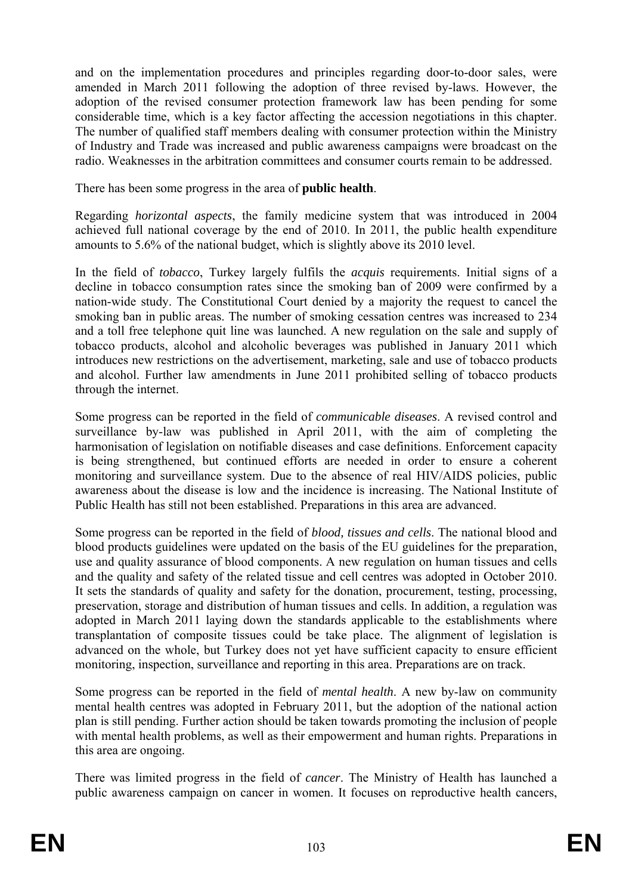and on the implementation procedures and principles regarding door-to-door sales, were amended in March 2011 following the adoption of three revised by-laws. However, the adoption of the revised consumer protection framework law has been pending for some considerable time, which is a key factor affecting the accession negotiations in this chapter. The number of qualified staff members dealing with consumer protection within the Ministry of Industry and Trade was increased and public awareness campaigns were broadcast on the radio. Weaknesses in the arbitration committees and consumer courts remain to be addressed.

There has been some progress in the area of **public health**.

Regarding *horizontal aspects*, the family medicine system that was introduced in 2004 achieved full national coverage by the end of 2010. In 2011, the public health expenditure amounts to 5.6% of the national budget, which is slightly above its 2010 level.

In the field of *tobacco*, Turkey largely fulfils the *acquis* requirements. Initial signs of a decline in tobacco consumption rates since the smoking ban of 2009 were confirmed by a nation-wide study. The Constitutional Court denied by a majority the request to cancel the smoking ban in public areas. The number of smoking cessation centres was increased to 234 and a toll free telephone quit line was launched. A new regulation on the sale and supply of tobacco products, alcohol and alcoholic beverages was published in January 2011 which introduces new restrictions on the advertisement, marketing, sale and use of tobacco products and alcohol. Further law amendments in June 2011 prohibited selling of tobacco products through the internet.

Some progress can be reported in the field of *communicable diseases*. A revised control and surveillance by-law was published in April 2011, with the aim of completing the harmonisation of legislation on notifiable diseases and case definitions. Enforcement capacity is being strengthened, but continued efforts are needed in order to ensure a coherent monitoring and surveillance system. Due to the absence of real HIV/AIDS policies, public awareness about the disease is low and the incidence is increasing. The National Institute of Public Health has still not been established. Preparations in this area are advanced.

Some progress can be reported in the field of *blood, tissues and cells*. The national blood and blood products guidelines were updated on the basis of the EU guidelines for the preparation, use and quality assurance of blood components. A new regulation on human tissues and cells and the quality and safety of the related tissue and cell centres was adopted in October 2010. It sets the standards of quality and safety for the donation, procurement, testing, processing, preservation, storage and distribution of human tissues and cells. In addition, a regulation was adopted in March 2011 laying down the standards applicable to the establishments where transplantation of composite tissues could be take place. The alignment of legislation is advanced on the whole, but Turkey does not yet have sufficient capacity to ensure efficient monitoring, inspection, surveillance and reporting in this area. Preparations are on track.

Some progress can be reported in the field of *mental health*. A new by-law on community mental health centres was adopted in February 2011, but the adoption of the national action plan is still pending. Further action should be taken towards promoting the inclusion of people with mental health problems, as well as their empowerment and human rights. Preparations in this area are ongoing.

There was limited progress in the field of *cancer*. The Ministry of Health has launched a public awareness campaign on cancer in women. It focuses on reproductive health cancers,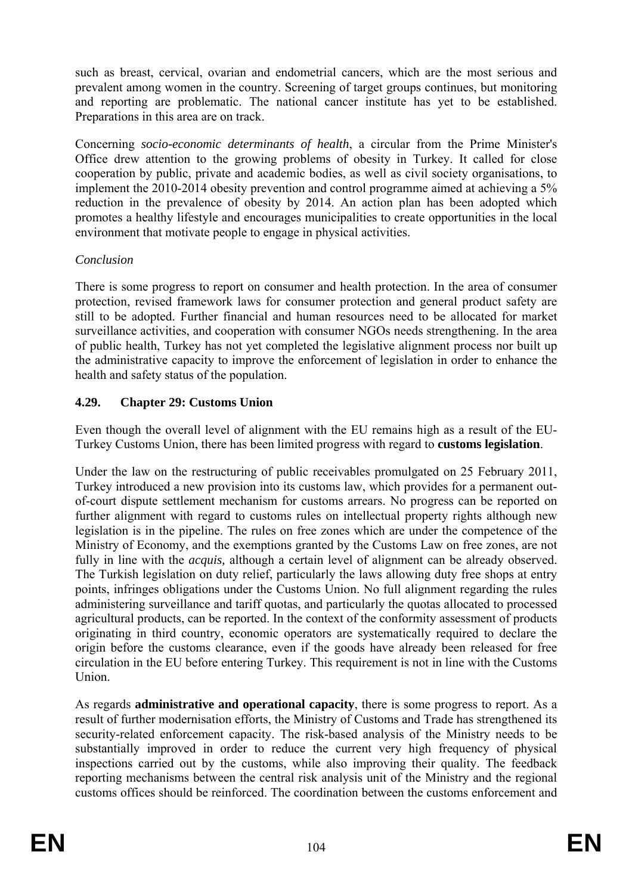such as breast, cervical, ovarian and endometrial cancers, which are the most serious and prevalent among women in the country. Screening of target groups continues, but monitoring and reporting are problematic. The national cancer institute has yet to be established. Preparations in this area are on track.

Concerning *socio-economic determinants of health*, a circular from the Prime Minister's Office drew attention to the growing problems of obesity in Turkey. It called for close cooperation by public, private and academic bodies, as well as civil society organisations, to implement the 2010-2014 obesity prevention and control programme aimed at achieving a 5% reduction in the prevalence of obesity by 2014. An action plan has been adopted which promotes a healthy lifestyle and encourages municipalities to create opportunities in the local environment that motivate people to engage in physical activities.

#### *Conclusion*

There is some progress to report on consumer and health protection. In the area of consumer protection, revised framework laws for consumer protection and general product safety are still to be adopted. Further financial and human resources need to be allocated for market surveillance activities, and cooperation with consumer NGOs needs strengthening. In the area of public health, Turkey has not yet completed the legislative alignment process nor built up the administrative capacity to improve the enforcement of legislation in order to enhance the health and safety status of the population.

# **4.29. Chapter 29: Customs Union**

Even though the overall level of alignment with the EU remains high as a result of the EU-Turkey Customs Union, there has been limited progress with regard to **customs legislation**.

Under the law on the restructuring of public receivables promulgated on 25 February 2011, Turkey introduced a new provision into its customs law, which provides for a permanent outof-court dispute settlement mechanism for customs arrears. No progress can be reported on further alignment with regard to customs rules on intellectual property rights although new legislation is in the pipeline. The rules on free zones which are under the competence of the Ministry of Economy, and the exemptions granted by the Customs Law on free zones, are not fully in line with the *acquis,* although a certain level of alignment can be already observed. The Turkish legislation on duty relief, particularly the laws allowing duty free shops at entry points, infringes obligations under the Customs Union. No full alignment regarding the rules administering surveillance and tariff quotas, and particularly the quotas allocated to processed agricultural products, can be reported. In the context of the conformity assessment of products originating in third country, economic operators are systematically required to declare the origin before the customs clearance, even if the goods have already been released for free circulation in the EU before entering Turkey. This requirement is not in line with the Customs Union.

As regards **administrative and operational capacity**, there is some progress to report. As a result of further modernisation efforts, the Ministry of Customs and Trade has strengthened its security-related enforcement capacity. The risk-based analysis of the Ministry needs to be substantially improved in order to reduce the current very high frequency of physical inspections carried out by the customs, while also improving their quality. The feedback reporting mechanisms between the central risk analysis unit of the Ministry and the regional customs offices should be reinforced. The coordination between the customs enforcement and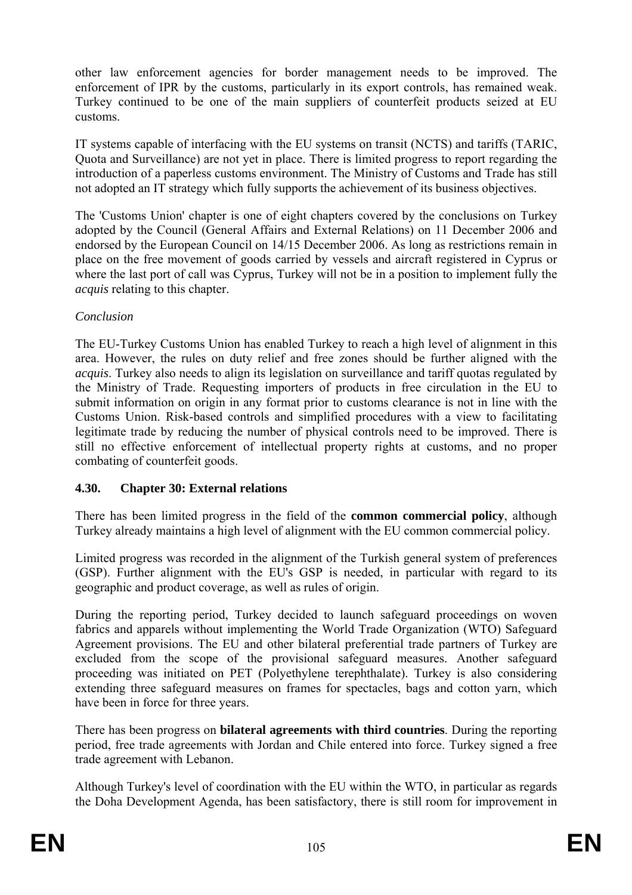other law enforcement agencies for border management needs to be improved. The enforcement of IPR by the customs, particularly in its export controls, has remained weak. Turkey continued to be one of the main suppliers of counterfeit products seized at EU customs.

IT systems capable of interfacing with the EU systems on transit (NCTS) and tariffs (TARIC, Quota and Surveillance) are not yet in place. There is limited progress to report regarding the introduction of a paperless customs environment. The Ministry of Customs and Trade has still not adopted an IT strategy which fully supports the achievement of its business objectives.

The 'Customs Union' chapter is one of eight chapters covered by the conclusions on Turkey adopted by the Council (General Affairs and External Relations) on 11 December 2006 and endorsed by the European Council on 14/15 December 2006. As long as restrictions remain in place on the free movement of goods carried by vessels and aircraft registered in Cyprus or where the last port of call was Cyprus. Turkey will not be in a position to implement fully the *acquis* relating to this chapter.

### *Conclusion*

The EU-Turkey Customs Union has enabled Turkey to reach a high level of alignment in this area. However, the rules on duty relief and free zones should be further aligned with the *acquis*. Turkey also needs to align its legislation on surveillance and tariff quotas regulated by the Ministry of Trade. Requesting importers of products in free circulation in the EU to submit information on origin in any format prior to customs clearance is not in line with the Customs Union. Risk-based controls and simplified procedures with a view to facilitating legitimate trade by reducing the number of physical controls need to be improved. There is still no effective enforcement of intellectual property rights at customs, and no proper combating of counterfeit goods.

#### **4.30. Chapter 30: External relations**

There has been limited progress in the field of the **common commercial policy**, although Turkey already maintains a high level of alignment with the EU common commercial policy.

Limited progress was recorded in the alignment of the Turkish general system of preferences (GSP). Further alignment with the EU's GSP is needed, in particular with regard to its geographic and product coverage, as well as rules of origin.

During the reporting period, Turkey decided to launch safeguard proceedings on woven fabrics and apparels without implementing the World Trade Organization (WTO) Safeguard Agreement provisions. The EU and other bilateral preferential trade partners of Turkey are excluded from the scope of the provisional safeguard measures. Another safeguard proceeding was initiated on PET (Polyethylene terephthalate). Turkey is also considering extending three safeguard measures on frames for spectacles, bags and cotton yarn, which have been in force for three years.

There has been progress on **bilateral agreements with third countries**. During the reporting period, free trade agreements with Jordan and Chile entered into force. Turkey signed a free trade agreement with Lebanon.

Although Turkey's level of coordination with the EU within the WTO, in particular as regards the Doha Development Agenda, has been satisfactory, there is still room for improvement in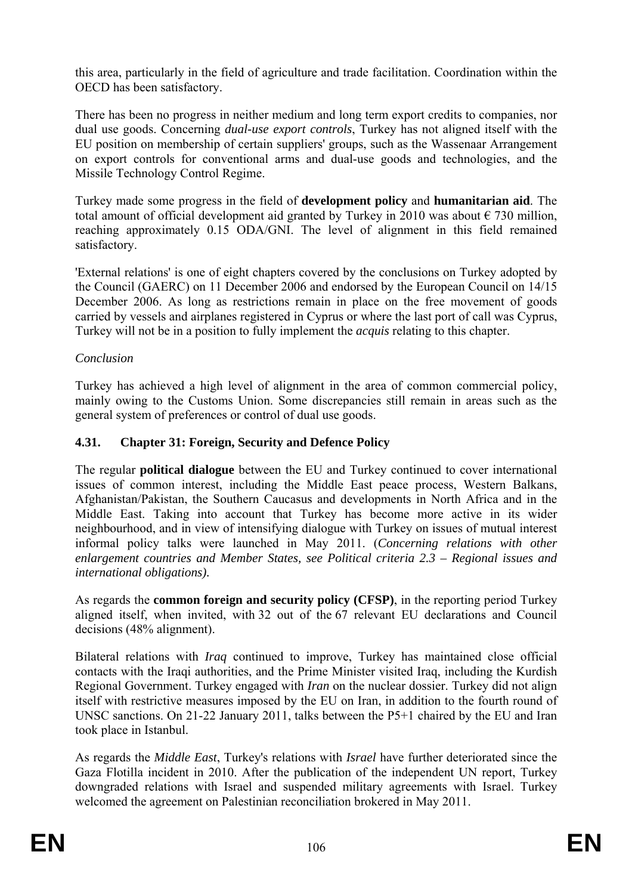this area, particularly in the field of agriculture and trade facilitation. Coordination within the OECD has been satisfactory.

There has been no progress in neither medium and long term export credits to companies, nor dual use goods. Concerning *dual-use export controls*, Turkey has not aligned itself with the EU position on membership of certain suppliers' groups, such as the Wassenaar Arrangement on export controls for conventional arms and dual-use goods and technologies, and the Missile Technology Control Regime.

Turkey made some progress in the field of **development policy** and **humanitarian aid**. The total amount of official development aid granted by Turkey in 2010 was about  $\epsilon$  730 million, reaching approximately 0.15 ODA/GNI. The level of alignment in this field remained satisfactory.

'External relations' is one of eight chapters covered by the conclusions on Turkey adopted by the Council (GAERC) on 11 December 2006 and endorsed by the European Council on 14/15 December 2006. As long as restrictions remain in place on the free movement of goods carried by vessels and airplanes registered in Cyprus or where the last port of call was Cyprus, Turkey will not be in a position to fully implement the *acquis* relating to this chapter.

#### *Conclusion*

Turkey has achieved a high level of alignment in the area of common commercial policy, mainly owing to the Customs Union. Some discrepancies still remain in areas such as the general system of preferences or control of dual use goods.

### **4.31. Chapter 31: Foreign, Security and Defence Policy**

The regular **political dialogue** between the EU and Turkey continued to cover international issues of common interest, including the Middle East peace process, Western Balkans, Afghanistan/Pakistan, the Southern Caucasus and developments in North Africa and in the Middle East. Taking into account that Turkey has become more active in its wider neighbourhood, and in view of intensifying dialogue with Turkey on issues of mutual interest informal policy talks were launched in May 2011. (*Concerning relations with other enlargement countries and Member States, see Political criteria 2.3 – Regional issues and international obligations).* 

As regards the **common foreign and security policy (CFSP)**, in the reporting period Turkey aligned itself, when invited, with 32 out of the 67 relevant EU declarations and Council decisions (48% alignment).

Bilateral relations with *Iraq* continued to improve, Turkey has maintained close official contacts with the Iraqi authorities, and the Prime Minister visited Iraq, including the Kurdish Regional Government. Turkey engaged with *Iran* on the nuclear dossier. Turkey did not align itself with restrictive measures imposed by the EU on Iran, in addition to the fourth round of UNSC sanctions. On 21-22 January 2011, talks between the P5+1 chaired by the EU and Iran took place in Istanbul.

As regards the *Middle East*, Turkey's relations with *Israel* have further deteriorated since the Gaza Flotilla incident in 2010. After the publication of the independent UN report, Turkey downgraded relations with Israel and suspended military agreements with Israel. Turkey welcomed the agreement on Palestinian reconciliation brokered in May 2011.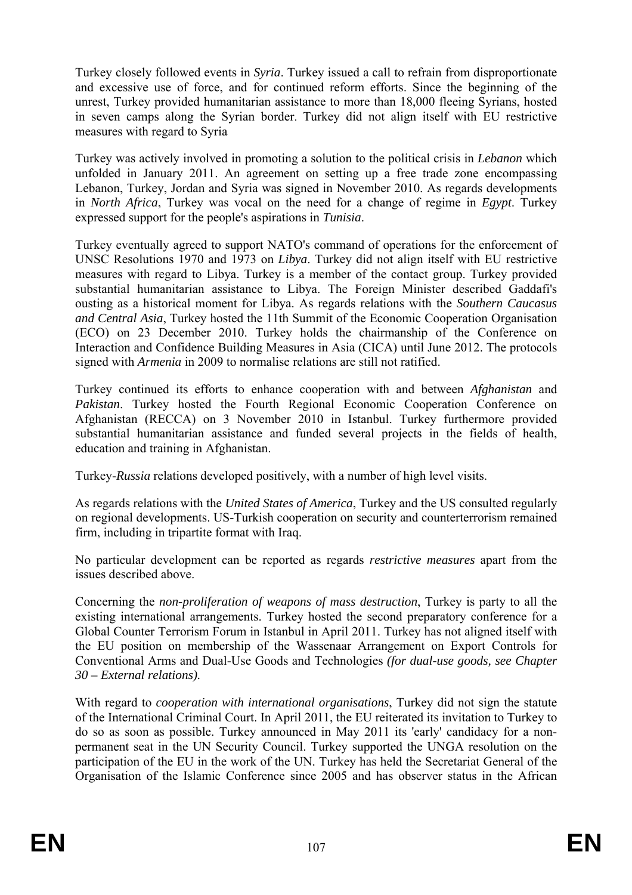Turkey closely followed events in *Syria*. Turkey issued a call to refrain from disproportionate and excessive use of force, and for continued reform efforts. Since the beginning of the unrest, Turkey provided humanitarian assistance to more than 18,000 fleeing Syrians, hosted in seven camps along the Syrian border. Turkey did not align itself with EU restrictive measures with regard to Syria

Turkey was actively involved in promoting a solution to the political crisis in *Lebanon* which unfolded in January 2011. An agreement on setting up a free trade zone encompassing Lebanon, Turkey, Jordan and Syria was signed in November 2010. As regards developments in *North Africa*, Turkey was vocal on the need for a change of regime in *Egypt*. Turkey expressed support for the people's aspirations in *Tunisia*.

Turkey eventually agreed to support NATO's command of operations for the enforcement of UNSC Resolutions 1970 and 1973 on *Libya*. Turkey did not align itself with EU restrictive measures with regard to Libya. Turkey is a member of the contact group. Turkey provided substantial humanitarian assistance to Libya. The Foreign Minister described Gaddafi's ousting as a historical moment for Libya. As regards relations with the *Southern Caucasus and Central Asia*, Turkey hosted the 11th Summit of the Economic Cooperation Organisation (ECO) on 23 December 2010. Turkey holds the chairmanship of the Conference on Interaction and Confidence Building Measures in Asia (CICA) until June 2012. The protocols signed with *Armenia* in 2009 to normalise relations are still not ratified.

Turkey continued its efforts to enhance cooperation with and between *Afghanistan* and *Pakistan*. Turkey hosted the Fourth Regional Economic Cooperation Conference on Afghanistan (RECCA) on 3 November 2010 in Istanbul. Turkey furthermore provided substantial humanitarian assistance and funded several projects in the fields of health, education and training in Afghanistan.

Turkey-*Russia* relations developed positively, with a number of high level visits.

As regards relations with the *United States of America*, Turkey and the US consulted regularly on regional developments. US-Turkish cooperation on security and counterterrorism remained firm, including in tripartite format with Iraq.

No particular development can be reported as regards *restrictive measures* apart from the issues described above.

Concerning the *non-proliferation of weapons of mass destruction*, Turkey is party to all the existing international arrangements. Turkey hosted the second preparatory conference for a Global Counter Terrorism Forum in Istanbul in April 2011. Turkey has not aligned itself with the EU position on membership of the Wassenaar Arrangement on Export Controls for Conventional Arms and Dual-Use Goods and Technologies *(for dual-use goods, see Chapter 30 – External relations).* 

With regard to *cooperation with international organisations*, Turkey did not sign the statute of the International Criminal Court. In April 2011, the EU reiterated its invitation to Turkey to do so as soon as possible. Turkey announced in May 2011 its 'early' candidacy for a nonpermanent seat in the UN Security Council. Turkey supported the UNGA resolution on the participation of the EU in the work of the UN. Turkey has held the Secretariat General of the Organisation of the Islamic Conference since 2005 and has observer status in the African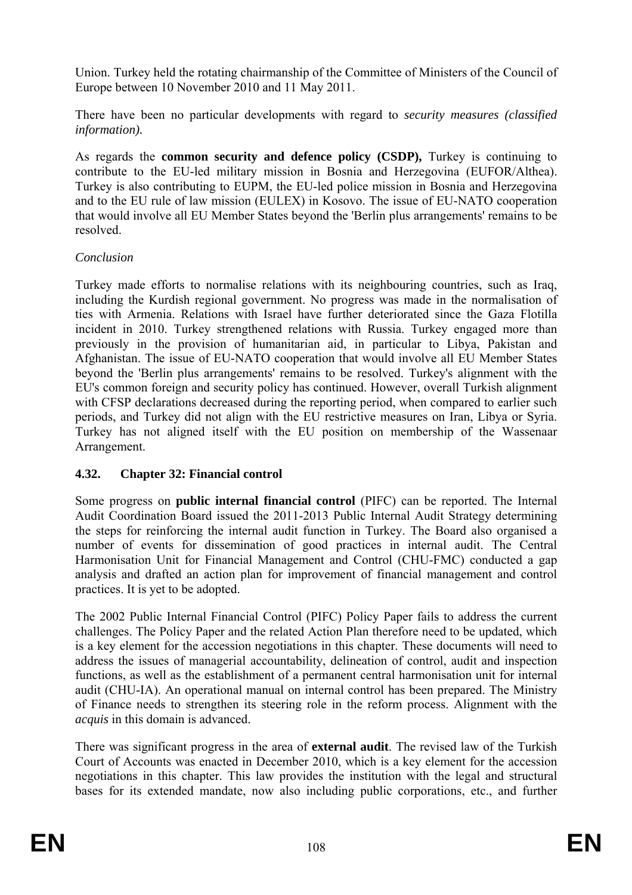Union. Turkey held the rotating chairmanship of the Committee of Ministers of the Council of Europe between 10 November 2010 and 11 May 2011.

There have been no particular developments with regard to *security measures (classified information).* 

As regards the **common security and defence policy (CSDP),** Turkey is continuing to contribute to the EU-led military mission in Bosnia and Herzegovina (EUFOR/Althea). Turkey is also contributing to EUPM, the EU-led police mission in Bosnia and Herzegovina and to the EU rule of law mission (EULEX) in Kosovo. The issue of EU-NATO cooperation that would involve all EU Member States beyond the 'Berlin plus arrangements' remains to be resolved.

#### *Conclusion*

Turkey made efforts to normalise relations with its neighbouring countries, such as Iraq, including the Kurdish regional government. No progress was made in the normalisation of ties with Armenia. Relations with Israel have further deteriorated since the Gaza Flotilla incident in 2010. Turkey strengthened relations with Russia. Turkey engaged more than previously in the provision of humanitarian aid, in particular to Libya, Pakistan and Afghanistan. The issue of EU-NATO cooperation that would involve all EU Member States beyond the 'Berlin plus arrangements' remains to be resolved. Turkey's alignment with the EU's common foreign and security policy has continued. However, overall Turkish alignment with CFSP declarations decreased during the reporting period, when compared to earlier such periods, and Turkey did not align with the EU restrictive measures on Iran, Libya or Syria. Turkey has not aligned itself with the EU position on membership of the Wassenaar Arrangement.

# **4.32. Chapter 32: Financial control**

Some progress on **public internal financial control** (PIFC) can be reported. The Internal Audit Coordination Board issued the 2011-2013 Public Internal Audit Strategy determining the steps for reinforcing the internal audit function in Turkey. The Board also organised a number of events for dissemination of good practices in internal audit. The Central Harmonisation Unit for Financial Management and Control (CHU-FMC) conducted a gap analysis and drafted an action plan for improvement of financial management and control practices. It is yet to be adopted.

The 2002 Public Internal Financial Control (PIFC) Policy Paper fails to address the current challenges. The Policy Paper and the related Action Plan therefore need to be updated, which is a key element for the accession negotiations in this chapter. These documents will need to address the issues of managerial accountability, delineation of control, audit and inspection functions, as well as the establishment of a permanent central harmonisation unit for internal audit (CHU-IA). An operational manual on internal control has been prepared. The Ministry of Finance needs to strengthen its steering role in the reform process. Alignment with the *acquis* in this domain is advanced.

There was significant progress in the area of **external audit**. The revised law of the Turkish Court of Accounts was enacted in December 2010, which is a key element for the accession negotiations in this chapter. This law provides the institution with the legal and structural bases for its extended mandate, now also including public corporations, etc., and further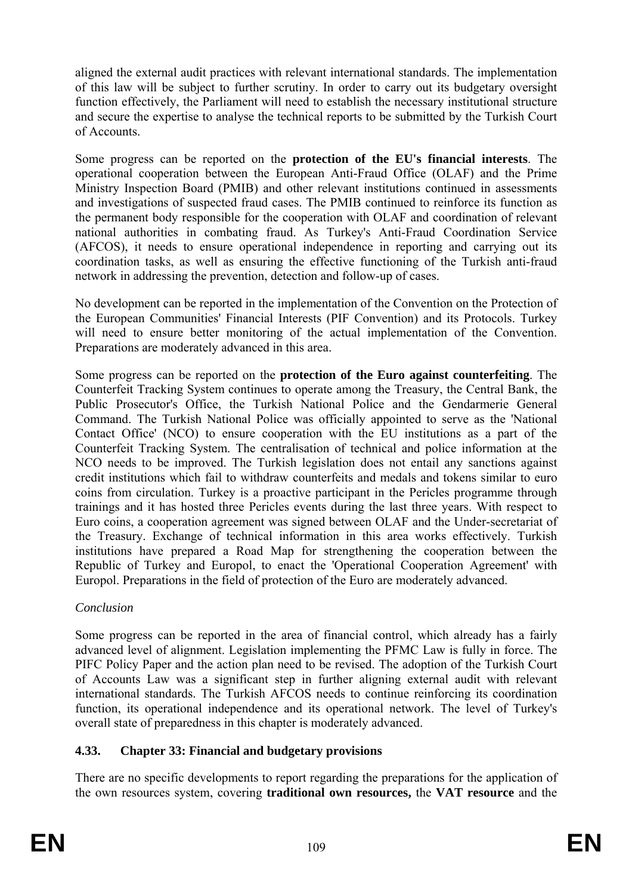aligned the external audit practices with relevant international standards. The implementation of this law will be subject to further scrutiny. In order to carry out its budgetary oversight function effectively, the Parliament will need to establish the necessary institutional structure and secure the expertise to analyse the technical reports to be submitted by the Turkish Court of Accounts.

Some progress can be reported on the **protection of the EU's financial interests**. The operational cooperation between the European Anti-Fraud Office (OLAF) and the Prime Ministry Inspection Board (PMIB) and other relevant institutions continued in assessments and investigations of suspected fraud cases. The PMIB continued to reinforce its function as the permanent body responsible for the cooperation with OLAF and coordination of relevant national authorities in combating fraud. As Turkey's Anti-Fraud Coordination Service (AFCOS), it needs to ensure operational independence in reporting and carrying out its coordination tasks, as well as ensuring the effective functioning of the Turkish anti-fraud network in addressing the prevention, detection and follow-up of cases.

No development can be reported in the implementation of the Convention on the Protection of the European Communities' Financial Interests (PIF Convention) and its Protocols. Turkey will need to ensure better monitoring of the actual implementation of the Convention. Preparations are moderately advanced in this area.

Some progress can be reported on the **protection of the Euro against counterfeiting**. The Counterfeit Tracking System continues to operate among the Treasury, the Central Bank, the Public Prosecutor's Office, the Turkish National Police and the Gendarmerie General Command. The Turkish National Police was officially appointed to serve as the 'National Contact Office' (NCO) to ensure cooperation with the EU institutions as a part of the Counterfeit Tracking System. The centralisation of technical and police information at the NCO needs to be improved. The Turkish legislation does not entail any sanctions against credit institutions which fail to withdraw counterfeits and medals and tokens similar to euro coins from circulation. Turkey is a proactive participant in the Pericles programme through trainings and it has hosted three Pericles events during the last three years. With respect to Euro coins, a cooperation agreement was signed between OLAF and the Under-secretariat of the Treasury. Exchange of technical information in this area works effectively. Turkish institutions have prepared a Road Map for strengthening the cooperation between the Republic of Turkey and Europol, to enact the 'Operational Cooperation Agreement' with Europol. Preparations in the field of protection of the Euro are moderately advanced.

# *Conclusion*

Some progress can be reported in the area of financial control, which already has a fairly advanced level of alignment. Legislation implementing the PFMC Law is fully in force. The PIFC Policy Paper and the action plan need to be revised. The adoption of the Turkish Court of Accounts Law was a significant step in further aligning external audit with relevant international standards. The Turkish AFCOS needs to continue reinforcing its coordination function, its operational independence and its operational network. The level of Turkey's overall state of preparedness in this chapter is moderately advanced.

# **4.33. Chapter 33: Financial and budgetary provisions**

There are no specific developments to report regarding the preparations for the application of the own resources system, covering **traditional own resources,** the **VAT resource** and the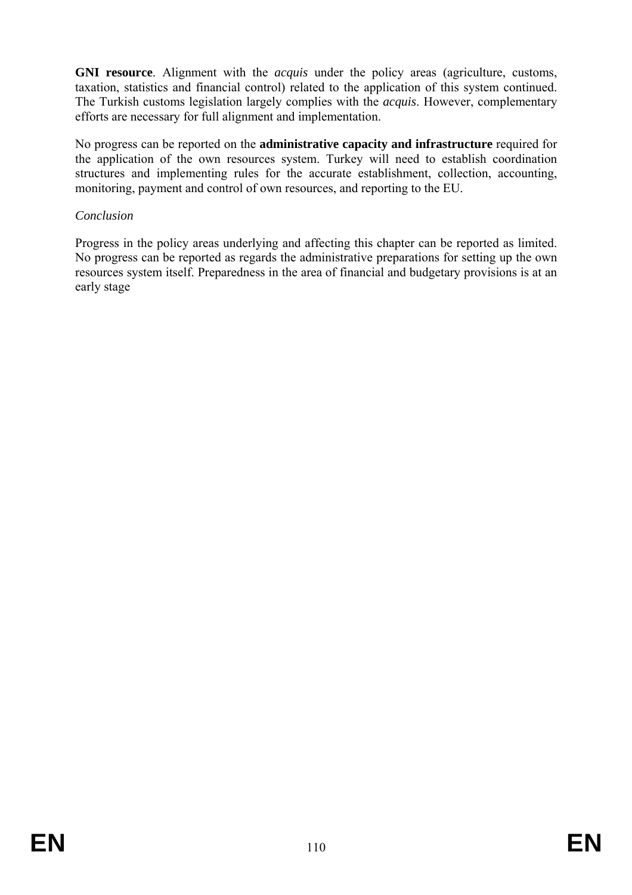**GNI resource**. Alignment with the *acquis* under the policy areas (agriculture, customs, taxation, statistics and financial control) related to the application of this system continued. The Turkish customs legislation largely complies with the *acquis*. However, complementary efforts are necessary for full alignment and implementation.

No progress can be reported on the **administrative capacity and infrastructure** required for the application of the own resources system. Turkey will need to establish coordination structures and implementing rules for the accurate establishment, collection, accounting, monitoring, payment and control of own resources, and reporting to the EU.

#### *Conclusion*

Progress in the policy areas underlying and affecting this chapter can be reported as limited. No progress can be reported as regards the administrative preparations for setting up the own resources system itself. Preparedness in the area of financial and budgetary provisions is at an early stage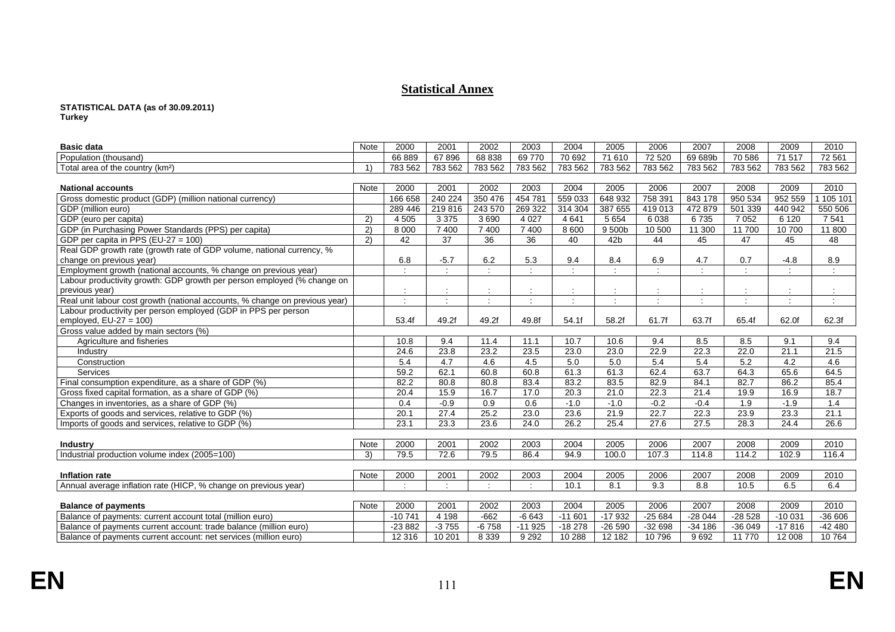#### **Statistical Annex**

#### **STATISTICAL DATA (as of 30.09.2011) Turkey**

| <b>Basic data</b>                                                           | Note | 2000                 | 2001    | 2002                     | 2003           | 2004          | 2005            | 2006                 | 2007                 | 2008           | 2009                 | 2010            |
|-----------------------------------------------------------------------------|------|----------------------|---------|--------------------------|----------------|---------------|-----------------|----------------------|----------------------|----------------|----------------------|-----------------|
| Population (thousand)                                                       |      | 66889                | 67896   | 68 838                   | 69770          | 70 692        | 71 610          | 72 520               | 69 689b              | 70 586         | 71 517               | 72 561          |
| Total area of the country (km <sup>2</sup> )                                | 1)   | 783 562              | 783 562 | 783 562                  | 783 562        | 783 562       | 783 562         | 783 562              | 783 562              | 783 562        | 783 562              | 783 562         |
|                                                                             |      |                      |         |                          |                |               |                 |                      |                      |                |                      |                 |
| <b>National accounts</b>                                                    | Note | 2000                 | 2001    | 2002                     | 2003           | 2004          | 2005            | 2006                 | 2007                 | 2008           | 2009                 | 2010            |
| Gross domestic product (GDP) (million national currency)                    |      | 166 658              | 240 224 | 350 476                  | 454 781        | 559 033       | 648 932         | 758 391              | 843 178              | 950 534        | 952 559              | 1 105 101       |
| GDP (million euro)                                                          |      | 289 446              | 219816  | 243 570                  | 269 322        | 314304        | 387 655         | 419 013              | 472 879              | 501 339        | 440 942              | 550 506         |
| GDP (euro per capita)                                                       | 2)   | 4 5 0 5              | 3 3 7 5 | 3 6 9 0                  | 4 0 27         | 4 6 4 1       | 5 6 5 4         | 6 0 38               | 6735                 | 7 0 5 2        | 6120                 | 7 5 4 1         |
| GDP (in Purchasing Power Standards (PPS) per capita)                        | 2)   | 8 0 0 0              | 7400    | 7 4 0 0                  | 7 400          | 8 600         | 9500b           | 10 500               | 11 300               | 11 700         | 10700                | 11 800          |
| GDP per capita in PPS (EU-27 = 100)                                         | 2)   | $\overline{42}$      | 37      | 36                       | 36             | 40            | 42 <sub>b</sub> | 44                   | 45                   | 47             | 45                   | $\overline{48}$ |
| Real GDP growth rate (growth rate of GDP volume, national currency, %       |      |                      |         |                          |                |               |                 |                      |                      |                |                      |                 |
| change on previous year)                                                    |      | 6.8                  | $-5.7$  | 6.2                      | 5.3            | 9.4           | 8.4             | 6.9                  | 4.7                  | 0.7            | $-4.8$               | 8.9             |
| Employment growth (national accounts, % change on previous year)            |      | $\cdot$              |         | $\cdot$                  | $\bullet$      | $\cdot$       | ÷               | $\ddot{\phantom{a}}$ | $\ddot{\phantom{a}}$ | $\ddot{\cdot}$ |                      | $\cdot$         |
| Labour productivity growth: GDP growth per person employed (% change on     |      |                      |         |                          |                |               |                 |                      |                      |                |                      |                 |
| previous year)                                                              |      |                      |         |                          |                |               |                 |                      |                      |                |                      |                 |
| Real unit labour cost growth (national accounts, % change on previous year) |      | $\ddot{\phantom{a}}$ | $\sim$  | ÷                        | $\ddot{\cdot}$ | $\mathcal{L}$ | ÷               | ÷                    | $\mathcal{L}$        | ÷              | $\ddot{\phantom{a}}$ | ÷               |
| Labour productivity per person employed (GDP in PPS per person              |      |                      |         |                          |                |               |                 |                      |                      |                |                      |                 |
| employed, $EU-27 = 100$                                                     |      | 53.4f                | 49.2f   | 49.2f                    | 49.8f          | 54.1f         | 58.2f           | 61.7f                | 63.7f                | 65.4f          | 62.0f                | 62.3f           |
| Gross value added by main sectors (%)                                       |      |                      |         |                          |                |               |                 |                      |                      |                |                      |                 |
| Agriculture and fisheries                                                   |      | 10.8                 | 9.4     | 11.4                     | 11.1           | 10.7          | 10.6            | 9.4                  | 8.5                  | 8.5            | 9.1                  | 9.4             |
| Industry                                                                    |      | 24.6                 | 23.8    | 23.2                     | 23.5           | 23.0          | 23.0            | 22.9                 | 22.3                 | 22.0           | 21.1                 | 21.5            |
| Construction                                                                |      | 5.4                  | 4.7     | 4.6                      | 4.5            | 5.0           | 5.0             | 5.4                  | 5.4                  | 5.2            | 4.2                  | 4.6             |
| Services                                                                    |      | 59.2                 | 62.1    | 60.8                     | 60.8           | 61.3          | 61.3            | 62.4                 | 63.7                 | 64.3           | 65.6                 | 64.5            |
| Final consumption expenditure, as a share of GDP (%)                        |      | 82.2                 | 80.8    | 80.8                     | 83.4           | 83.2          | 83.5            | 82.9                 | 84.1                 | 82.7           | 86.2                 | 85.4            |
| Gross fixed capital formation, as a share of GDP (%)                        |      | 20.4                 | 15.9    | 16.7                     | 17.0           | 20.3          | 21.0            | 22.3                 | 21.4                 | 19.9           | 16.9                 | 18.7            |
| Changes in inventories, as a share of GDP (%)                               |      | 0.4                  | $-0.9$  | 0.9                      | 0.6            | $-1.0$        | $-1.0$          | $-0.2$               | $-0.4$               | 1.9            | $-1.9$               | 1.4             |
| Exports of goods and services, relative to GDP (%)                          |      | 20.1                 | 27.4    | 25.2                     | 23.0           | 23.6          | 21.9            | 22.7                 | 22.3                 | 23.9           | 23.3                 | 21.1            |
| Imports of goods and services, relative to GDP (%)                          |      | 23.1                 | 23.3    | 23.6                     | 24.0           | 26.2          | 25.4            | 27.6                 | 27.5                 | 28.3           | 24.4                 | 26.6            |
|                                                                             |      |                      |         |                          |                |               |                 |                      |                      |                |                      |                 |
| <b>Industry</b>                                                             | Note | 2000                 | 2001    | 2002                     | 2003           | 2004          | 2005            | 2006                 | 2007                 | 2008           | 2009                 | 2010            |
| Industrial production volume index (2005=100)                               | 3)   | 79.5                 | 72.6    | 79.5                     | 86.4           | 94.9          | 100.0           | 107.3                | 114.8                | 114.2          | 102.9                | 116.4           |
|                                                                             |      |                      |         |                          |                |               |                 |                      |                      |                |                      |                 |
| <b>Inflation rate</b>                                                       | Note | 2000                 | 2001    | 2002                     | 2003           | 2004          | 2005            | 2006                 | 2007                 | 2008           | 2009                 | 2010            |
| Annual average inflation rate (HICP, % change on previous year)             |      |                      |         | $\overline{\phantom{a}}$ | $\cdot$        | 10.1          | 8.1             | 9.3                  | 8.8                  | 10.5           | 6.5                  | 6.4             |
|                                                                             |      |                      |         |                          |                |               |                 |                      |                      |                |                      |                 |
| <b>Balance of payments</b>                                                  | Note | 2000                 | 2001    | 2002                     | 2003           | 2004          | 2005            | 2006                 | 2007                 | 2008           | 2009                 | 2010            |
| Balance of payments: current account total (million euro)                   |      | $-10741$             | 4 1 9 8 | $-662$                   | $-6643$        | $-11601$      | $-17932$        | $-25684$             | $-28044$             | $-28528$       | $-10031$             | $-36606$        |
| Balance of payments current account: trade balance (million euro)           |      | $-23882$             | $-3755$ | $-6758$                  | $-11925$       | $-18278$      | $-26590$        | $-32698$             | $-34186$             | $-36049$       | $-17816$             | $-42480$        |
| Balance of payments current account: net services (million euro)            |      | 12 3 16              | 10 201  | 8 3 3 9                  | 9 2 9 2        | 10 288        | 12 182          | 10796                | 9692                 | 11770          | 12 008               | 10764           |

**EN**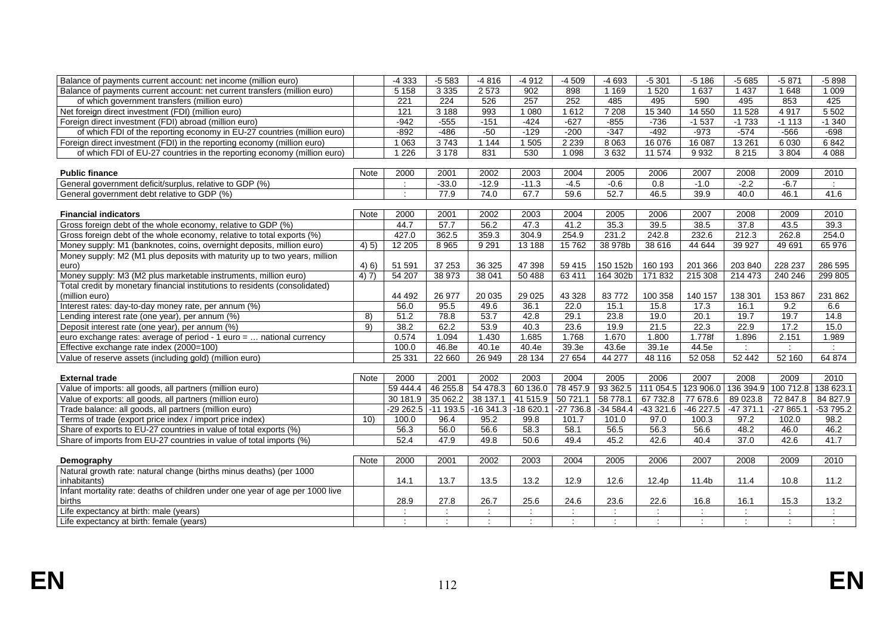| Balance of payments current account: net income (million euro)                |             | $-4333$       | $-5583$     | $-4816$              | $-4912$        | $-4509$       | $-4693$       | $-5301$       | $-5186$    | $-5685$       | $-5871$                       | $-5898$              |
|-------------------------------------------------------------------------------|-------------|---------------|-------------|----------------------|----------------|---------------|---------------|---------------|------------|---------------|-------------------------------|----------------------|
| Balance of payments current account: net current transfers (million euro)     |             | 5 1 5 8       | 3 3 3 5     | 2 5 7 3              | 902            | 898           | 1 1 6 9       | 1 5 2 0       | 1 6 3 7    | 1437          | 1 6 4 8                       | 1 0 0 9              |
| of which government transfers (million euro)                                  |             | 221           | 224         | 526                  | 257            | 252           | 485           | 495           | 590        | 495           | 853                           | 425                  |
| Net foreign direct investment (FDI) (million euro)                            |             | 121           | 3 1 8 8     | 993                  | 1 0 8 0        | 1612          | 7 2 0 8       | 15 340        | 14 550     | 11 528        | 4 9 1 7                       | 5 5 0 2              |
| Foreign direct investment (FDI) abroad (million euro)                         |             | $-942$        | $-555$      | $-151$               | $-424$         | $-627$        | $-855$        | $-736$        | $-1537$    | $-1733$       | $-1113$                       | $-1340$              |
| of which FDI of the reporting economy in EU-27 countries (million euro)       |             | $-892$        | $-486$      | $-50$                | $-129$         | $-200$        | $-347$        | $-492$        | $-973$     | $-574$        | $-566$                        | $-698$               |
| Foreign direct investment (FDI) in the reporting economy (million euro)       |             | 1 0 6 3       | 3743        | 1144                 | 1 505          | 2 2 3 9       | 8 0 63        | 16 076        | 16 087     | 13 261        | 6 0 30                        | 6842                 |
| of which FDI of EU-27 countries in the reporting economy (million euro)       |             | 1 2 2 6       | 3 1 7 8     | 831                  | 530            | 1 0 9 8       | 3632          | 11 574        | 9932       | 8215          | 3804                          | 4 0 8 8              |
|                                                                               |             |               |             |                      |                |               |               |               |            |               |                               |                      |
| <b>Public finance</b>                                                         | <b>Note</b> | 2000          | 2001        | 2002                 | 2003           | 2004          | 2005          | 2006          | 2007       | 2008          | 2009                          | 2010                 |
| General government deficit/surplus, relative to GDP (%)                       |             | $\mathcal{L}$ | $-33.0$     | $-12.9$              | $-11.3$        | $-4.5$        | $-0.6$        | 0.8           | $-1.0$     | $-2.2$        | $-6.7$                        | $\sim$               |
| General government debt relative to GDP (%)                                   |             | $\cdot$       | 77.9        | 74.0                 | 67.7           | 59.6          | 52.7          | 46.5          | 39.9       | 40.0          | 46.1                          | 41.6                 |
|                                                                               |             |               |             |                      |                |               |               |               |            |               |                               |                      |
| <b>Financial indicators</b>                                                   | <b>Note</b> | 2000          | 2001        | 2002                 | 2003           | 2004          | 2005          | 2006          | 2007       | 2008          | 2009                          | 2010                 |
| Gross foreign debt of the whole economy, relative to GDP (%)                  |             | 44.7          | 57.7        | 56.2                 | 47.3           | 41.2          | 35.3          | 39.5          | 38.5       | 37.8          | 43.5                          | 39.3                 |
| Gross foreign debt of the whole economy, relative to total exports (%)        |             | 427.0         | 362.5       | 359.3                | 304.9          | 254.9         | 231.2         | 242.8         | 232.6      | 212.3         | 262.8                         | 254.0                |
| Money supply: M1 (banknotes, coins, overnight deposits, million euro)         | 4(5)        | 12 20 5       | 8 9 6 5     | 9291                 | 13 188         | 15762         | 38 978b       | 38 616        | 44 644     | 39 927        | 49 691                        | 65 976               |
| Money supply: M2 (M1 plus deposits with maturity up to two years, million     |             |               |             |                      |                |               |               |               |            |               |                               |                      |
| euro)                                                                         | 4(6)        | 51 591        | 37 253      | 36 325               | 47 398         | 59 415        | 150 152b      | 160 193       | 201 366    | 203 840       | 228 237                       | 286 595              |
| Money supply: M3 (M2 plus marketable instruments, million euro)               | 4) 7)       | 54 207        | 38 973      | 38 041               | 50 488         | 63 411        | 164 302b      | 171 832       | 215 308    | 214 473       | 240 246                       | 299 805              |
| Total credit by monetary financial institutions to residents (consolidated)   |             |               |             |                      |                |               |               |               |            |               |                               |                      |
| (million euro)                                                                |             | 44 492        | 26 977      | 20 035               | 29 0 25        | 43 328        | 83772         | 100 358       | 140 157    | 138 301       | 153 867                       | 231 862              |
| Interest rates: day-to-day money rate, per annum (%)                          |             | 56.0          | 95.5        | 49.6                 | 36.1           | 22.0          | 15.1          | 15.8          | 17.3       | 16.1          | 9.2                           | 6.6                  |
| Lending interest rate (one year), per annum (%)                               | 8)          | 51.2          | 78.8        | 53.7                 | 42.8           | 29.1          | 23.8          | 19.0          | 20.1       | 19.7          | 19.7                          | 14.8                 |
| Deposit interest rate (one year), per annum (%)                               | 9)          | 38.2          | 62.2        | 53.9                 | 40.3           | 23.6          | 19.9          | 21.5          | 22.3       | 22.9          | 17.2                          | 15.0                 |
| euro exchange rates: average of period - 1 euro =  national currency          |             | 0.574         | 1.094       | 1.430                | 1.685          | 1.768         | 1.670         | 1.800         | 1.778f     | 1.896         | 2.151                         | 1.989                |
| Effective exchange rate index (2000=100)                                      |             | 100.0         | 46.8e       | 40.1e                | 40.4e          | 39.3e         | 43.6e         | 39.1e         | 44.5e      | ÷             | $\cdot$                       | ÷                    |
| Value of reserve assets (including gold) (million euro)                       |             | 25 331        | 22 660      | 26 949               | 28 134         | 27 654        | 44 277        | 48 116        | 52 058     | 52 442        | 52 160                        | 64 874               |
|                                                                               |             |               |             |                      |                |               |               |               |            |               |                               |                      |
| <b>External trade</b>                                                         | Note        | 2000          | 2001        | 2002                 | 2003           | 2004          | 2005          | 2006          | 2007       | 2008          | 2009                          | 2010                 |
| Value of imports: all goods, all partners (million euro)                      |             | 59 444.4      | 46 255.8    | 54 478.3             | 60 136.0       | 78 457.9      | 93 362.5      | 111 054.5     | 123 906.0  |               | 136 394.9 100 712.8 138 623.1 |                      |
| Value of exports: all goods, all partners (million euro)                      |             | 30 181.9      | 35 062.2    | 38 137.1             | 41 515.9       | 50 721.1      | 58 778.1      | 67 732.8      | 77 678.6   | 89 023.8      | 72 847.8                      | 84 827.9             |
| Trade balance: all goods, all partners (million euro)                         |             | $-29262.5$    | $-11$ 193.5 | $-16341.3$           | $-18620.1$     | $-27736.8$    | $-34584.4$    | $-43321.6$    | $-46227.5$ | $-47371.1$    | $-27865.1$                    | $-53795.2$           |
| Terms of trade (export price index / import price index)                      | 10)         | 100.0         | 96.4        | 95.2                 | 99.8           | 101.7         | 101.0         | 97.0          | 100.3      | 97.2          | 102.0                         | 98.2                 |
| Share of exports to EU-27 countries in value of total exports (%)             |             | 56.3          | 56.0        | 56.6                 | 58.3           | 58.1          | 56.5          | 56.3          | 56.6       | 48.2          | 46.0                          | 46.2                 |
| Share of imports from EU-27 countries in value of total imports (%)           |             | 52.4          | 47.9        | 49.8                 | 50.6           | 49.4          | 45.2          | 42.6          | 40.4       | 37.0          | 42.6                          | 41.7                 |
|                                                                               |             |               |             |                      |                |               |               |               |            |               |                               |                      |
| Demography                                                                    | Note        | 2000          | 2001        | 2002                 | 2003           | 2004          | 2005          | 2006          | 2007       | 2008          | 2009                          | 2010                 |
| Natural growth rate: natural change (births minus deaths) (per 1000           |             |               |             |                      |                |               |               |               |            |               |                               |                      |
| inhabitants)                                                                  |             | 14.1          | 13.7        | 13.5                 | 13.2           | 12.9          | 12.6          | 12.4p         | 11.4b      | 11.4          | 10.8                          | 11.2                 |
| Infant mortality rate: deaths of children under one year of age per 1000 live |             |               |             |                      |                |               |               |               |            |               |                               |                      |
| births                                                                        |             | 28.9          | 27.8        | 26.7                 | 25.6           | 24.6          | 23.6          | 22.6          | 16.8       | 16.1          | 15.3                          | 13.2                 |
| Life expectancy at birth: male (years)                                        |             | ÷             | ÷           | $\ddot{\phantom{a}}$ | $\mathbb{Z}^+$ | $\mathcal{L}$ | $\mathcal{L}$ | $\mathcal{L}$ | ÷          | $\mathcal{L}$ | $\ddot{\phantom{a}}$          | $\ddot{\phantom{a}}$ |
| Life expectancy at birth: female (years)                                      |             |               | ÷           | $\sim$               |                | ÷             | $\mathcal{L}$ | $\mathcal{L}$ | ÷          | $\cdot$       |                               | $\ddot{\phantom{a}}$ |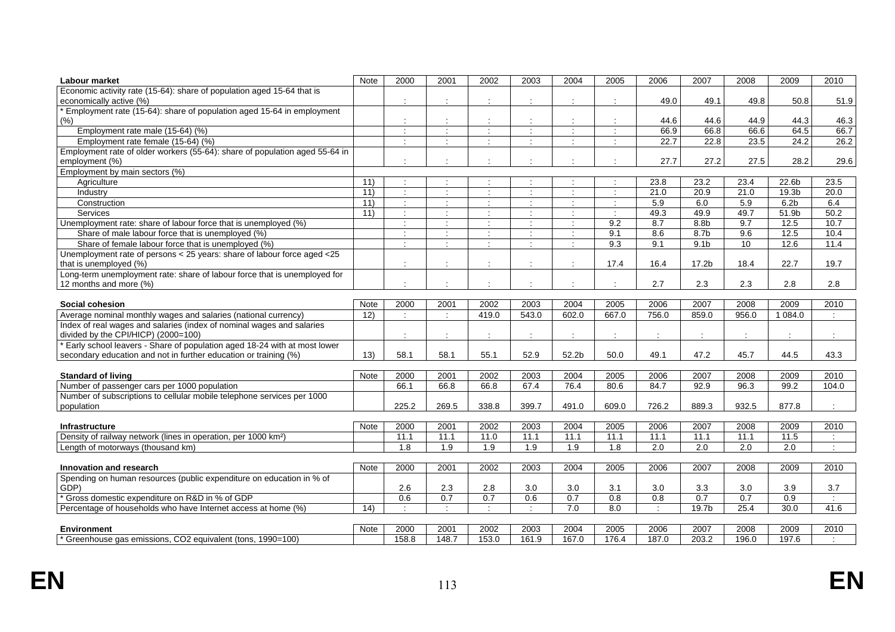| Economic activity rate (15-64): share of population aged 15-64 that is<br>49.0<br>49.1<br>49.8<br>50.8<br>51.9<br>economically active (%)<br>÷<br>Employment rate (15-64): share of population aged 15-64 in employment<br>44.6<br>44.6<br>44.9<br>44.3<br>46.3<br>(%)<br>÷<br>t<br>66.9<br>66.8<br>66.6<br>64.5<br>66.7<br>÷<br>$\mathbf{r}$<br>$\dot{\mathbb{I}}$<br>÷<br>Employment rate male (15-64) (%)<br>24.2<br>22.7<br>22.8<br>23.5<br>26.2<br>Employment rate female (15-64) (%)<br>$\mathcal{L}$<br>$\mathbb{R}^2$<br>$\mathcal{L}$<br>$\mathcal{L}$<br>$\bullet$<br>Employment rate of older workers (55-64): share of population aged 55-64 in<br>29.6<br>employment (%)<br>27.7<br>27.2<br>27.5<br>28.2<br>÷<br>÷<br>$\ddot{\phantom{a}}$<br>Employment by main sectors (%)<br>11)<br>23.8<br>23.2<br>23.4<br>Agriculture<br>$\bullet$<br>$\bullet$<br>22.6b<br>23.5<br>21.0<br>11)<br>$\bullet$<br>$\pm$<br>$\mathcal{L}$<br>$\mathcal{L}$<br>$\mathcal{L}^{\mathcal{L}}$<br>21.0<br>20.9<br>19.3b<br>20.0<br>Industry<br>$\cdot$<br>6.0<br>5.9<br>11)<br>5.9<br>6.2 <sub>b</sub><br>6.4<br>Construction<br>$\ddot{\cdot}$<br>$\ddot{\phantom{a}}$<br>Ì.<br>49.3<br>49.7<br>51.9 <sub>b</sub><br>50.2<br>Services<br>11)<br>$\hat{\mathcal{L}}$<br>$\overline{z}$<br>49.9<br>÷<br>$\ddot{\phantom{a}}$<br>9.7<br>12.5<br>9.2<br>8.7<br>8.8 <sub>b</sub><br>10.7<br>Unemployment rate: share of labour force that is unemployed (%)<br>$\ddot{\phantom{a}}$<br>$\mathcal{L}$<br>$\ddot{\phantom{a}}$<br>$\mathcal{L}_{\mathcal{L}}$ |
|---------------------------------------------------------------------------------------------------------------------------------------------------------------------------------------------------------------------------------------------------------------------------------------------------------------------------------------------------------------------------------------------------------------------------------------------------------------------------------------------------------------------------------------------------------------------------------------------------------------------------------------------------------------------------------------------------------------------------------------------------------------------------------------------------------------------------------------------------------------------------------------------------------------------------------------------------------------------------------------------------------------------------------------------------------------------------------------------------------------------------------------------------------------------------------------------------------------------------------------------------------------------------------------------------------------------------------------------------------------------------------------------------------------------------------------------------------------------------------------------------------------------------------------------------|
|                                                                                                                                                                                                                                                                                                                                                                                                                                                                                                                                                                                                                                                                                                                                                                                                                                                                                                                                                                                                                                                                                                                                                                                                                                                                                                                                                                                                                                                                                                                                                   |
|                                                                                                                                                                                                                                                                                                                                                                                                                                                                                                                                                                                                                                                                                                                                                                                                                                                                                                                                                                                                                                                                                                                                                                                                                                                                                                                                                                                                                                                                                                                                                   |
|                                                                                                                                                                                                                                                                                                                                                                                                                                                                                                                                                                                                                                                                                                                                                                                                                                                                                                                                                                                                                                                                                                                                                                                                                                                                                                                                                                                                                                                                                                                                                   |
|                                                                                                                                                                                                                                                                                                                                                                                                                                                                                                                                                                                                                                                                                                                                                                                                                                                                                                                                                                                                                                                                                                                                                                                                                                                                                                                                                                                                                                                                                                                                                   |
|                                                                                                                                                                                                                                                                                                                                                                                                                                                                                                                                                                                                                                                                                                                                                                                                                                                                                                                                                                                                                                                                                                                                                                                                                                                                                                                                                                                                                                                                                                                                                   |
|                                                                                                                                                                                                                                                                                                                                                                                                                                                                                                                                                                                                                                                                                                                                                                                                                                                                                                                                                                                                                                                                                                                                                                                                                                                                                                                                                                                                                                                                                                                                                   |
|                                                                                                                                                                                                                                                                                                                                                                                                                                                                                                                                                                                                                                                                                                                                                                                                                                                                                                                                                                                                                                                                                                                                                                                                                                                                                                                                                                                                                                                                                                                                                   |
|                                                                                                                                                                                                                                                                                                                                                                                                                                                                                                                                                                                                                                                                                                                                                                                                                                                                                                                                                                                                                                                                                                                                                                                                                                                                                                                                                                                                                                                                                                                                                   |
|                                                                                                                                                                                                                                                                                                                                                                                                                                                                                                                                                                                                                                                                                                                                                                                                                                                                                                                                                                                                                                                                                                                                                                                                                                                                                                                                                                                                                                                                                                                                                   |
|                                                                                                                                                                                                                                                                                                                                                                                                                                                                                                                                                                                                                                                                                                                                                                                                                                                                                                                                                                                                                                                                                                                                                                                                                                                                                                                                                                                                                                                                                                                                                   |
|                                                                                                                                                                                                                                                                                                                                                                                                                                                                                                                                                                                                                                                                                                                                                                                                                                                                                                                                                                                                                                                                                                                                                                                                                                                                                                                                                                                                                                                                                                                                                   |
|                                                                                                                                                                                                                                                                                                                                                                                                                                                                                                                                                                                                                                                                                                                                                                                                                                                                                                                                                                                                                                                                                                                                                                                                                                                                                                                                                                                                                                                                                                                                                   |
|                                                                                                                                                                                                                                                                                                                                                                                                                                                                                                                                                                                                                                                                                                                                                                                                                                                                                                                                                                                                                                                                                                                                                                                                                                                                                                                                                                                                                                                                                                                                                   |
|                                                                                                                                                                                                                                                                                                                                                                                                                                                                                                                                                                                                                                                                                                                                                                                                                                                                                                                                                                                                                                                                                                                                                                                                                                                                                                                                                                                                                                                                                                                                                   |
| Share of male labour force that is unemployed (%)<br>9.1<br>8.6<br>8.7b<br>9.6<br>12.5<br>10.4<br>$\ddot{\cdot}$<br>÷                                                                                                                                                                                                                                                                                                                                                                                                                                                                                                                                                                                                                                                                                                                                                                                                                                                                                                                                                                                                                                                                                                                                                                                                                                                                                                                                                                                                                             |
| 9.1<br>10<br>12.6<br>9.3<br>9.1 <sub>b</sub><br>11.4<br>Share of female labour force that is unemployed (%)<br>$\ddot{\cdot}$<br>$\mathbb{Z}^2$<br>$\ddot{\cdot}$<br>$\Delta$                                                                                                                                                                                                                                                                                                                                                                                                                                                                                                                                                                                                                                                                                                                                                                                                                                                                                                                                                                                                                                                                                                                                                                                                                                                                                                                                                                     |
| Unemployment rate of persons < 25 years: share of labour force aged < 25                                                                                                                                                                                                                                                                                                                                                                                                                                                                                                                                                                                                                                                                                                                                                                                                                                                                                                                                                                                                                                                                                                                                                                                                                                                                                                                                                                                                                                                                          |
| 22.7<br>that is unemployed (%)<br>17.4<br>16.4<br>17.2b<br>18.4<br>19.7<br>÷                                                                                                                                                                                                                                                                                                                                                                                                                                                                                                                                                                                                                                                                                                                                                                                                                                                                                                                                                                                                                                                                                                                                                                                                                                                                                                                                                                                                                                                                      |
| Long-term unemployment rate: share of labour force that is unemployed for                                                                                                                                                                                                                                                                                                                                                                                                                                                                                                                                                                                                                                                                                                                                                                                                                                                                                                                                                                                                                                                                                                                                                                                                                                                                                                                                                                                                                                                                         |
| 2.7<br>2.3<br>2.3<br>2.8<br>2.8<br>12 months and more (%)<br>$\bullet$<br>$\bullet$                                                                                                                                                                                                                                                                                                                                                                                                                                                                                                                                                                                                                                                                                                                                                                                                                                                                                                                                                                                                                                                                                                                                                                                                                                                                                                                                                                                                                                                               |
|                                                                                                                                                                                                                                                                                                                                                                                                                                                                                                                                                                                                                                                                                                                                                                                                                                                                                                                                                                                                                                                                                                                                                                                                                                                                                                                                                                                                                                                                                                                                                   |
| 2002<br>2003<br>2006<br>2007<br>2008<br>2009<br>2010<br>Social cohesion<br>Note<br>2000<br>2001<br>2004<br>2005                                                                                                                                                                                                                                                                                                                                                                                                                                                                                                                                                                                                                                                                                                                                                                                                                                                                                                                                                                                                                                                                                                                                                                                                                                                                                                                                                                                                                                   |
| 756.0<br>419.0<br>543.0<br>602.0<br>667.0<br>859.0<br>956.0<br>1 0 8 4 .0<br>12)<br>Average nominal monthly wages and salaries (national currency)<br>÷                                                                                                                                                                                                                                                                                                                                                                                                                                                                                                                                                                                                                                                                                                                                                                                                                                                                                                                                                                                                                                                                                                                                                                                                                                                                                                                                                                                           |
| Index of real wages and salaries (index of nominal wages and salaries                                                                                                                                                                                                                                                                                                                                                                                                                                                                                                                                                                                                                                                                                                                                                                                                                                                                                                                                                                                                                                                                                                                                                                                                                                                                                                                                                                                                                                                                             |
| divided by the CPI/HICP) (2000=100)<br>$\blacksquare$<br>$\cdot$<br>$\cdot$<br>$\cdot$<br>۰<br>$\bullet$<br>$\cdot$                                                                                                                                                                                                                                                                                                                                                                                                                                                                                                                                                                                                                                                                                                                                                                                                                                                                                                                                                                                                                                                                                                                                                                                                                                                                                                                                                                                                                               |
| Early school leavers - Share of population aged 18-24 with at most lower                                                                                                                                                                                                                                                                                                                                                                                                                                                                                                                                                                                                                                                                                                                                                                                                                                                                                                                                                                                                                                                                                                                                                                                                                                                                                                                                                                                                                                                                          |
| 13)<br>58.1<br>55.1<br>52.9<br>52.2b<br>50.0<br>49.1<br>47.2<br>43.3<br>secondary education and not in further education or training (%)<br>58.1<br>45.7<br>44.5                                                                                                                                                                                                                                                                                                                                                                                                                                                                                                                                                                                                                                                                                                                                                                                                                                                                                                                                                                                                                                                                                                                                                                                                                                                                                                                                                                                  |
|                                                                                                                                                                                                                                                                                                                                                                                                                                                                                                                                                                                                                                                                                                                                                                                                                                                                                                                                                                                                                                                                                                                                                                                                                                                                                                                                                                                                                                                                                                                                                   |
| 2007<br>Note<br>2000<br>2001<br>2002<br>2003<br>2004<br>2005<br>2006<br>2008<br>2009<br>2010<br><b>Standard of living</b>                                                                                                                                                                                                                                                                                                                                                                                                                                                                                                                                                                                                                                                                                                                                                                                                                                                                                                                                                                                                                                                                                                                                                                                                                                                                                                                                                                                                                         |
| 66.1<br>66.8<br>96.3<br>99.2<br>Number of passenger cars per 1000 population<br>66.8<br>67.4<br>76.4<br>80.6<br>84.7<br>92.9<br>104.0                                                                                                                                                                                                                                                                                                                                                                                                                                                                                                                                                                                                                                                                                                                                                                                                                                                                                                                                                                                                                                                                                                                                                                                                                                                                                                                                                                                                             |
| Number of subscriptions to cellular mobile telephone services per 1000                                                                                                                                                                                                                                                                                                                                                                                                                                                                                                                                                                                                                                                                                                                                                                                                                                                                                                                                                                                                                                                                                                                                                                                                                                                                                                                                                                                                                                                                            |
| 399.7<br>889.3<br>225.2<br>269.5<br>338.8<br>491.0<br>609.0<br>726.2<br>932.5<br>877.8<br>population                                                                                                                                                                                                                                                                                                                                                                                                                                                                                                                                                                                                                                                                                                                                                                                                                                                                                                                                                                                                                                                                                                                                                                                                                                                                                                                                                                                                                                              |
| 2000<br>2001<br>2002<br>2003<br>2004<br>2005<br>2006<br>2007<br>2009<br><b>Note</b><br>2008<br>2010                                                                                                                                                                                                                                                                                                                                                                                                                                                                                                                                                                                                                                                                                                                                                                                                                                                                                                                                                                                                                                                                                                                                                                                                                                                                                                                                                                                                                                               |
| Infrastructure                                                                                                                                                                                                                                                                                                                                                                                                                                                                                                                                                                                                                                                                                                                                                                                                                                                                                                                                                                                                                                                                                                                                                                                                                                                                                                                                                                                                                                                                                                                                    |
| Density of railway network (lines in operation, per 1000 km <sup>2</sup> )<br>11.1<br>11.1<br>11.0<br>11.1<br>11.1<br>11.1<br>11.1<br>11.1<br>11.1<br>11.5<br>÷                                                                                                                                                                                                                                                                                                                                                                                                                                                                                                                                                                                                                                                                                                                                                                                                                                                                                                                                                                                                                                                                                                                                                                                                                                                                                                                                                                                   |
| 1.9<br>1.9<br>1.8<br>2.0<br>2.0<br>2.0<br>2.0<br>Length of motorways (thousand km)<br>1.8<br>1.9<br>1.9                                                                                                                                                                                                                                                                                                                                                                                                                                                                                                                                                                                                                                                                                                                                                                                                                                                                                                                                                                                                                                                                                                                                                                                                                                                                                                                                                                                                                                           |
| <b>Note</b><br>2000<br>2003<br>2001<br>2002<br>2004<br>2005<br>2006<br>2007<br>2008<br>2009<br>2010<br>Innovation and research                                                                                                                                                                                                                                                                                                                                                                                                                                                                                                                                                                                                                                                                                                                                                                                                                                                                                                                                                                                                                                                                                                                                                                                                                                                                                                                                                                                                                    |
| Spending on human resources (public expenditure on education in % of                                                                                                                                                                                                                                                                                                                                                                                                                                                                                                                                                                                                                                                                                                                                                                                                                                                                                                                                                                                                                                                                                                                                                                                                                                                                                                                                                                                                                                                                              |
| GDP)<br>2.6<br>2.3<br>2.8<br>3.0<br>3.0<br>3.1<br>3.0<br>3.3<br>3.0<br>3.9<br>3.7                                                                                                                                                                                                                                                                                                                                                                                                                                                                                                                                                                                                                                                                                                                                                                                                                                                                                                                                                                                                                                                                                                                                                                                                                                                                                                                                                                                                                                                                 |
| 0.7<br>0.7<br>0.7<br>0.8<br>0.8<br>0.7<br>0.7<br>Gross domestic expenditure on R&D in % of GDP<br>0.6<br>0.6<br>0.9<br>$\cdot$                                                                                                                                                                                                                                                                                                                                                                                                                                                                                                                                                                                                                                                                                                                                                                                                                                                                                                                                                                                                                                                                                                                                                                                                                                                                                                                                                                                                                    |
| $\bullet$<br>7.0<br>25.4<br>30.0<br>Percentage of households who have Internet access at home (%)<br>14)<br>$\cdot$<br>$\sim$<br>8.0<br>$\mathcal{L}^{\mathcal{L}}$<br>19.7b<br>41.6                                                                                                                                                                                                                                                                                                                                                                                                                                                                                                                                                                                                                                                                                                                                                                                                                                                                                                                                                                                                                                                                                                                                                                                                                                                                                                                                                              |
|                                                                                                                                                                                                                                                                                                                                                                                                                                                                                                                                                                                                                                                                                                                                                                                                                                                                                                                                                                                                                                                                                                                                                                                                                                                                                                                                                                                                                                                                                                                                                   |
| 2004<br><b>Note</b><br>2000<br>2001<br>2002<br>2003<br>2005<br>2006<br>2007<br>2008<br>2009<br>2010<br><b>Environment</b>                                                                                                                                                                                                                                                                                                                                                                                                                                                                                                                                                                                                                                                                                                                                                                                                                                                                                                                                                                                                                                                                                                                                                                                                                                                                                                                                                                                                                         |
| * Greenhouse gas emissions, CO2 equivalent (tons, 1990=100)<br>158.8<br>148.7<br>153.0<br>161.9<br>167.0<br>176.4<br>187.0<br>203.2<br>196.0<br>197.6<br>÷                                                                                                                                                                                                                                                                                                                                                                                                                                                                                                                                                                                                                                                                                                                                                                                                                                                                                                                                                                                                                                                                                                                                                                                                                                                                                                                                                                                        |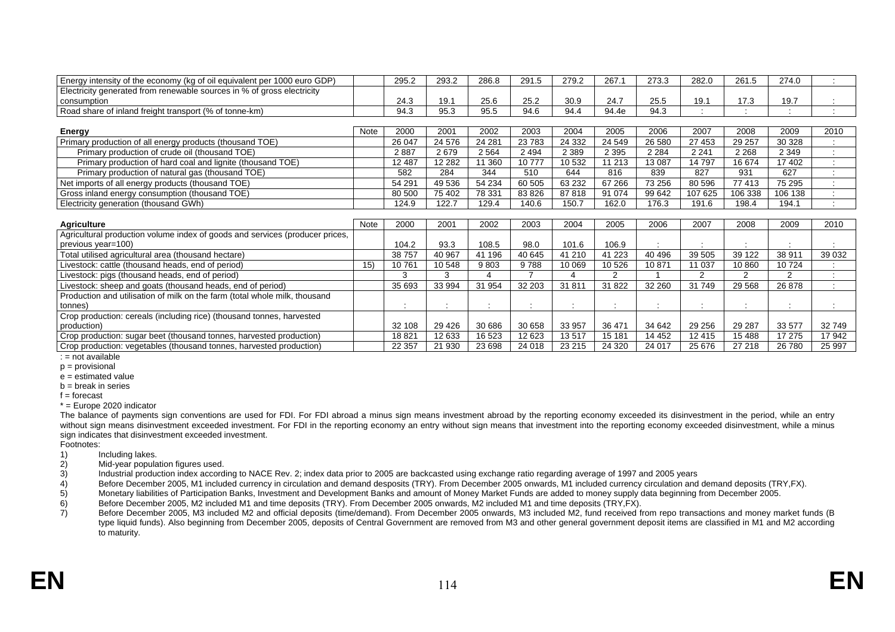| Energy intensity of the economy (kg of oil equivalent per 1000 euro GDP)     |      | 295.2             | 293.2            | 286.8             | 291.5                    | 279.2           | 267.1                    | 273.3            | 282.0                | 261.5             | 274.0                |                 |
|------------------------------------------------------------------------------|------|-------------------|------------------|-------------------|--------------------------|-----------------|--------------------------|------------------|----------------------|-------------------|----------------------|-----------------|
| Electricity generated from renewable sources in % of gross electricity       |      |                   |                  |                   |                          |                 |                          |                  |                      |                   |                      |                 |
| consumption                                                                  |      | 24.3              | 19.1             | 25.6              | 25.2                     | 30.9            | 24.7                     | 25.5             | 19.1                 | 17.3              | 19.7                 |                 |
| Road share of inland freight transport (% of tonne-km)                       |      | 94.3              | 95.3             | 95.5              | 94.6                     | 94.4            | 94.4e                    | 94.3             | $\bullet$            | $\blacksquare$    |                      |                 |
|                                                                              |      |                   |                  |                   |                          |                 |                          |                  |                      |                   |                      |                 |
| Energy                                                                       | Note | 2000              | 2001             | 2002              | 2003                     | 2004            | 2005                     | 2006             | 2007                 | 2008              | 2009                 | 2010            |
| Primary production of all energy products (thousand TOE)                     |      | 26 047            | 24 576           | 24 281            | 23783                    | 24 3 32         | 24 549                   | 26 580           | 27 453               | 29 257            | 30 328               |                 |
| Primary production of crude oil (thousand TOE)                               |      | 2887              | 2679             | 2 5 6 4           | 2 4 9 4                  | 2 3 8 9         | 2 3 9 5                  | 2 2 8 4          | 2 2 4 1              | 2 2 6 8           | 2 3 4 9              | $\bullet$       |
| Primary production of hard coal and lignite (thousand TOE)                   |      | 12 487            | 12 2 8 2         | 11 360            | 10777                    | 10 532          | 11 213                   | 13 087           | 14797                | 16 674            | 17 402               |                 |
| Primary production of natural gas (thousand TOE)                             |      | 582               | 284              | 344               | 510                      | 644             | 816                      | 839              | 827                  | 931               | 627                  | $\blacksquare$  |
| Net imports of all energy products (thousand TOE)                            |      | 54 291            | 49 536           | 54 234            | 60 505                   | 63 232          | 67 266                   | 73 256           | 80 596               | 77413             | 75 295               |                 |
| Gross inland energy consumption (thousand TOE)                               |      | 80 500            | 75 402           | 78 331            | 83 826                   | 87818           | 91 074                   | 99 642           | 107 625              | 106 338           | 106 138              |                 |
| Electricity generation (thousand GWh)                                        |      | 124.9             | 122.7            | 129.4             | 140.6                    | 150.7           | 162.0                    | 176.3            | 191.6                | 198.4             | 194.1                |                 |
|                                                                              |      |                   |                  |                   |                          |                 |                          |                  |                      |                   |                      |                 |
| <b>Agriculture</b>                                                           | Note | 2000              | 2001             | 2002              | 2003                     | 2004            | 2005                     | 2006             | 2007                 | 2008              | 2009                 | 2010            |
|                                                                              |      |                   |                  |                   |                          |                 |                          |                  |                      |                   |                      |                 |
| Agricultural production volume index of goods and services (producer prices, |      |                   |                  |                   |                          |                 |                          |                  |                      |                   |                      |                 |
| previous year=100)                                                           |      | 104.2             | 93.3             | 108.5             | 98.0                     | 101.6           | 106.9                    |                  |                      |                   |                      |                 |
| Total utilised agricultural area (thousand hectare)                          |      | 38757             | 40 967           | 41 196            | 40 645                   | 41 210          | 41 2 23                  | 40 49 6          | 39 505               | 39 122            | 38 911               | 39 0 32         |
| Livestock: cattle (thousand heads, end of period)                            | 15)  | 10761             | 10 548           | 9803              | 9788                     | 10 069          | 10 5 26                  | 10 871           | 11 037               | 10 860            | 10724                |                 |
| Livestock: pigs (thousand heads, end of period)                              |      | 3                 | 3                | 4                 | $\overline{\phantom{a}}$ | 4               | 2                        |                  | 2                    | $\overline{2}$    | 2                    | $\cdot$         |
| Livestock: sheep and goats (thousand heads, end of period)                   |      | 35 693            | 33 994           | 31 954            | 32 203                   | 31 811          | 31 822                   | 32 260           | 31 749               | 29 5 68           | 26 878               | $\bullet$       |
| Production and utilisation of milk on the farm (total whole milk, thousand   |      |                   |                  |                   |                          |                 |                          |                  |                      |                   |                      |                 |
| tonnes)                                                                      |      | $\cdot$           | $\cdot$          | $\cdot$           | $\blacksquare$           | $\bullet$       | $\sim$<br>$\blacksquare$ | $\bullet$<br>۰.  | $\bullet$<br>$\cdot$ | $\blacksquare$    | $\bullet$<br>$\cdot$ |                 |
| Crop production: cereals (including rice) (thousand tonnes, harvested        |      |                   |                  |                   |                          |                 |                          |                  |                      |                   |                      |                 |
| production)                                                                  |      | 32 108            | 29 4 26          | 30 686            | 30 658                   | 33 957          | 36 471                   | 34 642           | 29 25 6              | 29 287            | 33 577               | 32 749          |
| Crop production: sugar beet (thousand tonnes, harvested production)          |      | 18821<br>22 3 5 7 | 12 633<br>21 930 | 16 523<br>23 6 98 | 12 623<br>24 018         | 13517<br>23 215 | 15 181<br>24 3 20        | 14 452<br>24 017 | 12 4 15<br>25 676    | 15 4 88<br>27 218 | 17 275<br>26 780     | 17942<br>25 997 |

: = not available

p = provisional

e = estimated value

 $b = b$ reak in series

 $f =$  forecast

\* = Europe 2020 indicator

The balance of payments sign conventions are used for FDI. For FDI abroad a minus sign means investment abroad by the reporting economy exceeded its disinvestment in the period, while an entry without sign means disinvestment exceeded investment. For FDI in the reporting economy an entry without sign means that investment into the reporting economy exceeded disinvestment, while a minus sign indicates that disinvestment exceeded investment.

Footnotes:

- 1) Including lakes.<br>2) Mid-year popula
- 2) Mid-year population figures used.<br>3) Industrial production index accord

3) Industrial production index according to NACE Rev. 2; index data prior to 2005 are backcasted using exchange ratio regarding average of 1997 and 2005 years<br>4) Before December 2005, M1 included currency in circulation an

- Before December 2005, M1 included currency in circulation and demand desposits (TRY). From December 2005 onwards, M1 included currency circulation and demand deposits (TRY, FX).
- 5) Monetary liabilities of Participation Banks, Investment and Development Banks and amount of Money Market Funds are added to money supply data beginning from December 2005.<br>6) Before December 2005, M2 included M1 and tim
- 6) Before December 2005, M2 included M1 and time deposits (TRY). From December 2005 onwards, M2 included M1 and time deposits (TRY,FX).
- 7) Before December 2005, M3 included M2 and official deposits (time/demand). From December 2005 onwards, M3 included M2, fund received from repo transactions and money market funds (B type liquid funds). Also beginning from December 2005, deposits of Central Government are removed from M3 and other general government deposit items are classified in M1 and M2 according to maturity.